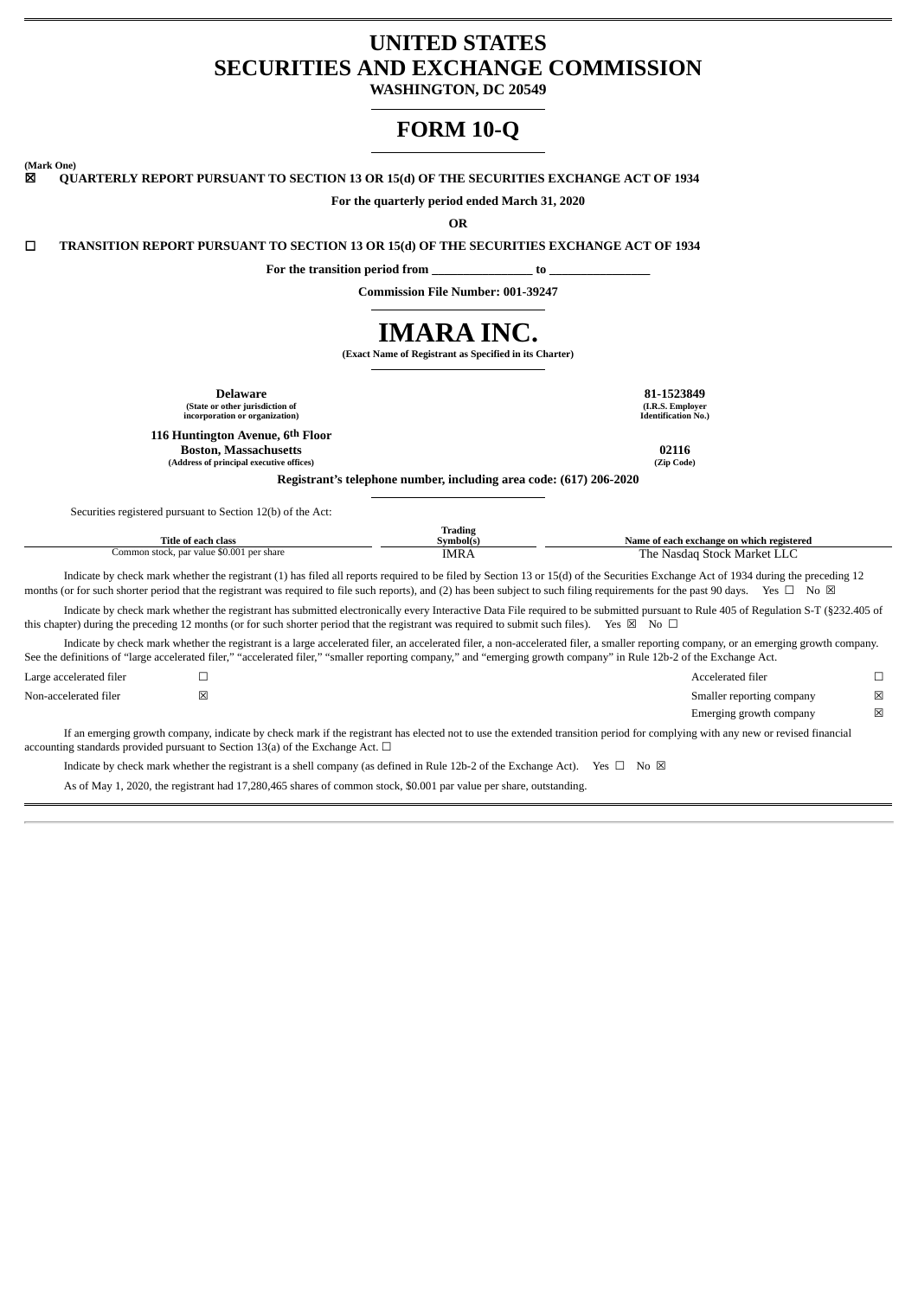# **UNITED STATES SECURITIES AND EXCHANGE COMMISSION**

**WASHINGTON, DC 20549**

# **FORM 10-Q**

**(Mark One)** ☒ **QUARTERLY REPORT PURSUANT TO SECTION 13 OR 15(d) OF THE SECURITIES EXCHANGE ACT OF 1934**

# **For the quarterly period ended March 31, 2020**

**OR**

☐ **TRANSITION REPORT PURSUANT TO SECTION 13 OR 15(d) OF THE SECURITIES EXCHANGE ACT OF 1934**

**For the transition period from \_\_\_\_\_\_\_\_\_\_\_\_\_\_\_\_ to \_\_\_\_\_\_\_\_\_\_\_\_\_\_\_\_**

**Commission File Number: 001-39247**

# **IMARA INC.**

**(Exact Name of Registrant as Specified in its Charter)**

|                         | <b>Delaware</b><br>(State or other jurisdiction of<br>incorporation or organization)                                                                                 |                                                                    | 81-1523849<br>(I.R.S. Employer<br><b>Identification No.)</b>                                                                                                                                                                                                                                                                                                                          |             |  |  |  |  |  |  |
|-------------------------|----------------------------------------------------------------------------------------------------------------------------------------------------------------------|--------------------------------------------------------------------|---------------------------------------------------------------------------------------------------------------------------------------------------------------------------------------------------------------------------------------------------------------------------------------------------------------------------------------------------------------------------------------|-------------|--|--|--|--|--|--|
|                         | 116 Huntington Avenue, 6th Floor<br><b>Boston, Massachusetts</b><br>(Address of principal executive offices)                                                         |                                                                    | 02116<br>(Zip Code)                                                                                                                                                                                                                                                                                                                                                                   |             |  |  |  |  |  |  |
|                         |                                                                                                                                                                      | Registrant's telephone number, including area code: (617) 206-2020 |                                                                                                                                                                                                                                                                                                                                                                                       |             |  |  |  |  |  |  |
|                         | Securities registered pursuant to Section 12(b) of the Act:                                                                                                          |                                                                    |                                                                                                                                                                                                                                                                                                                                                                                       |             |  |  |  |  |  |  |
|                         | <b>Title of each class</b>                                                                                                                                           | <b>Trading</b><br>Sumbol(s)                                        | Name of each exchange on which registered                                                                                                                                                                                                                                                                                                                                             |             |  |  |  |  |  |  |
|                         | Common stock, par value \$0.001 per share                                                                                                                            | <b>IMRA</b>                                                        | The Nasdag Stock Market LLC                                                                                                                                                                                                                                                                                                                                                           |             |  |  |  |  |  |  |
|                         |                                                                                                                                                                      |                                                                    | Indicate by check mark whether the registrant (1) has filed all reports required to be filed by Section 13 or 15(d) of the Securities Exchange Act of 1934 during the preceding 12<br>months (or for such shorter period that the registrant was required to file such reports), and (2) has been subject to such filing requirements for the past 90 days. Yes $\Box$ No $\boxtimes$ |             |  |  |  |  |  |  |
|                         | this chapter) during the preceding 12 months (or for such shorter period that the registrant was required to submit such files). Yes $\boxtimes$ No $\Box$           |                                                                    | Indicate by check mark whether the registrant has submitted electronically every Interactive Data File required to be submitted pursuant to Rule 405 of Regulation S-T (§232.405 of                                                                                                                                                                                                   |             |  |  |  |  |  |  |
|                         | See the definitions of "large accelerated filer," "accelerated filer," "smaller reporting company," and "emerging growth company" in Rule 12b-2 of the Exchange Act. |                                                                    | Indicate by check mark whether the registrant is a large accelerated filer, an accelerated filer, a non-accelerated filer, a smaller reporting company, or an emerging growth company.                                                                                                                                                                                                |             |  |  |  |  |  |  |
| Large accelerated filer | □                                                                                                                                                                    |                                                                    | Accelerated filer                                                                                                                                                                                                                                                                                                                                                                     | □           |  |  |  |  |  |  |
| Non-accelerated filer   | $\boxtimes$                                                                                                                                                          |                                                                    | Smaller reporting company                                                                                                                                                                                                                                                                                                                                                             | X           |  |  |  |  |  |  |
|                         |                                                                                                                                                                      |                                                                    | Emerging growth company                                                                                                                                                                                                                                                                                                                                                               | $\boxtimes$ |  |  |  |  |  |  |
|                         | accounting standards provided pursuant to Section 13(a) of the Exchange Act. $\Box$                                                                                  |                                                                    | If an emerging growth company, indicate by check mark if the registrant has elected not to use the extended transition period for complying with any new or revised financial                                                                                                                                                                                                         |             |  |  |  |  |  |  |
|                         | Indicate by check mark whether the registrant is a shell company (as defined in Rule 12b-2 of the Exchange Act). Yes $\Box$ No $\boxtimes$                           |                                                                    |                                                                                                                                                                                                                                                                                                                                                                                       |             |  |  |  |  |  |  |
|                         | As of May 1, 2020, the registrant had 17,280,465 shares of common stock, \$0.001 par value per share, outstanding,                                                   |                                                                    |                                                                                                                                                                                                                                                                                                                                                                                       |             |  |  |  |  |  |  |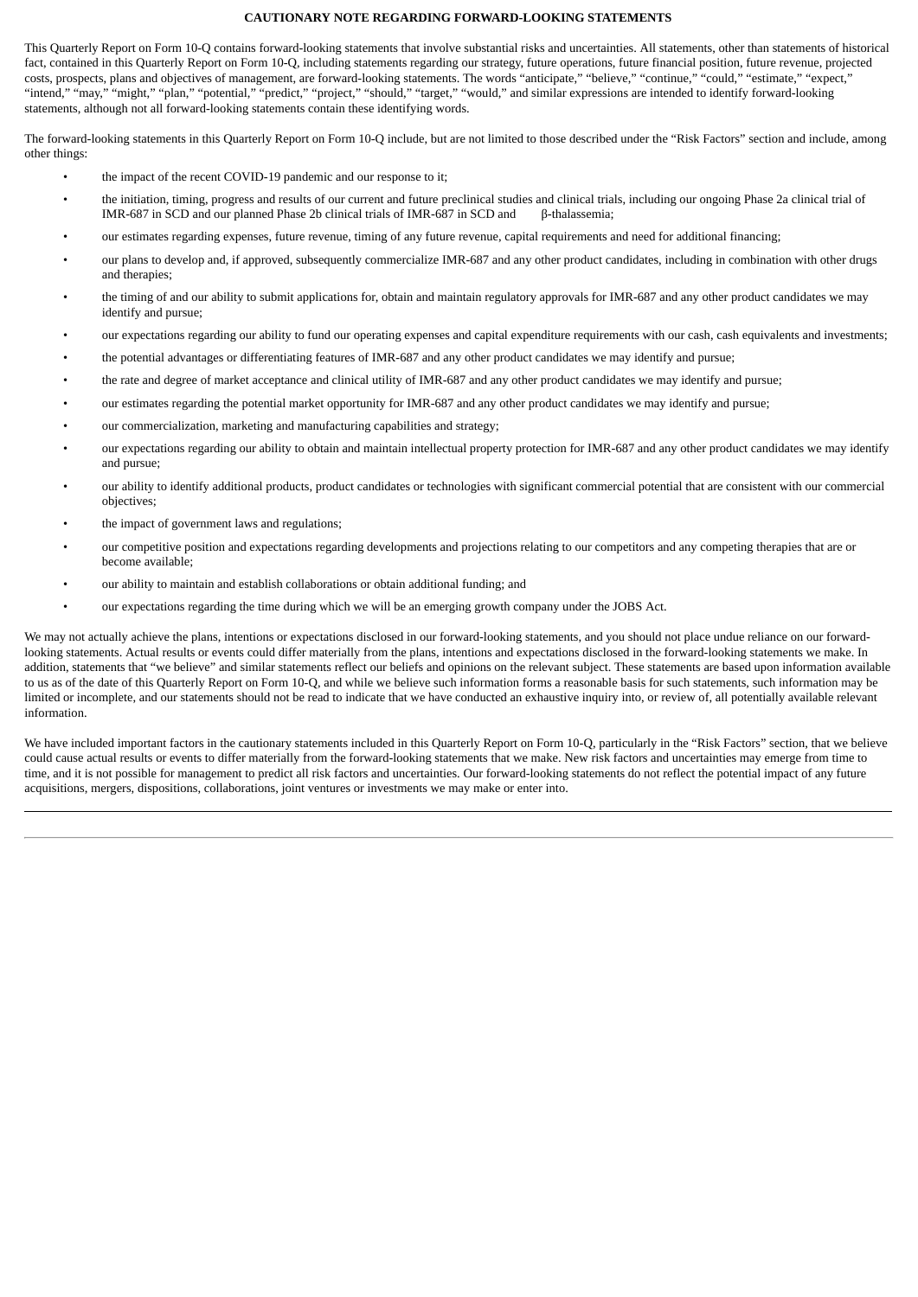# **CAUTIONARY NOTE REGARDING FORWARD-LOOKING STATEMENTS**

This Quarterly Report on Form 10-Q contains forward-looking statements that involve substantial risks and uncertainties. All statements, other than statements of historical fact, contained in this Quarterly Report on Form 10-Q, including statements regarding our strategy, future operations, future financial position, future revenue, projected costs, prospects, plans and objectives of management, are forward-looking statements. The words "anticipate," "believe," "continue," "could," "estimate," "expect," "intend," "may," "might," "plan," "potential," "predict," "project," "should," "target," "would," and similar expressions are intended to identify forward-looking statements, although not all forward-looking statements contain these identifying words.

The forward-looking statements in this Quarterly Report on Form 10-Q include, but are not limited to those described under the "Risk Factors" section and include, among other things:

- the impact of the recent COVID-19 pandemic and our response to it;
- the initiation, timing, progress and results of our current and future preclinical studies and clinical trials, including our ongoing Phase 2a clinical trial of IMR-687 in SCD and our planned Phase 2b clinical trials of IMR-687 in SCD and β-thalassemia;
- our estimates regarding expenses, future revenue, timing of any future revenue, capital requirements and need for additional financing;
- our plans to develop and, if approved, subsequently commercialize IMR-687 and any other product candidates, including in combination with other drugs and therapies;
- the timing of and our ability to submit applications for, obtain and maintain regulatory approvals for IMR-687 and any other product candidates we may identify and pursue;
- our expectations regarding our ability to fund our operating expenses and capital expenditure requirements with our cash, cash equivalents and investments;
- the potential advantages or differentiating features of IMR-687 and any other product candidates we may identify and pursue;
- the rate and degree of market acceptance and clinical utility of IMR-687 and any other product candidates we may identify and pursue;
- our estimates regarding the potential market opportunity for IMR-687 and any other product candidates we may identify and pursue;
- our commercialization, marketing and manufacturing capabilities and strategy;
- our expectations regarding our ability to obtain and maintain intellectual property protection for IMR-687 and any other product candidates we may identify and pursue;
- our ability to identify additional products, product candidates or technologies with significant commercial potential that are consistent with our commercial objectives;
- the impact of government laws and regulations;
- our competitive position and expectations regarding developments and projections relating to our competitors and any competing therapies that are or become available;
- our ability to maintain and establish collaborations or obtain additional funding; and
- our expectations regarding the time during which we will be an emerging growth company under the JOBS Act.

We may not actually achieve the plans, intentions or expectations disclosed in our forward-looking statements, and you should not place undue reliance on our forwardlooking statements. Actual results or events could differ materially from the plans, intentions and expectations disclosed in the forward-looking statements we make. In addition, statements that "we believe" and similar statements reflect our beliefs and opinions on the relevant subject. These statements are based upon information available to us as of the date of this Quarterly Report on Form 10-Q, and while we believe such information forms a reasonable basis for such statements, such information may be limited or incomplete, and our statements should not be read to indicate that we have conducted an exhaustive inquiry into, or review of, all potentially available relevant information.

We have included important factors in the cautionary statements included in this Quarterly Report on Form 10-Q, particularly in the "Risk Factors" section, that we believe could cause actual results or events to differ materially from the forward-looking statements that we make. New risk factors and uncertainties may emerge from time to time, and it is not possible for management to predict all risk factors and uncertainties. Our forward-looking statements do not reflect the potential impact of any future acquisitions, mergers, dispositions, collaborations, joint ventures or investments we may make or enter into.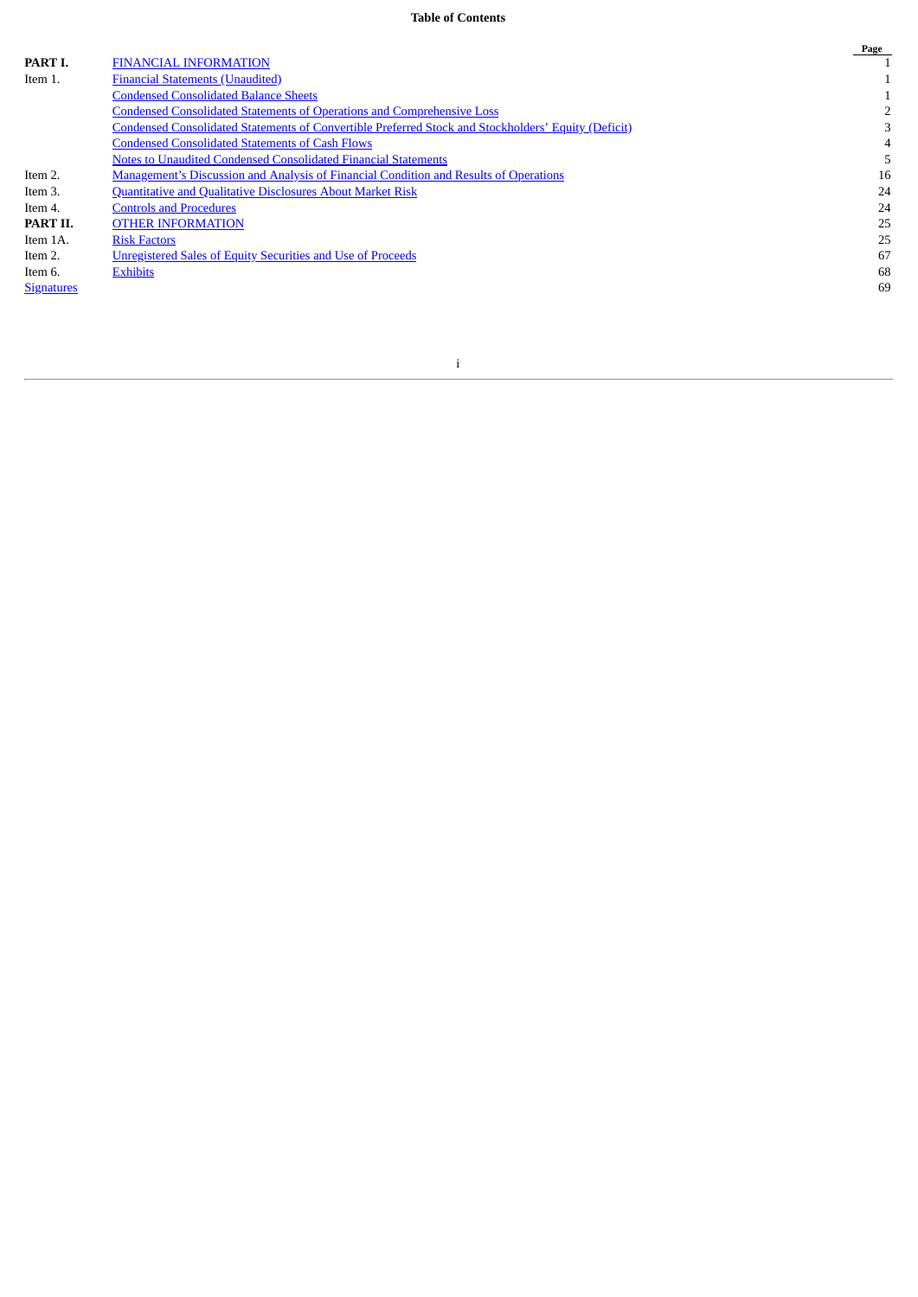# **Table of Contents**

|                   |                                                                                                            | Page |
|-------------------|------------------------------------------------------------------------------------------------------------|------|
| PART I.           | <b>FINANCIAL INFORMATION</b>                                                                               |      |
| Item 1.           | <b>Financial Statements (Unaudited)</b>                                                                    |      |
|                   | <b>Condensed Consolidated Balance Sheets</b>                                                               |      |
|                   | <b>Condensed Consolidated Statements of Operations and Comprehensive Loss</b>                              |      |
|                   | <b>Condensed Consolidated Statements of Convertible Preferred Stock and Stockholders' Equity (Deficit)</b> | З    |
|                   | <b>Condensed Consolidated Statements of Cash Flows</b>                                                     |      |
|                   | Notes to Unaudited Condensed Consolidated Financial Statements                                             |      |
| Item 2.           | Management's Discussion and Analysis of Financial Condition and Results of Operations                      | 16   |
| Item 3.           | <b>Quantitative and Qualitative Disclosures About Market Risk</b>                                          | 24   |
| Item 4.           | <b>Controls and Procedures</b>                                                                             | 24   |
| PART II.          | <b>OTHER INFORMATION</b>                                                                                   | 25   |
| Item 1A.          | <b>Risk Factors</b>                                                                                        | 25   |
| Item 2.           | Unregistered Sales of Equity Securities and Use of Proceeds                                                | 67   |
| Item 6.           | <b>Exhibits</b>                                                                                            | 68   |
| <b>Signatures</b> |                                                                                                            | 69   |
|                   |                                                                                                            |      |
|                   |                                                                                                            |      |

i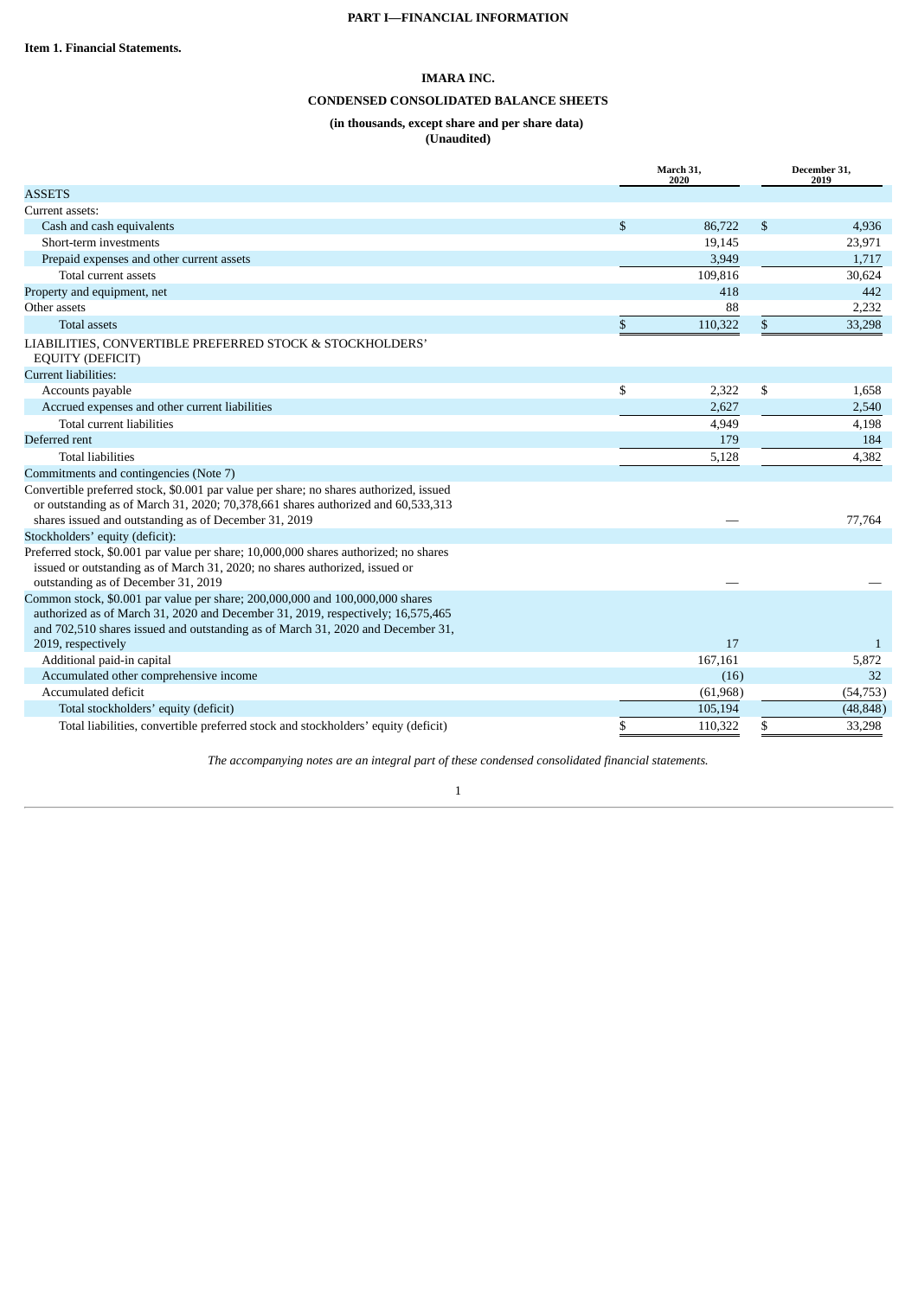# **CONDENSED CONSOLIDATED BALANCE SHEETS**

# **(in thousands, except share and per share data) (Unaudited)**

<span id="page-3-2"></span><span id="page-3-1"></span><span id="page-3-0"></span>

|                                                                                                                                               | March 31,<br>2020 |              | December 31,<br>2019 |
|-----------------------------------------------------------------------------------------------------------------------------------------------|-------------------|--------------|----------------------|
| <b>ASSETS</b>                                                                                                                                 |                   |              |                      |
| Current assets:                                                                                                                               |                   |              |                      |
| Cash and cash equivalents                                                                                                                     | \$<br>86,722      | $\mathbb{S}$ | 4,936                |
| Short-term investments                                                                                                                        | 19,145            |              | 23,971               |
| Prepaid expenses and other current assets                                                                                                     | 3,949             |              | 1,717                |
| Total current assets                                                                                                                          | 109,816           |              | 30,624               |
| Property and equipment, net                                                                                                                   | 418               |              | 442                  |
| Other assets                                                                                                                                  | 88                |              | 2,232                |
| <b>Total assets</b>                                                                                                                           | \$<br>110,322     | \$           | 33,298               |
| LIABILITIES, CONVERTIBLE PREFERRED STOCK & STOCKHOLDERS'                                                                                      |                   |              |                      |
| <b>EQUITY (DEFICIT)</b>                                                                                                                       |                   |              |                      |
| <b>Current liabilities:</b>                                                                                                                   |                   |              |                      |
| Accounts payable                                                                                                                              | \$<br>2,322       | \$           | 1,658                |
| Accrued expenses and other current liabilities<br>Total current liabilities                                                                   | 2,627             |              | 2,540                |
| Deferred rent                                                                                                                                 | 4,949             |              | 4,198<br>184         |
|                                                                                                                                               | 179               |              |                      |
| <b>Total liabilities</b>                                                                                                                      | 5,128             |              | 4,382                |
| Commitments and contingencies (Note 7)                                                                                                        |                   |              |                      |
| Convertible preferred stock, \$0.001 par value per share; no shares authorized, issued                                                        |                   |              |                      |
| or outstanding as of March 31, 2020; 70, 378, 661 shares authorized and $60,533,313$<br>shares issued and outstanding as of December 31, 2019 |                   |              | 77,764               |
| Stockholders' equity (deficit):                                                                                                               |                   |              |                      |
| Preferred stock, \$0.001 par value per share; 10,000,000 shares authorized; no shares                                                         |                   |              |                      |
| issued or outstanding as of March 31, 2020; no shares authorized, issued or                                                                   |                   |              |                      |
| outstanding as of December 31, 2019                                                                                                           |                   |              |                      |
| Common stock, \$0.001 par value per share; 200,000,000 and 100,000,000 shares                                                                 |                   |              |                      |
| authorized as of March 31, 2020 and December 31, 2019, respectively; 16,575,465                                                               |                   |              |                      |
| and 702,510 shares issued and outstanding as of March 31, 2020 and December 31,                                                               |                   |              |                      |
| 2019, respectively                                                                                                                            | 17                |              | 1                    |
| Additional paid-in capital                                                                                                                    | 167,161           |              | 5,872                |
| Accumulated other comprehensive income                                                                                                        | (16)              |              | 32                   |
| Accumulated deficit                                                                                                                           | (61, 968)         |              | (54, 753)            |
| Total stockholders' equity (deficit)                                                                                                          | 105,194           |              | (48, 848)            |
| Total liabilities, convertible preferred stock and stockholders' equity (deficit)                                                             | 110,322           | \$           | 33,298               |

*The accompanying notes are an integral part of these condensed consolidated financial statements.*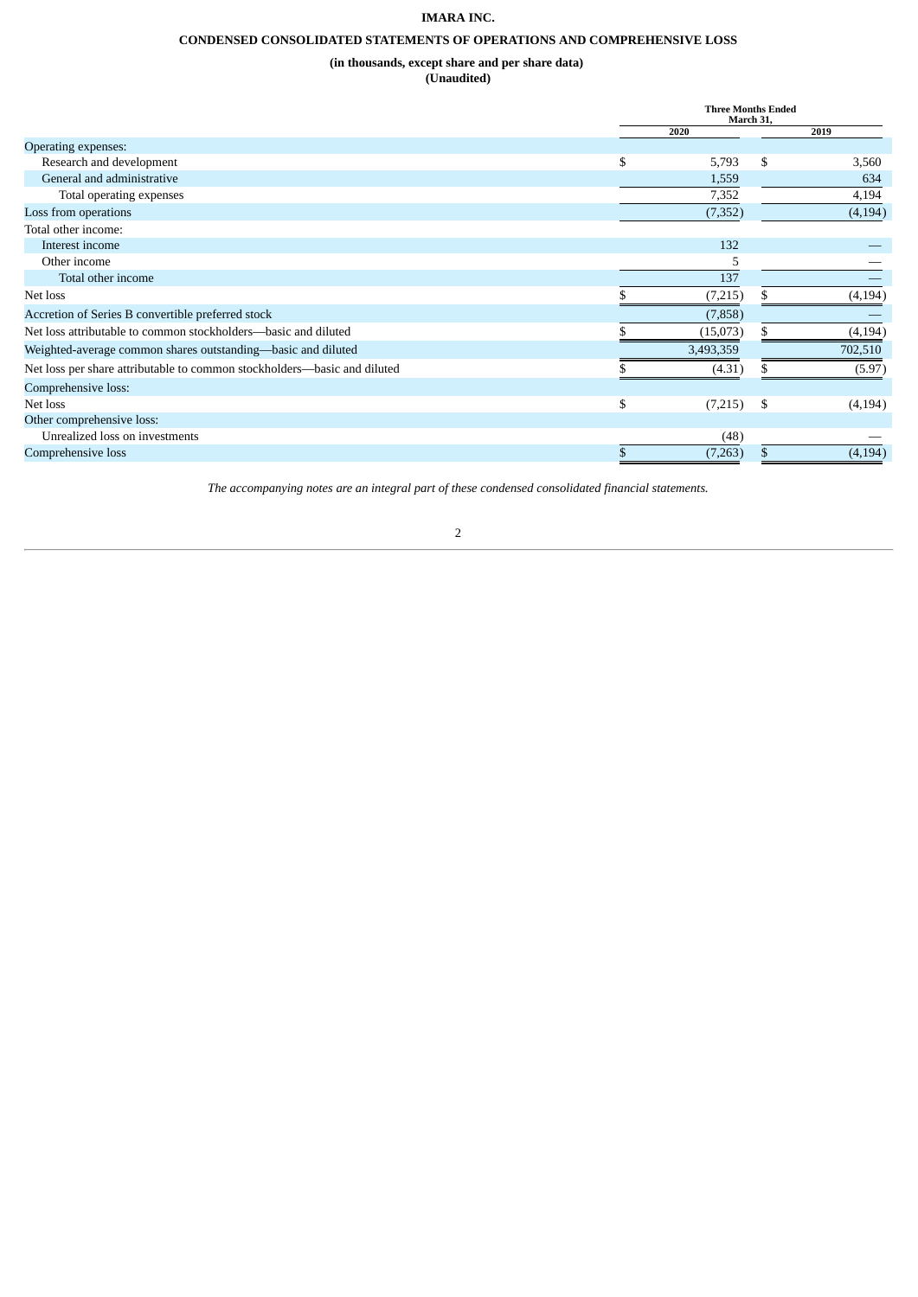# **CONDENSED CONSOLIDATED STATEMENTS OF OPERATIONS AND COMPREHENSIVE LOSS**

# **(in thousands, except share and per share data)**

**(Unaudited)**

<span id="page-4-0"></span>

|                                                                          | <b>Three Months Ended</b><br>March 31, |    |          |  |  |
|--------------------------------------------------------------------------|----------------------------------------|----|----------|--|--|
|                                                                          | 2020                                   |    | 2019     |  |  |
| Operating expenses:                                                      |                                        |    |          |  |  |
| Research and development                                                 | \$<br>5,793                            | \$ | 3,560    |  |  |
| General and administrative                                               | 1,559                                  |    | 634      |  |  |
| Total operating expenses                                                 | 7,352                                  |    | 4,194    |  |  |
| Loss from operations                                                     | (7,352)                                |    | (4, 194) |  |  |
| Total other income:                                                      |                                        |    |          |  |  |
| Interest income                                                          | 132                                    |    |          |  |  |
| Other income                                                             | 5                                      |    |          |  |  |
| Total other income                                                       | 137                                    |    |          |  |  |
| Net loss                                                                 | (7,215)                                | S  | (4, 194) |  |  |
| Accretion of Series B convertible preferred stock                        | (7,858)                                |    |          |  |  |
| Net loss attributable to common stockholders—basic and diluted           | (15,073)                               | \$ | (4, 194) |  |  |
| Weighted-average common shares outstanding-basic and diluted             | 3,493,359                              |    | 702,510  |  |  |
| Net loss per share attributable to common stockholders-basic and diluted | (4.31)                                 |    | (5.97)   |  |  |
| Comprehensive loss:                                                      |                                        |    |          |  |  |
| Net loss                                                                 | \$<br>(7,215)                          | \$ | (4, 194) |  |  |
| Other comprehensive loss:                                                |                                        |    |          |  |  |
| Unrealized loss on investments                                           | (48)                                   |    |          |  |  |
| Comprehensive loss                                                       | (7,263)                                | \$ | (4, 194) |  |  |

*The accompanying notes are an integral part of these condensed consolidated financial statements.*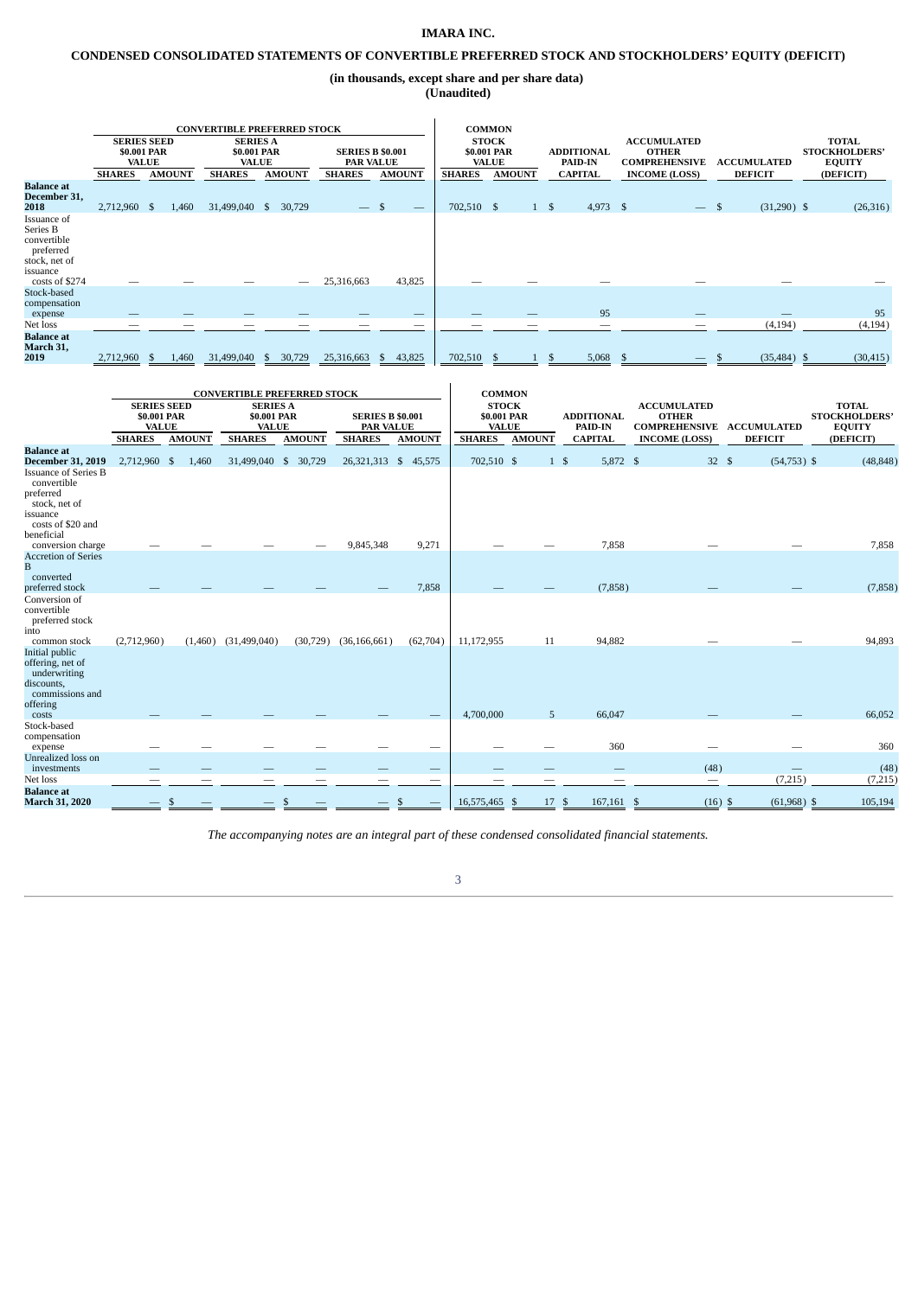# <span id="page-5-0"></span>**CONDENSED CONSOLIDATED STATEMENTS OF CONVERTIBLE PREFERRED STOCK AND STOCKHOLDERS' EQUITY (DEFICIT)**

**(in thousands, except share and per share data)**

**(Unaudited)**

|                                                                                                    |                                                   |               |               | <b>CONVERTIBLE PREFERRED STOCK</b>             |      |               |                                             |    |               | <b>COMMON</b> |                              |               |                              |                                                            |                    |                                                       |
|----------------------------------------------------------------------------------------------------|---------------------------------------------------|---------------|---------------|------------------------------------------------|------|---------------|---------------------------------------------|----|---------------|---------------|------------------------------|---------------|------------------------------|------------------------------------------------------------|--------------------|-------------------------------------------------------|
|                                                                                                    | <b>SERIES SEED</b><br>\$0.001 PAR<br><b>VALUE</b> |               |               | <b>SERIES A</b><br>\$0.001 PAR<br><b>VALUE</b> |      |               | <b>SERIES B \$0.001</b><br><b>PAR VALUE</b> |    |               | \$0.001 PAR   | <b>STOCK</b><br><b>VALUE</b> |               | <b>ADDITIONAL</b><br>PAID-IN | <b>ACCUMULATED</b><br><b>OTHER</b><br><b>COMPREHENSIVE</b> | <b>ACCUMULATED</b> | <b>TOTAL</b><br><b>STOCKHOLDERS'</b><br><b>EQUITY</b> |
| <b>Balance</b> at                                                                                  | <b>SHARES</b>                                     |               | <b>AMOUNT</b> | <b>SHARES</b>                                  |      | <b>AMOUNT</b> | <b>SHARES</b>                               |    | <b>AMOUNT</b> | <b>SHARES</b> |                              | <b>AMOUNT</b> | <b>CAPITAL</b>               | <b>INCOME (LOSS)</b>                                       | <b>DEFICIT</b>     | (DEFICIT)                                             |
| December 31,<br>2018                                                                               | 2,712,960                                         | - \$          | 1,460         | 31,499,040                                     | - \$ | 30,729        | $-$ \$                                      |    |               | 702,510 \$    |                              | $1 \quad$     | 4,973 \$                     | $-$ \$                                                     | $(31,290)$ \$      | (26,316)                                              |
| Issuance of<br>Series B<br>convertible<br>preferred<br>stock, net of<br>issuance<br>costs of \$274 |                                                   |               |               |                                                |      |               | 25,316,663                                  |    | 43,825        |               |                              |               |                              |                                                            |                    |                                                       |
| Stock-based<br>compensation<br>expense                                                             |                                                   |               |               |                                                |      |               |                                             |    |               |               |                              |               | 95                           |                                                            |                    | 95                                                    |
| Net loss<br><b>Balance</b> at<br>March 31,                                                         |                                                   |               |               |                                                |      |               |                                             |    | —             |               |                              |               |                              |                                                            | (4, 194)           | (4, 194)                                              |
| 2019                                                                                               | 2,712,960                                         | $\mathcal{L}$ | 1,460         | 31,499,040                                     | Ъ.   | 30,729        | 25,316,663                                  | S. | 43,825        | 702,510       |                              |               | 5,068                        |                                                            | $(35, 484)$ \$     | (30, 415)                                             |

|                                                                                                                         |                                                   |               | <b>CONVERTIBLE PREFERRED STOCK</b>             |               |                                             |               | <b>COMMON</b>                               |               |                              |                                                                 |                |                                                       |
|-------------------------------------------------------------------------------------------------------------------------|---------------------------------------------------|---------------|------------------------------------------------|---------------|---------------------------------------------|---------------|---------------------------------------------|---------------|------------------------------|-----------------------------------------------------------------|----------------|-------------------------------------------------------|
|                                                                                                                         | <b>SERIES SEED</b><br>\$0.001 PAR<br><b>VALUE</b> |               | <b>SERIES A</b><br>\$0.001 PAR<br><b>VALUE</b> |               | <b>SERIES B \$0.001</b><br><b>PAR VALUE</b> |               | <b>STOCK</b><br>\$0.001 PAR<br><b>VALUE</b> |               | <b>ADDITIONAL</b><br>PAID-IN | <b>ACCUMULATED</b><br><b>OTHER</b><br>COMPREHENSIVE ACCUMULATED |                | <b>TOTAL</b><br><b>STOCKHOLDERS'</b><br><b>EQUITY</b> |
|                                                                                                                         | <b>SHARES</b>                                     | <b>AMOUNT</b> | <b>SHARES</b>                                  | <b>AMOUNT</b> | <b>SHARES</b>                               | <b>AMOUNT</b> | <b>SHARES</b>                               | <b>AMOUNT</b> | <b>CAPITAL</b>               | <b>INCOME (LOSS)</b>                                            | <b>DEFICIT</b> | (DEFICIT)                                             |
| <b>Balance</b> at<br><b>December 31, 2019</b>                                                                           | 2,712,960 \$                                      | 1,460         | 31,499,040 \$ 30,729                           |               | 26, 321, 313 \$ 45, 575                     |               | 702,510 \$                                  |               | 5,872 \$<br>$1 \text{ }$     | 32S                                                             | $(54,753)$ \$  | (48, 848)                                             |
| <b>Issuance of Series B</b><br>convertible<br>preferred<br>stock, net of<br>issuance<br>costs of \$20 and<br>beneficial |                                                   |               |                                                |               |                                             |               |                                             |               |                              |                                                                 |                |                                                       |
| conversion charge                                                                                                       |                                                   |               |                                                |               | 9,845,348                                   | 9,271         |                                             |               | 7,858                        |                                                                 |                | 7,858                                                 |
| <b>Accretion of Series</b><br>B<br>converted<br>preferred stock                                                         |                                                   |               |                                                |               |                                             | 7,858         |                                             |               | (7, 858)                     |                                                                 |                | (7, 858)                                              |
| Conversion of<br>convertible<br>preferred stock<br>into                                                                 |                                                   |               |                                                |               |                                             |               |                                             |               |                              |                                                                 |                |                                                       |
| common stock                                                                                                            | (2,712,960)                                       | (1,460)       | (31, 499, 040)                                 | (30, 729)     | (36, 166, 661)                              | (62,704)      | 11,172,955                                  | 11            | 94,882                       |                                                                 |                | 94,893                                                |
| Initial public<br>offering, net of<br>underwriting<br>discounts,<br>commissions and<br>offering<br>costs                |                                                   |               |                                                |               |                                             |               | 4,700,000                                   | 5             | 66,047                       |                                                                 |                | 66,052                                                |
| Stock-based                                                                                                             |                                                   |               |                                                |               |                                             |               |                                             |               |                              |                                                                 |                |                                                       |
| compensation<br>expense                                                                                                 |                                                   |               |                                                |               |                                             |               |                                             |               | 360                          |                                                                 |                | 360                                                   |
| Unrealized loss on<br>investments                                                                                       |                                                   |               |                                                |               |                                             |               |                                             |               |                              | (48)                                                            |                | (48)                                                  |
| Net loss                                                                                                                |                                                   |               |                                                |               |                                             |               |                                             |               |                              |                                                                 | (7, 215)       | (7,215)                                               |
| <b>Balance</b> at<br><b>March 31, 2020</b>                                                                              |                                                   |               |                                                |               |                                             |               | 16,575,465                                  | 17S<br>-S     | 167,161                      | $(16)$ \$                                                       | $(61,968)$ \$  | 105,194                                               |

*The accompanying notes are an integral part of these condensed consolidated financial statements.*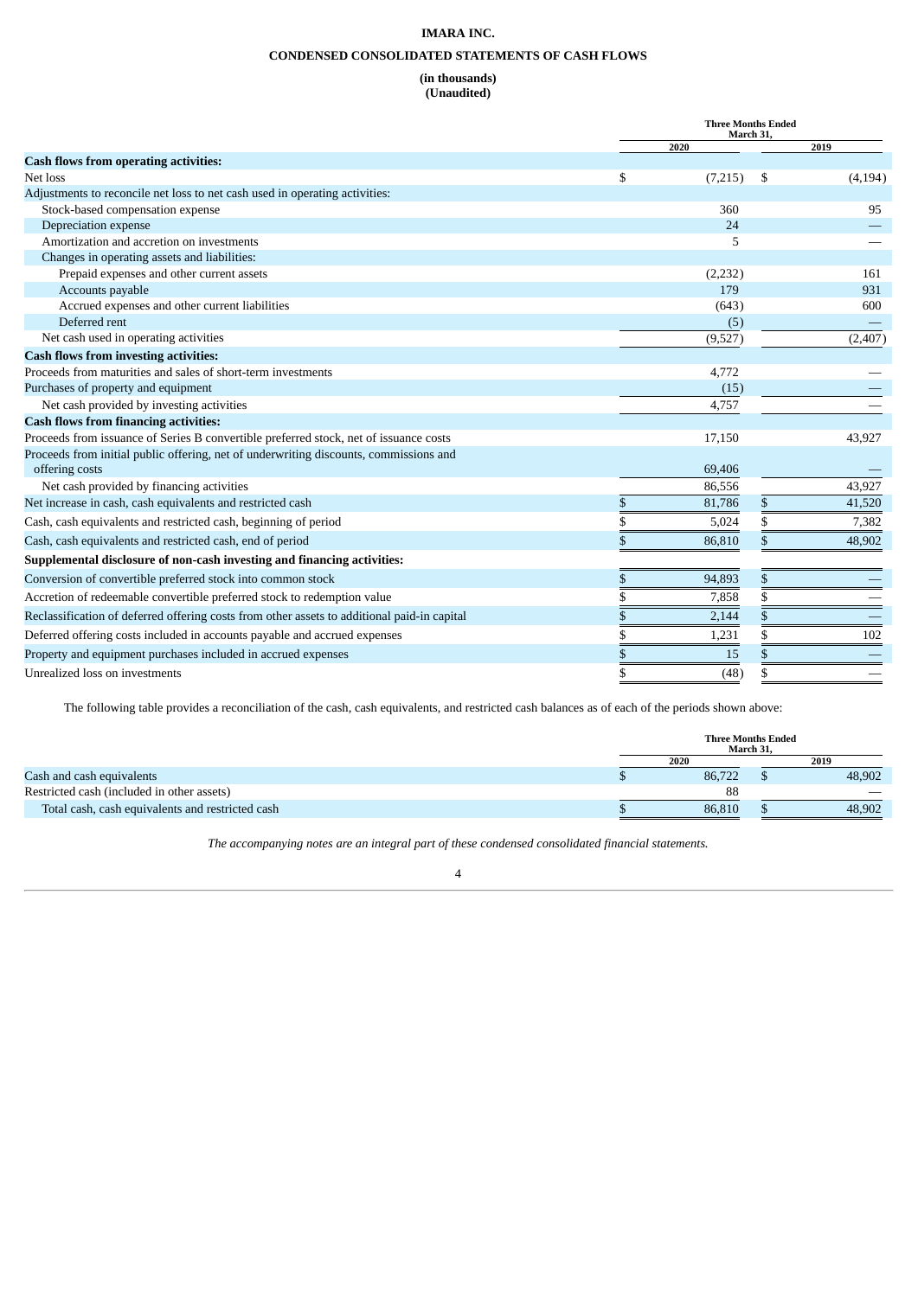# **CONDENSED CONSOLIDATED STATEMENTS OF CASH FLOWS**

# **(in thousands)**

# **(Unaudited)**

<span id="page-6-0"></span>

|                                                                                                         | <b>Three Months Ended</b><br>March 31, |    |          |  |  |  |  |
|---------------------------------------------------------------------------------------------------------|----------------------------------------|----|----------|--|--|--|--|
|                                                                                                         | 2020                                   |    | 2019     |  |  |  |  |
| <b>Cash flows from operating activities:</b>                                                            |                                        |    |          |  |  |  |  |
| Net loss                                                                                                | \$<br>(7,215)                          | -S | (4, 194) |  |  |  |  |
| Adjustments to reconcile net loss to net cash used in operating activities:                             |                                        |    |          |  |  |  |  |
| Stock-based compensation expense                                                                        | 360                                    |    | 95       |  |  |  |  |
| Depreciation expense                                                                                    | 24                                     |    |          |  |  |  |  |
| Amortization and accretion on investments                                                               | 5                                      |    |          |  |  |  |  |
| Changes in operating assets and liabilities:                                                            |                                        |    |          |  |  |  |  |
| Prepaid expenses and other current assets                                                               | (2,232)                                |    | 161      |  |  |  |  |
| Accounts payable                                                                                        | 179                                    |    | 931      |  |  |  |  |
| Accrued expenses and other current liabilities                                                          | (643)                                  |    | 600      |  |  |  |  |
| Deferred rent                                                                                           | (5)                                    |    |          |  |  |  |  |
| Net cash used in operating activities                                                                   | (9,527)                                |    | (2, 407) |  |  |  |  |
| <b>Cash flows from investing activities:</b>                                                            |                                        |    |          |  |  |  |  |
| Proceeds from maturities and sales of short-term investments                                            | 4,772                                  |    |          |  |  |  |  |
| Purchases of property and equipment                                                                     | (15)                                   |    |          |  |  |  |  |
| Net cash provided by investing activities                                                               | 4,757                                  |    |          |  |  |  |  |
| <b>Cash flows from financing activities:</b>                                                            |                                        |    |          |  |  |  |  |
| Proceeds from issuance of Series B convertible preferred stock, net of issuance costs                   | 17,150                                 |    | 43,927   |  |  |  |  |
| Proceeds from initial public offering, net of underwriting discounts, commissions and<br>offering costs | 69,406                                 |    |          |  |  |  |  |
| Net cash provided by financing activities                                                               | 86,556                                 |    | 43,927   |  |  |  |  |
| Net increase in cash, cash equivalents and restricted cash                                              | \$<br>81,786                           | \$ | 41,520   |  |  |  |  |
| Cash, cash equivalents and restricted cash, beginning of period                                         | \$<br>5,024                            | \$ | 7,382    |  |  |  |  |
| Cash, cash equivalents and restricted cash, end of period                                               | \$<br>86,810                           | \$ | 48,902   |  |  |  |  |
| Supplemental disclosure of non-cash investing and financing activities:                                 |                                        |    |          |  |  |  |  |
| Conversion of convertible preferred stock into common stock                                             | 94,893                                 | \$ |          |  |  |  |  |
| Accretion of redeemable convertible preferred stock to redemption value                                 | \$<br>7,858                            | \$ |          |  |  |  |  |
| Reclassification of deferred offering costs from other assets to additional paid-in capital             | \$<br>2,144                            | \$ |          |  |  |  |  |
| Deferred offering costs included in accounts payable and accrued expenses                               | \$<br>1,231                            | \$ | 102      |  |  |  |  |
| Property and equipment purchases included in accrued expenses                                           | \$<br>15                               | \$ |          |  |  |  |  |
| Unrealized loss on investments                                                                          | \$<br>(48)                             | \$ |          |  |  |  |  |

The following table provides a reconciliation of the cash, cash equivalents, and restricted cash balances as of each of the periods shown above:

|                                                  | <b>Three Months Ended</b><br>March 31. |        |
|--------------------------------------------------|----------------------------------------|--------|
|                                                  | 2020                                   | 2019   |
| Cash and cash equivalents                        | 86,722                                 | 48,902 |
| Restricted cash (included in other assets)       | 88                                     |        |
| Total cash, cash equivalents and restricted cash | 86.810                                 | 48,902 |

*The accompanying notes are an integral part of these condensed consolidated financial statements.*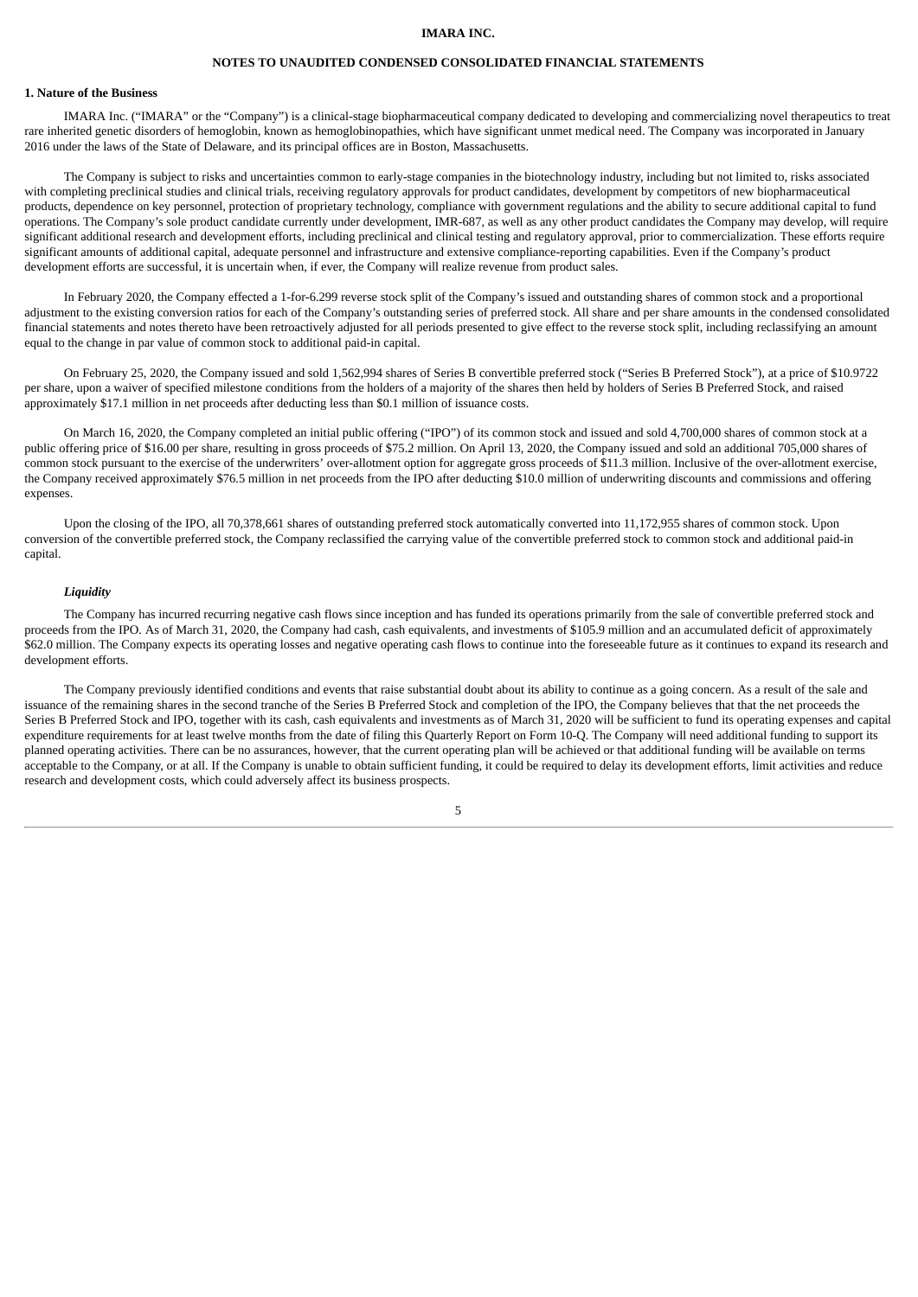# **NOTES TO UNAUDITED CONDENSED CONSOLIDATED FINANCIAL STATEMENTS**

# <span id="page-7-0"></span>**1. Nature of the Business**

IMARA Inc. ("IMARA" or the "Company") is a clinical-stage biopharmaceutical company dedicated to developing and commercializing novel therapeutics to treat rare inherited genetic disorders of hemoglobin, known as hemoglobinopathies, which have significant unmet medical need. The Company was incorporated in January 2016 under the laws of the State of Delaware, and its principal offices are in Boston, Massachusetts.

The Company is subject to risks and uncertainties common to early-stage companies in the biotechnology industry, including but not limited to, risks associated with completing preclinical studies and clinical trials, receiving regulatory approvals for product candidates, development by competitors of new biopharmaceutical products, dependence on key personnel, protection of proprietary technology, compliance with government regulations and the ability to secure additional capital to fund operations. The Company's sole product candidate currently under development, IMR-687, as well as any other product candidates the Company may develop, will require significant additional research and development efforts, including preclinical and clinical testing and regulatory approval, prior to commercialization. These efforts require significant amounts of additional capital, adequate personnel and infrastructure and extensive compliance-reporting capabilities. Even if the Company's product development efforts are successful, it is uncertain when, if ever, the Company will realize revenue from product sales.

In February 2020, the Company effected a 1-for-6.299 reverse stock split of the Company's issued and outstanding shares of common stock and a proportional adjustment to the existing conversion ratios for each of the Company's outstanding series of preferred stock. All share and per share amounts in the condensed consolidated financial statements and notes thereto have been retroactively adjusted for all periods presented to give effect to the reverse stock split, including reclassifying an amount equal to the change in par value of common stock to additional paid-in capital.

On February 25, 2020, the Company issued and sold 1,562,994 shares of Series B convertible preferred stock ("Series B Preferred Stock"), at a price of \$10.9722 per share, upon a waiver of specified milestone conditions from the holders of a majority of the shares then held by holders of Series B Preferred Stock, and raised approximately \$17.1 million in net proceeds after deducting less than \$0.1 million of issuance costs.

On March 16, 2020, the Company completed an initial public offering ("IPO") of its common stock and issued and sold 4,700,000 shares of common stock at a public offering price of \$16.00 per share, resulting in gross proceeds of \$75.2 million. On April 13, 2020, the Company issued and sold an additional 705,000 shares of common stock pursuant to the exercise of the underwriters' over-allotment option for aggregate gross proceeds of \$11.3 million. Inclusive of the over-allotment exercise, the Company received approximately \$76.5 million in net proceeds from the IPO after deducting \$10.0 million of underwriting discounts and commissions and offering expenses.

Upon the closing of the IPO, all 70,378,661 shares of outstanding preferred stock automatically converted into 11,172,955 shares of common stock. Upon conversion of the convertible preferred stock, the Company reclassified the carrying value of the convertible preferred stock to common stock and additional paid-in capital.

#### *Liquidity*

The Company has incurred recurring negative cash flows since inception and has funded its operations primarily from the sale of convertible preferred stock and proceeds from the IPO. As of March 31, 2020, the Company had cash, cash equivalents, and investments of \$105.9 million and an accumulated deficit of approximately \$62.0 million. The Company expects its operating losses and negative operating cash flows to continue into the foreseeable future as it continues to expand its research and development efforts.

The Company previously identified conditions and events that raise substantial doubt about its ability to continue as a going concern. As a result of the sale and issuance of the remaining shares in the second tranche of the Series B Preferred Stock and completion of the IPO, the Company believes that that the net proceeds the Series B Preferred Stock and IPO, together with its cash, cash equivalents and investments as of March 31, 2020 will be sufficient to fund its operating expenses and capital expenditure requirements for at least twelve months from the date of filing this Quarterly Report on Form 10-Q. The Company will need additional funding to support its planned operating activities. There can be no assurances, however, that the current operating plan will be achieved or that additional funding will be available on terms acceptable to the Company, or at all. If the Company is unable to obtain sufficient funding, it could be required to delay its development efforts, limit activities and reduce research and development costs, which could adversely affect its business prospects.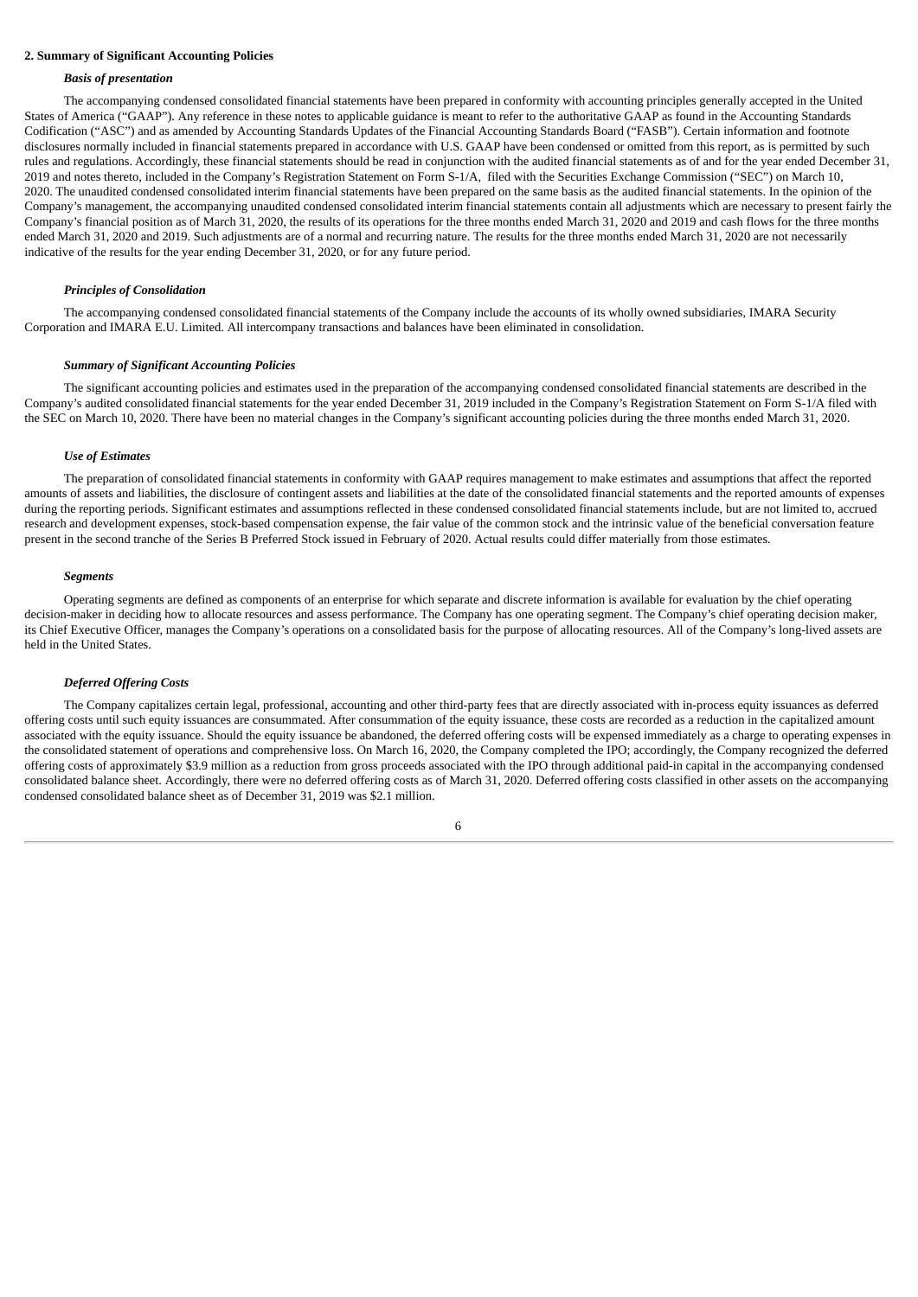# **2. Summary of Significant Accounting Policies**

#### *Basis of presentation*

The accompanying condensed consolidated financial statements have been prepared in conformity with accounting principles generally accepted in the United States of America ("GAAP"). Any reference in these notes to applicable guidance is meant to refer to the authoritative GAAP as found in the Accounting Standards Codification ("ASC") and as amended by Accounting Standards Updates of the Financial Accounting Standards Board ("FASB"). Certain information and footnote disclosures normally included in financial statements prepared in accordance with U.S. GAAP have been condensed or omitted from this report, as is permitted by such rules and regulations. Accordingly, these financial statements should be read in conjunction with the audited financial statements as of and for the year ended December 31, 2019 and notes thereto, included in the Company's Registration Statement on Form S-1/A, filed with the Securities Exchange Commission ("SEC") on March 10, 2020. The unaudited condensed consolidated interim financial statements have been prepared on the same basis as the audited financial statements. In the opinion of the Company's management, the accompanying unaudited condensed consolidated interim financial statements contain all adjustments which are necessary to present fairly the Company's financial position as of March 31, 2020, the results of its operations for the three months ended March 31, 2020 and 2019 and cash flows for the three months ended March 31, 2020 and 2019. Such adjustments are of a normal and recurring nature. The results for the three months ended March 31, 2020 are not necessarily indicative of the results for the year ending December 31, 2020, or for any future period.

#### *Principles of Consolidation*

The accompanying condensed consolidated financial statements of the Company include the accounts of its wholly owned subsidiaries, IMARA Security Corporation and IMARA E.U. Limited. All intercompany transactions and balances have been eliminated in consolidation.

#### *Summary of Significant Accounting Policies*

The significant accounting policies and estimates used in the preparation of the accompanying condensed consolidated financial statements are described in the Company's audited consolidated financial statements for the year ended December 31, 2019 included in the Company's Registration Statement on Form S-1/A filed with the SEC on March 10, 2020. There have been no material changes in the Company's significant accounting policies during the three months ended March 31, 2020.

#### *Use of Estimates*

The preparation of consolidated financial statements in conformity with GAAP requires management to make estimates and assumptions that affect the reported amounts of assets and liabilities, the disclosure of contingent assets and liabilities at the date of the consolidated financial statements and the reported amounts of expenses during the reporting periods. Significant estimates and assumptions reflected in these condensed consolidated financial statements include, but are not limited to, accrued research and development expenses, stock-based compensation expense, the fair value of the common stock and the intrinsic value of the beneficial conversation feature present in the second tranche of the Series B Preferred Stock issued in February of 2020. Actual results could differ materially from those estimates.

#### *Segments*

Operating segments are defined as components of an enterprise for which separate and discrete information is available for evaluation by the chief operating decision-maker in deciding how to allocate resources and assess performance. The Company has one operating segment. The Company's chief operating decision maker, its Chief Executive Officer, manages the Company's operations on a consolidated basis for the purpose of allocating resources. All of the Company's long-lived assets are held in the United States.

# *Deferred Offering Costs*

The Company capitalizes certain legal, professional, accounting and other third-party fees that are directly associated with in-process equity issuances as deferred offering costs until such equity issuances are consummated. After consummation of the equity issuance, these costs are recorded as a reduction in the capitalized amount associated with the equity issuance. Should the equity issuance be abandoned, the deferred offering costs will be expensed immediately as a charge to operating expenses in the consolidated statement of operations and comprehensive loss. On March 16, 2020, the Company completed the IPO; accordingly, the Company recognized the deferred offering costs of approximately \$3.9 million as a reduction from gross proceeds associated with the IPO through additional paid-in capital in the accompanying condensed consolidated balance sheet. Accordingly, there were no deferred offering costs as of March 31, 2020. Deferred offering costs classified in other assets on the accompanying condensed consolidated balance sheet as of December 31, 2019 was \$2.1 million.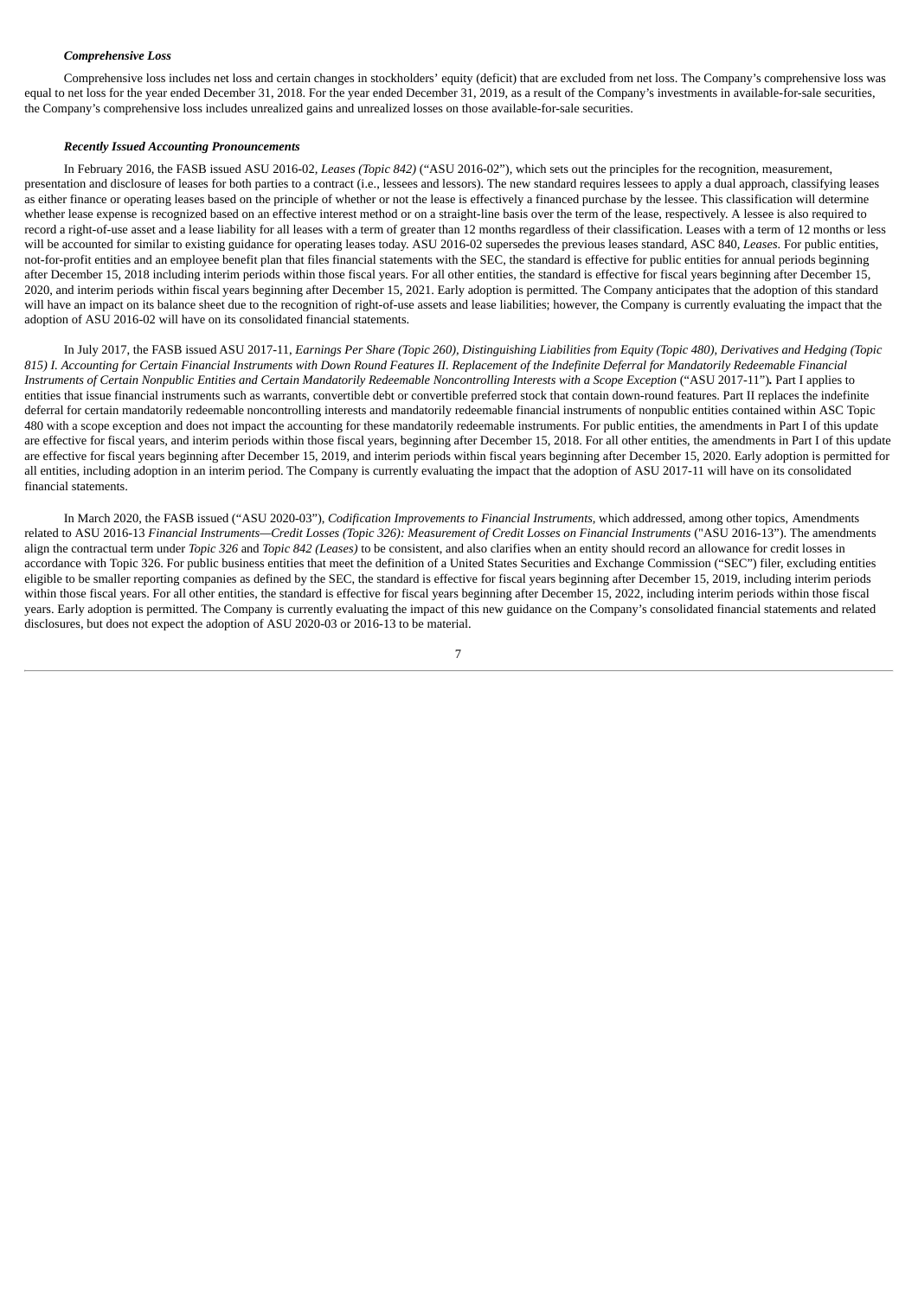# *Comprehensive Loss*

Comprehensive loss includes net loss and certain changes in stockholders' equity (deficit) that are excluded from net loss. The Company's comprehensive loss was equal to net loss for the year ended December 31, 2018. For the year ended December 31, 2019, as a result of the Company's investments in available-for-sale securities, the Company's comprehensive loss includes unrealized gains and unrealized losses on those available-for-sale securities.

### *Recently Issued Accounting Pronouncements*

In February 2016, the FASB issued ASU 2016-02*, Leases (Topic 842)* ("ASU 2016-02"), which sets out the principles for the recognition, measurement, presentation and disclosure of leases for both parties to a contract (i.e., lessees and lessors). The new standard requires lessees to apply a dual approach, classifying leases as either finance or operating leases based on the principle of whether or not the lease is effectively a financed purchase by the lessee. This classification will determine whether lease expense is recognized based on an effective interest method or on a straight-line basis over the term of the lease, respectively. A lessee is also required to record a right-of-use asset and a lease liability for all leases with a term of greater than 12 months regardless of their classification. Leases with a term of 12 months or less will be accounted for similar to existing guidance for operating leases today. ASU 2016-02 supersedes the previous leases standard, ASC 840, *Leases*. For public entities, not-for-profit entities and an employee benefit plan that files financial statements with the SEC, the standard is effective for public entities for annual periods beginning after December 15, 2018 including interim periods within those fiscal years. For all other entities, the standard is effective for fiscal years beginning after December 15, 2020, and interim periods within fiscal years beginning after December 15, 2021. Early adoption is permitted. The Company anticipates that the adoption of this standard will have an impact on its balance sheet due to the recognition of right-of-use assets and lease liabilities; however, the Company is currently evaluating the impact that the adoption of ASU 2016-02 will have on its consolidated financial statements.

In July 2017, the FASB issued ASU 2017-11, Earnings Per Share (Topic 260), Distinguishing Liabilities from Equity (Topic 480), Derivatives and Hedging (Topic 815) I. Accounting for Certain Financial Instruments with Down Round Features II. Replacement of the Indefinite Deferral for Mandatorily Redeemable Financial Instruments of Certain Nonpublic Entities and Certain Mandatorily Redeemable Noncontrolling Interests with a Scope Exception ("ASU 2017-11"). Part I applies to entities that issue financial instruments such as warrants, convertible debt or convertible preferred stock that contain down-round features. Part II replaces the indefinite deferral for certain mandatorily redeemable noncontrolling interests and mandatorily redeemable financial instruments of nonpublic entities contained within ASC Topic 480 with a scope exception and does not impact the accounting for these mandatorily redeemable instruments. For public entities, the amendments in Part I of this update are effective for fiscal years, and interim periods within those fiscal years, beginning after December 15, 2018. For all other entities, the amendments in Part I of this update are effective for fiscal years beginning after December 15, 2019, and interim periods within fiscal years beginning after December 15, 2020. Early adoption is permitted for all entities, including adoption in an interim period. The Company is currently evaluating the impact that the adoption of ASU 2017-11 will have on its consolidated financial statements.

In March 2020, the FASB issued ("ASU 2020-03"), *Codification Improvements to Financial Instruments,* which addressed, among other topics, Amendments related to ASU 2016-13 Financial Instruments—Credit Losses (Topic 326): Measurement of Credit Losses on Financial Instruments ("ASU 2016-13"). The amendments align the contractual term under *Topic 326* and *Topic 842 (Leases)* to be consistent, and also clarifies when an entity should record an allowance for credit losses in accordance with Topic 326. For public business entities that meet the definition of a United States Securities and Exchange Commission ("SEC") filer, excluding entities eligible to be smaller reporting companies as defined by the SEC, the standard is effective for fiscal years beginning after December 15, 2019, including interim periods within those fiscal years. For all other entities, the standard is effective for fiscal years beginning after December 15, 2022, including interim periods within those fiscal years. Early adoption is permitted. The Company is currently evaluating the impact of this new guidance on the Company's consolidated financial statements and related disclosures, but does not expect the adoption of ASU 2020-03 or 2016-13 to be material.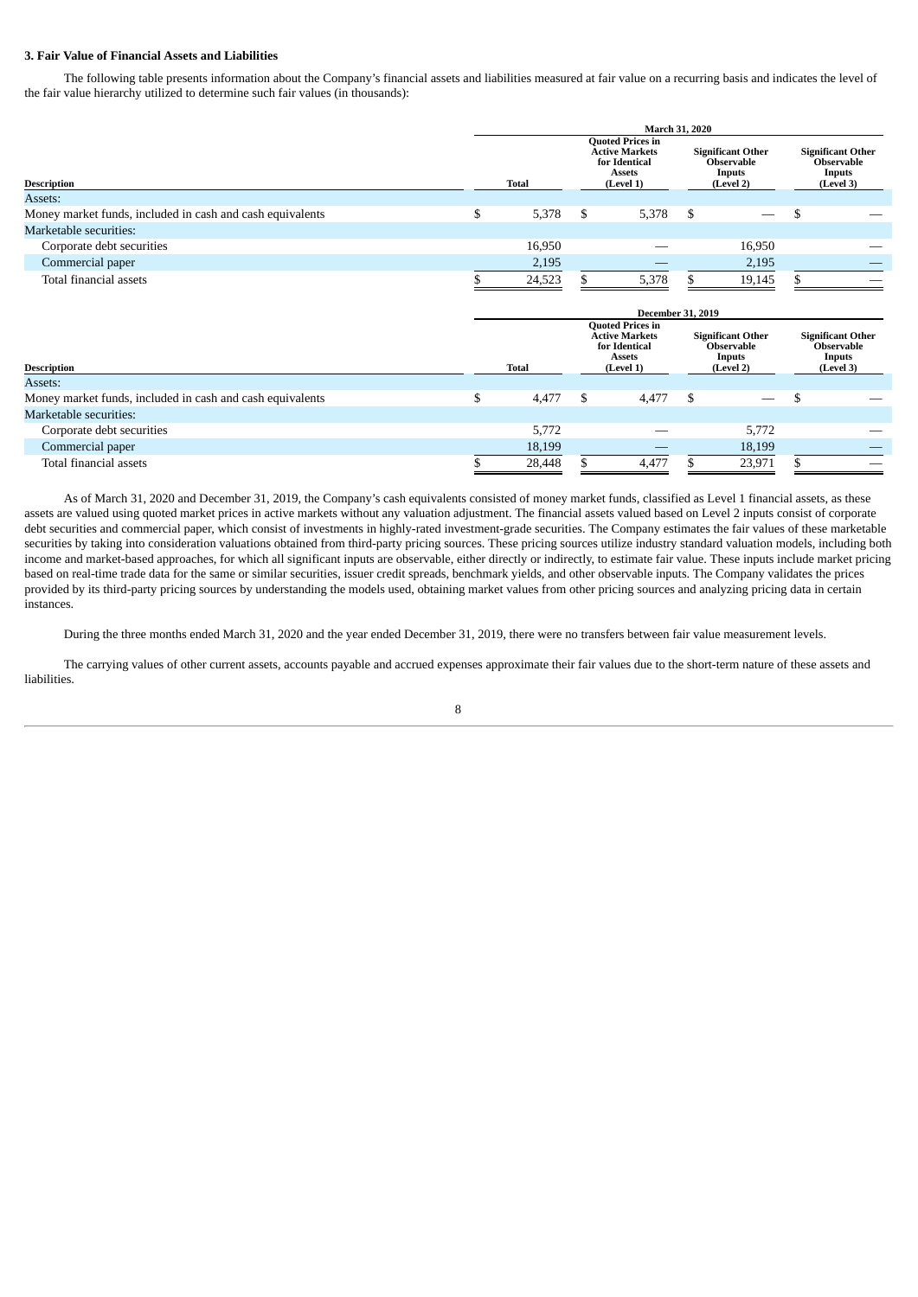## **3. Fair Value of Financial Assets and Liabilities**

The following table presents information about the Company's financial assets and liabilities measured at fair value on a recurring basis and indicates the level of the fair value hierarchy utilized to determine such fair values (in thousands):

|                                                           | March 31, 2020                                            |        |    |       |                                                                      |                          |                                                                             |  |  |  |
|-----------------------------------------------------------|-----------------------------------------------------------|--------|----|-------|----------------------------------------------------------------------|--------------------------|-----------------------------------------------------------------------------|--|--|--|
| <b>Description</b>                                        | <b>Quoted Prices in</b><br><b>Active Markets</b><br>Total |        |    |       | <b>Significant Other</b><br><b>Observable</b><br>Inputs<br>(Level 2) |                          | <b>Significant Other</b><br><b>Observable</b><br><b>Inputs</b><br>(Level 3) |  |  |  |
| Assets:                                                   |                                                           |        |    |       |                                                                      |                          |                                                                             |  |  |  |
| Money market funds, included in cash and cash equivalents |                                                           | 5,378  | \$ | 5,378 |                                                                      | $\overline{\phantom{0}}$ |                                                                             |  |  |  |
| Marketable securities:                                    |                                                           |        |    |       |                                                                      |                          |                                                                             |  |  |  |
| Corporate debt securities                                 |                                                           | 16,950 |    |       |                                                                      | 16,950                   |                                                                             |  |  |  |
| Commercial paper                                          |                                                           | 2,195  |    |       |                                                                      | 2,195                    |                                                                             |  |  |  |
| Total financial assets                                    |                                                           | 24,523 |    | 5,378 |                                                                      | 19,145                   |                                                                             |  |  |  |

|                                                           | <b>December 31, 2019</b> |        |                                                                                                 |       |                                                                      |        |                                                                             |    |  |  |  |
|-----------------------------------------------------------|--------------------------|--------|-------------------------------------------------------------------------------------------------|-------|----------------------------------------------------------------------|--------|-----------------------------------------------------------------------------|----|--|--|--|
| <b>Description</b>                                        | Total                    |        | <b>Quoted Prices in</b><br><b>Active Markets</b><br>for Identical<br><b>Assets</b><br>(Level 1) |       | <b>Significant Other</b><br><b>Observable</b><br>Inputs<br>(Level 2) |        | <b>Significant Other</b><br><b>Observable</b><br><b>Inputs</b><br>(Level 3) |    |  |  |  |
| Assets:                                                   |                          |        |                                                                                                 |       |                                                                      |        |                                                                             |    |  |  |  |
| Money market funds, included in cash and cash equivalents | ¢                        | 4.477  | £.                                                                                              | 4,477 | -\$                                                                  |        |                                                                             |    |  |  |  |
| Marketable securities:                                    |                          |        |                                                                                                 |       |                                                                      |        |                                                                             |    |  |  |  |
| Corporate debt securities                                 |                          | 5,772  |                                                                                                 |       |                                                                      | 5,772  |                                                                             |    |  |  |  |
| Commercial paper                                          |                          | 18,199 |                                                                                                 |       |                                                                      | 18,199 |                                                                             | _  |  |  |  |
| Total financial assets                                    |                          | 28,448 |                                                                                                 | 4.477 |                                                                      | 23,971 |                                                                             | __ |  |  |  |

As of March 31, 2020 and December 31, 2019, the Company's cash equivalents consisted of money market funds, classified as Level 1 financial assets, as these assets are valued using quoted market prices in active markets without any valuation adjustment. The financial assets valued based on Level 2 inputs consist of corporate debt securities and commercial paper, which consist of investments in highly-rated investment-grade securities. The Company estimates the fair values of these marketable securities by taking into consideration valuations obtained from third-party pricing sources. These pricing sources utilize industry standard valuation models, including both income and market-based approaches, for which all significant inputs are observable, either directly or indirectly, to estimate fair value. These inputs include market pricing based on real-time trade data for the same or similar securities, issuer credit spreads, benchmark yields, and other observable inputs. The Company validates the prices provided by its third-party pricing sources by understanding the models used, obtaining market values from other pricing sources and analyzing pricing data in certain instances.

During the three months ended March 31, 2020 and the year ended December 31, 2019, there were no transfers between fair value measurement levels.

The carrying values of other current assets, accounts payable and accrued expenses approximate their fair values due to the short-term nature of these assets and liabilities.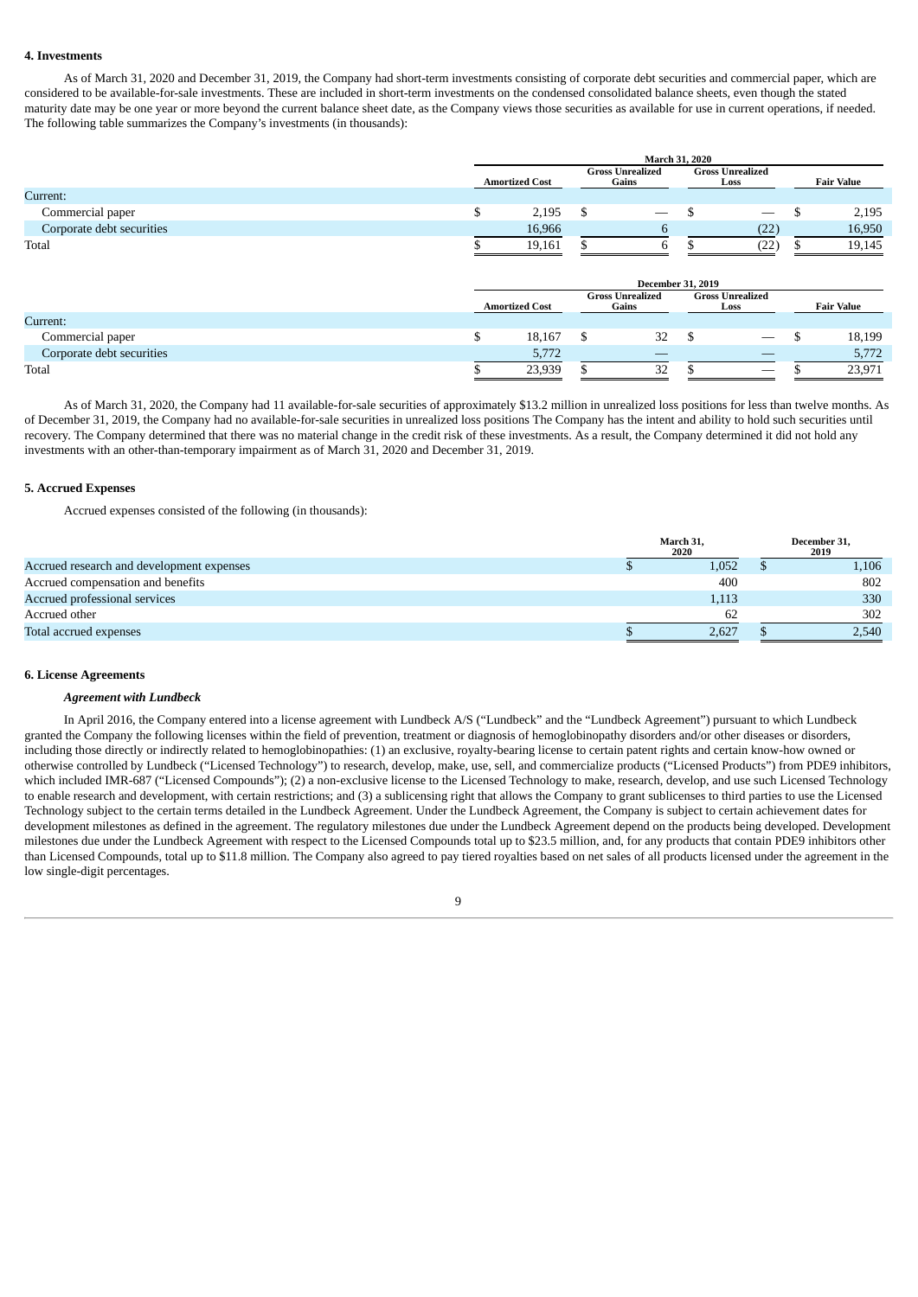# **4. Investments**

As of March 31, 2020 and December 31, 2019, the Company had short-term investments consisting of corporate debt securities and commercial paper, which are considered to be available-for-sale investments. These are included in short-term investments on the condensed consolidated balance sheets, even though the stated maturity date may be one year or more beyond the current balance sheet date, as the Company views those securities as available for use in current operations, if needed. The following table summarizes the Company's investments (in thousands):

|                           |                       |                                  | March 31, 2020                  |                                 |    |                   |
|---------------------------|-----------------------|----------------------------------|---------------------------------|---------------------------------|----|-------------------|
|                           | <b>Amortized Cost</b> | <b>Gross Unrealized</b><br>Gains |                                 | <b>Gross Unrealized</b><br>Loss |    | <b>Fair Value</b> |
| Current:                  |                       |                                  |                                 |                                 |    |                   |
| Commercial paper          | \$<br>2,195           | \$                               | \$                              | $\overline{\phantom{a}}$        | \$ | 2,195             |
| Corporate debt securities | 16,966                | 6                                |                                 | (22)                            |    | 16,950            |
| Total                     | 19,161                | 6                                |                                 | (22)                            |    | 19,145            |
|                           |                       |                                  |                                 |                                 |    |                   |
|                           |                       | <b>December 31, 2019</b>         |                                 |                                 |    |                   |
|                           | <b>Amortized Cost</b> | <b>Gross Unrealized</b><br>Gains | <b>Gross Unrealized</b><br>Loss |                                 |    | <b>Fair Value</b> |
| Current:                  |                       |                                  |                                 |                                 |    |                   |
| Commercial paper          | \$<br>18,167          | \$<br>32                         | -\$                             |                                 | \$ | 18,199            |
| Corporate debt securities | 5,772                 |                                  |                                 |                                 |    | 5,772             |
| Total                     | 23,939                | 32                               |                                 |                                 |    | 23,971            |

As of March 31, 2020, the Company had 11 available-for-sale securities of approximately \$13.2 million in unrealized loss positions for less than twelve months. As of December 31, 2019, the Company had no available-for-sale securities in unrealized loss positions The Company has the intent and ability to hold such securities until recovery. The Company determined that there was no material change in the credit risk of these investments. As a result, the Company determined it did not hold any investments with an other-than-temporary impairment as of March 31, 2020 and December 31, 2019.

#### **5. Accrued Expenses**

Accrued expenses consisted of the following (in thousands):

|                                           | March 31.<br>2020 |       | December 31,<br>2019 |       |  |
|-------------------------------------------|-------------------|-------|----------------------|-------|--|
| Accrued research and development expenses |                   | 1,052 |                      | 1,106 |  |
| Accrued compensation and benefits         |                   | 400   |                      | 802   |  |
| Accrued professional services             |                   | 1,113 |                      | 330   |  |
| Accrued other                             |                   | 62    |                      | 302   |  |
| Total accrued expenses                    |                   | 2,627 |                      | 2.540 |  |

#### **6. License Agreements**

#### *Agreement with Lundbeck*

In April 2016, the Company entered into a license agreement with Lundbeck A/S ("Lundbeck" and the "Lundbeck Agreement") pursuant to which Lundbeck granted the Company the following licenses within the field of prevention, treatment or diagnosis of hemoglobinopathy disorders and/or other diseases or disorders, including those directly or indirectly related to hemoglobinopathies: (1) an exclusive, royalty-bearing license to certain patent rights and certain know-how owned or otherwise controlled by Lundbeck ("Licensed Technology") to research, develop, make, use, sell, and commercialize products ("Licensed Products") from PDE9 inhibitors, which included IMR-687 ("Licensed Compounds"); (2) a non-exclusive license to the Licensed Technology to make, research, develop, and use such Licensed Technology to enable research and development, with certain restrictions; and (3) a sublicensing right that allows the Company to grant sublicenses to third parties to use the Licensed Technology subject to the certain terms detailed in the Lundbeck Agreement. Under the Lundbeck Agreement, the Company is subject to certain achievement dates for development milestones as defined in the agreement. The regulatory milestones due under the Lundbeck Agreement depend on the products being developed. Development milestones due under the Lundbeck Agreement with respect to the Licensed Compounds total up to \$23.5 million, and, for any products that contain PDE9 inhibitors other than Licensed Compounds, total up to \$11.8 million. The Company also agreed to pay tiered royalties based on net sales of all products licensed under the agreement in the low single-digit percentages.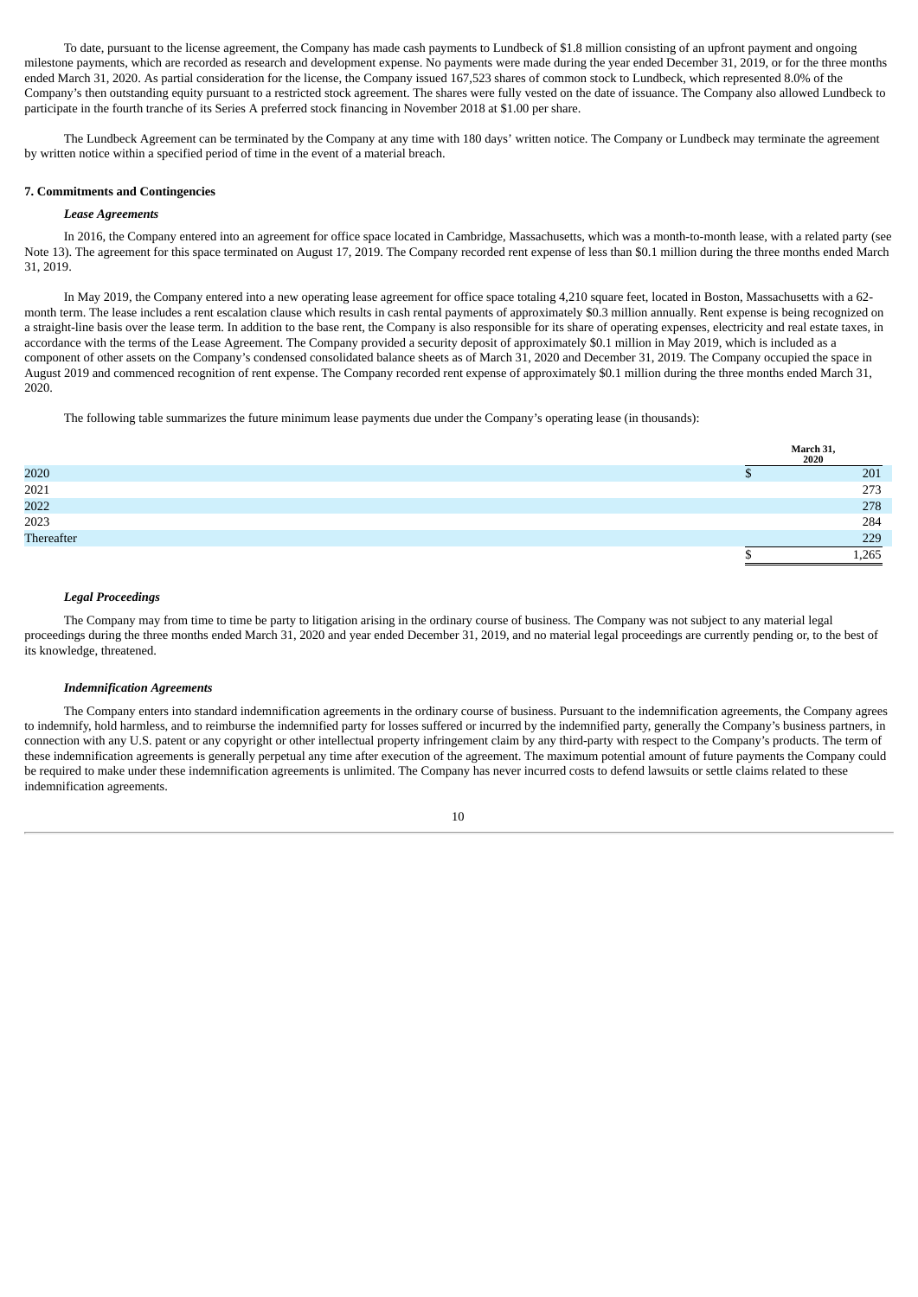To date, pursuant to the license agreement, the Company has made cash payments to Lundbeck of \$1.8 million consisting of an upfront payment and ongoing milestone payments, which are recorded as research and development expense. No payments were made during the year ended December 31, 2019, or for the three months ended March 31, 2020. As partial consideration for the license, the Company issued 167,523 shares of common stock to Lundbeck, which represented 8.0% of the Company's then outstanding equity pursuant to a restricted stock agreement. The shares were fully vested on the date of issuance. The Company also allowed Lundbeck to participate in the fourth tranche of its Series A preferred stock financing in November 2018 at \$1.00 per share.

The Lundbeck Agreement can be terminated by the Company at any time with 180 days' written notice. The Company or Lundbeck may terminate the agreement by written notice within a specified period of time in the event of a material breach.

# **7. Commitments and Contingencies**

# *Lease Agreements*

In 2016, the Company entered into an agreement for office space located in Cambridge, Massachusetts, which was a month-to-month lease, with a related party (see Note 13). The agreement for this space terminated on August 17, 2019. The Company recorded rent expense of less than \$0.1 million during the three months ended March 31, 2019.

In May 2019, the Company entered into a new operating lease agreement for office space totaling 4,210 square feet, located in Boston, Massachusetts with a 62 month term. The lease includes a rent escalation clause which results in cash rental payments of approximately \$0.3 million annually. Rent expense is being recognized on a straight-line basis over the lease term. In addition to the base rent, the Company is also responsible for its share of operating expenses, electricity and real estate taxes, in accordance with the terms of the Lease Agreement. The Company provided a security deposit of approximately \$0.1 million in May 2019, which is included as a component of other assets on the Company's condensed consolidated balance sheets as of March 31, 2020 and December 31, 2019. The Company occupied the space in August 2019 and commenced recognition of rent expense. The Company recorded rent expense of approximately \$0.1 million during the three months ended March 31, 2020.

The following table summarizes the future minimum lease payments due under the Company's operating lease (in thousands):

|            | March 31,<br>2020 |
|------------|-------------------|
| 2020       | 201               |
| 2021       | 273               |
| 2022       | 278               |
| 2023       | 284               |
| Thereafter | 229               |
|            | 1,265             |

# *Legal Proceedings*

The Company may from time to time be party to litigation arising in the ordinary course of business. The Company was not subject to any material legal proceedings during the three months ended March 31, 2020 and year ended December 31, 2019, and no material legal proceedings are currently pending or, to the best of its knowledge, threatened.

#### *Indemnification Agreements*

The Company enters into standard indemnification agreements in the ordinary course of business. Pursuant to the indemnification agreements, the Company agrees to indemnify, hold harmless, and to reimburse the indemnified party for losses suffered or incurred by the indemnified party, generally the Company's business partners, in connection with any U.S. patent or any copyright or other intellectual property infringement claim by any third-party with respect to the Company's products. The term of these indemnification agreements is generally perpetual any time after execution of the agreement. The maximum potential amount of future payments the Company could be required to make under these indemnification agreements is unlimited. The Company has never incurred costs to defend lawsuits or settle claims related to these indemnification agreements.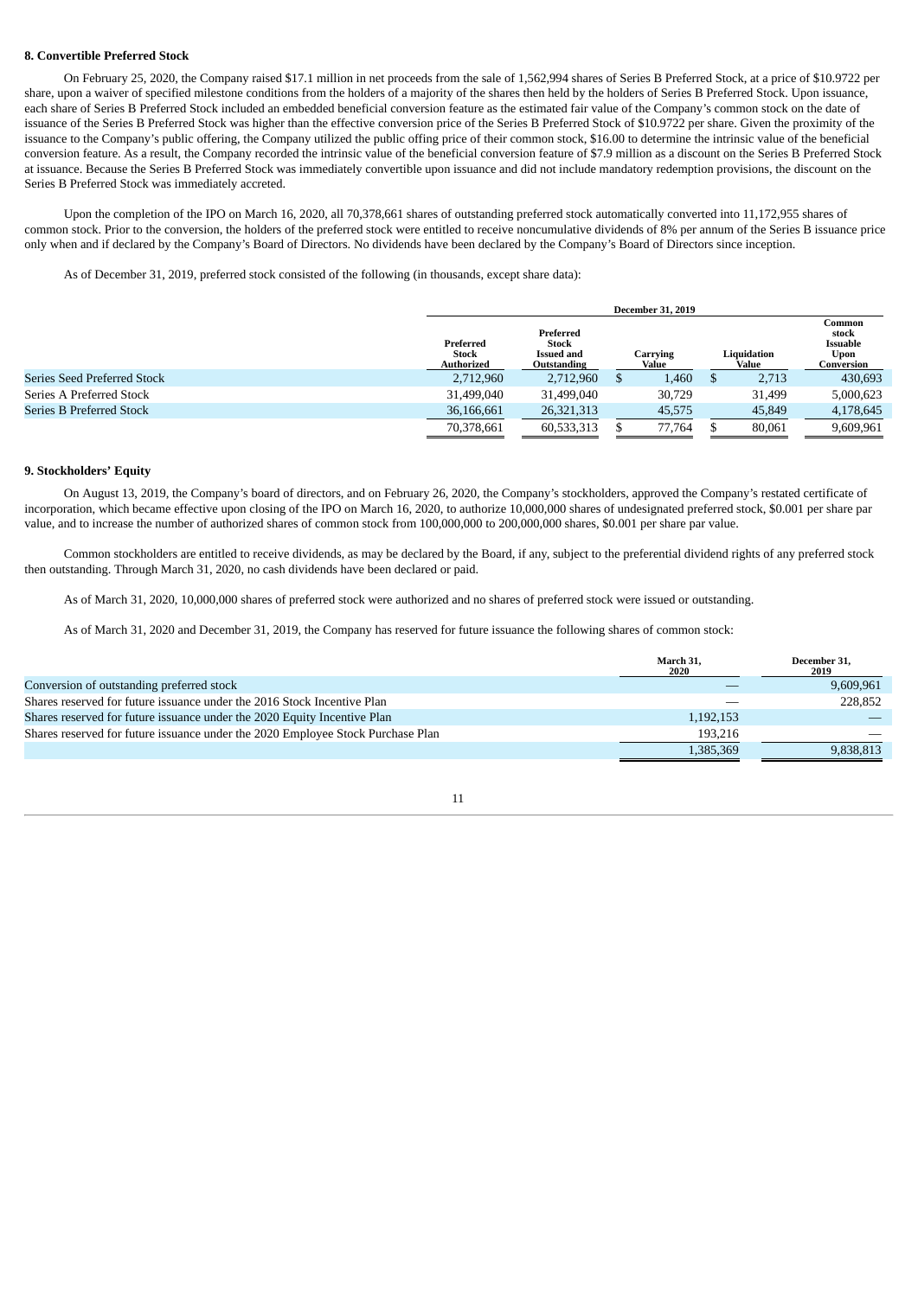# **8. Convertible Preferred Stock**

On February 25, 2020, the Company raised \$17.1 million in net proceeds from the sale of 1,562,994 shares of Series B Preferred Stock, at a price of \$10.9722 per share, upon a waiver of specified milestone conditions from the holders of a majority of the shares then held by the holders of Series B Preferred Stock. Upon issuance, each share of Series B Preferred Stock included an embedded beneficial conversion feature as the estimated fair value of the Company's common stock on the date of issuance of the Series B Preferred Stock was higher than the effective conversion price of the Series B Preferred Stock of \$10.9722 per share. Given the proximity of the issuance to the Company's public offering, the Company utilized the public offing price of their common stock, \$16.00 to determine the intrinsic value of the beneficial conversion feature. As a result, the Company recorded the intrinsic value of the beneficial conversion feature of \$7.9 million as a discount on the Series B Preferred Stock at issuance. Because the Series B Preferred Stock was immediately convertible upon issuance and did not include mandatory redemption provisions, the discount on the Series B Preferred Stock was immediately accreted.

Upon the completion of the IPO on March 16, 2020, all 70,378,661 shares of outstanding preferred stock automatically converted into 11,172,955 shares of common stock. Prior to the conversion, the holders of the preferred stock were entitled to receive noncumulative dividends of 8% per annum of the Series B issuance price only when and if declared by the Company's Board of Directors. No dividends have been declared by the Company's Board of Directors since inception.

As of December 31, 2019, preferred stock consisted of the following (in thousands, except share data):

|                             |                                  | <b>December 31, 2019</b>                                      |  |                   |  |                      |                                                   |  |
|-----------------------------|----------------------------------|---------------------------------------------------------------|--|-------------------|--|----------------------|---------------------------------------------------|--|
|                             | Preferred<br>Stock<br>Authorized | Preferred<br><b>Stock</b><br><b>Issued and</b><br>Outstanding |  | Carrying<br>Value |  | Liquidation<br>Value | Common<br>stock<br>Issuable<br>Upon<br>Conversion |  |
| Series Seed Preferred Stock | 2,712,960                        | 2,712,960                                                     |  | 1,460             |  | 2,713                | 430,693                                           |  |
| Series A Preferred Stock    | 31.499.040                       | 31,499,040                                                    |  | 30.729            |  | 31.499               | 5.000.623                                         |  |
| Series B Preferred Stock    | 36,166,661                       | 26,321,313                                                    |  | 45,575            |  | 45,849               | 4,178,645                                         |  |
|                             | 70.378.661                       | 60,533,313                                                    |  | 77.764            |  | 80,061               | 9.609.961                                         |  |

#### **9. Stockholders' Equity**

On August 13, 2019, the Company's board of directors, and on February 26, 2020, the Company's stockholders, approved the Company's restated certificate of incorporation, which became effective upon closing of the IPO on March 16, 2020, to authorize 10,000,000 shares of undesignated preferred stock, \$0.001 per share par value, and to increase the number of authorized shares of common stock from 100,000,000 to 200,000,000 shares, \$0.001 per share par value.

Common stockholders are entitled to receive dividends, as may be declared by the Board, if any, subject to the preferential dividend rights of any preferred stock then outstanding. Through March 31, 2020, no cash dividends have been declared or paid.

As of March 31, 2020, 10,000,000 shares of preferred stock were authorized and no shares of preferred stock were issued or outstanding.

As of March 31, 2020 and December 31, 2019, the Company has reserved for future issuance the following shares of common stock:

|                                                                                 | March 31,<br>2020 | December 31.<br>2019 |
|---------------------------------------------------------------------------------|-------------------|----------------------|
| Conversion of outstanding preferred stock                                       |                   | 9,609,961            |
| Shares reserved for future issuance under the 2016 Stock Incentive Plan         |                   | 228,852              |
| Shares reserved for future issuance under the 2020 Equity Incentive Plan        | 1,192,153         |                      |
| Shares reserved for future issuance under the 2020 Employee Stock Purchase Plan | 193.216           |                      |
|                                                                                 | 1,385,369         | 9,838,813            |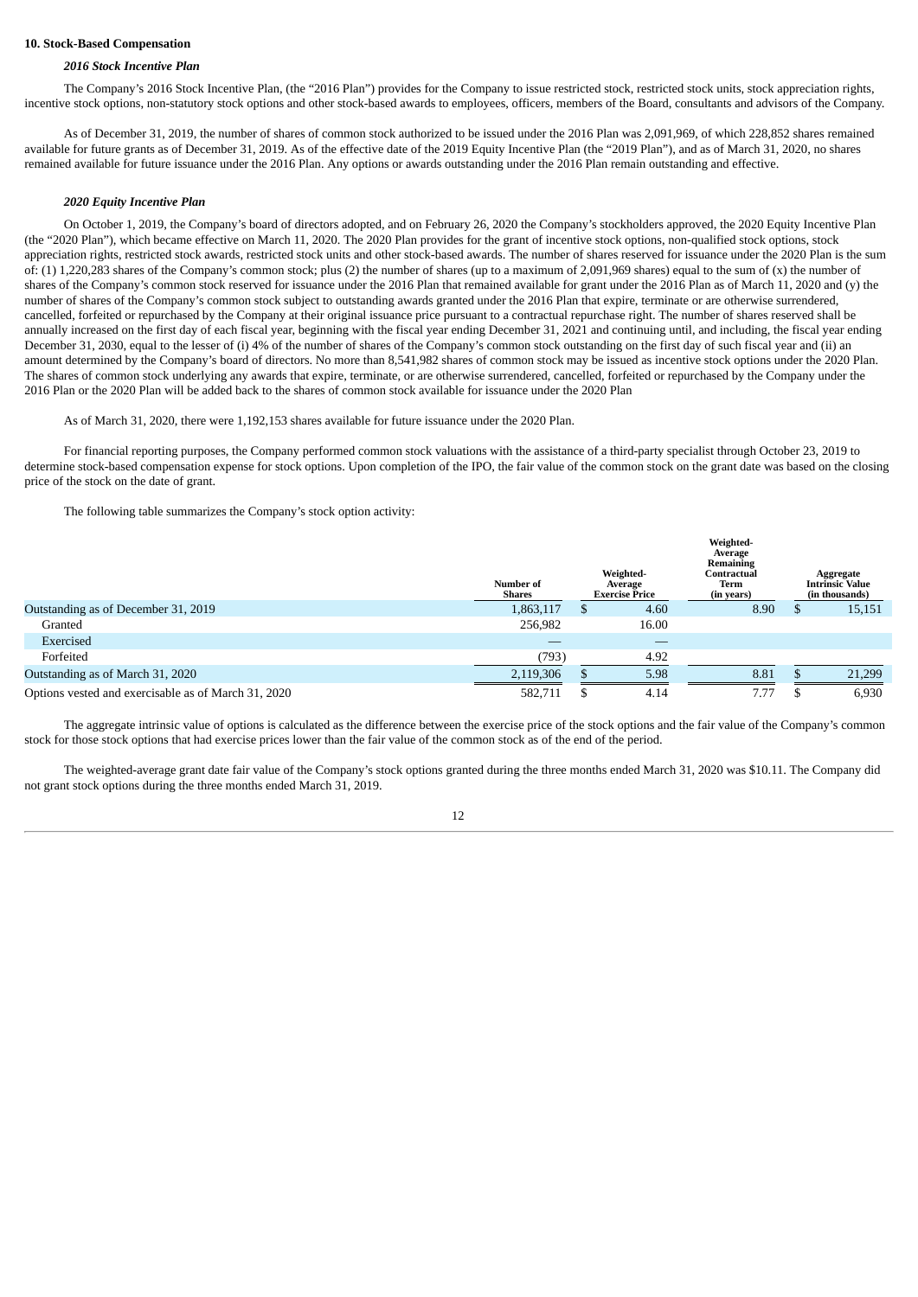# **10. Stock-Based Compensation**

## *2016 Stock Incentive Plan*

The Company's 2016 Stock Incentive Plan, (the "2016 Plan") provides for the Company to issue restricted stock, restricted stock units, stock appreciation rights, incentive stock options, non-statutory stock options and other stock-based awards to employees, officers, members of the Board, consultants and advisors of the Company.

As of December 31, 2019, the number of shares of common stock authorized to be issued under the 2016 Plan was 2,091,969, of which 228,852 shares remained available for future grants as of December 31, 2019. As of the effective date of the 2019 Equity Incentive Plan (the "2019 Plan"), and as of March 31, 2020, no shares remained available for future issuance under the 2016 Plan. Any options or awards outstanding under the 2016 Plan remain outstanding and effective.

#### *2020 Equity Incentive Plan*

On October 1, 2019, the Company's board of directors adopted, and on February 26, 2020 the Company's stockholders approved, the 2020 Equity Incentive Plan (the "2020 Plan"), which became effective on March 11, 2020. The 2020 Plan provides for the grant of incentive stock options, non-qualified stock options, stock appreciation rights, restricted stock awards, restricted stock units and other stock-based awards. The number of shares reserved for issuance under the 2020 Plan is the sum  $\hat{\sigma}$ : (1) 1,220,283 shares of the Company's common stock; plus (2) the number of shares (up to a maximum of 2,091,969 shares) equal to the sum of (x) the number of shares of the Company's common stock reserved for issuance under the 2016 Plan that remained available for grant under the 2016 Plan as of March 11, 2020 and (y) the number of shares of the Company's common stock subject to outstanding awards granted under the 2016 Plan that expire, terminate or are otherwise surrendered, cancelled, forfeited or repurchased by the Company at their original issuance price pursuant to a contractual repurchase right. The number of shares reserved shall be annually increased on the first day of each fiscal year, beginning with the fiscal year ending December 31, 2021 and continuing until, and including, the fiscal year ending December 31, 2030, equal to the lesser of (i) 4% of the number of shares of the Company's common stock outstanding on the first day of such fiscal year and (ii) an amount determined by the Company's board of directors. No more than 8,541,982 shares of common stock may be issued as incentive stock options under the 2020 Plan. The shares of common stock underlying any awards that expire, terminate, or are otherwise surrendered, cancelled, forfeited or repurchased by the Company under the 2016 Plan or the 2020 Plan will be added back to the shares of common stock available for issuance under the 2020 Plan

# As of March 31, 2020, there were 1,192,153 shares available for future issuance under the 2020 Plan.

For financial reporting purposes, the Company performed common stock valuations with the assistance of a third-party specialist through October 23, 2019 to determine stock-based compensation expense for stock options. Upon completion of the IPO, the fair value of the common stock on the grant date was based on the closing price of the stock on the date of grant.

The following table summarizes the Company's stock option activity:

|                                                     | Number of<br>Shares |   | Weighted-<br>Average<br><b>Exercise Price</b> | Weighted-<br>Average<br>Remaining<br>Contractual<br>Term<br>(in years) | Aggregate<br><b>Intrinsic Value</b><br>(in thousands) |
|-----------------------------------------------------|---------------------|---|-----------------------------------------------|------------------------------------------------------------------------|-------------------------------------------------------|
| Outstanding as of December 31, 2019                 | 1,863,117           | ъ | 4.60                                          | 8.90                                                                   | 15,151                                                |
| Granted                                             | 256,982             |   | 16.00                                         |                                                                        |                                                       |
| Exercised                                           |                     |   |                                               |                                                                        |                                                       |
| Forfeited                                           | (793)               |   | 4.92                                          |                                                                        |                                                       |
| Outstanding as of March 31, 2020                    | 2,119,306           |   | 5.98                                          | 8.81                                                                   | 21.299                                                |
| Options vested and exercisable as of March 31, 2020 | 582,711             |   | 4.14                                          | 7.77                                                                   | 6,930                                                 |

The aggregate intrinsic value of options is calculated as the difference between the exercise price of the stock options and the fair value of the Company's common stock for those stock options that had exercise prices lower than the fair value of the common stock as of the end of the period.

The weighted-average grant date fair value of the Company's stock options granted during the three months ended March 31, 2020 was \$10.11. The Company did not grant stock options during the three months ended March 31, 2019.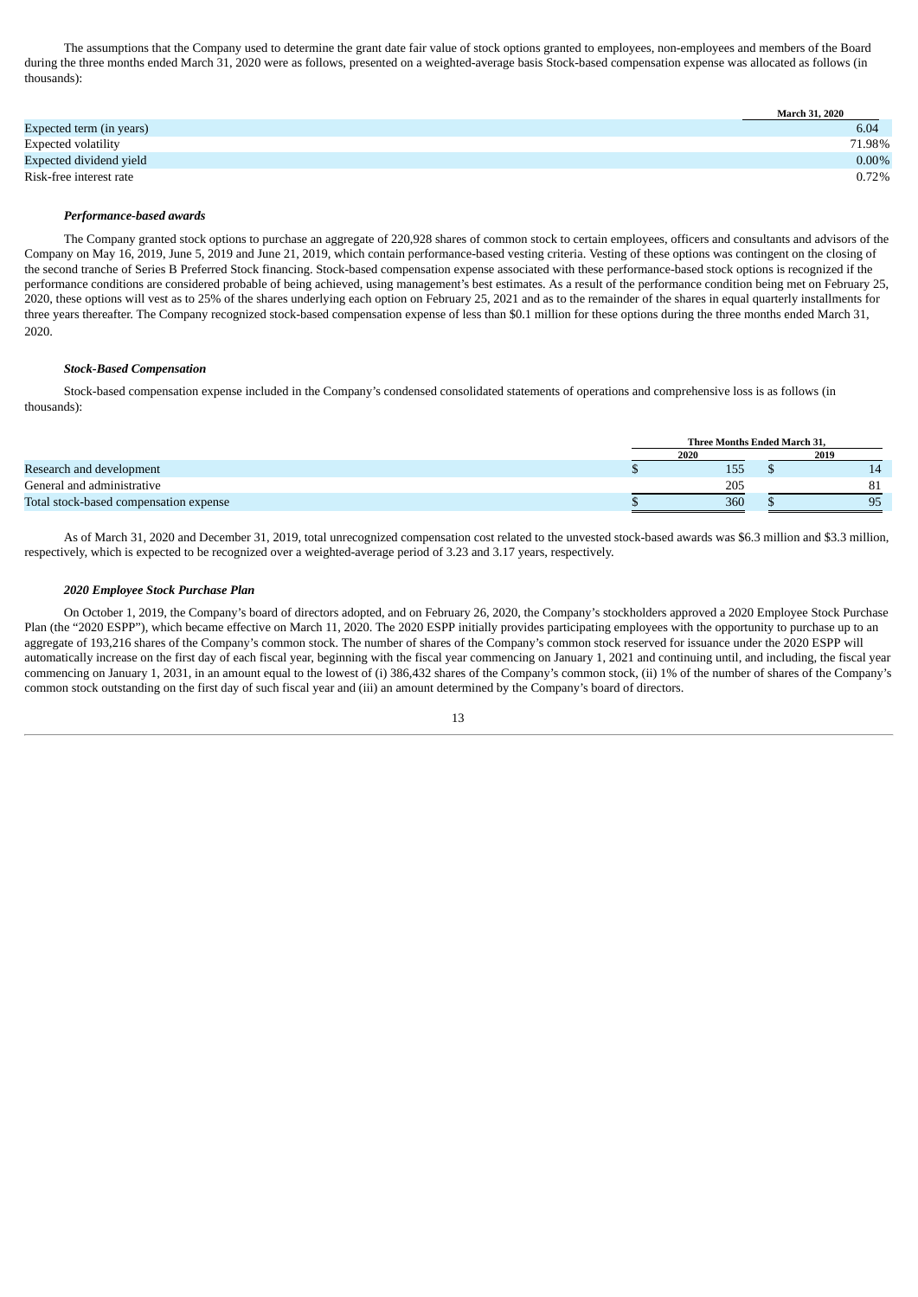The assumptions that the Company used to determine the grant date fair value of stock options granted to employees, non-employees and members of the Board during the three months ended March 31, 2020 were as follows, presented on a weighted-average basis Stock-based compensation expense was allocated as follows (in thousands):

|                          | March 31, 2020 |
|--------------------------|----------------|
| Expected term (in years) | 6.04           |
| Expected volatility      | 71.98%         |
| Expected dividend yield  | $0.00\%$       |
| Risk-free interest rate  | $0.72\%$       |

#### *Performance-based awards*

The Company granted stock options to purchase an aggregate of 220,928 shares of common stock to certain employees, officers and consultants and advisors of the Company on May 16, 2019, June 5, 2019 and June 21, 2019, which contain performance-based vesting criteria. Vesting of these options was contingent on the closing of the second tranche of Series B Preferred Stock financing. Stock-based compensation expense associated with these performance-based stock options is recognized if the performance conditions are considered probable of being achieved, using management's best estimates. As a result of the performance condition being met on February 25, 2020, these options will vest as to 25% of the shares underlying each option on February 25, 2021 and as to the remainder of the shares in equal quarterly installments for three years thereafter. The Company recognized stock-based compensation expense of less than \$0.1 million for these options during the three months ended March 31, 2020.

### *Stock-Based Compensation*

Stock-based compensation expense included in the Company's condensed consolidated statements of operations and comprehensive loss is as follows (in thousands):

|                                        | <b>Three Months Ended March 31.</b> |      |    |  |
|----------------------------------------|-------------------------------------|------|----|--|
|                                        | 2020                                | 2019 |    |  |
| Research and development               | 155                                 |      |    |  |
| General and administrative             | 205                                 |      | 81 |  |
| Total stock-based compensation expense | 360                                 |      | 95 |  |

As of March 31, 2020 and December 31, 2019, total unrecognized compensation cost related to the unvested stock-based awards was \$6.3 million and \$3.3 million, respectively, which is expected to be recognized over a weighted-average period of 3.23 and 3.17 years, respectively.

#### *2020 Employee Stock Purchase Plan*

On October 1, 2019, the Company's board of directors adopted, and on February 26, 2020, the Company's stockholders approved a 2020 Employee Stock Purchase Plan (the "2020 ESPP"), which became effective on March 11, 2020. The 2020 ESPP initially provides participating employees with the opportunity to purchase up to an aggregate of 193,216 shares of the Company's common stock. The number of shares of the Company's common stock reserved for issuance under the 2020 ESPP will automatically increase on the first day of each fiscal year, beginning with the fiscal year commencing on January 1, 2021 and continuing until, and including, the fiscal year commencing on January 1, 2031, in an amount equal to the lowest of (i) 386,432 shares of the Company's common stock, (ii) 1% of the number of shares of the Company's common stock outstanding on the first day of such fiscal year and (iii) an amount determined by the Company's board of directors.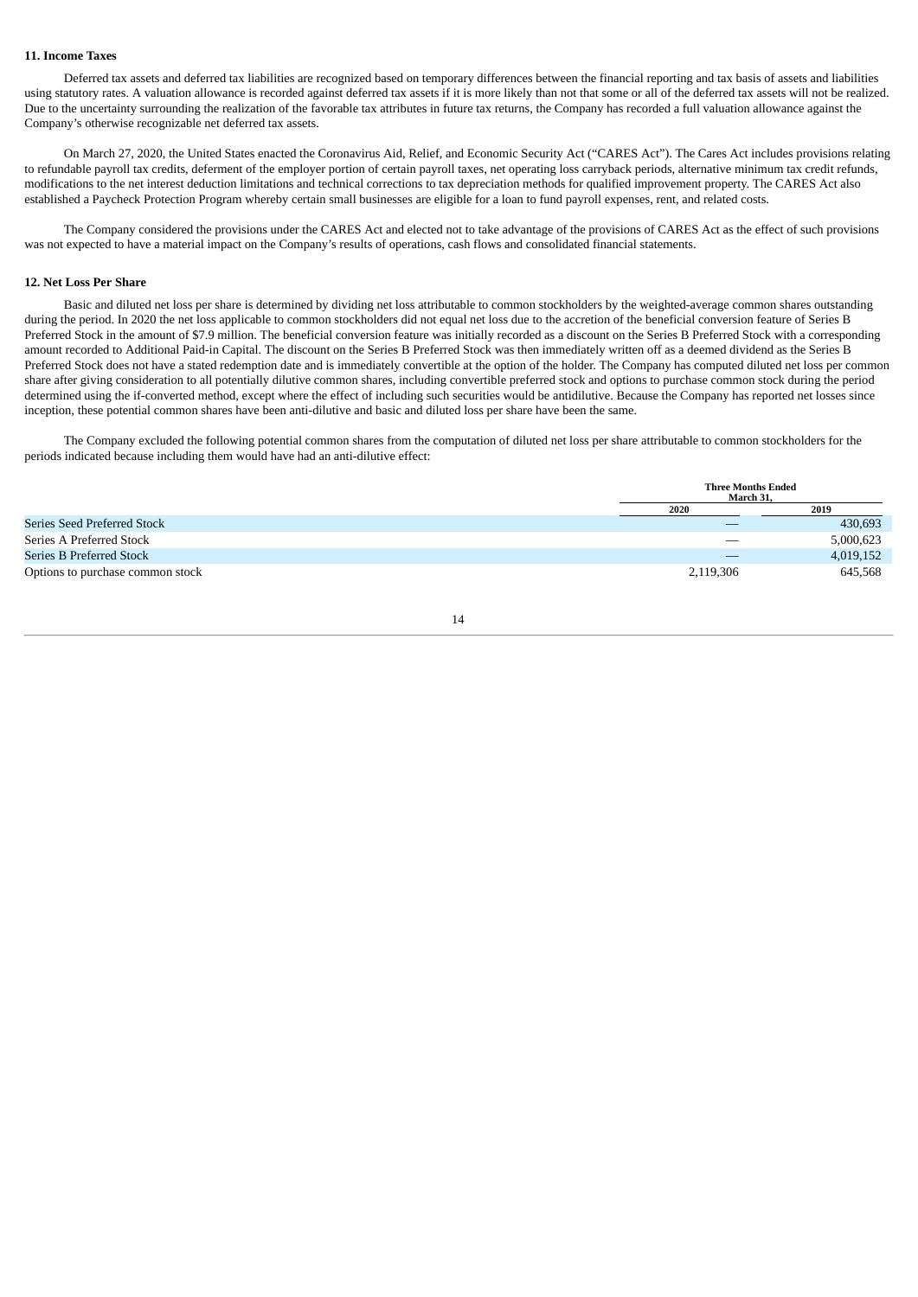# **11. Income Taxes**

Deferred tax assets and deferred tax liabilities are recognized based on temporary differences between the financial reporting and tax basis of assets and liabilities using statutory rates. A valuation allowance is recorded against deferred tax assets if it is more likely than not that some or all of the deferred tax assets will not be realized. Due to the uncertainty surrounding the realization of the favorable tax attributes in future tax returns, the Company has recorded a full valuation allowance against the Company's otherwise recognizable net deferred tax assets.

On March 27, 2020, the United States enacted the Coronavirus Aid, Relief, and Economic Security Act ("CARES Act"). The Cares Act includes provisions relating to refundable payroll tax credits, deferment of the employer portion of certain payroll taxes, net operating loss carryback periods, alternative minimum tax credit refunds, modifications to the net interest deduction limitations and technical corrections to tax depreciation methods for qualified improvement property. The CARES Act also established a Paycheck Protection Program whereby certain small businesses are eligible for a loan to fund payroll expenses, rent, and related costs.

The Company considered the provisions under the CARES Act and elected not to take advantage of the provisions of CARES Act as the effect of such provisions was not expected to have a material impact on the Company's results of operations, cash flows and consolidated financial statements.

#### **12. Net Loss Per Share**

Basic and diluted net loss per share is determined by dividing net loss attributable to common stockholders by the weighted-average common shares outstanding during the period. In 2020 the net loss applicable to common stockholders did not equal net loss due to the accretion of the beneficial conversion feature of Series B Preferred Stock in the amount of \$7.9 million. The beneficial conversion feature was initially recorded as a discount on the Series B Preferred Stock with a corresponding amount recorded to Additional Paid-in Capital. The discount on the Series B Preferred Stock was then immediately written off as a deemed dividend as the Series B Preferred Stock does not have a stated redemption date and is immediately convertible at the option of the holder. The Company has computed diluted net loss per common share after giving consideration to all potentially dilutive common shares, including convertible preferred stock and options to purchase common stock during the period determined using the if-converted method, except where the effect of including such securities would be antidilutive. Because the Company has reported net losses since inception, these potential common shares have been anti-dilutive and basic and diluted loss per share have been the same.

The Company excluded the following potential common shares from the computation of diluted net loss per share attributable to common stockholders for the periods indicated because including them would have had an anti-dilutive effect:

|                                  | <b>Three Months Ended</b><br>March 31. |           |
|----------------------------------|----------------------------------------|-----------|
|                                  | 2020                                   | 2019      |
| Series Seed Preferred Stock      |                                        | 430,693   |
| Series A Preferred Stock         | and the control                        | 5,000,623 |
| Series B Preferred Stock         |                                        | 4,019,152 |
| Options to purchase common stock | 2,119,306                              | 645,568   |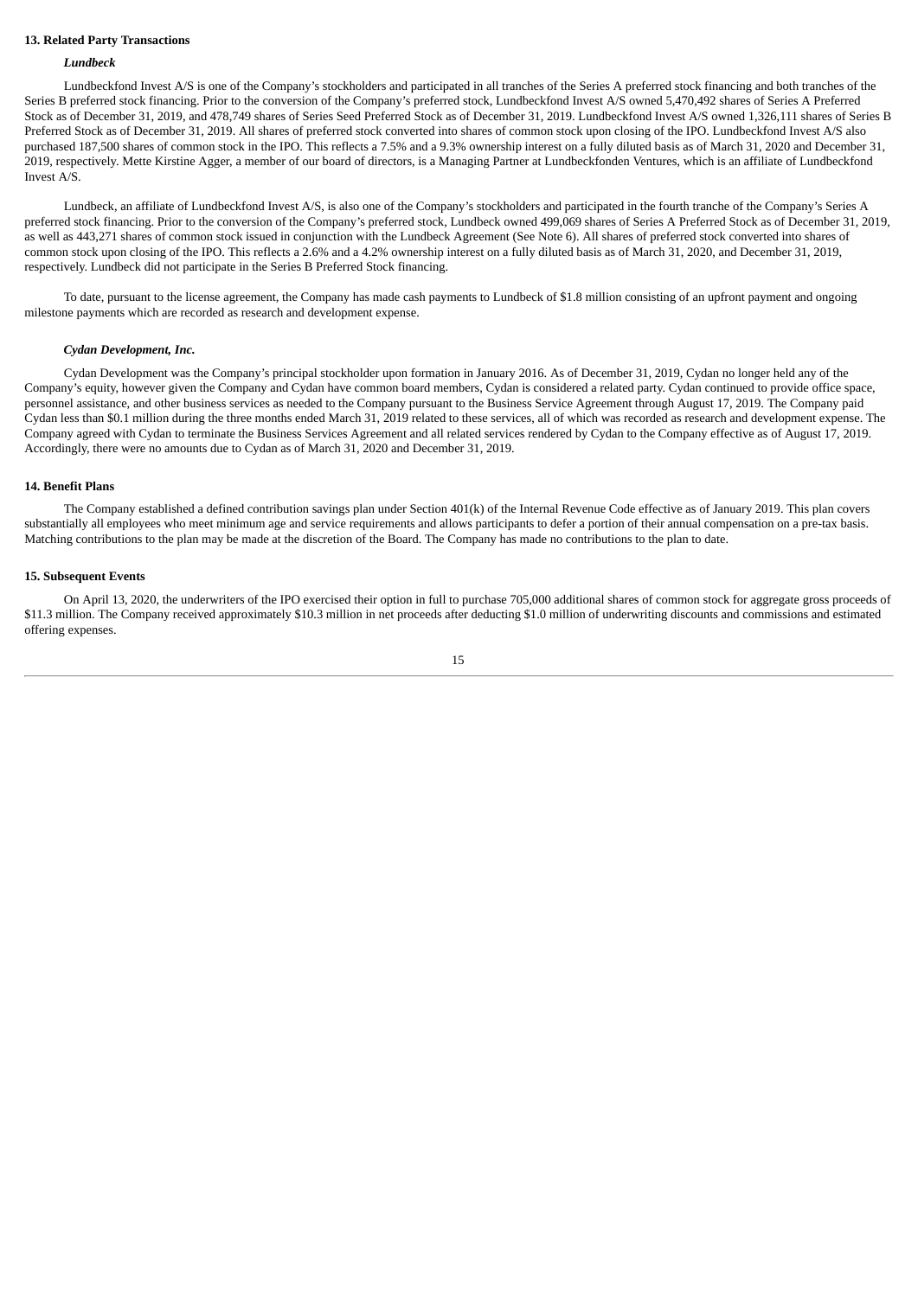#### **13. Related Party Transactions**

### *Lundbeck*

Lundbeckfond Invest A/S is one of the Company's stockholders and participated in all tranches of the Series A preferred stock financing and both tranches of the Series B preferred stock financing. Prior to the conversion of the Company's preferred stock, Lundbeckfond Invest A/S owned 5,470,492 shares of Series A Preferred Stock as of December 31, 2019, and 478,749 shares of Series Seed Preferred Stock as of December 31, 2019. Lundbeckfond Invest A/S owned 1,326,111 shares of Series B Preferred Stock as of December 31, 2019. All shares of preferred stock converted into shares of common stock upon closing of the IPO. Lundbeckfond Invest A/S also purchased 187,500 shares of common stock in the IPO. This reflects a 7.5% and a 9.3% ownership interest on a fully diluted basis as of March 31, 2020 and December 31, 2019, respectively. Mette Kirstine Agger, a member of our board of directors, is a Managing Partner at Lundbeckfonden Ventures, which is an affiliate of Lundbeckfond Invest A/S.

Lundbeck, an affiliate of Lundbeckfond Invest A/S, is also one of the Company's stockholders and participated in the fourth tranche of the Company's Series A preferred stock financing. Prior to the conversion of the Company's preferred stock, Lundbeck owned 499,069 shares of Series A Preferred Stock as of December 31, 2019, as well as 443,271 shares of common stock issued in conjunction with the Lundbeck Agreement (See Note 6). All shares of preferred stock converted into shares of common stock upon closing of the IPO. This reflects a 2.6% and a 4.2% ownership interest on a fully diluted basis as of March 31, 2020, and December 31, 2019, respectively. Lundbeck did not participate in the Series B Preferred Stock financing.

To date, pursuant to the license agreement, the Company has made cash payments to Lundbeck of \$1.8 million consisting of an upfront payment and ongoing milestone payments which are recorded as research and development expense.

#### *Cydan Development, Inc.*

Cydan Development was the Company's principal stockholder upon formation in January 2016. As of December 31, 2019, Cydan no longer held any of the Company's equity, however given the Company and Cydan have common board members, Cydan is considered a related party. Cydan continued to provide office space, personnel assistance, and other business services as needed to the Company pursuant to the Business Service Agreement through August 17, 2019. The Company paid Cydan less than \$0.1 million during the three months ended March 31, 2019 related to these services, all of which was recorded as research and development expense. The Company agreed with Cydan to terminate the Business Services Agreement and all related services rendered by Cydan to the Company effective as of August 17, 2019. Accordingly, there were no amounts due to Cydan as of March 31, 2020 and December 31, 2019.

#### **14. Benefit Plans**

The Company established a defined contribution savings plan under Section 401(k) of the Internal Revenue Code effective as of January 2019. This plan covers substantially all employees who meet minimum age and service requirements and allows participants to defer a portion of their annual compensation on a pre-tax basis. Matching contributions to the plan may be made at the discretion of the Board. The Company has made no contributions to the plan to date.

#### **15. Subsequent Events**

On April 13, 2020, the underwriters of the IPO exercised their option in full to purchase 705,000 additional shares of common stock for aggregate gross proceeds of \$11.3 million. The Company received approximately \$10.3 million in net proceeds after deducting \$1.0 million of underwriting discounts and commissions and estimated offering expenses.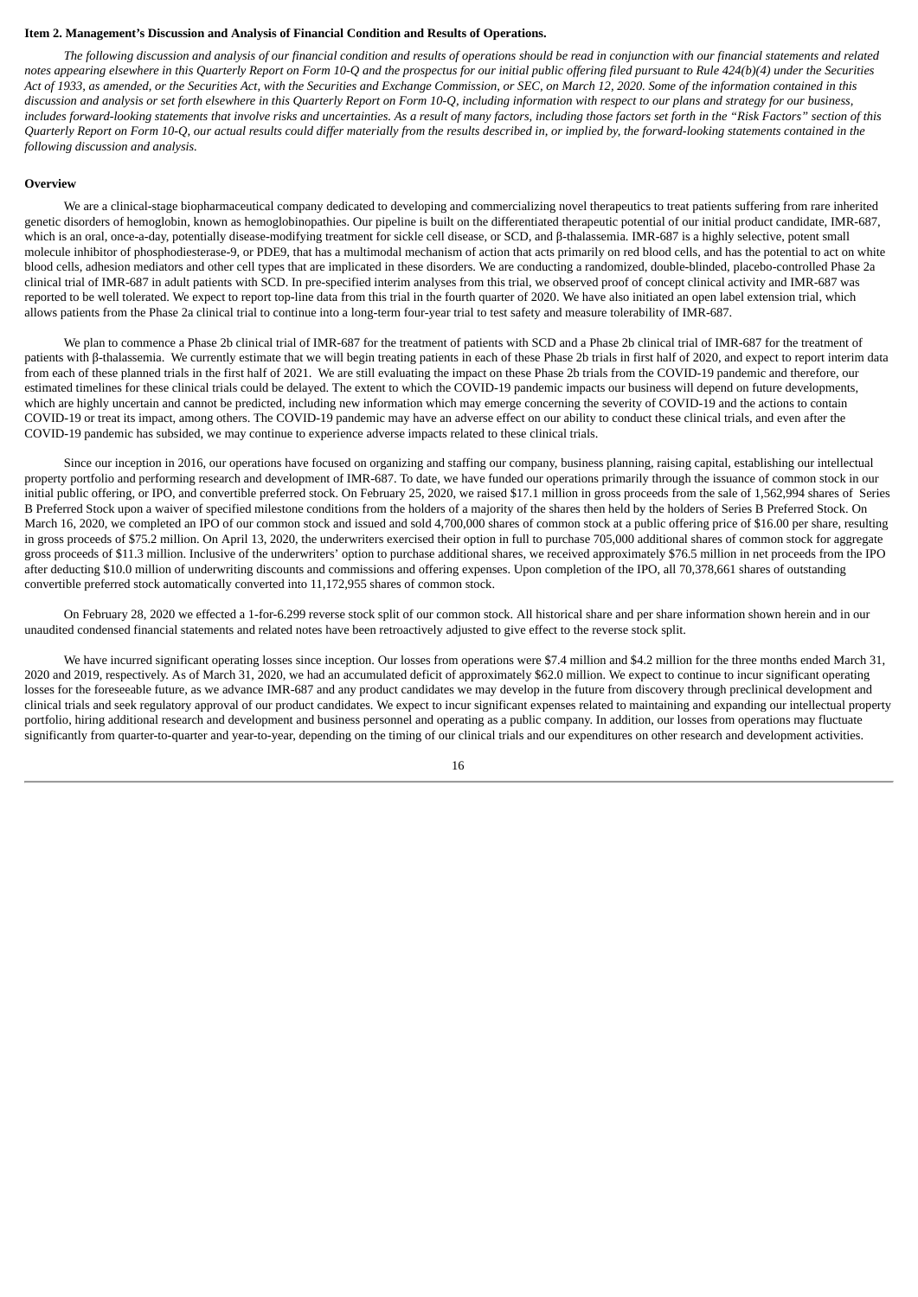#### <span id="page-18-0"></span>**Item 2. Management's Discussion and Analysis of Financial Condition and Results of Operations.**

The following discussion and analysis of our financial condition and results of operations should be read in conjunction with our financial statements and related notes appearing elsewhere in this Quarterly Report on Form 10-Q and the prospectus for our initial public offering filed pursuant to Rule 424(b)(4) under the Securities Act of 1933, as amended, or the Securities Act, with the Securities and Exchange Commission, or SEC, on March 12, 2020. Some of the information contained in this discussion and analysis or set forth elsewhere in this Quarterly Report on Form 10-Q, including information with respect to our plans and strategy for our business, includes forward-looking statements that involve risks and uncertainties. As a result of many factors, including those factors set forth in the "Risk Factors" section of this Quarterly Report on Form 10-Q, our actual results could differ materially from the results described in, or implied by, the forward-looking statements contained in the *following discussion and analysis.*

#### **Overview**

We are a clinical-stage biopharmaceutical company dedicated to developing and commercializing novel therapeutics to treat patients suffering from rare inherited genetic disorders of hemoglobin, known as hemoglobinopathies. Our pipeline is built on the differentiated therapeutic potential of our initial product candidate, IMR-687, which is an oral, once-a-day, potentially disease-modifying treatment for sickle cell disease, or SCD, and β-thalassemia. IMR-687 is a highly selective, potent small molecule inhibitor of phosphodiesterase-9, or PDE9, that has a multimodal mechanism of action that acts primarily on red blood cells, and has the potential to act on white blood cells, adhesion mediators and other cell types that are implicated in these disorders. We are conducting a randomized, double-blinded, placebo-controlled Phase 2a clinical trial of IMR-687 in adult patients with SCD. In pre-specified interim analyses from this trial, we observed proof of concept clinical activity and IMR-687 was reported to be well tolerated. We expect to report top-line data from this trial in the fourth quarter of 2020. We have also initiated an open label extension trial, which allows patients from the Phase 2a clinical trial to continue into a long-term four-year trial to test safety and measure tolerability of IMR-687.

We plan to commence a Phase 2b clinical trial of IMR-687 for the treatment of patients with SCD and a Phase 2b clinical trial of IMR-687 for the treatment of patients with β-thalassemia. We currently estimate that we will begin treating patients in each of these Phase 2b trials in first half of 2020, and expect to report interim data from each of these planned trials in the first half of 2021. We are still evaluating the impact on these Phase 2b trials from the COVID-19 pandemic and therefore, our estimated timelines for these clinical trials could be delayed. The extent to which the COVID-19 pandemic impacts our business will depend on future developments, which are highly uncertain and cannot be predicted, including new information which may emerge concerning the severity of COVID-19 and the actions to contain COVID-19 or treat its impact, among others. The COVID-19 pandemic may have an adverse effect on our ability to conduct these clinical trials, and even after the COVID-19 pandemic has subsided, we may continue to experience adverse impacts related to these clinical trials.

Since our inception in 2016, our operations have focused on organizing and staffing our company, business planning, raising capital, establishing our intellectual property portfolio and performing research and development of IMR-687. To date, we have funded our operations primarily through the issuance of common stock in our initial public offering, or IPO, and convertible preferred stock. On February 25, 2020, we raised \$17.1 million in gross proceeds from the sale of 1,562,994 shares of Series B Preferred Stock upon a waiver of specified milestone conditions from the holders of a majority of the shares then held by the holders of Series B Preferred Stock. On March 16, 2020, we completed an IPO of our common stock and issued and sold 4,700,000 shares of common stock at a public offering price of \$16.00 per share, resulting in gross proceeds of \$75.2 million. On April 13, 2020, the underwriters exercised their option in full to purchase 705,000 additional shares of common stock for aggregate gross proceeds of \$11.3 million. Inclusive of the underwriters' option to purchase additional shares, we received approximately \$76.5 million in net proceeds from the IPO after deducting \$10.0 million of underwriting discounts and commissions and offering expenses. Upon completion of the IPO, all 70,378,661 shares of outstanding convertible preferred stock automatically converted into 11,172,955 shares of common stock.

On February 28, 2020 we effected a 1-for-6.299 reverse stock split of our common stock. All historical share and per share information shown herein and in our unaudited condensed financial statements and related notes have been retroactively adjusted to give effect to the reverse stock split.

We have incurred significant operating losses since inception. Our losses from operations were \$7.4 million and \$4.2 million for the three months ended March 31, 2020 and 2019, respectively. As of March 31, 2020, we had an accumulated deficit of approximately \$62.0 million. We expect to continue to incur significant operating losses for the foreseeable future, as we advance IMR-687 and any product candidates we may develop in the future from discovery through preclinical development and clinical trials and seek regulatory approval of our product candidates. We expect to incur significant expenses related to maintaining and expanding our intellectual property portfolio, hiring additional research and development and business personnel and operating as a public company. In addition, our losses from operations may fluctuate significantly from quarter-to-quarter and year-to-year, depending on the timing of our clinical trials and our expenditures on other research and development activities.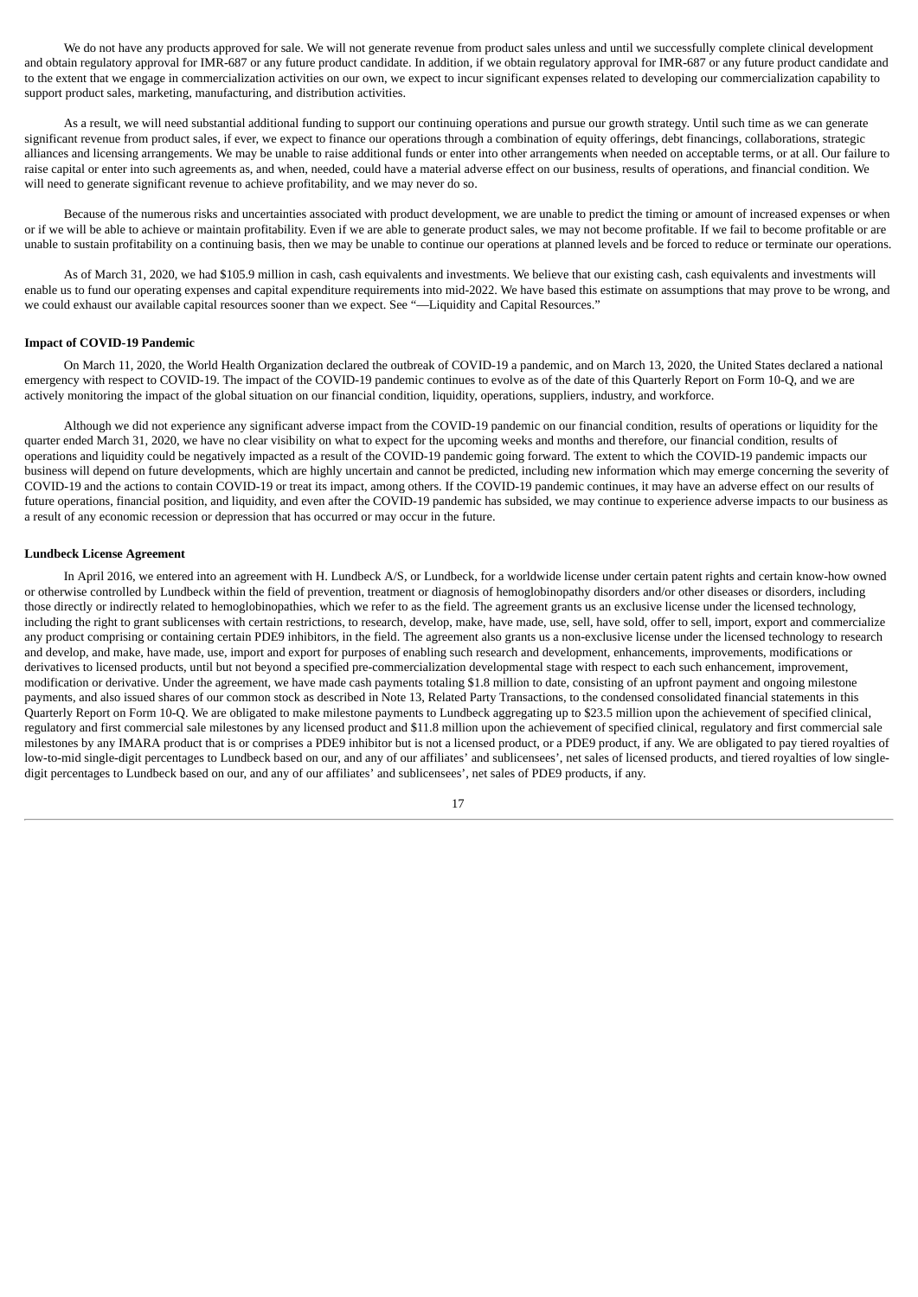We do not have any products approved for sale. We will not generate revenue from product sales unless and until we successfully complete clinical development and obtain regulatory approval for IMR-687 or any future product candidate. In addition, if we obtain regulatory approval for IMR-687 or any future product candidate and to the extent that we engage in commercialization activities on our own, we expect to incur significant expenses related to developing our commercialization capability to support product sales, marketing, manufacturing, and distribution activities.

As a result, we will need substantial additional funding to support our continuing operations and pursue our growth strategy. Until such time as we can generate significant revenue from product sales, if ever, we expect to finance our operations through a combination of equity offerings, debt financings, collaborations, strategic alliances and licensing arrangements. We may be unable to raise additional funds or enter into other arrangements when needed on acceptable terms, or at all. Our failure to raise capital or enter into such agreements as, and when, needed, could have a material adverse effect on our business, results of operations, and financial condition. We will need to generate significant revenue to achieve profitability, and we may never do so.

Because of the numerous risks and uncertainties associated with product development, we are unable to predict the timing or amount of increased expenses or when or if we will be able to achieve or maintain profitability. Even if we are able to generate product sales, we may not become profitable. If we fail to become profitable or are unable to sustain profitability on a continuing basis, then we may be unable to continue our operations at planned levels and be forced to reduce or terminate our operations.

As of March 31, 2020, we had \$105.9 million in cash, cash equivalents and investments. We believe that our existing cash, cash equivalents and investments will enable us to fund our operating expenses and capital expenditure requirements into mid-2022. We have based this estimate on assumptions that may prove to be wrong, and we could exhaust our available capital resources sooner than we expect. See "—Liquidity and Capital Resources."

#### **Impact of COVID-19 Pandemic**

On March 11, 2020, the World Health Organization declared the outbreak of COVID-19 a pandemic, and on March 13, 2020, the United States declared a national emergency with respect to COVID-19. The impact of the COVID-19 pandemic continues to evolve as of the date of this Quarterly Report on Form 10-Q, and we are actively monitoring the impact of the global situation on our financial condition, liquidity, operations, suppliers, industry, and workforce.

Although we did not experience any significant adverse impact from the COVID-19 pandemic on our financial condition, results of operations or liquidity for the quarter ended March 31, 2020, we have no clear visibility on what to expect for the upcoming weeks and months and therefore, our financial condition, results of operations and liquidity could be negatively impacted as a result of the COVID-19 pandemic going forward. The extent to which the COVID-19 pandemic impacts our business will depend on future developments, which are highly uncertain and cannot be predicted, including new information which may emerge concerning the severity of COVID-19 and the actions to contain COVID-19 or treat its impact, among others. If the COVID-19 pandemic continues, it may have an adverse effect on our results of future operations, financial position, and liquidity, and even after the COVID-19 pandemic has subsided, we may continue to experience adverse impacts to our business as a result of any economic recession or depression that has occurred or may occur in the future.

#### **Lundbeck License Agreement**

In April 2016, we entered into an agreement with H. Lundbeck A/S, or Lundbeck, for a worldwide license under certain patent rights and certain know-how owned or otherwise controlled by Lundbeck within the field of prevention, treatment or diagnosis of hemoglobinopathy disorders and/or other diseases or disorders, including those directly or indirectly related to hemoglobinopathies, which we refer to as the field. The agreement grants us an exclusive license under the licensed technology, including the right to grant sublicenses with certain restrictions, to research, develop, make, have made, use, sell, have sold, offer to sell, import, export and commercialize any product comprising or containing certain PDE9 inhibitors, in the field. The agreement also grants us a non-exclusive license under the licensed technology to research and develop, and make, have made, use, import and export for purposes of enabling such research and development, enhancements, improvements, modifications or derivatives to licensed products, until but not beyond a specified pre-commercialization developmental stage with respect to each such enhancement, improvement, modification or derivative. Under the agreement, we have made cash payments totaling \$1.8 million to date, consisting of an upfront payment and ongoing milestone payments, and also issued shares of our common stock as described in Note 13, Related Party Transactions, to the condensed consolidated financial statements in this Quarterly Report on Form 10-Q. We are obligated to make milestone payments to Lundbeck aggregating up to \$23.5 million upon the achievement of specified clinical, regulatory and first commercial sale milestones by any licensed product and \$11.8 million upon the achievement of specified clinical, regulatory and first commercial sale milestones by any IMARA product that is or comprises a PDE9 inhibitor but is not a licensed product, or a PDE9 product, if any. We are obligated to pay tiered royalties of low-to-mid single-digit percentages to Lundbeck based on our, and any of our affiliates' and sublicensees', net sales of licensed products, and tiered royalties of low singledigit percentages to Lundbeck based on our, and any of our affiliates' and sublicensees', net sales of PDE9 products, if any.

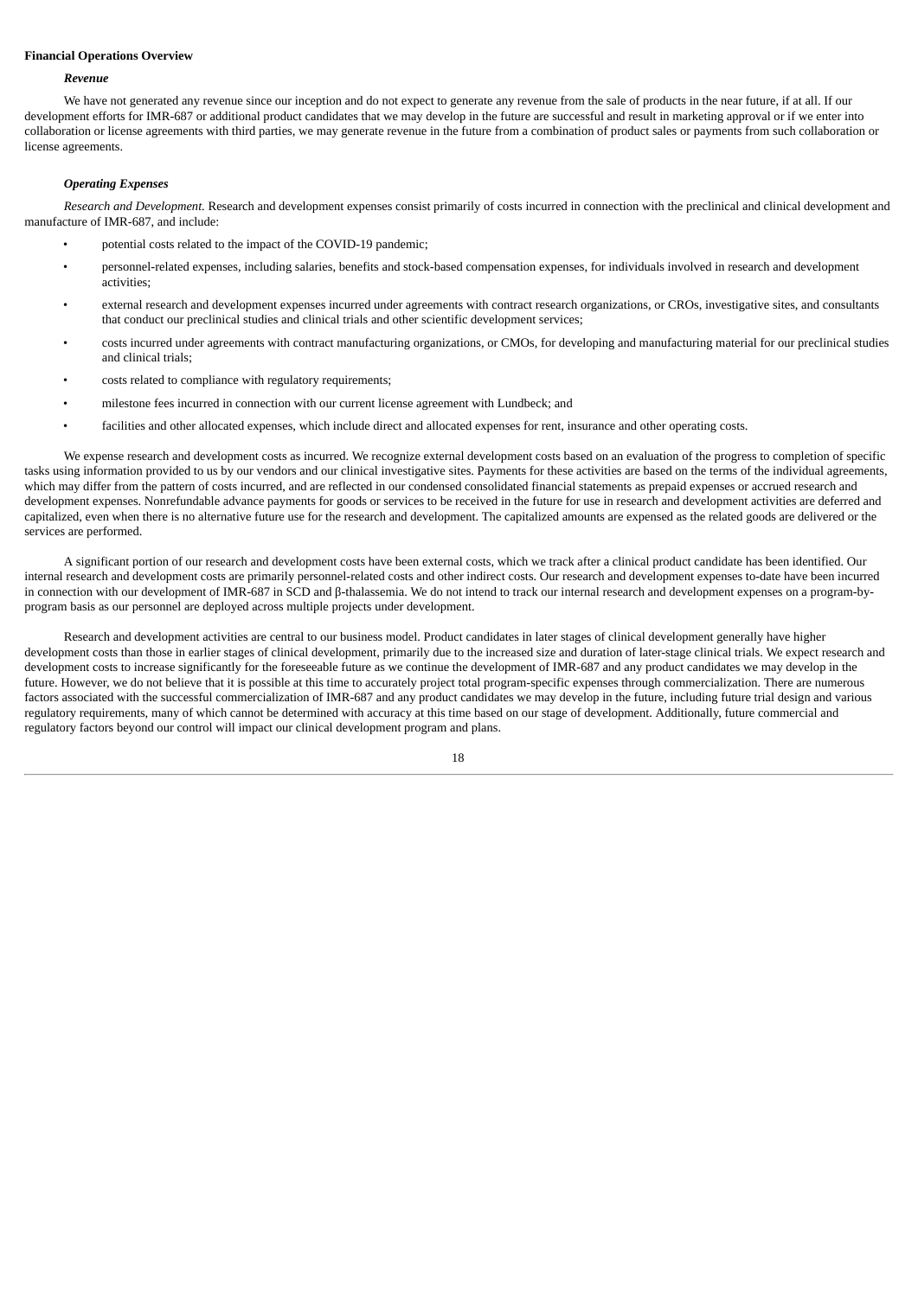### **Financial Operations Overview**

#### *Revenue*

We have not generated any revenue since our inception and do not expect to generate any revenue from the sale of products in the near future, if at all. If our development efforts for IMR-687 or additional product candidates that we may develop in the future are successful and result in marketing approval or if we enter into collaboration or license agreements with third parties, we may generate revenue in the future from a combination of product sales or payments from such collaboration or license agreements.

### *Operating Expenses*

*Research and Development.* Research and development expenses consist primarily of costs incurred in connection with the preclinical and clinical development and manufacture of IMR-687, and include:

- potential costs related to the impact of the COVID-19 pandemic;
- personnel-related expenses, including salaries, benefits and stock-based compensation expenses, for individuals involved in research and development activities;
- external research and development expenses incurred under agreements with contract research organizations, or CROs, investigative sites, and consultants that conduct our preclinical studies and clinical trials and other scientific development services;
- costs incurred under agreements with contract manufacturing organizations, or CMOs, for developing and manufacturing material for our preclinical studies and clinical trials;
- costs related to compliance with regulatory requirements;
- milestone fees incurred in connection with our current license agreement with Lundbeck; and
- facilities and other allocated expenses, which include direct and allocated expenses for rent, insurance and other operating costs.

We expense research and development costs as incurred. We recognize external development costs based on an evaluation of the progress to completion of specific tasks using information provided to us by our vendors and our clinical investigative sites. Payments for these activities are based on the terms of the individual agreements, which may differ from the pattern of costs incurred, and are reflected in our condensed consolidated financial statements as prepaid expenses or accrued research and development expenses. Nonrefundable advance payments for goods or services to be received in the future for use in research and development activities are deferred and capitalized, even when there is no alternative future use for the research and development. The capitalized amounts are expensed as the related goods are delivered or the services are performed.

A significant portion of our research and development costs have been external costs, which we track after a clinical product candidate has been identified. Our internal research and development costs are primarily personnel-related costs and other indirect costs. Our research and development expenses to-date have been incurred in connection with our development of IMR-687 in SCD and β-thalassemia. We do not intend to track our internal research and development expenses on a program-byprogram basis as our personnel are deployed across multiple projects under development.

Research and development activities are central to our business model. Product candidates in later stages of clinical development generally have higher development costs than those in earlier stages of clinical development, primarily due to the increased size and duration of later-stage clinical trials. We expect research and development costs to increase significantly for the foreseeable future as we continue the development of IMR-687 and any product candidates we may develop in the future. However, we do not believe that it is possible at this time to accurately project total program-specific expenses through commercialization. There are numerous factors associated with the successful commercialization of IMR-687 and any product candidates we may develop in the future, including future trial design and various regulatory requirements, many of which cannot be determined with accuracy at this time based on our stage of development. Additionally, future commercial and regulatory factors beyond our control will impact our clinical development program and plans.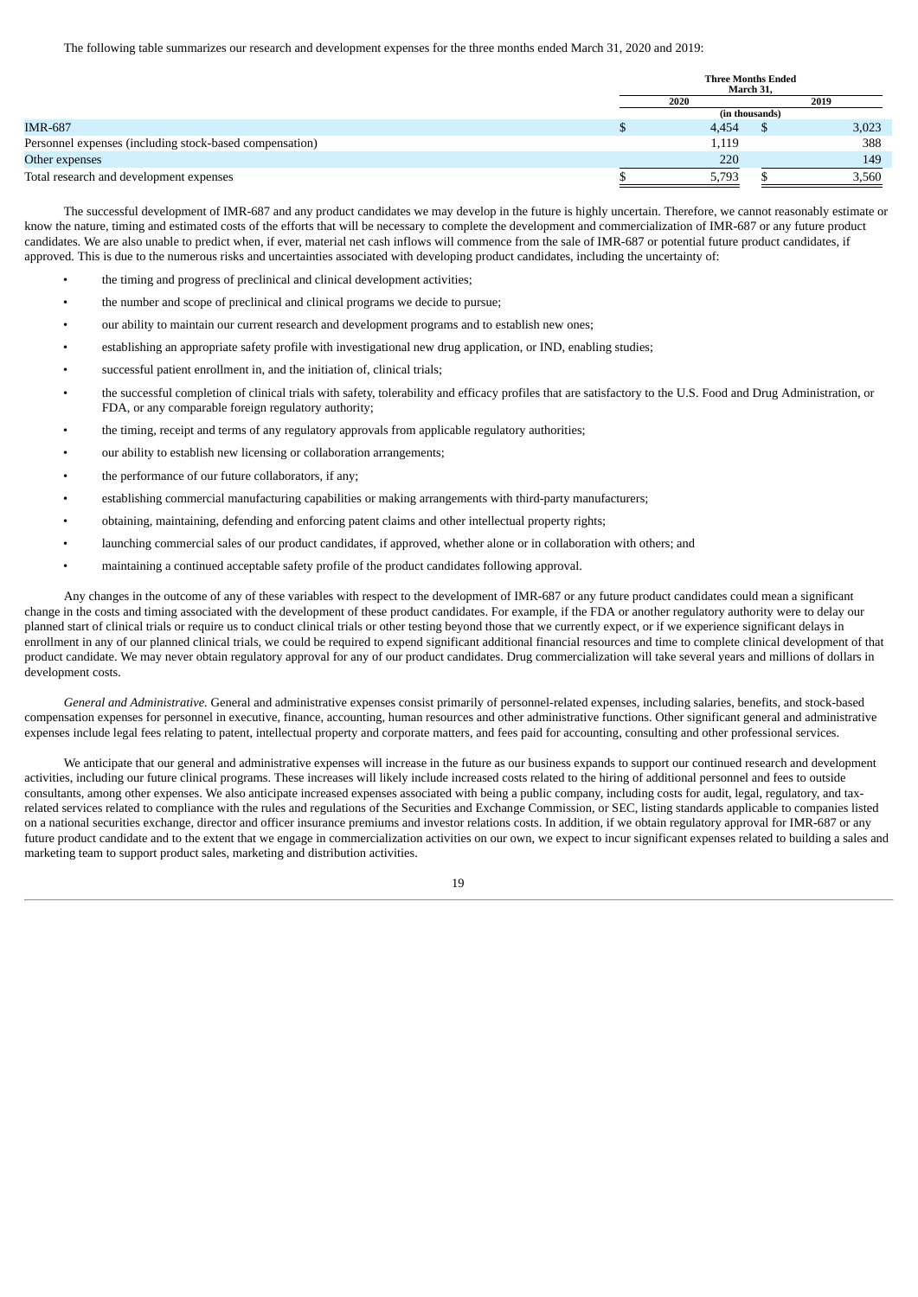The following table summarizes our research and development expenses for the three months ended March 31, 2020 and 2019:

|                                                         | <b>Three Months Ended</b><br>March 31, |                |  |       |
|---------------------------------------------------------|----------------------------------------|----------------|--|-------|
|                                                         | 2020                                   |                |  | 2019  |
|                                                         |                                        | (in thousands) |  |       |
| <b>IMR-687</b>                                          |                                        | 4,454          |  | 3,023 |
| Personnel expenses (including stock-based compensation) |                                        | 1,119          |  | 388   |
| Other expenses                                          |                                        | 220            |  | 149   |
| Total research and development expenses                 |                                        | 5,793          |  | 3,560 |

The successful development of IMR-687 and any product candidates we may develop in the future is highly uncertain. Therefore, we cannot reasonably estimate or know the nature, timing and estimated costs of the efforts that will be necessary to complete the development and commercialization of IMR-687 or any future product candidates. We are also unable to predict when, if ever, material net cash inflows will commence from the sale of IMR-687 or potential future product candidates, if approved. This is due to the numerous risks and uncertainties associated with developing product candidates, including the uncertainty of:

- the timing and progress of preclinical and clinical development activities;
- the number and scope of preclinical and clinical programs we decide to pursue;
- our ability to maintain our current research and development programs and to establish new ones;
- establishing an appropriate safety profile with investigational new drug application, or IND, enabling studies;
- successful patient enrollment in, and the initiation of, clinical trials;
- the successful completion of clinical trials with safety, tolerability and efficacy profiles that are satisfactory to the U.S. Food and Drug Administration, or FDA, or any comparable foreign regulatory authority;
- the timing, receipt and terms of any regulatory approvals from applicable regulatory authorities;
- our ability to establish new licensing or collaboration arrangements;
- the performance of our future collaborators, if any;
- establishing commercial manufacturing capabilities or making arrangements with third-party manufacturers;
- obtaining, maintaining, defending and enforcing patent claims and other intellectual property rights;
- launching commercial sales of our product candidates, if approved, whether alone or in collaboration with others; and
- maintaining a continued acceptable safety profile of the product candidates following approval.

Any changes in the outcome of any of these variables with respect to the development of IMR-687 or any future product candidates could mean a significant change in the costs and timing associated with the development of these product candidates. For example, if the FDA or another regulatory authority were to delay our planned start of clinical trials or require us to conduct clinical trials or other testing beyond those that we currently expect, or if we experience significant delays in enrollment in any of our planned clinical trials, we could be required to expend significant additional financial resources and time to complete clinical development of that product candidate. We may never obtain regulatory approval for any of our product candidates. Drug commercialization will take several years and millions of dollars in development costs.

*General and Administrative.* General and administrative expenses consist primarily of personnel-related expenses, including salaries, benefits, and stock-based compensation expenses for personnel in executive, finance, accounting, human resources and other administrative functions. Other significant general and administrative expenses include legal fees relating to patent, intellectual property and corporate matters, and fees paid for accounting, consulting and other professional services.

We anticipate that our general and administrative expenses will increase in the future as our business expands to support our continued research and development activities, including our future clinical programs. These increases will likely include increased costs related to the hiring of additional personnel and fees to outside consultants, among other expenses. We also anticipate increased expenses associated with being a public company, including costs for audit, legal, regulatory, and taxrelated services related to compliance with the rules and regulations of the Securities and Exchange Commission, or SEC, listing standards applicable to companies listed on a national securities exchange, director and officer insurance premiums and investor relations costs. In addition, if we obtain regulatory approval for IMR-687 or any future product candidate and to the extent that we engage in commercialization activities on our own, we expect to incur significant expenses related to building a sales and marketing team to support product sales, marketing and distribution activities.

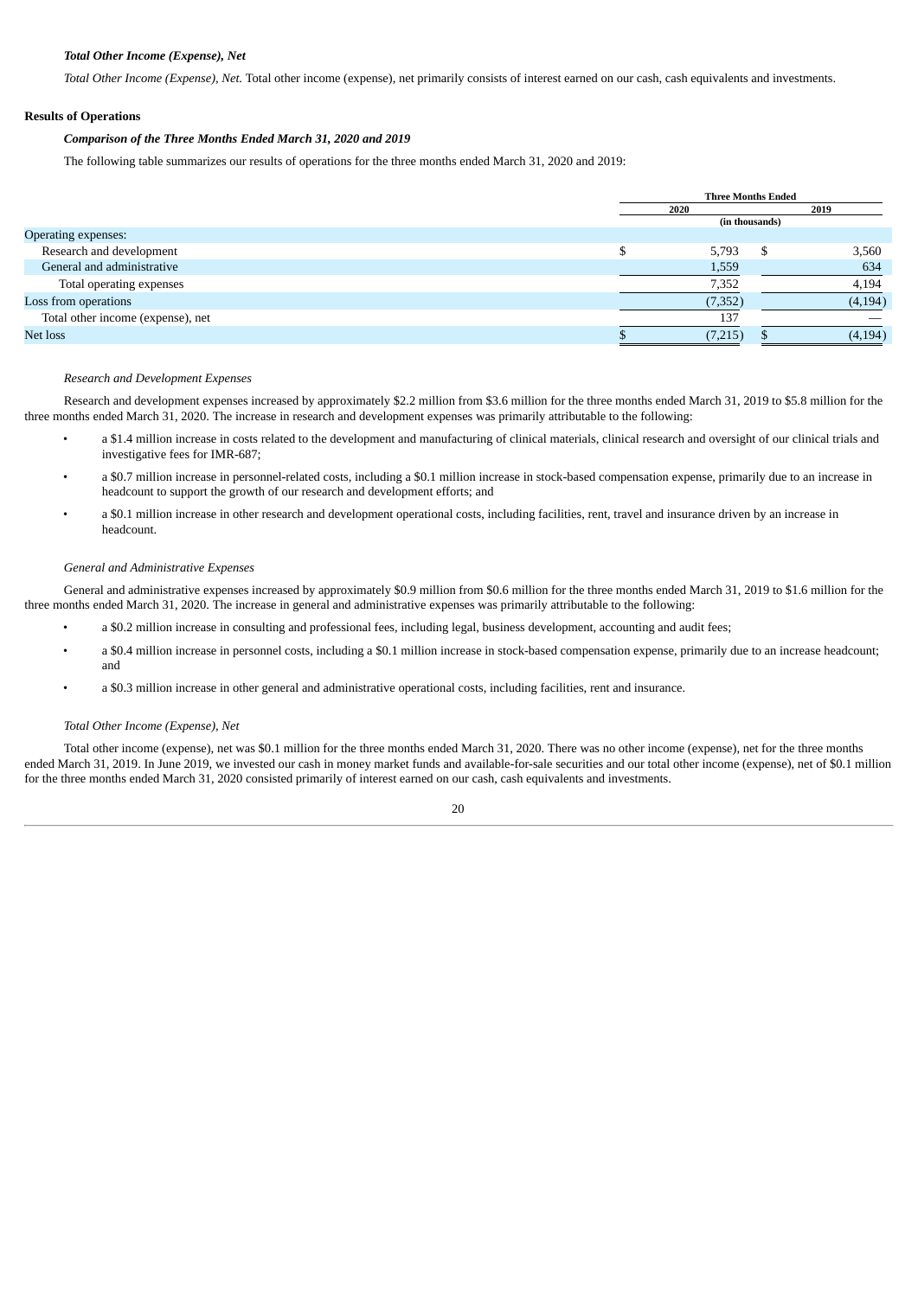# *Total Other Income (Expense), Net*

*Total Other Income (Expense), Net.* Total other income (expense), net primarily consists of interest earned on our cash, cash equivalents and investments.

### **Results of Operations**

### *Comparison of the Three Months Ended March 31, 2020 and 2019*

The following table summarizes our results of operations for the three months ended March 31, 2020 and 2019:

|                                   | <b>Three Months Ended</b> |      |          |  |
|-----------------------------------|---------------------------|------|----------|--|
|                                   | 2020                      | 2019 |          |  |
|                                   | (in thousands)            |      |          |  |
| Operating expenses:               |                           |      |          |  |
| Research and development          | 5,793                     |      | 3,560    |  |
| General and administrative        | 1,559                     |      | 634      |  |
| Total operating expenses          | 7,352                     |      | 4,194    |  |
| Loss from operations              | (7, 352)                  |      | (4, 194) |  |
| Total other income (expense), net | 137                       |      | __       |  |
| Net loss                          | (7,215)                   |      | (4, 194) |  |

#### *Research and Development Expenses*

Research and development expenses increased by approximately \$2.2 million from \$3.6 million for the three months ended March 31, 2019 to \$5.8 million for the three months ended March 31, 2020. The increase in research and development expenses was primarily attributable to the following:

- a \$1.4 million increase in costs related to the development and manufacturing of clinical materials, clinical research and oversight of our clinical trials and investigative fees for IMR-687;
- a \$0.7 million increase in personnel-related costs, including a \$0.1 million increase in stock-based compensation expense, primarily due to an increase in headcount to support the growth of our research and development efforts; and
- a \$0.1 million increase in other research and development operational costs, including facilities, rent, travel and insurance driven by an increase in headcount.

# *General and Administrative Expenses*

General and administrative expenses increased by approximately \$0.9 million from \$0.6 million for the three months ended March 31, 2019 to \$1.6 million for the three months ended March 31, 2020. The increase in general and administrative expenses was primarily attributable to the following:

- a \$0.2 million increase in consulting and professional fees, including legal, business development, accounting and audit fees;
- a \$0.4 million increase in personnel costs, including a \$0.1 million increase in stock-based compensation expense, primarily due to an increase headcount; and
- a \$0.3 million increase in other general and administrative operational costs, including facilities, rent and insurance.

#### *Total Other Income (Expense), Net*

Total other income (expense), net was \$0.1 million for the three months ended March 31, 2020. There was no other income (expense), net for the three months ended March 31, 2019. In June 2019, we invested our cash in money market funds and available-for-sale securities and our total other income (expense), net of \$0.1 million for the three months ended March 31, 2020 consisted primarily of interest earned on our cash, cash equivalents and investments.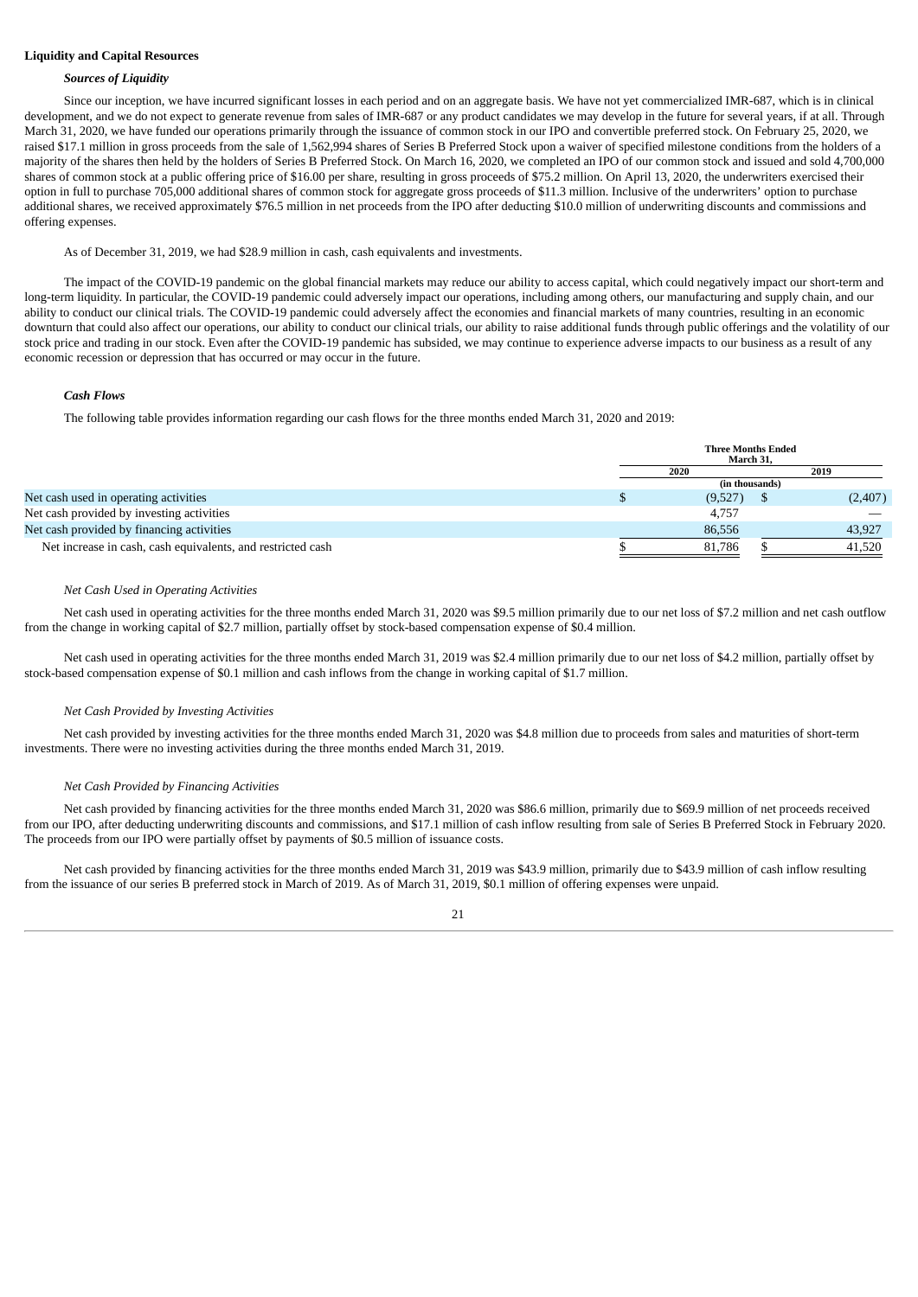# **Liquidity and Capital Resources**

#### *Sources of Liquidity*

Since our inception, we have incurred significant losses in each period and on an aggregate basis. We have not yet commercialized IMR-687, which is in clinical development, and we do not expect to generate revenue from sales of IMR-687 or any product candidates we may develop in the future for several years, if at all. Through March 31, 2020, we have funded our operations primarily through the issuance of common stock in our IPO and convertible preferred stock. On February 25, 2020, we raised \$17.1 million in gross proceeds from the sale of 1,562,994 shares of Series B Preferred Stock upon a waiver of specified milestone conditions from the holders of a majority of the shares then held by the holders of Series B Preferred Stock. On March 16, 2020, we completed an IPO of our common stock and issued and sold 4,700,000 shares of common stock at a public offering price of \$16.00 per share, resulting in gross proceeds of \$75.2 million. On April 13, 2020, the underwriters exercised their option in full to purchase 705,000 additional shares of common stock for aggregate gross proceeds of \$11.3 million. Inclusive of the underwriters' option to purchase additional shares, we received approximately \$76.5 million in net proceeds from the IPO after deducting \$10.0 million of underwriting discounts and commissions and offering expenses.

As of December 31, 2019, we had \$28.9 million in cash, cash equivalents and investments.

The impact of the COVID-19 pandemic on the global financial markets may reduce our ability to access capital, which could negatively impact our short-term and long-term liquidity. In particular, the COVID-19 pandemic could adversely impact our operations, including among others, our manufacturing and supply chain, and our ability to conduct our clinical trials. The COVID-19 pandemic could adversely affect the economies and financial markets of many countries, resulting in an economic downturn that could also affect our operations, our ability to conduct our clinical trials, our ability to raise additional funds through public offerings and the volatility of our stock price and trading in our stock. Even after the COVID-19 pandemic has subsided, we may continue to experience adverse impacts to our business as a result of any economic recession or depression that has occurred or may occur in the future.

# *Cash Flows*

The following table provides information regarding our cash flows for the three months ended March 31, 2020 and 2019:

|                                                             | <b>Three Months Ended</b><br>March 31. |                |      |                          |  |
|-------------------------------------------------------------|----------------------------------------|----------------|------|--------------------------|--|
|                                                             | 2020                                   |                | 2019 |                          |  |
|                                                             |                                        | (in thousands) |      |                          |  |
| Net cash used in operating activities                       |                                        | (9,527)        |      | (2,407)                  |  |
| Net cash provided by investing activities                   |                                        | 4.757          |      | $\overline{\phantom{a}}$ |  |
| Net cash provided by financing activities                   |                                        | 86.556         |      | 43,927                   |  |
| Net increase in cash, cash equivalents, and restricted cash |                                        | 81.786         |      | 41.520                   |  |

### *Net Cash Used in Operating Activities*

Net cash used in operating activities for the three months ended March 31, 2020 was \$9.5 million primarily due to our net loss of \$7.2 million and net cash outflow from the change in working capital of \$2.7 million, partially offset by stock-based compensation expense of \$0.4 million.

Net cash used in operating activities for the three months ended March 31, 2019 was \$2.4 million primarily due to our net loss of \$4.2 million, partially offset by stock-based compensation expense of \$0.1 million and cash inflows from the change in working capital of \$1.7 million.

#### *Net Cash Provided by Investing Activities*

Net cash provided by investing activities for the three months ended March 31, 2020 was \$4.8 million due to proceeds from sales and maturities of short-term investments. There were no investing activities during the three months ended March 31, 2019.

### *Net Cash Provided by Financing Activities*

Net cash provided by financing activities for the three months ended March 31, 2020 was \$86.6 million, primarily due to \$69.9 million of net proceeds received from our IPO, after deducting underwriting discounts and commissions, and \$17.1 million of cash inflow resulting from sale of Series B Preferred Stock in February 2020. The proceeds from our IPO were partially offset by payments of \$0.5 million of issuance costs.

Net cash provided by financing activities for the three months ended March 31, 2019 was \$43.9 million, primarily due to \$43.9 million of cash inflow resulting from the issuance of our series B preferred stock in March of 2019. As of March 31, 2019, \$0.1 million of offering expenses were unpaid.

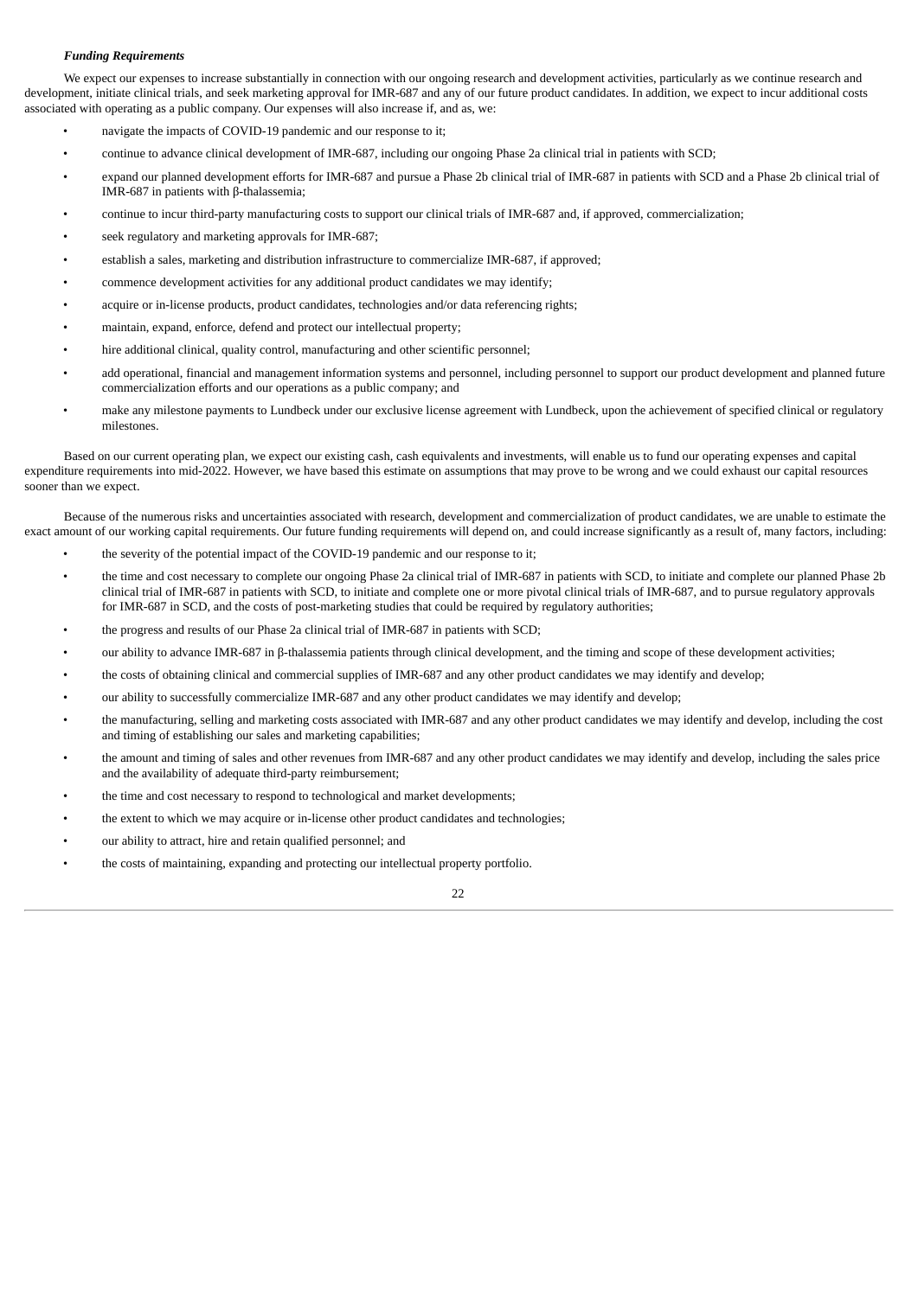# *Funding Requirements*

We expect our expenses to increase substantially in connection with our ongoing research and development activities, particularly as we continue research and development, initiate clinical trials, and seek marketing approval for IMR-687 and any of our future product candidates. In addition, we expect to incur additional costs associated with operating as a public company. Our expenses will also increase if, and as, we:

- navigate the impacts of COVID-19 pandemic and our response to it;
- continue to advance clinical development of IMR-687, including our ongoing Phase 2a clinical trial in patients with SCD;
- expand our planned development efforts for IMR-687 and pursue a Phase 2b clinical trial of IMR-687 in patients with SCD and a Phase 2b clinical trial of IMR-687 in patients with β-thalassemia;
- continue to incur third-party manufacturing costs to support our clinical trials of IMR-687 and, if approved, commercialization;
- seek regulatory and marketing approvals for IMR-687;
- establish a sales, marketing and distribution infrastructure to commercialize IMR-687, if approved;
- commence development activities for any additional product candidates we may identify;
- acquire or in-license products, product candidates, technologies and/or data referencing rights;
- maintain, expand, enforce, defend and protect our intellectual property;
- hire additional clinical, quality control, manufacturing and other scientific personnel;
- add operational, financial and management information systems and personnel, including personnel to support our product development and planned future commercialization efforts and our operations as a public company; and
- make any milestone payments to Lundbeck under our exclusive license agreement with Lundbeck, upon the achievement of specified clinical or regulatory milestones.

Based on our current operating plan, we expect our existing cash, cash equivalents and investments, will enable us to fund our operating expenses and capital expenditure requirements into mid-2022. However, we have based this estimate on assumptions that may prove to be wrong and we could exhaust our capital resources sooner than we expect.

Because of the numerous risks and uncertainties associated with research, development and commercialization of product candidates, we are unable to estimate the exact amount of our working capital requirements. Our future funding requirements will depend on, and could increase significantly as a result of, many factors, including:

- the severity of the potential impact of the COVID-19 pandemic and our response to it;
- the time and cost necessary to complete our ongoing Phase 2a clinical trial of IMR-687 in patients with SCD, to initiate and complete our planned Phase 2b clinical trial of IMR-687 in patients with SCD, to initiate and complete one or more pivotal clinical trials of IMR-687, and to pursue regulatory approvals for IMR-687 in SCD, and the costs of post-marketing studies that could be required by regulatory authorities;
- the progress and results of our Phase 2a clinical trial of IMR-687 in patients with SCD;
- our ability to advance IMR-687 in β-thalassemia patients through clinical development, and the timing and scope of these development activities;
- the costs of obtaining clinical and commercial supplies of IMR-687 and any other product candidates we may identify and develop;
- our ability to successfully commercialize IMR-687 and any other product candidates we may identify and develop;
- the manufacturing, selling and marketing costs associated with IMR-687 and any other product candidates we may identify and develop, including the cost and timing of establishing our sales and marketing capabilities;
- the amount and timing of sales and other revenues from IMR-687 and any other product candidates we may identify and develop, including the sales price and the availability of adequate third-party reimbursement;
- the time and cost necessary to respond to technological and market developments;
- the extent to which we may acquire or in-license other product candidates and technologies;
- our ability to attract, hire and retain qualified personnel; and
- the costs of maintaining, expanding and protecting our intellectual property portfolio.

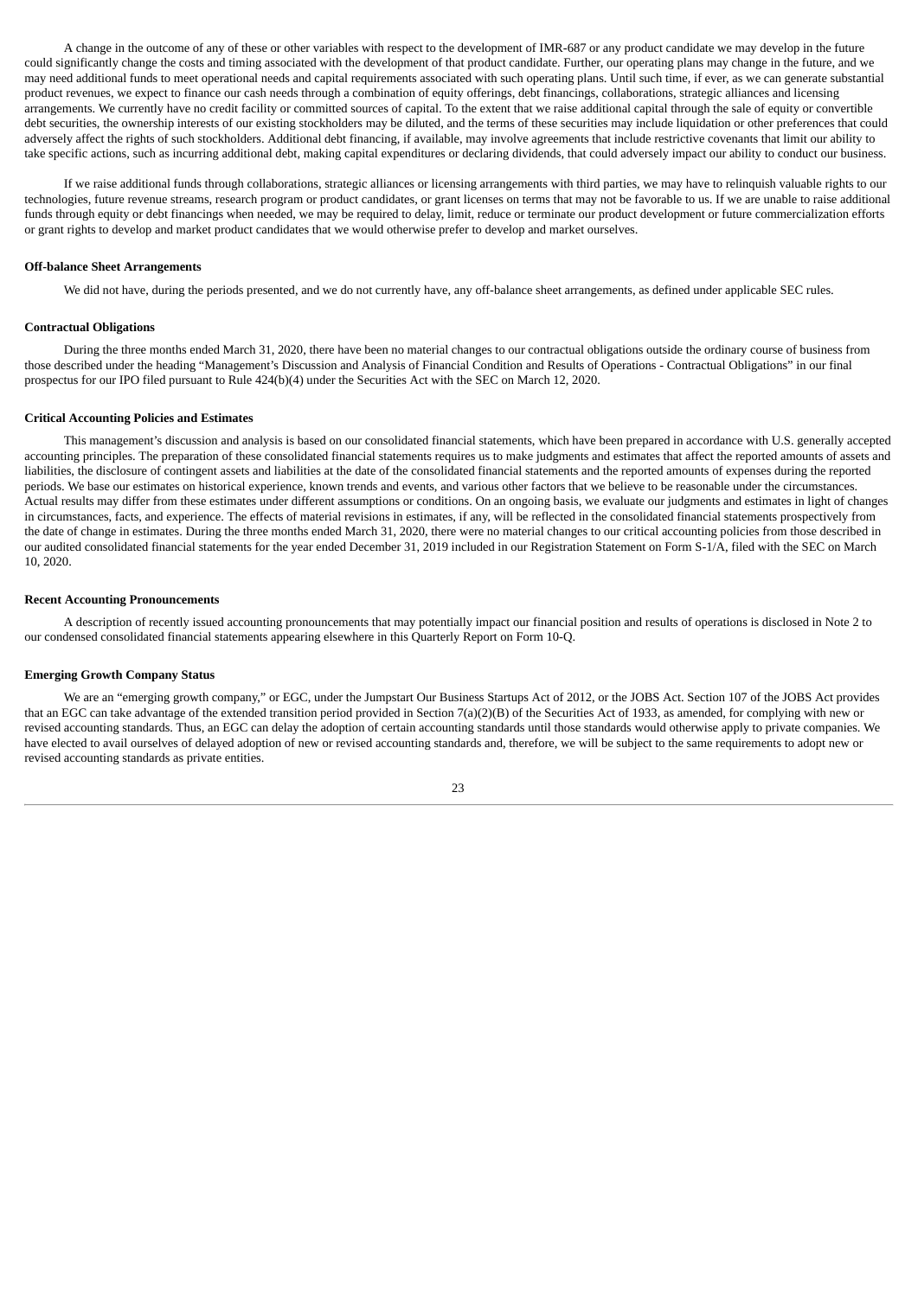A change in the outcome of any of these or other variables with respect to the development of IMR-687 or any product candidate we may develop in the future could significantly change the costs and timing associated with the development of that product candidate. Further, our operating plans may change in the future, and we may need additional funds to meet operational needs and capital requirements associated with such operating plans. Until such time, if ever, as we can generate substantial product revenues, we expect to finance our cash needs through a combination of equity offerings, debt financings, collaborations, strategic alliances and licensing arrangements. We currently have no credit facility or committed sources of capital. To the extent that we raise additional capital through the sale of equity or convertible debt securities, the ownership interests of our existing stockholders may be diluted, and the terms of these securities may include liquidation or other preferences that could adversely affect the rights of such stockholders. Additional debt financing, if available, may involve agreements that include restrictive covenants that limit our ability to take specific actions, such as incurring additional debt, making capital expenditures or declaring dividends, that could adversely impact our ability to conduct our business.

If we raise additional funds through collaborations, strategic alliances or licensing arrangements with third parties, we may have to relinquish valuable rights to our technologies, future revenue streams, research program or product candidates, or grant licenses on terms that may not be favorable to us. If we are unable to raise additional funds through equity or debt financings when needed, we may be required to delay, limit, reduce or terminate our product development or future commercialization efforts or grant rights to develop and market product candidates that we would otherwise prefer to develop and market ourselves.

#### **Off-balance Sheet Arrangements**

We did not have, during the periods presented, and we do not currently have, any off-balance sheet arrangements, as defined under applicable SEC rules.

#### **Contractual Obligations**

During the three months ended March 31, 2020, there have been no material changes to our contractual obligations outside the ordinary course of business from those described under the heading "Management's Discussion and Analysis of Financial Condition and Results of Operations - Contractual Obligations" in our final prospectus for our IPO filed pursuant to Rule 424(b)(4) under the Securities Act with the SEC on March 12, 2020.

#### **Critical Accounting Policies and Estimates**

This management's discussion and analysis is based on our consolidated financial statements, which have been prepared in accordance with U.S. generally accepted accounting principles. The preparation of these consolidated financial statements requires us to make judgments and estimates that affect the reported amounts of assets and liabilities, the disclosure of contingent assets and liabilities at the date of the consolidated financial statements and the reported amounts of expenses during the reported periods. We base our estimates on historical experience, known trends and events, and various other factors that we believe to be reasonable under the circumstances. Actual results may differ from these estimates under different assumptions or conditions. On an ongoing basis, we evaluate our judgments and estimates in light of changes in circumstances, facts, and experience. The effects of material revisions in estimates, if any, will be reflected in the consolidated financial statements prospectively from the date of change in estimates. During the three months ended March 31, 2020, there were no material changes to our critical accounting policies from those described in our audited consolidated financial statements for the year ended December 31, 2019 included in our Registration Statement on Form S-1/A, filed with the SEC on March 10, 2020.

#### **Recent Accounting Pronouncements**

A description of recently issued accounting pronouncements that may potentially impact our financial position and results of operations is disclosed in Note 2 to our condensed consolidated financial statements appearing elsewhere in this Quarterly Report on Form 10-Q.

#### **Emerging Growth Company Status**

We are an "emerging growth company," or EGC, under the Jumpstart Our Business Startups Act of 2012, or the JOBS Act. Section 107 of the JOBS Act provides that an EGC can take advantage of the extended transition period provided in Section 7(a)(2)(B) of the Securities Act of 1933, as amended, for complying with new or revised accounting standards. Thus, an EGC can delay the adoption of certain accounting standards until those standards would otherwise apply to private companies. We have elected to avail ourselves of delayed adoption of new or revised accounting standards and, therefore, we will be subject to the same requirements to adopt new or revised accounting standards as private entities.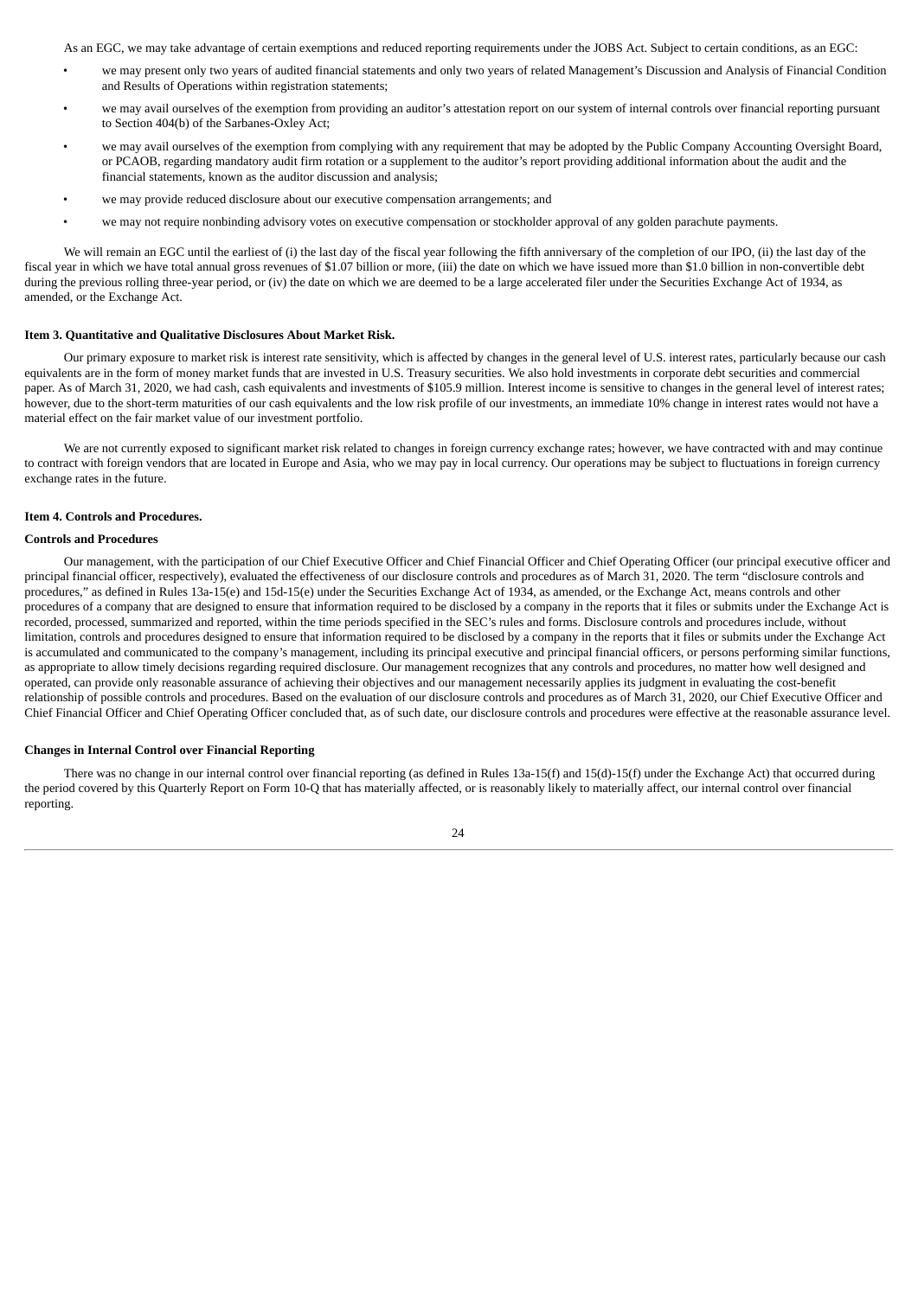As an EGC, we may take advantage of certain exemptions and reduced reporting requirements under the JOBS Act. Subject to certain conditions, as an EGC:

- we may present only two years of audited financial statements and only two years of related Management's Discussion and Analysis of Financial Condition and Results of Operations within registration statements;
- we may avail ourselves of the exemption from providing an auditor's attestation report on our system of internal controls over financial reporting pursuant to Section 404(b) of the Sarbanes-Oxley Act;
- we may avail ourselves of the exemption from complying with any requirement that may be adopted by the Public Company Accounting Oversight Board, or PCAOB, regarding mandatory audit firm rotation or a supplement to the auditor's report providing additional information about the audit and the financial statements, known as the auditor discussion and analysis;
- we may provide reduced disclosure about our executive compensation arrangements; and
- we may not require nonbinding advisory votes on executive compensation or stockholder approval of any golden parachute payments.

We will remain an EGC until the earliest of (i) the last day of the fiscal year following the fifth anniversary of the completion of our IPO, (ii) the last day of the fiscal year in which we have total annual gross revenues of \$1.07 billion or more, (iii) the date on which we have issued more than \$1.0 billion in non-convertible debt during the previous rolling three-year period, or (iv) the date on which we are deemed to be a large accelerated filer under the Securities Exchange Act of 1934, as amended, or the Exchange Act.

#### <span id="page-26-0"></span>**Item 3. Quantitative and Qualitative Disclosures About Market Risk.**

Our primary exposure to market risk is interest rate sensitivity, which is affected by changes in the general level of U.S. interest rates, particularly because our cash equivalents are in the form of money market funds that are invested in U.S. Treasury securities. We also hold investments in corporate debt securities and commercial paper. As of March 31, 2020, we had cash, cash equivalents and investments of \$105.9 million. Interest income is sensitive to changes in the general level of interest rates; however, due to the short-term maturities of our cash equivalents and the low risk profile of our investments, an immediate 10% change in interest rates would not have a material effect on the fair market value of our investment portfolio.

We are not currently exposed to significant market risk related to changes in foreign currency exchange rates; however, we have contracted with and may continue to contract with foreign vendors that are located in Europe and Asia, who we may pay in local currency. Our operations may be subject to fluctuations in foreign currency exchange rates in the future.

### <span id="page-26-1"></span>**Item 4. Controls and Procedures.**

#### **Controls and Procedures**

Our management, with the participation of our Chief Executive Officer and Chief Financial Officer and Chief Operating Officer (our principal executive officer and principal financial officer, respectively), evaluated the effectiveness of our disclosure controls and procedures as of March 31, 2020. The term "disclosure controls and procedures," as defined in Rules 13a-15(e) and 15d-15(e) under the Securities Exchange Act of 1934, as amended, or the Exchange Act, means controls and other procedures of a company that are designed to ensure that information required to be disclosed by a company in the reports that it files or submits under the Exchange Act is recorded, processed, summarized and reported, within the time periods specified in the SEC's rules and forms. Disclosure controls and procedures include, without limitation, controls and procedures designed to ensure that information required to be disclosed by a company in the reports that it files or submits under the Exchange Act is accumulated and communicated to the company's management, including its principal executive and principal financial officers, or persons performing similar functions, as appropriate to allow timely decisions regarding required disclosure. Our management recognizes that any controls and procedures, no matter how well designed and operated, can provide only reasonable assurance of achieving their objectives and our management necessarily applies its judgment in evaluating the cost-benefit relationship of possible controls and procedures. Based on the evaluation of our disclosure controls and procedures as of March 31, 2020, our Chief Executive Officer and Chief Financial Officer and Chief Operating Officer concluded that, as of such date, our disclosure controls and procedures were effective at the reasonable assurance level.

### **Changes in Internal Control over Financial Reporting**

There was no change in our internal control over financial reporting (as defined in Rules 13a-15(f) and 15(d)-15(f) under the Exchange Act) that occurred during the period covered by this Quarterly Report on Form 10-Q that has materially affected, or is reasonably likely to materially affect, our internal control over financial reporting.

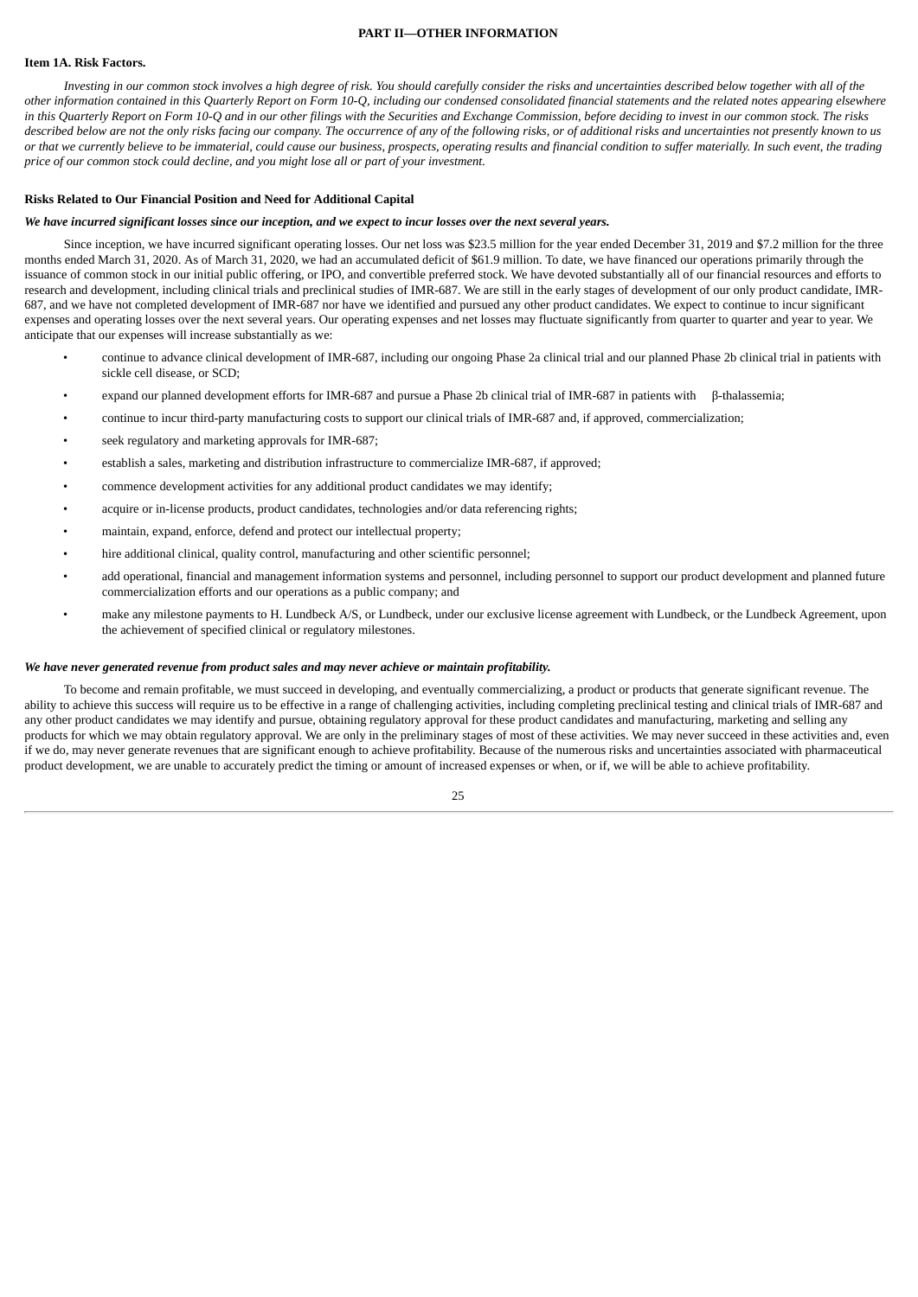# **PART II—OTHER INFORMATION**

#### <span id="page-27-1"></span><span id="page-27-0"></span>**Item 1A. Risk Factors.**

Investing in our common stock involves a high degree of risk. You should carefully consider the risks and uncertainties described below together with all of the other information contained in this Quarterly Report on Form 10-Q, including our condensed consolidated financial statements and the related notes appearing elsewhere in this Quarterly Report on Form 10-Q and in our other filings with the Securities and Exchange Commission, before deciding to invest in our common stock. The risks described below are not the only risks facing our company. The occurrence of any of the following risks, or of additional risks and uncertainties not presently known to us or that we currently believe to be immaterial, could cause our business, prospects, operating results and financial condition to suffer materially. In such event, the trading *price of our common stock could decline, and you might lose all or part of your investment.*

#### **Risks Related to Our Financial Position and Need for Additional Capital**

#### We have incurred significant losses since our inception, and we expect to incur losses over the next several years.

Since inception, we have incurred significant operating losses. Our net loss was \$23.5 million for the year ended December 31, 2019 and \$7.2 million for the three months ended March 31, 2020. As of March 31, 2020, we had an accumulated deficit of \$61.9 million. To date, we have financed our operations primarily through the issuance of common stock in our initial public offering, or IPO, and convertible preferred stock. We have devoted substantially all of our financial resources and efforts to research and development, including clinical trials and preclinical studies of IMR-687. We are still in the early stages of development of our only product candidate, IMR-687, and we have not completed development of IMR-687 nor have we identified and pursued any other product candidates. We expect to continue to incur significant expenses and operating losses over the next several years. Our operating expenses and net losses may fluctuate significantly from quarter to quarter and year to year. We anticipate that our expenses will increase substantially as we:

- continue to advance clinical development of IMR-687, including our ongoing Phase 2a clinical trial and our planned Phase 2b clinical trial in patients with sickle cell disease, or SCD;
- expand our planned development efforts for IMR-687 and pursue a Phase 2b clinical trial of IMR-687 in patients with β-thalassemia;
- continue to incur third-party manufacturing costs to support our clinical trials of IMR-687 and, if approved, commercialization;
- seek regulatory and marketing approvals for IMR-687;
- establish a sales, marketing and distribution infrastructure to commercialize IMR-687, if approved;
- commence development activities for any additional product candidates we may identify;
- acquire or in-license products, product candidates, technologies and/or data referencing rights;
- maintain, expand, enforce, defend and protect our intellectual property;
- hire additional clinical, quality control, manufacturing and other scientific personnel:
- add operational, financial and management information systems and personnel, including personnel to support our product development and planned future commercialization efforts and our operations as a public company; and
- make any milestone payments to H. Lundbeck A/S, or Lundbeck, under our exclusive license agreement with Lundbeck, or the Lundbeck Agreement, upon the achievement of specified clinical or regulatory milestones.

#### *We have never generated revenue from product sales and may never achieve or maintain profitability.*

To become and remain profitable, we must succeed in developing, and eventually commercializing, a product or products that generate significant revenue. The ability to achieve this success will require us to be effective in a range of challenging activities, including completing preclinical testing and clinical trials of IMR-687 and any other product candidates we may identify and pursue, obtaining regulatory approval for these product candidates and manufacturing, marketing and selling any products for which we may obtain regulatory approval. We are only in the preliminary stages of most of these activities. We may never succeed in these activities and, even if we do, may never generate revenues that are significant enough to achieve profitability. Because of the numerous risks and uncertainties associated with pharmaceutical product development, we are unable to accurately predict the timing or amount of increased expenses or when, or if, we will be able to achieve profitability.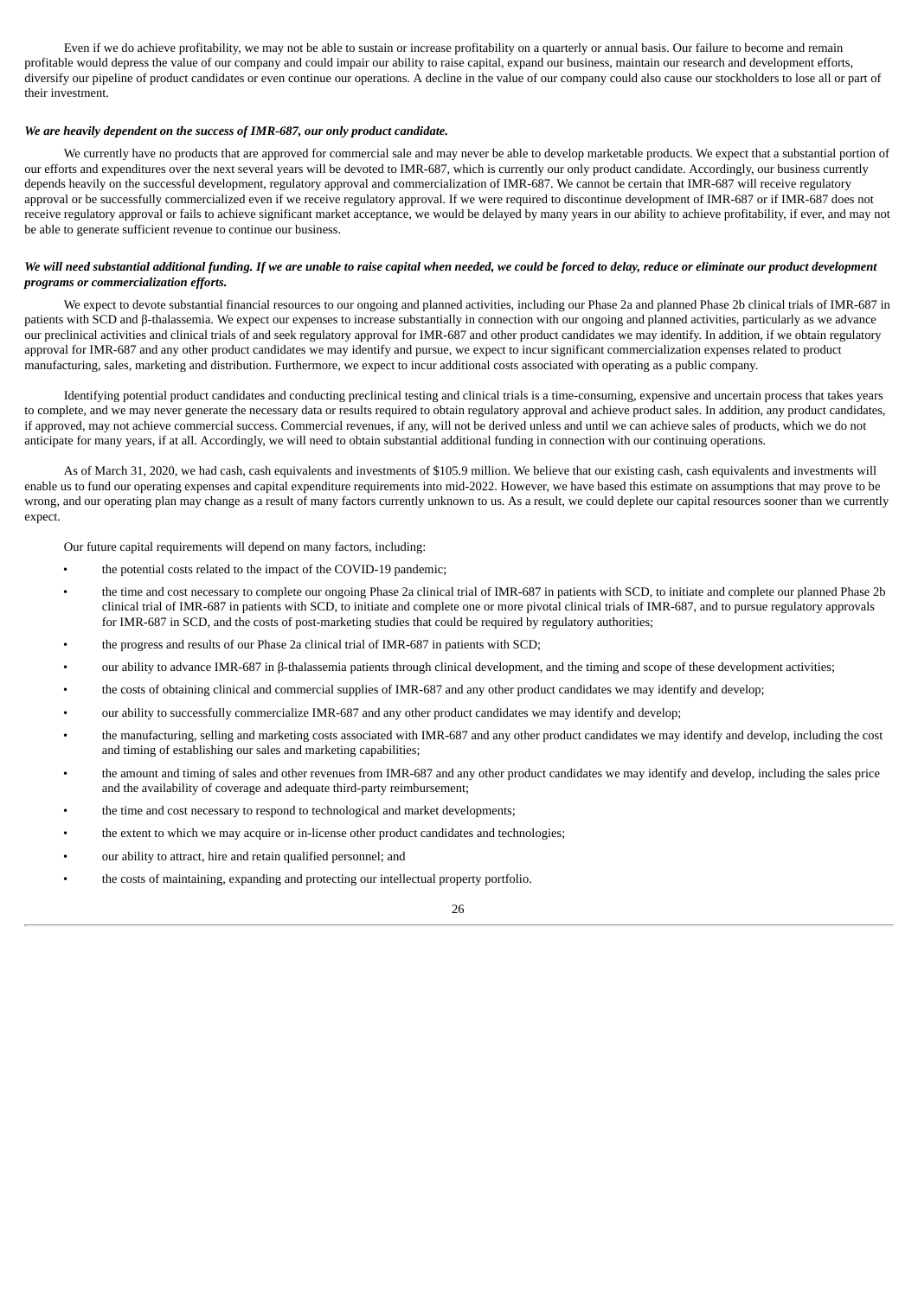Even if we do achieve profitability, we may not be able to sustain or increase profitability on a quarterly or annual basis. Our failure to become and remain profitable would depress the value of our company and could impair our ability to raise capital, expand our business, maintain our research and development efforts, diversify our pipeline of product candidates or even continue our operations. A decline in the value of our company could also cause our stockholders to lose all or part of their investment.

#### *We are heavily dependent on the success of IMR-687, our only product candidate.*

We currently have no products that are approved for commercial sale and may never be able to develop marketable products. We expect that a substantial portion of our efforts and expenditures over the next several years will be devoted to IMR-687, which is currently our only product candidate. Accordingly, our business currently depends heavily on the successful development, regulatory approval and commercialization of IMR-687. We cannot be certain that IMR-687 will receive regulatory approval or be successfully commercialized even if we receive regulatory approval. If we were required to discontinue development of IMR-687 or if IMR-687 does not receive regulatory approval or fails to achieve significant market acceptance, we would be delayed by many years in our ability to achieve profitability, if ever, and may not be able to generate sufficient revenue to continue our business.

## We will need substantial additional funding. If we are unable to raise capital when needed, we could be forced to delay, reduce or eliminate our product development *programs or commercialization efforts.*

We expect to devote substantial financial resources to our ongoing and planned activities, including our Phase 2a and planned Phase 2b clinical trials of IMR-687 in patients with SCD and β-thalassemia. We expect our expenses to increase substantially in connection with our ongoing and planned activities, particularly as we advance our preclinical activities and clinical trials of and seek regulatory approval for IMR-687 and other product candidates we may identify. In addition, if we obtain regulatory approval for IMR-687 and any other product candidates we may identify and pursue, we expect to incur significant commercialization expenses related to product manufacturing, sales, marketing and distribution. Furthermore, we expect to incur additional costs associated with operating as a public company.

Identifying potential product candidates and conducting preclinical testing and clinical trials is a time-consuming, expensive and uncertain process that takes years to complete, and we may never generate the necessary data or results required to obtain regulatory approval and achieve product sales. In addition, any product candidates, if approved, may not achieve commercial success. Commercial revenues, if any, will not be derived unless and until we can achieve sales of products, which we do not anticipate for many years, if at all. Accordingly, we will need to obtain substantial additional funding in connection with our continuing operations.

As of March 31, 2020, we had cash, cash equivalents and investments of \$105.9 million. We believe that our existing cash, cash equivalents and investments will enable us to fund our operating expenses and capital expenditure requirements into mid-2022. However, we have based this estimate on assumptions that may prove to be wrong, and our operating plan may change as a result of many factors currently unknown to us. As a result, we could deplete our capital resources sooner than we currently expect.

Our future capital requirements will depend on many factors, including:

- the potential costs related to the impact of the COVID-19 pandemic;
- the time and cost necessary to complete our ongoing Phase 2a clinical trial of IMR-687 in patients with SCD, to initiate and complete our planned Phase 2b clinical trial of IMR-687 in patients with SCD, to initiate and complete one or more pivotal clinical trials of IMR-687, and to pursue regulatory approvals for IMR-687 in SCD, and the costs of post-marketing studies that could be required by regulatory authorities;
- the progress and results of our Phase 2a clinical trial of IMR-687 in patients with SCD;
- our ability to advance IMR-687 in β-thalassemia patients through clinical development, and the timing and scope of these development activities;
- the costs of obtaining clinical and commercial supplies of IMR-687 and any other product candidates we may identify and develop;
- our ability to successfully commercialize IMR-687 and any other product candidates we may identify and develop;
- the manufacturing, selling and marketing costs associated with IMR-687 and any other product candidates we may identify and develop, including the cost and timing of establishing our sales and marketing capabilities;
- the amount and timing of sales and other revenues from IMR-687 and any other product candidates we may identify and develop, including the sales price and the availability of coverage and adequate third-party reimbursement;
- the time and cost necessary to respond to technological and market developments;
- the extent to which we may acquire or in-license other product candidates and technologies;
- our ability to attract, hire and retain qualified personnel; and
- the costs of maintaining, expanding and protecting our intellectual property portfolio.

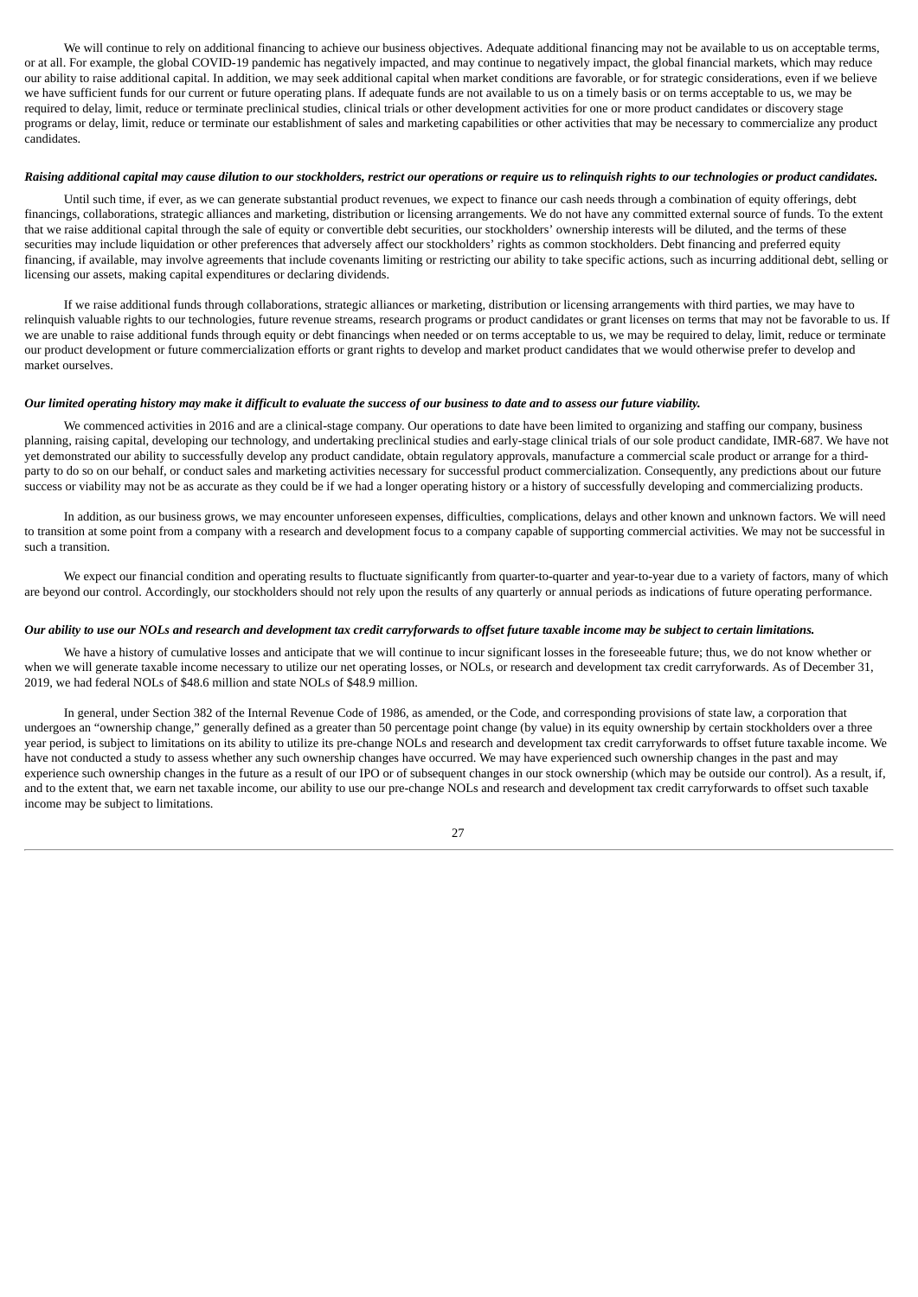We will continue to rely on additional financing to achieve our business objectives. Adequate additional financing may not be available to us on acceptable terms, or at all. For example, the global COVID-19 pandemic has negatively impacted, and may continue to negatively impact, the global financial markets, which may reduce our ability to raise additional capital. In addition, we may seek additional capital when market conditions are favorable, or for strategic considerations, even if we believe we have sufficient funds for our current or future operating plans. If adequate funds are not available to us on a timely basis or on terms acceptable to us, we may be required to delay, limit, reduce or terminate preclinical studies, clinical trials or other development activities for one or more product candidates or discovery stage programs or delay, limit, reduce or terminate our establishment of sales and marketing capabilities or other activities that may be necessary to commercialize any product candidates.

# Raising additional capital may cause dilution to our stockholders, restrict our operations or require us to relinguish rights to our technologies or product candidates.

Until such time, if ever, as we can generate substantial product revenues, we expect to finance our cash needs through a combination of equity offerings, debt financings, collaborations, strategic alliances and marketing, distribution or licensing arrangements. We do not have any committed external source of funds. To the extent that we raise additional capital through the sale of equity or convertible debt securities, our stockholders' ownership interests will be diluted, and the terms of these securities may include liquidation or other preferences that adversely affect our stockholders' rights as common stockholders. Debt financing and preferred equity financing, if available, may involve agreements that include covenants limiting or restricting our ability to take specific actions, such as incurring additional debt, selling or licensing our assets, making capital expenditures or declaring dividends.

If we raise additional funds through collaborations, strategic alliances or marketing, distribution or licensing arrangements with third parties, we may have to relinquish valuable rights to our technologies, future revenue streams, research programs or product candidates or grant licenses on terms that may not be favorable to us. If we are unable to raise additional funds through equity or debt financings when needed or on terms acceptable to us, we may be required to delay, limit, reduce or terminate our product development or future commercialization efforts or grant rights to develop and market product candidates that we would otherwise prefer to develop and market ourselves.

# Our limited operating history may make it difficult to evaluate the success of our business to date and to assess our future viability.

We commenced activities in 2016 and are a clinical-stage company. Our operations to date have been limited to organizing and staffing our company, business planning, raising capital, developing our technology, and undertaking preclinical studies and early-stage clinical trials of our sole product candidate, IMR-687. We have not yet demonstrated our ability to successfully develop any product candidate, obtain regulatory approvals, manufacture a commercial scale product or arrange for a thirdparty to do so on our behalf, or conduct sales and marketing activities necessary for successful product commercialization. Consequently, any predictions about our future success or viability may not be as accurate as they could be if we had a longer operating history or a history of successfully developing and commercializing products.

In addition, as our business grows, we may encounter unforeseen expenses, difficulties, complications, delays and other known and unknown factors. We will need to transition at some point from a company with a research and development focus to a company capable of supporting commercial activities. We may not be successful in such a transition.

We expect our financial condition and operating results to fluctuate significantly from quarter-to-quarter and year-to-year due to a variety of factors, many of which are beyond our control. Accordingly, our stockholders should not rely upon the results of any quarterly or annual periods as indications of future operating performance.

#### Our ability to use our NOLs and research and development tax credit carryforwards to offset future taxable income may be subject to certain limitations.

We have a history of cumulative losses and anticipate that we will continue to incur significant losses in the foreseeable future; thus, we do not know whether or when we will generate taxable income necessary to utilize our net operating losses, or NOLs, or research and development tax credit carryforwards. As of December 31, 2019, we had federal NOLs of \$48.6 million and state NOLs of \$48.9 million.

In general, under Section 382 of the Internal Revenue Code of 1986, as amended, or the Code, and corresponding provisions of state law, a corporation that undergoes an "ownership change," generally defined as a greater than 50 percentage point change (by value) in its equity ownership by certain stockholders over a three year period, is subject to limitations on its ability to utilize its pre-change NOLs and research and development tax credit carryforwards to offset future taxable income. We have not conducted a study to assess whether any such ownership changes have occurred. We may have experienced such ownership changes in the past and may experience such ownership changes in the future as a result of our IPO or of subsequent changes in our stock ownership (which may be outside our control). As a result, if, and to the extent that, we earn net taxable income, our ability to use our pre-change NOLs and research and development tax credit carryforwards to offset such taxable income may be subject to limitations.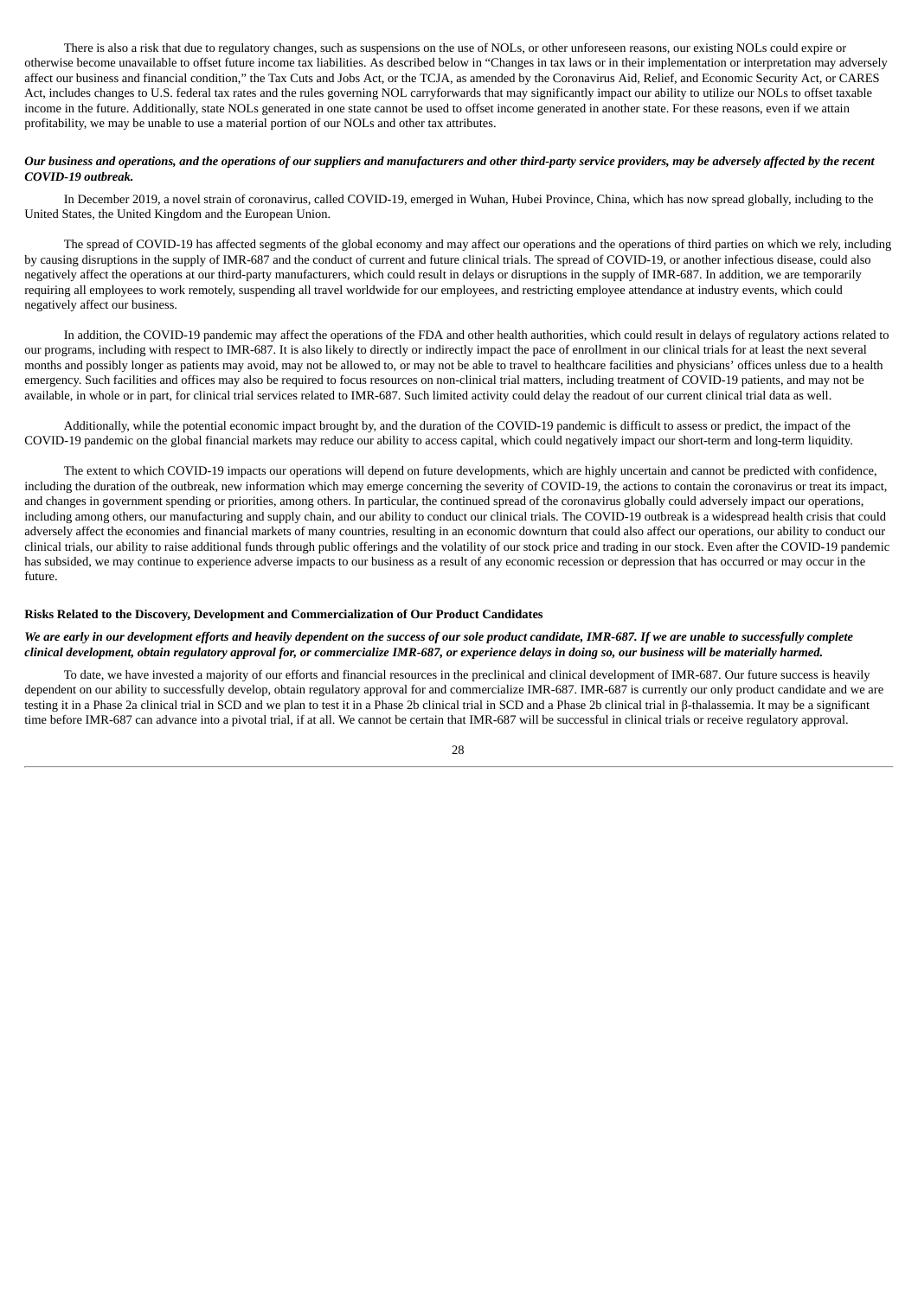There is also a risk that due to regulatory changes, such as suspensions on the use of NOLs, or other unforeseen reasons, our existing NOLs could expire or otherwise become unavailable to offset future income tax liabilities. As described below in "Changes in tax laws or in their implementation or interpretation may adversely affect our business and financial condition," the Tax Cuts and Jobs Act, or the TCJA, as amended by the Coronavirus Aid, Relief, and Economic Security Act, or CARES Act, includes changes to U.S. federal tax rates and the rules governing NOL carryforwards that may significantly impact our ability to utilize our NOLs to offset taxable income in the future. Additionally, state NOLs generated in one state cannot be used to offset income generated in another state. For these reasons, even if we attain profitability, we may be unable to use a material portion of our NOLs and other tax attributes.

# Our business and operations, and the operations of our suppliers and manufacturers and other third-party service providers, may be adversely affected by the recent *COVID-19 outbreak.*

In December 2019, a novel strain of coronavirus, called COVID-19, emerged in Wuhan, Hubei Province, China, which has now spread globally, including to the United States, the United Kingdom and the European Union.

The spread of COVID-19 has affected segments of the global economy and may affect our operations and the operations of third parties on which we rely, including by causing disruptions in the supply of IMR-687 and the conduct of current and future clinical trials. The spread of COVID-19, or another infectious disease, could also negatively affect the operations at our third-party manufacturers, which could result in delays or disruptions in the supply of IMR-687. In addition, we are temporarily requiring all employees to work remotely, suspending all travel worldwide for our employees, and restricting employee attendance at industry events, which could negatively affect our business.

In addition, the COVID-19 pandemic may affect the operations of the FDA and other health authorities, which could result in delays of regulatory actions related to our programs, including with respect to IMR-687. It is also likely to directly or indirectly impact the pace of enrollment in our clinical trials for at least the next several months and possibly longer as patients may avoid, may not be allowed to, or may not be able to travel to healthcare facilities and physicians' offices unless due to a health emergency. Such facilities and offices may also be required to focus resources on non-clinical trial matters, including treatment of COVID-19 patients, and may not be available, in whole or in part, for clinical trial services related to IMR-687. Such limited activity could delay the readout of our current clinical trial data as well.

Additionally, while the potential economic impact brought by, and the duration of the COVID-19 pandemic is difficult to assess or predict, the impact of the COVID-19 pandemic on the global financial markets may reduce our ability to access capital, which could negatively impact our short-term and long-term liquidity.

The extent to which COVID-19 impacts our operations will depend on future developments, which are highly uncertain and cannot be predicted with confidence, including the duration of the outbreak, new information which may emerge concerning the severity of COVID-19, the actions to contain the coronavirus or treat its impact, and changes in government spending or priorities, among others. In particular, the continued spread of the coronavirus globally could adversely impact our operations, including among others, our manufacturing and supply chain, and our ability to conduct our clinical trials. The COVID-19 outbreak is a widespread health crisis that could adversely affect the economies and financial markets of many countries, resulting in an economic downturn that could also affect our operations, our ability to conduct our clinical trials, our ability to raise additional funds through public offerings and the volatility of our stock price and trading in our stock. Even after the COVID-19 pandemic has subsided, we may continue to experience adverse impacts to our business as a result of any economic recession or depression that has occurred or may occur in the future.

# **Risks Related to the Discovery, Development and Commercialization of Our Product Candidates**

# We are early in our development efforts and heavily dependent on the success of our sole product candidate. IMR-687. If we are unable to successfully complete clinical development, obtain regulatory approval for, or commercialize IMR-687, or experience delays in doing so, our business will be materially harmed.

To date, we have invested a majority of our efforts and financial resources in the preclinical and clinical development of IMR-687. Our future success is heavily dependent on our ability to successfully develop, obtain regulatory approval for and commercialize IMR-687. IMR-687 is currently our only product candidate and we are testing it in a Phase 2a clinical trial in SCD and we plan to test it in a Phase 2b clinical trial in SCD and a Phase 2b clinical trial in β-thalassemia. It may be a significant time before IMR-687 can advance into a pivotal trial, if at all. We cannot be certain that IMR-687 will be successful in clinical trials or receive regulatory approval.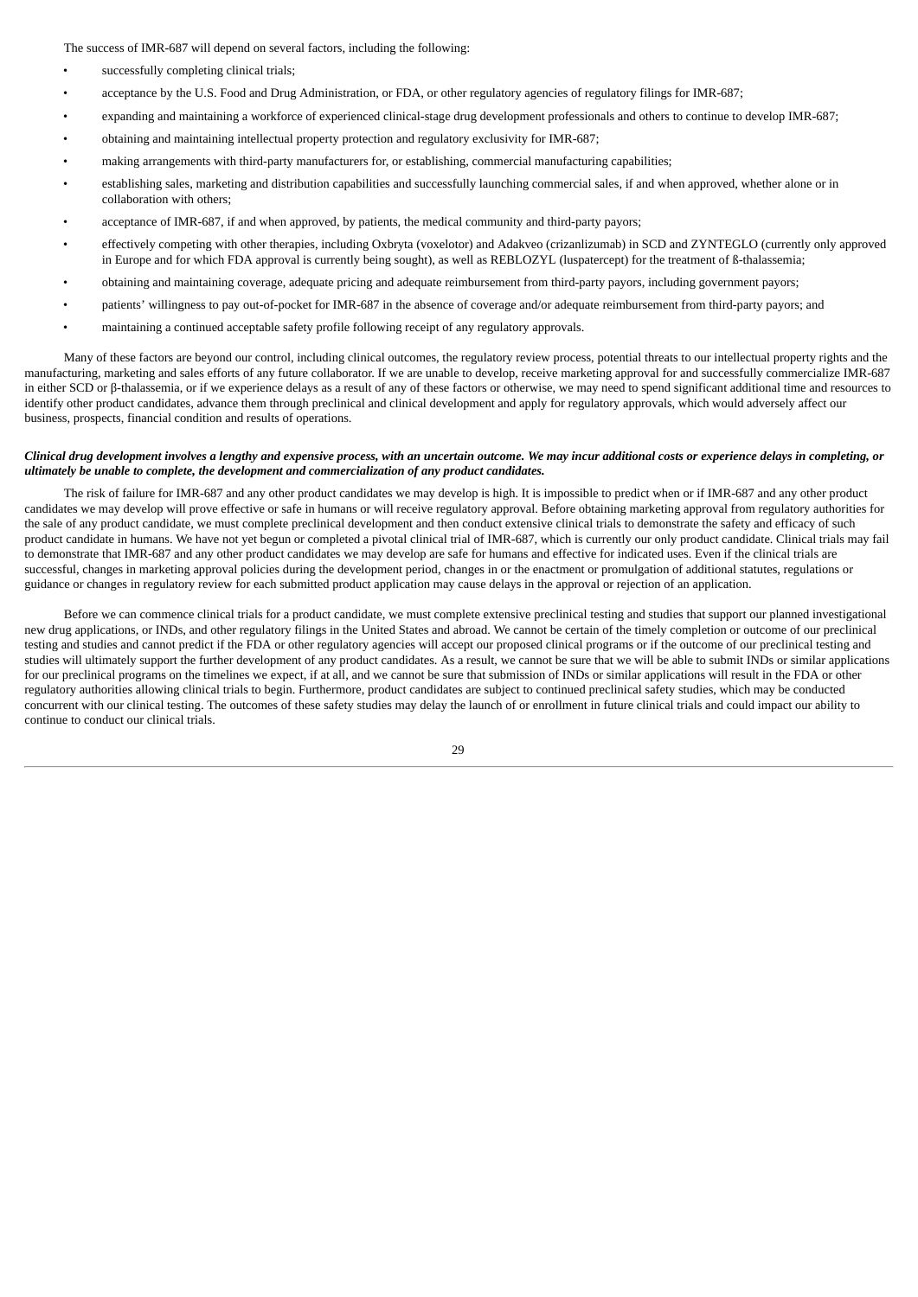The success of IMR-687 will depend on several factors, including the following:

- successfully completing clinical trials;
- acceptance by the U.S. Food and Drug Administration, or FDA, or other regulatory agencies of regulatory filings for IMR-687;
- expanding and maintaining a workforce of experienced clinical-stage drug development professionals and others to continue to develop IMR-687;
- obtaining and maintaining intellectual property protection and regulatory exclusivity for IMR-687;
- making arrangements with third-party manufacturers for, or establishing, commercial manufacturing capabilities;
- establishing sales, marketing and distribution capabilities and successfully launching commercial sales, if and when approved, whether alone or in collaboration with others;
- acceptance of IMR-687, if and when approved, by patients, the medical community and third-party payors;
- effectively competing with other therapies, including Oxbryta (voxelotor) and Adakveo (crizanlizumab) in SCD and ZYNTEGLO (currently only approved in Europe and for which FDA approval is currently being sought), as well as REBLOZYL (luspatercept) for the treatment of ß-thalassemia;
- obtaining and maintaining coverage, adequate pricing and adequate reimbursement from third-party payors, including government payors;
- patients' willingness to pay out-of-pocket for IMR-687 in the absence of coverage and/or adequate reimbursement from third-party payors; and
- maintaining a continued acceptable safety profile following receipt of any regulatory approvals.

Many of these factors are beyond our control, including clinical outcomes, the regulatory review process, potential threats to our intellectual property rights and the manufacturing, marketing and sales efforts of any future collaborator. If we are unable to develop, receive marketing approval for and successfully commercialize IMR-687 in either SCD or β-thalassemia, or if we experience delays as a result of any of these factors or otherwise, we may need to spend significant additional time and resources to identify other product candidates, advance them through preclinical and clinical development and apply for regulatory approvals, which would adversely affect our business, prospects, financial condition and results of operations.

### Clinical drua development involves a lenathy and expensive process, with an uncertain outcome. We may incur additional costs or experience delays in completina, or *ultimately be unable to complete, the development and commercialization of any product candidates.*

The risk of failure for IMR-687 and any other product candidates we may develop is high. It is impossible to predict when or if IMR-687 and any other product candidates we may develop will prove effective or safe in humans or will receive regulatory approval. Before obtaining marketing approval from regulatory authorities for the sale of any product candidate, we must complete preclinical development and then conduct extensive clinical trials to demonstrate the safety and efficacy of such product candidate in humans. We have not yet begun or completed a pivotal clinical trial of IMR-687, which is currently our only product candidate. Clinical trials may fail to demonstrate that IMR-687 and any other product candidates we may develop are safe for humans and effective for indicated uses. Even if the clinical trials are successful, changes in marketing approval policies during the development period, changes in or the enactment or promulgation of additional statutes, regulations or guidance or changes in regulatory review for each submitted product application may cause delays in the approval or rejection of an application.

Before we can commence clinical trials for a product candidate, we must complete extensive preclinical testing and studies that support our planned investigational new drug applications, or INDs, and other regulatory filings in the United States and abroad. We cannot be certain of the timely completion or outcome of our preclinical testing and studies and cannot predict if the FDA or other regulatory agencies will accept our proposed clinical programs or if the outcome of our preclinical testing and studies will ultimately support the further development of any product candidates. As a result, we cannot be sure that we will be able to submit INDs or similar applications for our preclinical programs on the timelines we expect, if at all, and we cannot be sure that submission of INDs or similar applications will result in the FDA or other regulatory authorities allowing clinical trials to begin. Furthermore, product candidates are subject to continued preclinical safety studies, which may be conducted concurrent with our clinical testing. The outcomes of these safety studies may delay the launch of or enrollment in future clinical trials and could impact our ability to continue to conduct our clinical trials.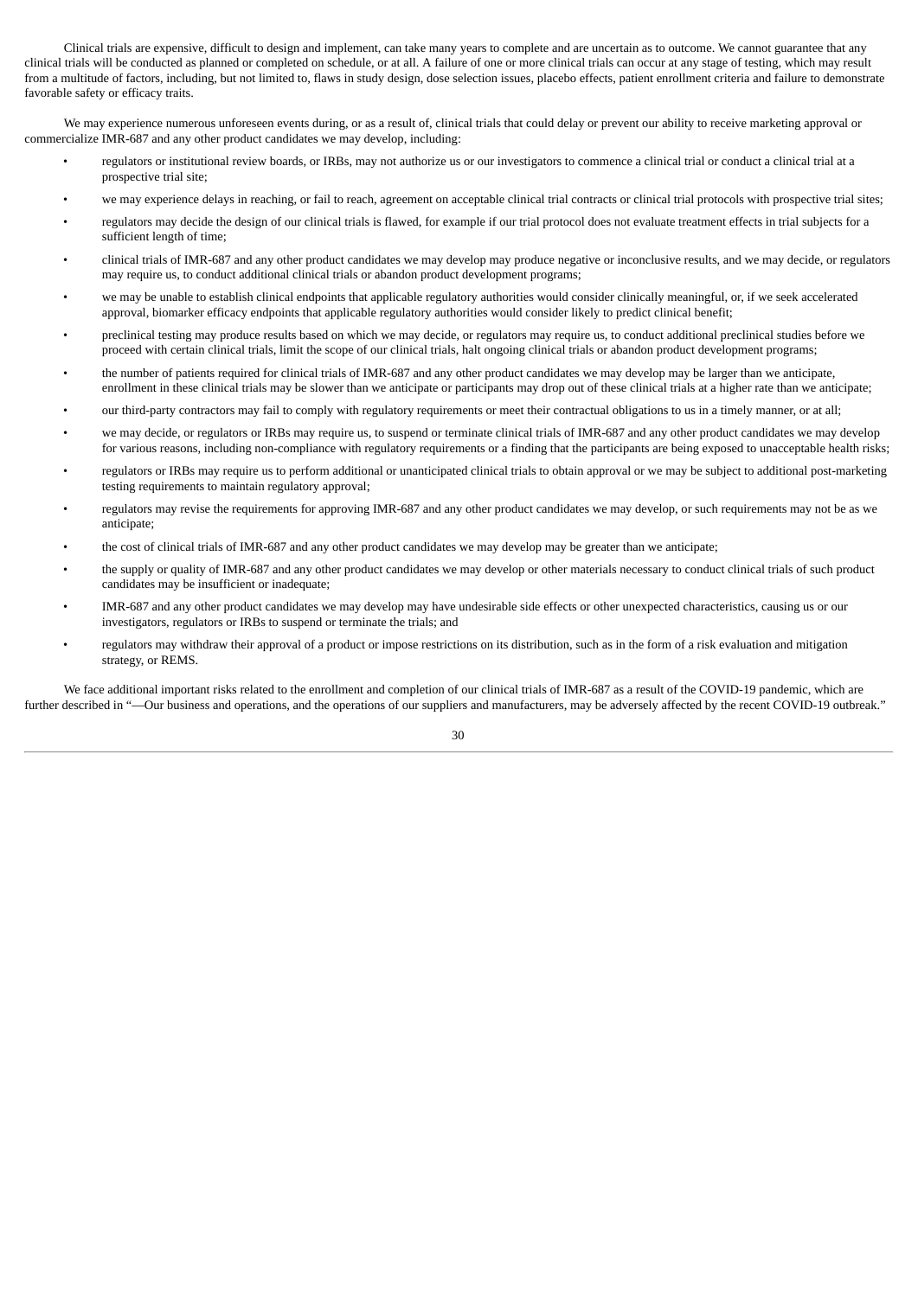Clinical trials are expensive, difficult to design and implement, can take many years to complete and are uncertain as to outcome. We cannot guarantee that any clinical trials will be conducted as planned or completed on schedule, or at all. A failure of one or more clinical trials can occur at any stage of testing, which may result from a multitude of factors, including, but not limited to, flaws in study design, dose selection issues, placebo effects, patient enrollment criteria and failure to demonstrate favorable safety or efficacy traits.

We may experience numerous unforeseen events during, or as a result of, clinical trials that could delay or prevent our ability to receive marketing approval or commercialize IMR-687 and any other product candidates we may develop, including:

- regulators or institutional review boards, or IRBs, may not authorize us or our investigators to commence a clinical trial or conduct a clinical trial at a prospective trial site;
- we may experience delays in reaching, or fail to reach, agreement on acceptable clinical trial contracts or clinical trial protocols with prospective trial sites;
- regulators may decide the design of our clinical trials is flawed, for example if our trial protocol does not evaluate treatment effects in trial subjects for a sufficient length of time;
- clinical trials of IMR-687 and any other product candidates we may develop may produce negative or inconclusive results, and we may decide, or regulators may require us, to conduct additional clinical trials or abandon product development programs;
- we may be unable to establish clinical endpoints that applicable regulatory authorities would consider clinically meaningful, or, if we seek accelerated approval, biomarker efficacy endpoints that applicable regulatory authorities would consider likely to predict clinical benefit;
- preclinical testing may produce results based on which we may decide, or regulators may require us, to conduct additional preclinical studies before we proceed with certain clinical trials, limit the scope of our clinical trials, halt ongoing clinical trials or abandon product development programs;
- the number of patients required for clinical trials of IMR-687 and any other product candidates we may develop may be larger than we anticipate, enrollment in these clinical trials may be slower than we anticipate or participants may drop out of these clinical trials at a higher rate than we anticipate;
- our third-party contractors may fail to comply with regulatory requirements or meet their contractual obligations to us in a timely manner, or at all;
- we may decide, or regulators or IRBs may require us, to suspend or terminate clinical trials of IMR-687 and any other product candidates we may develop for various reasons, including non-compliance with regulatory requirements or a finding that the participants are being exposed to unacceptable health risks;
- regulators or IRBs may require us to perform additional or unanticipated clinical trials to obtain approval or we may be subject to additional post-marketing testing requirements to maintain regulatory approval;
- regulators may revise the requirements for approving IMR-687 and any other product candidates we may develop, or such requirements may not be as we anticipate;
- the cost of clinical trials of IMR-687 and any other product candidates we may develop may be greater than we anticipate;
- the supply or quality of IMR-687 and any other product candidates we may develop or other materials necessary to conduct clinical trials of such product candidates may be insufficient or inadequate;
- IMR-687 and any other product candidates we may develop may have undesirable side effects or other unexpected characteristics, causing us or our investigators, regulators or IRBs to suspend or terminate the trials; and
- regulators may withdraw their approval of a product or impose restrictions on its distribution, such as in the form of a risk evaluation and mitigation strategy, or REMS.

We face additional important risks related to the enrollment and completion of our clinical trials of IMR-687 as a result of the COVID-19 pandemic, which are further described in "—Our business and operations, and the operations of our suppliers and manufacturers, may be adversely affected by the recent COVID-19 outbreak."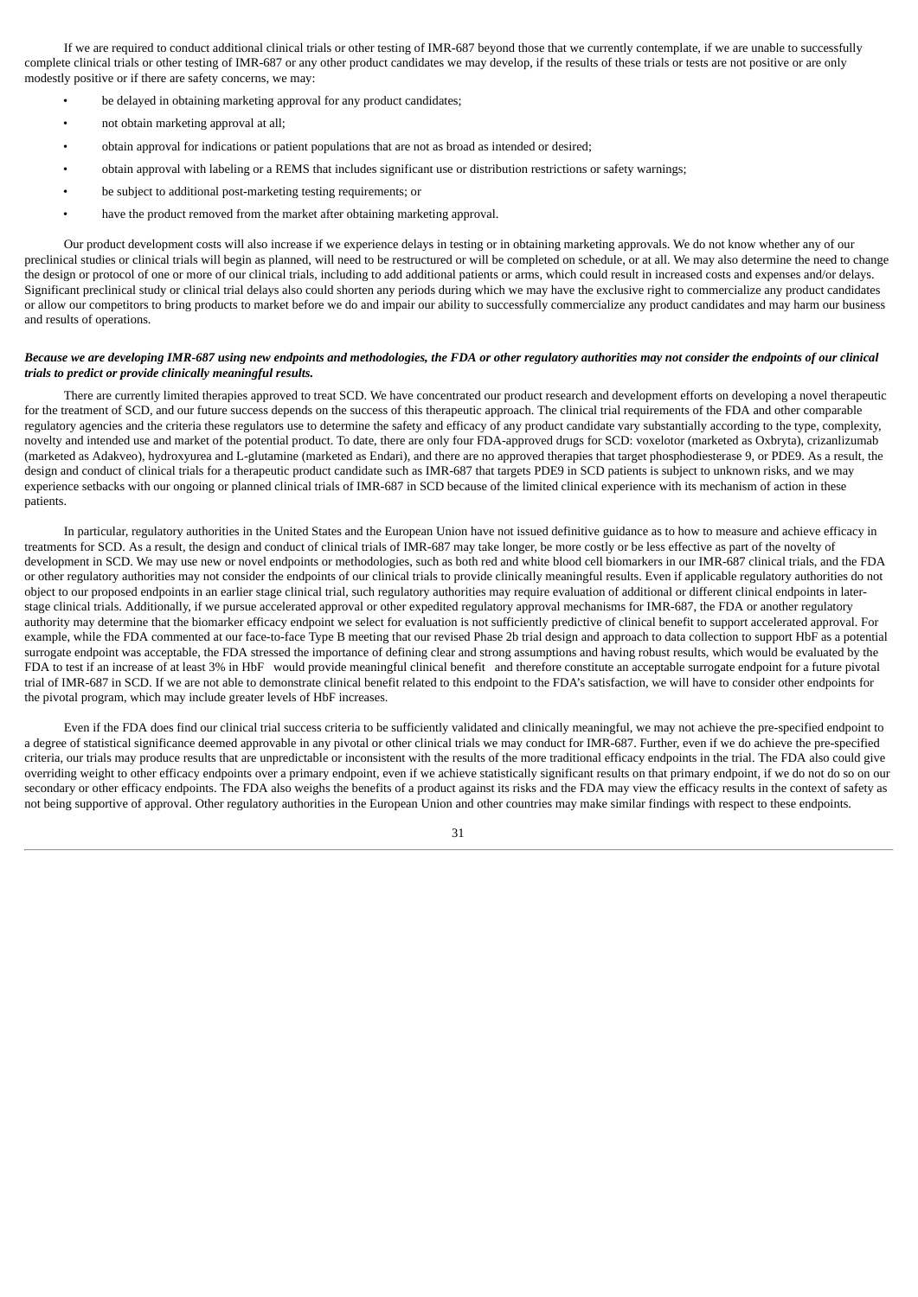If we are required to conduct additional clinical trials or other testing of IMR-687 beyond those that we currently contemplate, if we are unable to successfully complete clinical trials or other testing of IMR-687 or any other product candidates we may develop, if the results of these trials or tests are not positive or are only modestly positive or if there are safety concerns, we may:

- be delayed in obtaining marketing approval for any product candidates;
- not obtain marketing approval at all;
- obtain approval for indications or patient populations that are not as broad as intended or desired;
- obtain approval with labeling or a REMS that includes significant use or distribution restrictions or safety warnings;
- be subject to additional post-marketing testing requirements; or
- have the product removed from the market after obtaining marketing approval.

Our product development costs will also increase if we experience delays in testing or in obtaining marketing approvals. We do not know whether any of our preclinical studies or clinical trials will begin as planned, will need to be restructured or will be completed on schedule, or at all. We may also determine the need to change the design or protocol of one or more of our clinical trials, including to add additional patients or arms, which could result in increased costs and expenses and/or delays. Significant preclinical study or clinical trial delays also could shorten any periods during which we may have the exclusive right to commercialize any product candidates or allow our competitors to bring products to market before we do and impair our ability to successfully commercialize any product candidates and may harm our business and results of operations.

#### Because we are developing IMR-687 using new endpoints and methodologies, the FDA or other regulatory authorities may not consider the endpoints of our clinical *trials to predict or provide clinically meaningful results.*

There are currently limited therapies approved to treat SCD. We have concentrated our product research and development efforts on developing a novel therapeutic for the treatment of SCD, and our future success depends on the success of this therapeutic approach. The clinical trial requirements of the FDA and other comparable regulatory agencies and the criteria these regulators use to determine the safety and efficacy of any product candidate vary substantially according to the type, complexity, novelty and intended use and market of the potential product. To date, there are only four FDA-approved drugs for SCD: voxelotor (marketed as Oxbryta), crizanlizumab (marketed as Adakveo), hydroxyurea and L-glutamine (marketed as Endari), and there are no approved therapies that target phosphodiesterase 9, or PDE9. As a result, the design and conduct of clinical trials for a therapeutic product candidate such as IMR-687 that targets PDE9 in SCD patients is subject to unknown risks, and we may experience setbacks with our ongoing or planned clinical trials of IMR-687 in SCD because of the limited clinical experience with its mechanism of action in these patients.

In particular, regulatory authorities in the United States and the European Union have not issued definitive guidance as to how to measure and achieve efficacy in treatments for SCD. As a result, the design and conduct of clinical trials of IMR-687 may take longer, be more costly or be less effective as part of the novelty of development in SCD. We may use new or novel endpoints or methodologies, such as both red and white blood cell biomarkers in our IMR-687 clinical trials, and the FDA or other regulatory authorities may not consider the endpoints of our clinical trials to provide clinically meaningful results. Even if applicable regulatory authorities do not object to our proposed endpoints in an earlier stage clinical trial, such regulatory authorities may require evaluation of additional or different clinical endpoints in laterstage clinical trials. Additionally, if we pursue accelerated approval or other expedited regulatory approval mechanisms for IMR-687, the FDA or another regulatory authority may determine that the biomarker efficacy endpoint we select for evaluation is not sufficiently predictive of clinical benefit to support accelerated approval. For example, while the FDA commented at our face-to-face Type B meeting that our revised Phase 2b trial design and approach to data collection to support HbF as a potential surrogate endpoint was acceptable, the FDA stressed the importance of defining clear and strong assumptions and having robust results, which would be evaluated by the FDA to test if an increase of at least 3% in HbF would provide meaningful clinical benefit and therefore constitute an acceptable surrogate endpoint for a future pivotal trial of IMR-687 in SCD. If we are not able to demonstrate clinical benefit related to this endpoint to the FDA's satisfaction, we will have to consider other endpoints for the pivotal program, which may include greater levels of HbF increases.

Even if the FDA does find our clinical trial success criteria to be sufficiently validated and clinically meaningful, we may not achieve the pre-specified endpoint to a degree of statistical significance deemed approvable in any pivotal or other clinical trials we may conduct for IMR-687. Further, even if we do achieve the pre-specified criteria, our trials may produce results that are unpredictable or inconsistent with the results of the more traditional efficacy endpoints in the trial. The FDA also could give overriding weight to other efficacy endpoints over a primary endpoint, even if we achieve statistically significant results on that primary endpoint, if we do not do so on our secondary or other efficacy endpoints. The FDA also weighs the benefits of a product against its risks and the FDA may view the efficacy results in the context of safety as not being supportive of approval. Other regulatory authorities in the European Union and other countries may make similar findings with respect to these endpoints.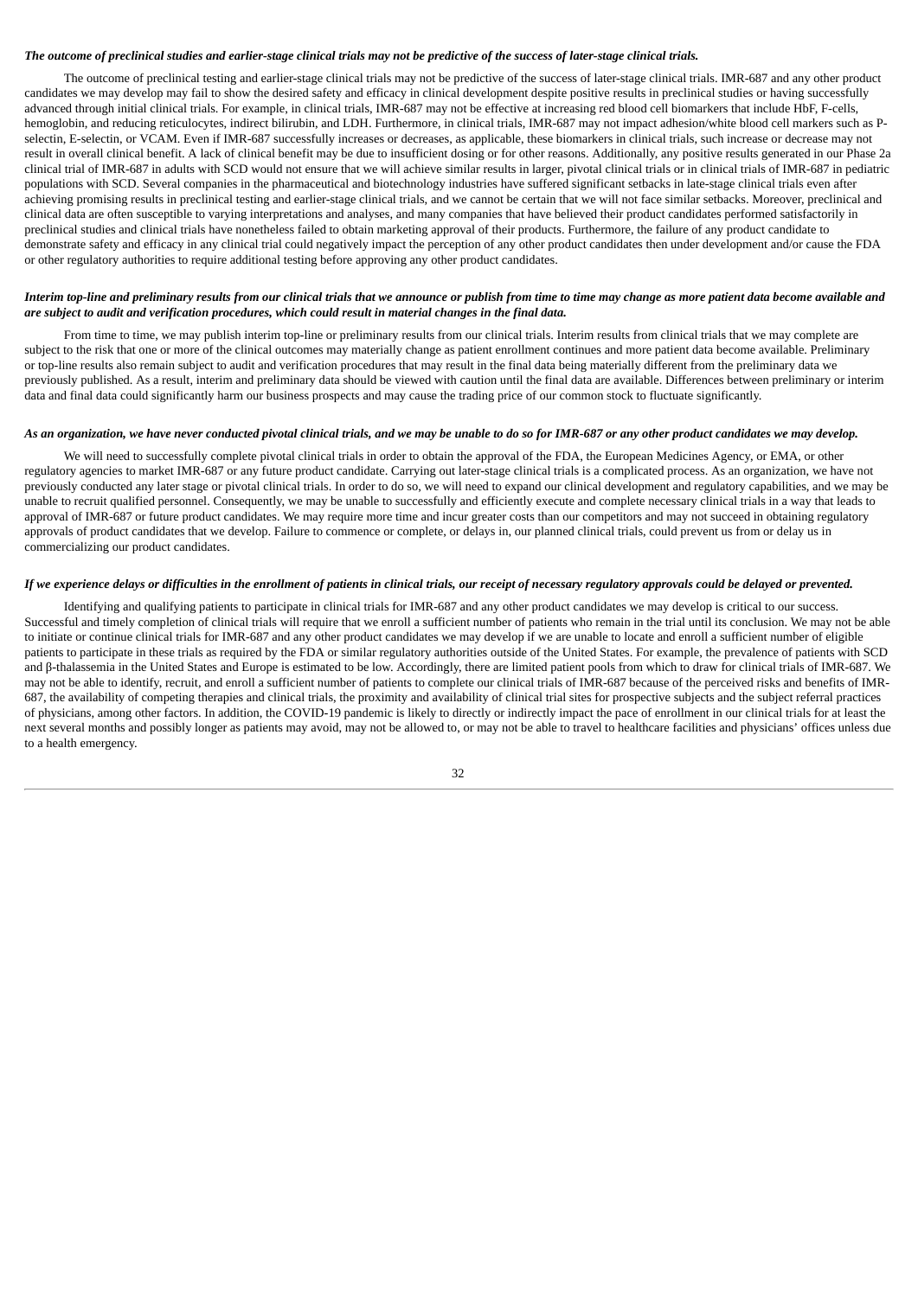#### The outcome of preclinical studies and earlier-stage clinical trials may not be predictive of the success of later-stage clinical trials.

The outcome of preclinical testing and earlier-stage clinical trials may not be predictive of the success of later-stage clinical trials. IMR-687 and any other product candidates we may develop may fail to show the desired safety and efficacy in clinical development despite positive results in preclinical studies or having successfully advanced through initial clinical trials. For example, in clinical trials, IMR-687 may not be effective at increasing red blood cell biomarkers that include HbF, F-cells, hemoglobin, and reducing reticulocytes, indirect bilirubin, and LDH. Furthermore, in clinical trials, IMR-687 may not impact adhesion/white blood cell markers such as Pselectin, E-selectin, or VCAM. Even if IMR-687 successfully increases or decreases, as applicable, these biomarkers in clinical trials, such increase or decrease may not result in overall clinical benefit. A lack of clinical benefit may be due to insufficient dosing or for other reasons. Additionally, any positive results generated in our Phase 2a clinical trial of IMR-687 in adults with SCD would not ensure that we will achieve similar results in larger, pivotal clinical trials or in clinical trials of IMR-687 in pediatric populations with SCD. Several companies in the pharmaceutical and biotechnology industries have suffered significant setbacks in late-stage clinical trials even after achieving promising results in preclinical testing and earlier-stage clinical trials, and we cannot be certain that we will not face similar setbacks. Moreover, preclinical and clinical data are often susceptible to varying interpretations and analyses, and many companies that have believed their product candidates performed satisfactorily in preclinical studies and clinical trials have nonetheless failed to obtain marketing approval of their products. Furthermore, the failure of any product candidate to demonstrate safety and efficacy in any clinical trial could negatively impact the perception of any other product candidates then under development and/or cause the FDA or other regulatory authorities to require additional testing before approving any other product candidates.

### Interim top-line and preliminary results from our clinical trials that we announce or publish from time to time may change as more patient data become available and are subject to audit and verification procedures, which could result in material changes in the final data.

From time to time, we may publish interim top-line or preliminary results from our clinical trials. Interim results from clinical trials that we may complete are subject to the risk that one or more of the clinical outcomes may materially change as patient enrollment continues and more patient data become available. Preliminary or top-line results also remain subject to audit and verification procedures that may result in the final data being materially different from the preliminary data we previously published. As a result, interim and preliminary data should be viewed with caution until the final data are available. Differences between preliminary or interim data and final data could significantly harm our business prospects and may cause the trading price of our common stock to fluctuate significantly.

# As an organization, we have never conducted pivotal clinical trials, and we may be unable to do so for IMR-687 or any other product candidates we may develop.

We will need to successfully complete pivotal clinical trials in order to obtain the approval of the FDA, the European Medicines Agency, or EMA, or other regulatory agencies to market IMR-687 or any future product candidate. Carrying out later-stage clinical trials is a complicated process. As an organization, we have not previously conducted any later stage or pivotal clinical trials. In order to do so, we will need to expand our clinical development and regulatory capabilities, and we may be unable to recruit qualified personnel. Consequently, we may be unable to successfully and efficiently execute and complete necessary clinical trials in a way that leads to approval of IMR-687 or future product candidates. We may require more time and incur greater costs than our competitors and may not succeed in obtaining regulatory approvals of product candidates that we develop. Failure to commence or complete, or delays in, our planned clinical trials, could prevent us from or delay us in commercializing our product candidates.

# If we experience delays or difficulties in the enrollment of patients in clinical trials, our receipt of necessary regulatory approvals could be delayed or prevented.

Identifying and qualifying patients to participate in clinical trials for IMR-687 and any other product candidates we may develop is critical to our success. Successful and timely completion of clinical trials will require that we enroll a sufficient number of patients who remain in the trial until its conclusion. We may not be able to initiate or continue clinical trials for IMR-687 and any other product candidates we may develop if we are unable to locate and enroll a sufficient number of eligible patients to participate in these trials as required by the FDA or similar regulatory authorities outside of the United States. For example, the prevalence of patients with SCD and β-thalassemia in the United States and Europe is estimated to be low. Accordingly, there are limited patient pools from which to draw for clinical trials of IMR-687. We may not be able to identify, recruit, and enroll a sufficient number of patients to complete our clinical trials of IMR-687 because of the perceived risks and benefits of IMR-687, the availability of competing therapies and clinical trials, the proximity and availability of clinical trial sites for prospective subjects and the subject referral practices of physicians, among other factors. In addition, the COVID-19 pandemic is likely to directly or indirectly impact the pace of enrollment in our clinical trials for at least the next several months and possibly longer as patients may avoid, may not be allowed to, or may not be able to travel to healthcare facilities and physicians' offices unless due to a health emergency.

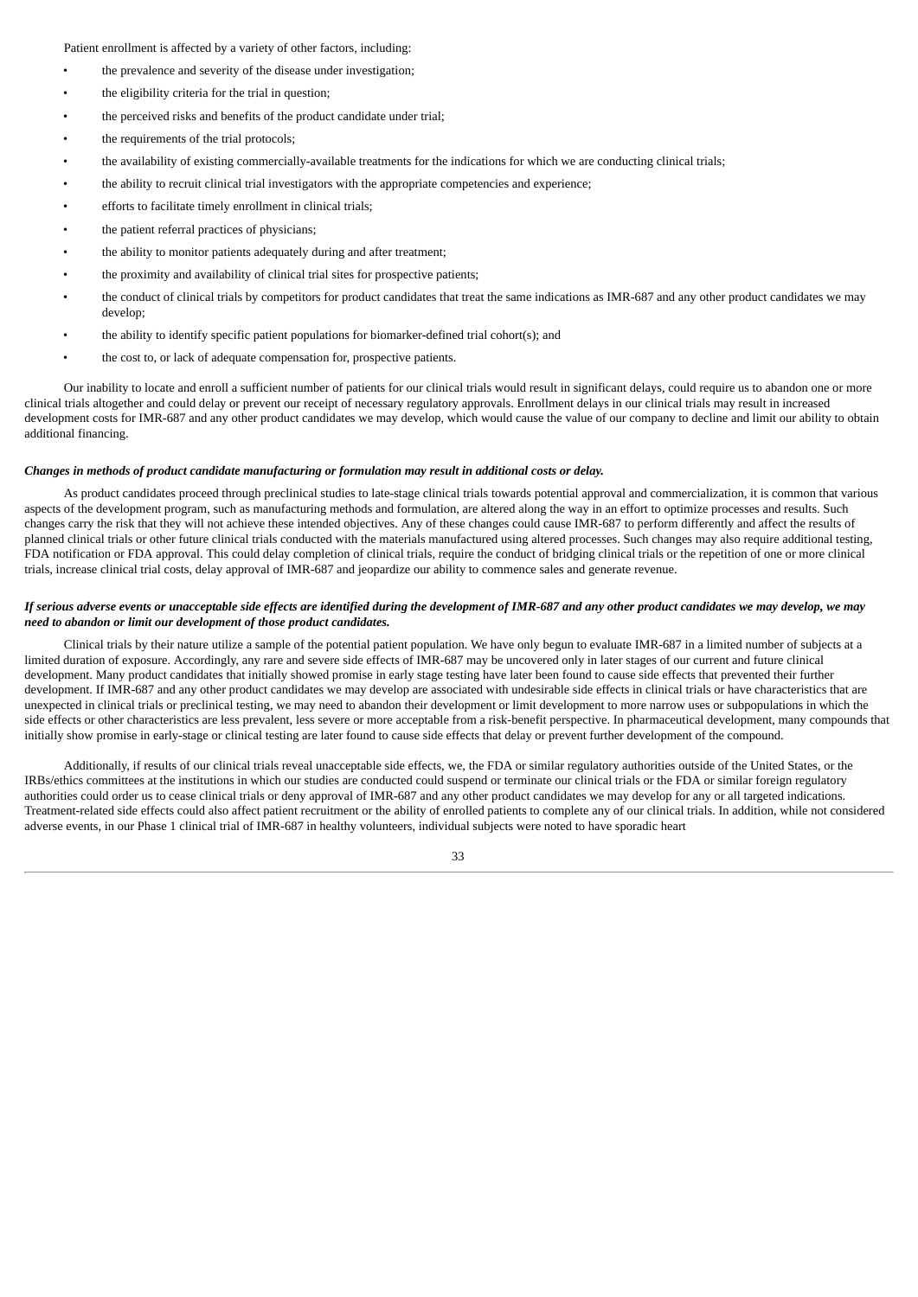Patient enrollment is affected by a variety of other factors, including:

- the prevalence and severity of the disease under investigation;
- the eligibility criteria for the trial in question;
- the perceived risks and benefits of the product candidate under trial;
- the requirements of the trial protocols;
- the availability of existing commercially-available treatments for the indications for which we are conducting clinical trials;
- the ability to recruit clinical trial investigators with the appropriate competencies and experience;
- efforts to facilitate timely enrollment in clinical trials;
- the patient referral practices of physicians;
- the ability to monitor patients adequately during and after treatment;
- the proximity and availability of clinical trial sites for prospective patients;
- the conduct of clinical trials by competitors for product candidates that treat the same indications as IMR-687 and any other product candidates we may develop;
- the ability to identify specific patient populations for biomarker-defined trial cohort(s); and
- the cost to, or lack of adequate compensation for, prospective patients.

Our inability to locate and enroll a sufficient number of patients for our clinical trials would result in significant delays, could require us to abandon one or more clinical trials altogether and could delay or prevent our receipt of necessary regulatory approvals. Enrollment delays in our clinical trials may result in increased development costs for IMR-687 and any other product candidates we may develop, which would cause the value of our company to decline and limit our ability to obtain additional financing.

#### *Changes in methods of product candidate manufacturing or formulation may result in additional costs or delay.*

As product candidates proceed through preclinical studies to late-stage clinical trials towards potential approval and commercialization, it is common that various aspects of the development program, such as manufacturing methods and formulation, are altered along the way in an effort to optimize processes and results. Such changes carry the risk that they will not achieve these intended objectives. Any of these changes could cause IMR-687 to perform differently and affect the results of planned clinical trials or other future clinical trials conducted with the materials manufactured using altered processes. Such changes may also require additional testing, FDA notification or FDA approval. This could delay completion of clinical trials, require the conduct of bridging clinical trials or the repetition of one or more clinical trials, increase clinical trial costs, delay approval of IMR-687 and jeopardize our ability to commence sales and generate revenue.

# If serious adverse events or unacceptable side effects are identified during the development of IMR-687 and any other product candidates we may develop, we may *need to abandon or limit our development of those product candidates.*

Clinical trials by their nature utilize a sample of the potential patient population. We have only begun to evaluate IMR-687 in a limited number of subjects at a limited duration of exposure. Accordingly, any rare and severe side effects of IMR-687 may be uncovered only in later stages of our current and future clinical development. Many product candidates that initially showed promise in early stage testing have later been found to cause side effects that prevented their further development. If IMR-687 and any other product candidates we may develop are associated with undesirable side effects in clinical trials or have characteristics that are unexpected in clinical trials or preclinical testing, we may need to abandon their development or limit development to more narrow uses or subpopulations in which the side effects or other characteristics are less prevalent, less severe or more acceptable from a risk-benefit perspective. In pharmaceutical development, many compounds that initially show promise in early-stage or clinical testing are later found to cause side effects that delay or prevent further development of the compound.

Additionally, if results of our clinical trials reveal unacceptable side effects, we, the FDA or similar regulatory authorities outside of the United States, or the IRBs/ethics committees at the institutions in which our studies are conducted could suspend or terminate our clinical trials or the FDA or similar foreign regulatory authorities could order us to cease clinical trials or deny approval of IMR-687 and any other product candidates we may develop for any or all targeted indications. Treatment-related side effects could also affect patient recruitment or the ability of enrolled patients to complete any of our clinical trials. In addition, while not considered adverse events, in our Phase 1 clinical trial of IMR-687 in healthy volunteers, individual subjects were noted to have sporadic heart

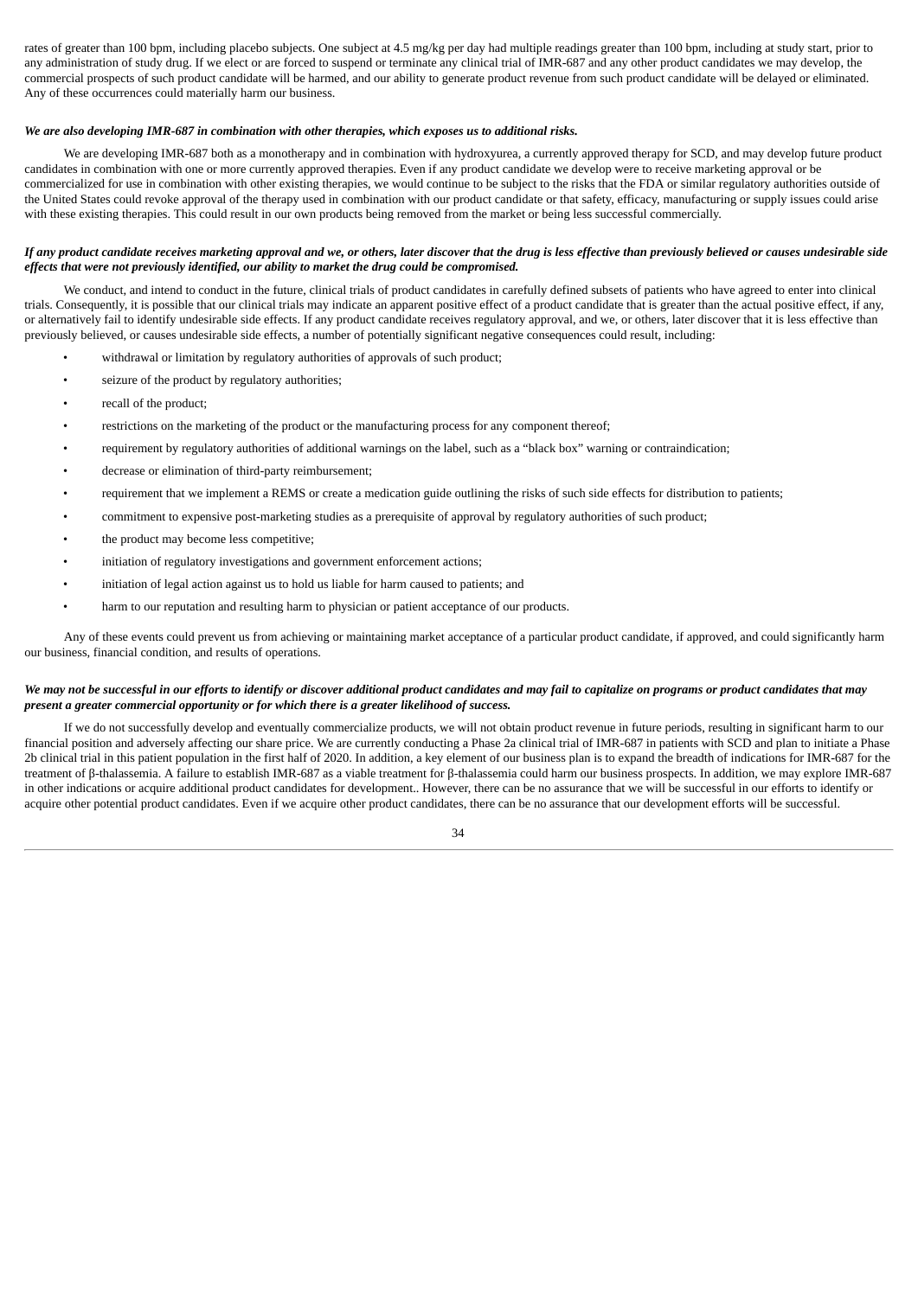rates of greater than 100 bpm, including placebo subjects. One subject at 4.5 mg/kg per day had multiple readings greater than 100 bpm, including at study start, prior to any administration of study drug. If we elect or are forced to suspend or terminate any clinical trial of IMR-687 and any other product candidates we may develop, the commercial prospects of such product candidate will be harmed, and our ability to generate product revenue from such product candidate will be delayed or eliminated. Any of these occurrences could materially harm our business.

#### *We are also developing IMR-687 in combination with other therapies, which exposes us to additional risks.*

We are developing IMR-687 both as a monotherapy and in combination with hydroxyurea, a currently approved therapy for SCD, and may develop future product candidates in combination with one or more currently approved therapies. Even if any product candidate we develop were to receive marketing approval or be commercialized for use in combination with other existing therapies, we would continue to be subject to the risks that the FDA or similar regulatory authorities outside of the United States could revoke approval of the therapy used in combination with our product candidate or that safety, efficacy, manufacturing or supply issues could arise with these existing therapies. This could result in our own products being removed from the market or being less successful commercially.

## If any product candidate receives marketing approval and we, or others, later discover that the drug is less effective than previously believed or causes undesirable side *effects that were not previously identified, our ability to market the drug could be compromised.*

We conduct, and intend to conduct in the future, clinical trials of product candidates in carefully defined subsets of patients who have agreed to enter into clinical trials. Consequently, it is possible that our clinical trials may indicate an apparent positive effect of a product candidate that is greater than the actual positive effect, if any, or alternatively fail to identify undesirable side effects. If any product candidate receives regulatory approval, and we, or others, later discover that it is less effective than previously believed, or causes undesirable side effects, a number of potentially significant negative consequences could result, including:

- withdrawal or limitation by regulatory authorities of approvals of such product;
- seizure of the product by regulatory authorities;
- recall of the product;
- restrictions on the marketing of the product or the manufacturing process for any component thereof;
- requirement by regulatory authorities of additional warnings on the label, such as a "black box" warning or contraindication;
- decrease or elimination of third-party reimbursement;
- requirement that we implement a REMS or create a medication guide outlining the risks of such side effects for distribution to patients;
- commitment to expensive post-marketing studies as a prerequisite of approval by regulatory authorities of such product;
- the product may become less competitive;
- initiation of regulatory investigations and government enforcement actions;
- initiation of legal action against us to hold us liable for harm caused to patients; and
- harm to our reputation and resulting harm to physician or patient acceptance of our products.

Any of these events could prevent us from achieving or maintaining market acceptance of a particular product candidate, if approved, and could significantly harm our business, financial condition, and results of operations.

#### We may not be successful in our efforts to identify or discover additional product candidates and may fail to capitalize on programs or product candidates that may *present a greater commercial opportunity or for which there is a greater likelihood of success.*

If we do not successfully develop and eventually commercialize products, we will not obtain product revenue in future periods, resulting in significant harm to our financial position and adversely affecting our share price. We are currently conducting a Phase 2a clinical trial of IMR-687 in patients with SCD and plan to initiate a Phase 2b clinical trial in this patient population in the first half of 2020. In addition, a key element of our business plan is to expand the breadth of indications for IMR-687 for the treatment of β-thalassemia. A failure to establish IMR-687 as a viable treatment for β-thalassemia could harm our business prospects. In addition, we may explore IMR-687 in other indications or acquire additional product candidates for development.. However, there can be no assurance that we will be successful in our efforts to identify or acquire other potential product candidates. Even if we acquire other product candidates, there can be no assurance that our development efforts will be successful.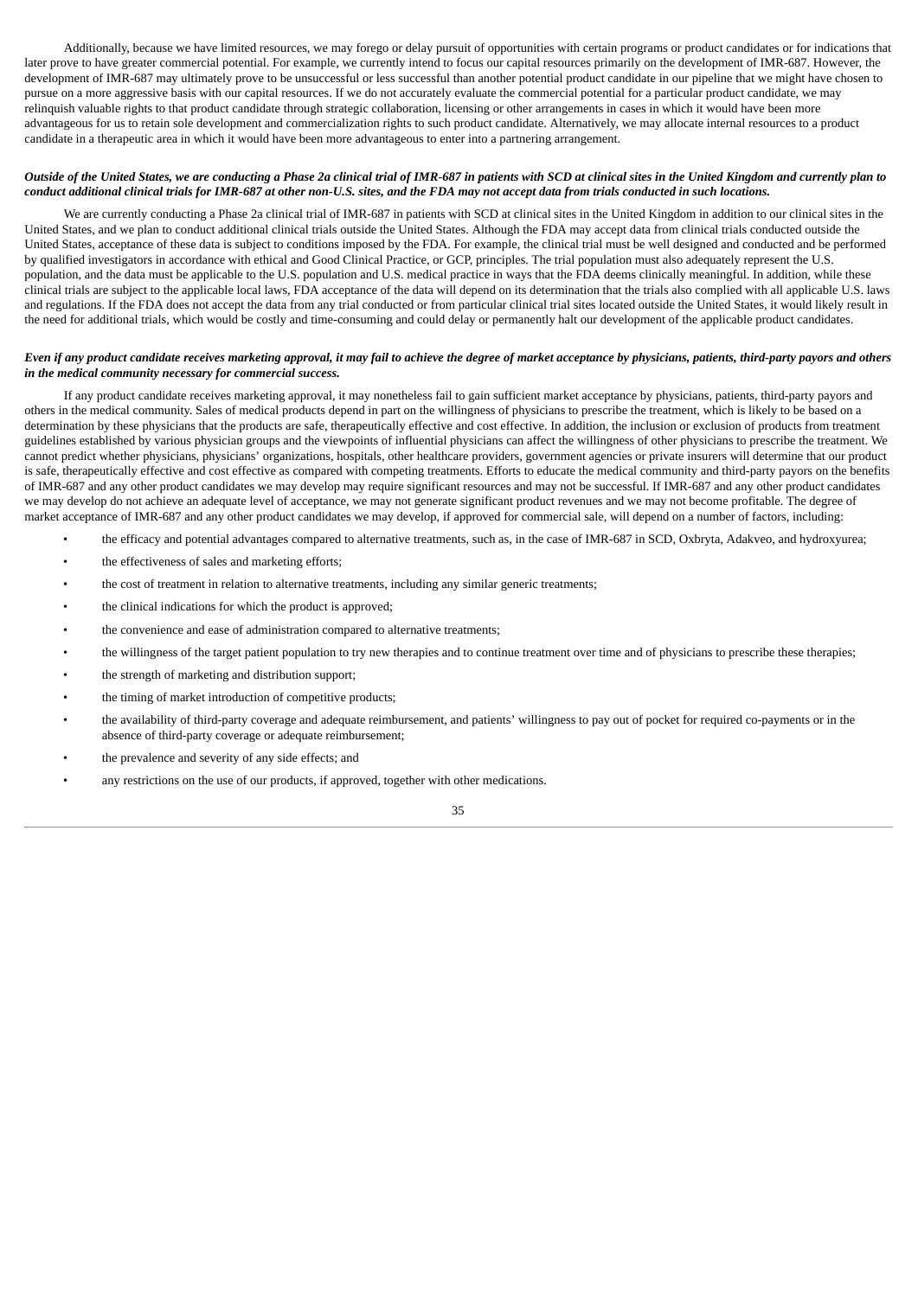Additionally, because we have limited resources, we may forego or delay pursuit of opportunities with certain programs or product candidates or for indications that later prove to have greater commercial potential. For example, we currently intend to focus our capital resources primarily on the development of IMR-687. However, the development of IMR-687 may ultimately prove to be unsuccessful or less successful than another potential product candidate in our pipeline that we might have chosen to pursue on a more aggressive basis with our capital resources. If we do not accurately evaluate the commercial potential for a particular product candidate, we may relinquish valuable rights to that product candidate through strategic collaboration, licensing or other arrangements in cases in which it would have been more advantageous for us to retain sole development and commercialization rights to such product candidate. Alternatively, we may allocate internal resources to a product candidate in a therapeutic area in which it would have been more advantageous to enter into a partnering arrangement.

## Outside of the United States, we are conducting a Phase 2a clinical trial of IMR-687 in patients with SCD at clinical sites in the United Kingdom and currently plan to conduct additional clinical trials for IMR-687 at other non-U.S. sites, and the FDA may not accept data from trials conducted in such locations.

We are currently conducting a Phase 2a clinical trial of IMR-687 in patients with SCD at clinical sites in the United Kingdom in addition to our clinical sites in the United States, and we plan to conduct additional clinical trials outside the United States. Although the FDA may accept data from clinical trials conducted outside the United States, acceptance of these data is subject to conditions imposed by the FDA. For example, the clinical trial must be well designed and conducted and be performed by qualified investigators in accordance with ethical and Good Clinical Practice, or GCP, principles. The trial population must also adequately represent the U.S. population, and the data must be applicable to the U.S. population and U.S. medical practice in ways that the FDA deems clinically meaningful. In addition, while these clinical trials are subject to the applicable local laws, FDA acceptance of the data will depend on its determination that the trials also complied with all applicable U.S. laws and regulations. If the FDA does not accept the data from any trial conducted or from particular clinical trial sites located outside the United States, it would likely result in the need for additional trials, which would be costly and time-consuming and could delay or permanently halt our development of the applicable product candidates.

## Even if any product candidate receives marketing approval, it may fail to achieve the degree of market acceptance by physicians, patients, third-party payors and others *in the medical community necessary for commercial success.*

If any product candidate receives marketing approval, it may nonetheless fail to gain sufficient market acceptance by physicians, patients, third-party payors and others in the medical community. Sales of medical products depend in part on the willingness of physicians to prescribe the treatment, which is likely to be based on a determination by these physicians that the products are safe, therapeutically effective and cost effective. In addition, the inclusion or exclusion of products from treatment guidelines established by various physician groups and the viewpoints of influential physicians can affect the willingness of other physicians to prescribe the treatment. We cannot predict whether physicians, physicians' organizations, hospitals, other healthcare providers, government agencies or private insurers will determine that our product is safe, therapeutically effective and cost effective as compared with competing treatments. Efforts to educate the medical community and third-party payors on the benefits of IMR-687 and any other product candidates we may develop may require significant resources and may not be successful. If IMR-687 and any other product candidates we may develop do not achieve an adequate level of acceptance, we may not generate significant product revenues and we may not become profitable. The degree of market acceptance of IMR-687 and any other product candidates we may develop, if approved for commercial sale, will depend on a number of factors, including:

- the efficacy and potential advantages compared to alternative treatments, such as, in the case of IMR-687 in SCD, Oxbryta, Adakveo, and hydroxyurea;
- the effectiveness of sales and marketing efforts;
- the cost of treatment in relation to alternative treatments, including any similar generic treatments;
- the clinical indications for which the product is approved;
- the convenience and ease of administration compared to alternative treatments;
- the willingness of the target patient population to try new therapies and to continue treatment over time and of physicians to prescribe these therapies;
- the strength of marketing and distribution support;
- the timing of market introduction of competitive products;
- the availability of third-party coverage and adequate reimbursement, and patients' willingness to pay out of pocket for required co-payments or in the absence of third-party coverage or adequate reimbursement;
- the prevalence and severity of any side effects; and
- any restrictions on the use of our products, if approved, together with other medications.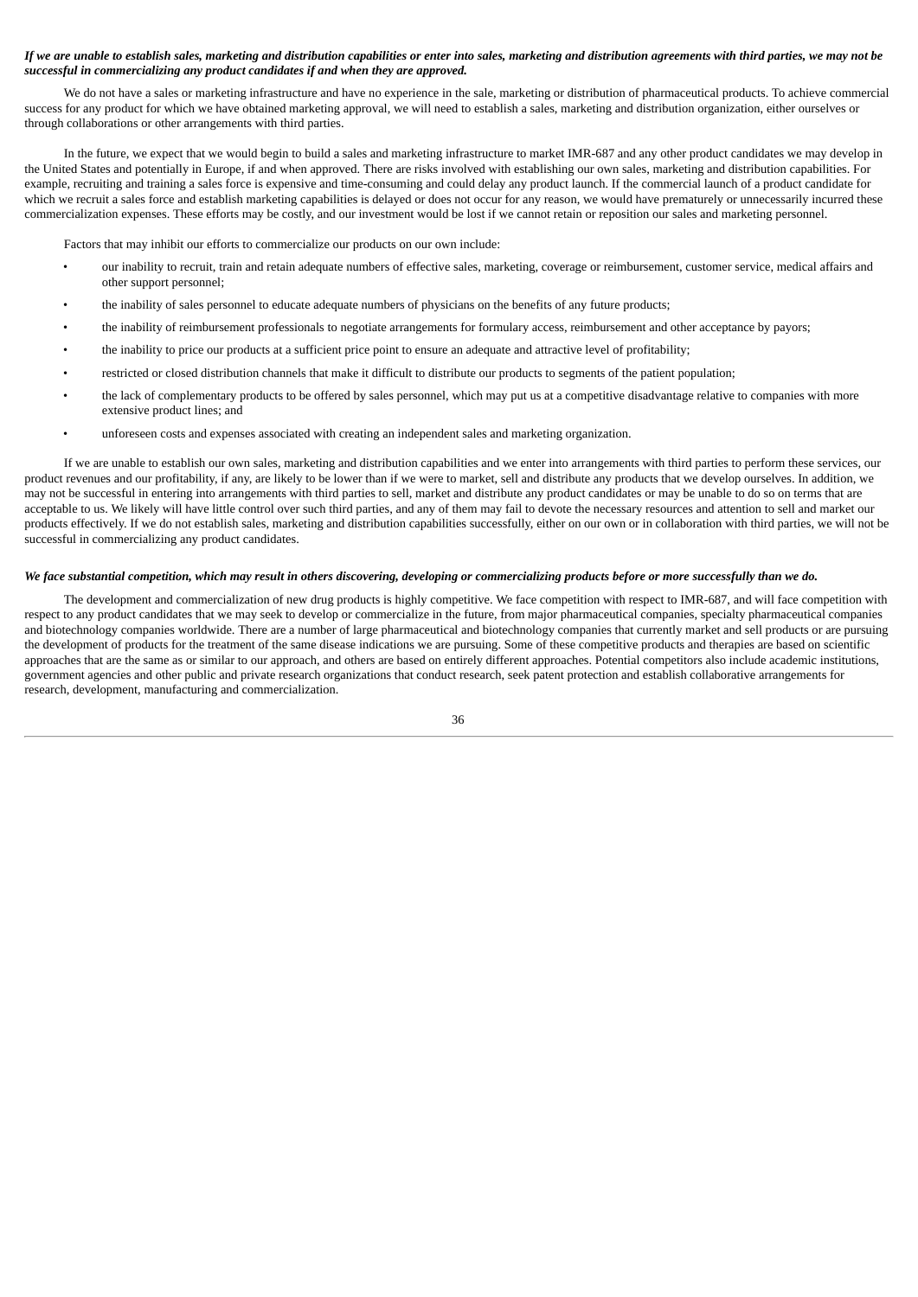# If we are unable to establish sales, marketing and distribution capabilities or enter into sales, marketing and distribution agreements with third parties, we may not be *successful in commercializing any product candidates if and when they are approved.*

We do not have a sales or marketing infrastructure and have no experience in the sale, marketing or distribution of pharmaceutical products. To achieve commercial success for any product for which we have obtained marketing approval, we will need to establish a sales, marketing and distribution organization, either ourselves or through collaborations or other arrangements with third parties.

In the future, we expect that we would begin to build a sales and marketing infrastructure to market IMR-687 and any other product candidates we may develop in the United States and potentially in Europe, if and when approved. There are risks involved with establishing our own sales, marketing and distribution capabilities. For example, recruiting and training a sales force is expensive and time-consuming and could delay any product launch. If the commercial launch of a product candidate for which we recruit a sales force and establish marketing capabilities is delayed or does not occur for any reason, we would have prematurely or unnecessarily incurred these commercialization expenses. These efforts may be costly, and our investment would be lost if we cannot retain or reposition our sales and marketing personnel.

Factors that may inhibit our efforts to commercialize our products on our own include:

- our inability to recruit, train and retain adequate numbers of effective sales, marketing, coverage or reimbursement, customer service, medical affairs and other support personnel;
- the inability of sales personnel to educate adequate numbers of physicians on the benefits of any future products;
- the inability of reimbursement professionals to negotiate arrangements for formulary access, reimbursement and other acceptance by payors;
- the inability to price our products at a sufficient price point to ensure an adequate and attractive level of profitability;
- restricted or closed distribution channels that make it difficult to distribute our products to segments of the patient population;
- the lack of complementary products to be offered by sales personnel, which may put us at a competitive disadvantage relative to companies with more extensive product lines; and
- unforeseen costs and expenses associated with creating an independent sales and marketing organization.

If we are unable to establish our own sales, marketing and distribution capabilities and we enter into arrangements with third parties to perform these services, our product revenues and our profitability, if any, are likely to be lower than if we were to market, sell and distribute any products that we develop ourselves. In addition, we may not be successful in entering into arrangements with third parties to sell, market and distribute any product candidates or may be unable to do so on terms that are acceptable to us. We likely will have little control over such third parties, and any of them may fail to devote the necessary resources and attention to sell and market our products effectively. If we do not establish sales, marketing and distribution capabilities successfully, either on our own or in collaboration with third parties, we will not be successful in commercializing any product candidates.

#### We face substantial competition, which may result in others discovering, developing or commercializing products before or more successfully than we do.

The development and commercialization of new drug products is highly competitive. We face competition with respect to IMR-687, and will face competition with respect to any product candidates that we may seek to develop or commercialize in the future, from major pharmaceutical companies, specialty pharmaceutical companies and biotechnology companies worldwide. There are a number of large pharmaceutical and biotechnology companies that currently market and sell products or are pursuing the development of products for the treatment of the same disease indications we are pursuing. Some of these competitive products and therapies are based on scientific approaches that are the same as or similar to our approach, and others are based on entirely different approaches. Potential competitors also include academic institutions, government agencies and other public and private research organizations that conduct research, seek patent protection and establish collaborative arrangements for research, development, manufacturing and commercialization.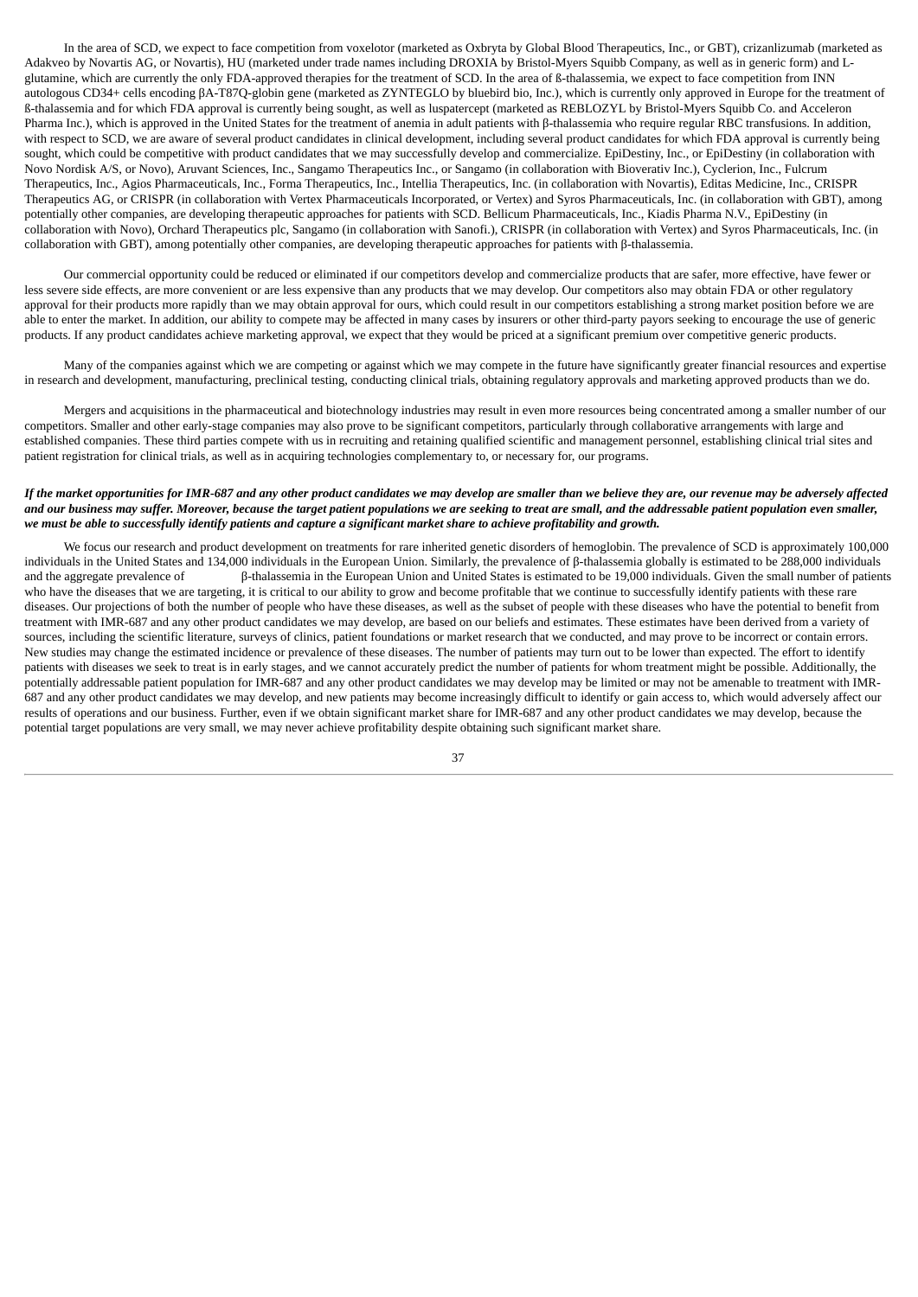In the area of SCD, we expect to face competition from voxelotor (marketed as Oxbryta by Global Blood Therapeutics, Inc., or GBT), crizanlizumab (marketed as Adakveo by Novartis AG, or Novartis), HU (marketed under trade names including DROXIA by Bristol-Myers Squibb Company, as well as in generic form) and Lglutamine, which are currently the only FDA-approved therapies for the treatment of SCD. In the area of ß-thalassemia, we expect to face competition from INN autologous CD34+ cells encoding βA-T87Q-globin gene (marketed as ZYNTEGLO by bluebird bio, Inc.), which is currently only approved in Europe for the treatment of ß-thalassemia and for which FDA approval is currently being sought, as well as luspatercept (marketed as REBLOZYL by Bristol-Myers Squibb Co. and Acceleron Pharma Inc.), which is approved in the United States for the treatment of anemia in adult patients with β-thalassemia who require regular RBC transfusions. In addition, with respect to SCD, we are aware of several product candidates in clinical development, including several product candidates for which FDA approval is currently being sought, which could be competitive with product candidates that we may successfully develop and commercialize. EpiDestiny, Inc., or EpiDestiny (in collaboration with Novo Nordisk A/S, or Novo), Aruvant Sciences, Inc., Sangamo Therapeutics Inc., or Sangamo (in collaboration with Bioverativ Inc.), Cyclerion, Inc., Fulcrum Therapeutics, Inc., Agios Pharmaceuticals, Inc., Forma Therapeutics, Inc., Intellia Therapeutics, Inc. (in collaboration with Novartis), Editas Medicine, Inc., CRISPR Therapeutics AG, or CRISPR (in collaboration with Vertex Pharmaceuticals Incorporated, or Vertex) and Syros Pharmaceuticals, Inc. (in collaboration with GBT), among potentially other companies, are developing therapeutic approaches for patients with SCD. Bellicum Pharmaceuticals, Inc., Kiadis Pharma N.V., EpiDestiny (in collaboration with Novo), Orchard Therapeutics plc, Sangamo (in collaboration with Sanofi.), CRISPR (in collaboration with Vertex) and Syros Pharmaceuticals, Inc. (in collaboration with GBT), among potentially other companies, are developing therapeutic approaches for patients with β-thalassemia.

Our commercial opportunity could be reduced or eliminated if our competitors develop and commercialize products that are safer, more effective, have fewer or less severe side effects, are more convenient or are less expensive than any products that we may develop. Our competitors also may obtain FDA or other regulatory approval for their products more rapidly than we may obtain approval for ours, which could result in our competitors establishing a strong market position before we are able to enter the market. In addition, our ability to compete may be affected in many cases by insurers or other third-party payors seeking to encourage the use of generic products. If any product candidates achieve marketing approval, we expect that they would be priced at a significant premium over competitive generic products.

Many of the companies against which we are competing or against which we may compete in the future have significantly greater financial resources and expertise in research and development, manufacturing, preclinical testing, conducting clinical trials, obtaining regulatory approvals and marketing approved products than we do.

Mergers and acquisitions in the pharmaceutical and biotechnology industries may result in even more resources being concentrated among a smaller number of our competitors. Smaller and other early-stage companies may also prove to be significant competitors, particularly through collaborative arrangements with large and established companies. These third parties compete with us in recruiting and retaining qualified scientific and management personnel, establishing clinical trial sites and patient registration for clinical trials, as well as in acquiring technologies complementary to, or necessary for, our programs.

## If the market opportunities for IMR-687 and any other product candidates we may develop are smaller than we believe they are, our revenue may be adversely affected and our business may suffer. Moreover, because the target patient populations we are seeking to treat are small, and the addressable patient population even smaller, we must be able to successfully identify patients and capture a significant market share to achieve profitability and growth.

We focus our research and product development on treatments for rare inherited genetic disorders of hemoglobin. The prevalence of SCD is approximately 100,000 individuals in the United States and 134,000 individuals in the European Union. Similarly, the prevalence of β-thalassemia globally is estimated to be 288,000 individuals and the aggregate prevalence of β-thalassemia in the European Union and United States is estimated to be 19,000 individuals. Given the small number of patients who have the diseases that we are targeting, it is critical to our ability to grow and become profitable that we continue to successfully identify patients with these rare diseases. Our projections of both the number of people who have these diseases, as well as the subset of people with these diseases who have the potential to benefit from treatment with IMR-687 and any other product candidates we may develop, are based on our beliefs and estimates. These estimates have been derived from a variety of sources, including the scientific literature, surveys of clinics, patient foundations or market research that we conducted, and may prove to be incorrect or contain errors. New studies may change the estimated incidence or prevalence of these diseases. The number of patients may turn out to be lower than expected. The effort to identify patients with diseases we seek to treat is in early stages, and we cannot accurately predict the number of patients for whom treatment might be possible. Additionally, the potentially addressable patient population for IMR-687 and any other product candidates we may develop may be limited or may not be amenable to treatment with IMR-687 and any other product candidates we may develop, and new patients may become increasingly difficult to identify or gain access to, which would adversely affect our results of operations and our business. Further, even if we obtain significant market share for IMR-687 and any other product candidates we may develop, because the potential target populations are very small, we may never achieve profitability despite obtaining such significant market share.

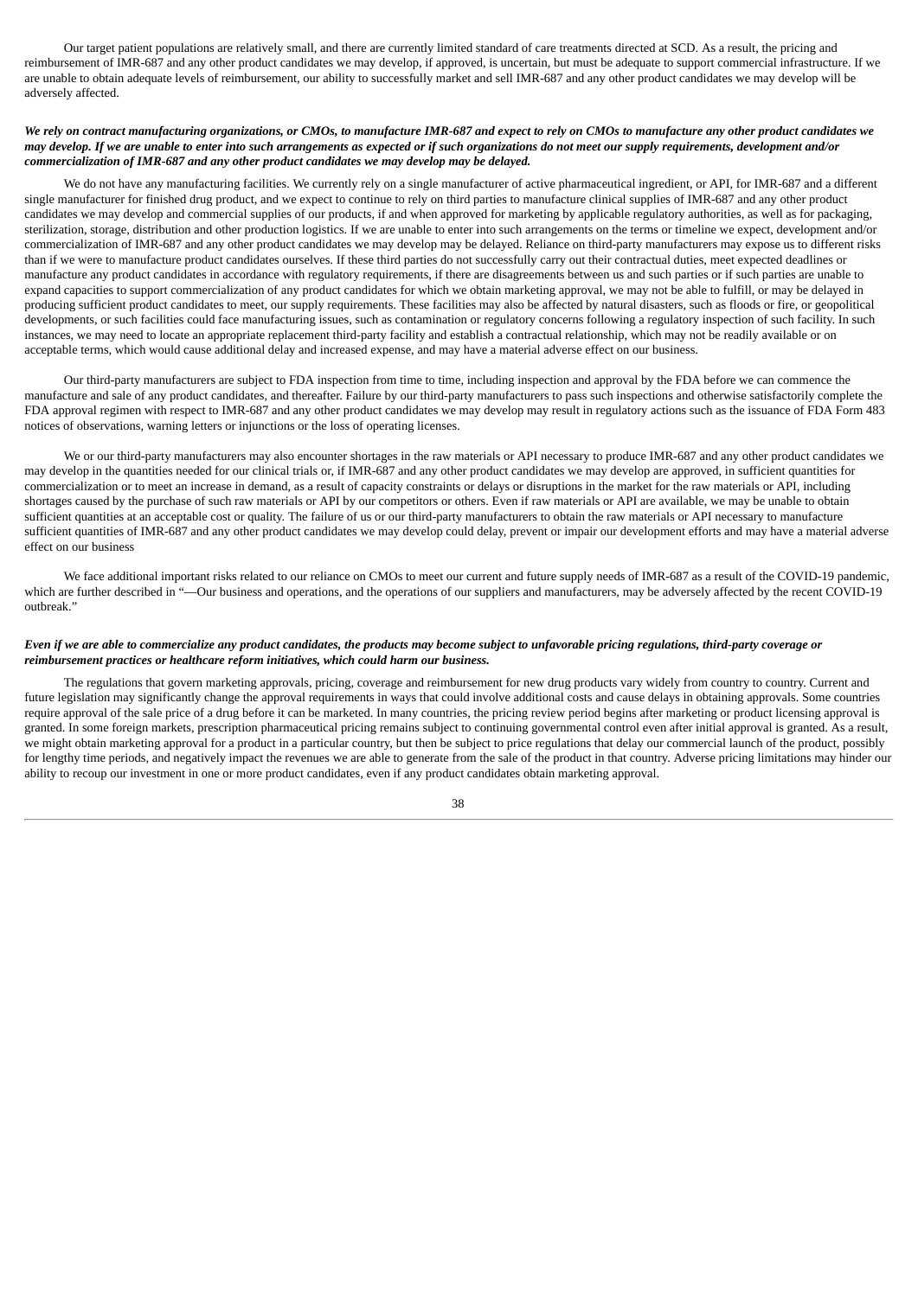Our target patient populations are relatively small, and there are currently limited standard of care treatments directed at SCD. As a result, the pricing and reimbursement of IMR-687 and any other product candidates we may develop, if approved, is uncertain, but must be adequate to support commercial infrastructure. If we are unable to obtain adequate levels of reimbursement, our ability to successfully market and sell IMR-687 and any other product candidates we may develop will be adversely affected.

## We rely on contract manufacturing organizations, or CMOs, to manufacture IMR-687 and expect to rely on CMOs to manufacture any other product candidates we may develop. If we are unable to enter into such arrangements as expected or if such organizations do not meet our supply requirements, development and/or *commercialization of IMR-687 and any other product candidates we may develop may be delayed.*

We do not have any manufacturing facilities. We currently rely on a single manufacturer of active pharmaceutical ingredient, or API, for IMR-687 and a different single manufacturer for finished drug product, and we expect to continue to rely on third parties to manufacture clinical supplies of IMR-687 and any other product candidates we may develop and commercial supplies of our products, if and when approved for marketing by applicable regulatory authorities, as well as for packaging, sterilization, storage, distribution and other production logistics. If we are unable to enter into such arrangements on the terms or timeline we expect, development and/or commercialization of IMR-687 and any other product candidates we may develop may be delayed. Reliance on third-party manufacturers may expose us to different risks than if we were to manufacture product candidates ourselves. If these third parties do not successfully carry out their contractual duties, meet expected deadlines or manufacture any product candidates in accordance with regulatory requirements, if there are disagreements between us and such parties or if such parties are unable to expand capacities to support commercialization of any product candidates for which we obtain marketing approval, we may not be able to fulfill, or may be delayed in producing sufficient product candidates to meet, our supply requirements. These facilities may also be affected by natural disasters, such as floods or fire, or geopolitical developments, or such facilities could face manufacturing issues, such as contamination or regulatory concerns following a regulatory inspection of such facility. In such instances, we may need to locate an appropriate replacement third-party facility and establish a contractual relationship, which may not be readily available or on acceptable terms, which would cause additional delay and increased expense, and may have a material adverse effect on our business.

Our third-party manufacturers are subject to FDA inspection from time to time, including inspection and approval by the FDA before we can commence the manufacture and sale of any product candidates, and thereafter. Failure by our third-party manufacturers to pass such inspections and otherwise satisfactorily complete the FDA approval regimen with respect to IMR-687 and any other product candidates we may develop may result in regulatory actions such as the issuance of FDA Form 483 notices of observations, warning letters or injunctions or the loss of operating licenses.

We or our third-party manufacturers may also encounter shortages in the raw materials or API necessary to produce IMR-687 and any other product candidates we may develop in the quantities needed for our clinical trials or, if IMR-687 and any other product candidates we may develop are approved, in sufficient quantities for commercialization or to meet an increase in demand, as a result of capacity constraints or delays or disruptions in the market for the raw materials or API, including shortages caused by the purchase of such raw materials or API by our competitors or others. Even if raw materials or API are available, we may be unable to obtain sufficient quantities at an acceptable cost or quality. The failure of us or our third-party manufacturers to obtain the raw materials or API necessary to manufacture sufficient quantities of IMR-687 and any other product candidates we may develop could delay, prevent or impair our development efforts and may have a material adverse effect on our business

We face additional important risks related to our reliance on CMOs to meet our current and future supply needs of IMR-687 as a result of the COVID-19 pandemic, which are further described in "-Our business and operations, and the operations of our suppliers and manufacturers, may be adversely affected by the recent COVID-19 outbreak."

## Even if we are able to commercialize any product candidates, the products may become subject to unfavorable pricing regulations, third-party coverage or *reimbursement practices or healthcare reform initiatives, which could harm our business.*

The regulations that govern marketing approvals, pricing, coverage and reimbursement for new drug products vary widely from country to country. Current and future legislation may significantly change the approval requirements in ways that could involve additional costs and cause delays in obtaining approvals. Some countries require approval of the sale price of a drug before it can be marketed. In many countries, the pricing review period begins after marketing or product licensing approval is granted. In some foreign markets, prescription pharmaceutical pricing remains subject to continuing governmental control even after initial approval is granted. As a result, we might obtain marketing approval for a product in a particular country, but then be subject to price regulations that delay our commercial launch of the product, possibly for lengthy time periods, and negatively impact the revenues we are able to generate from the sale of the product in that country. Adverse pricing limitations may hinder our ability to recoup our investment in one or more product candidates, even if any product candidates obtain marketing approval.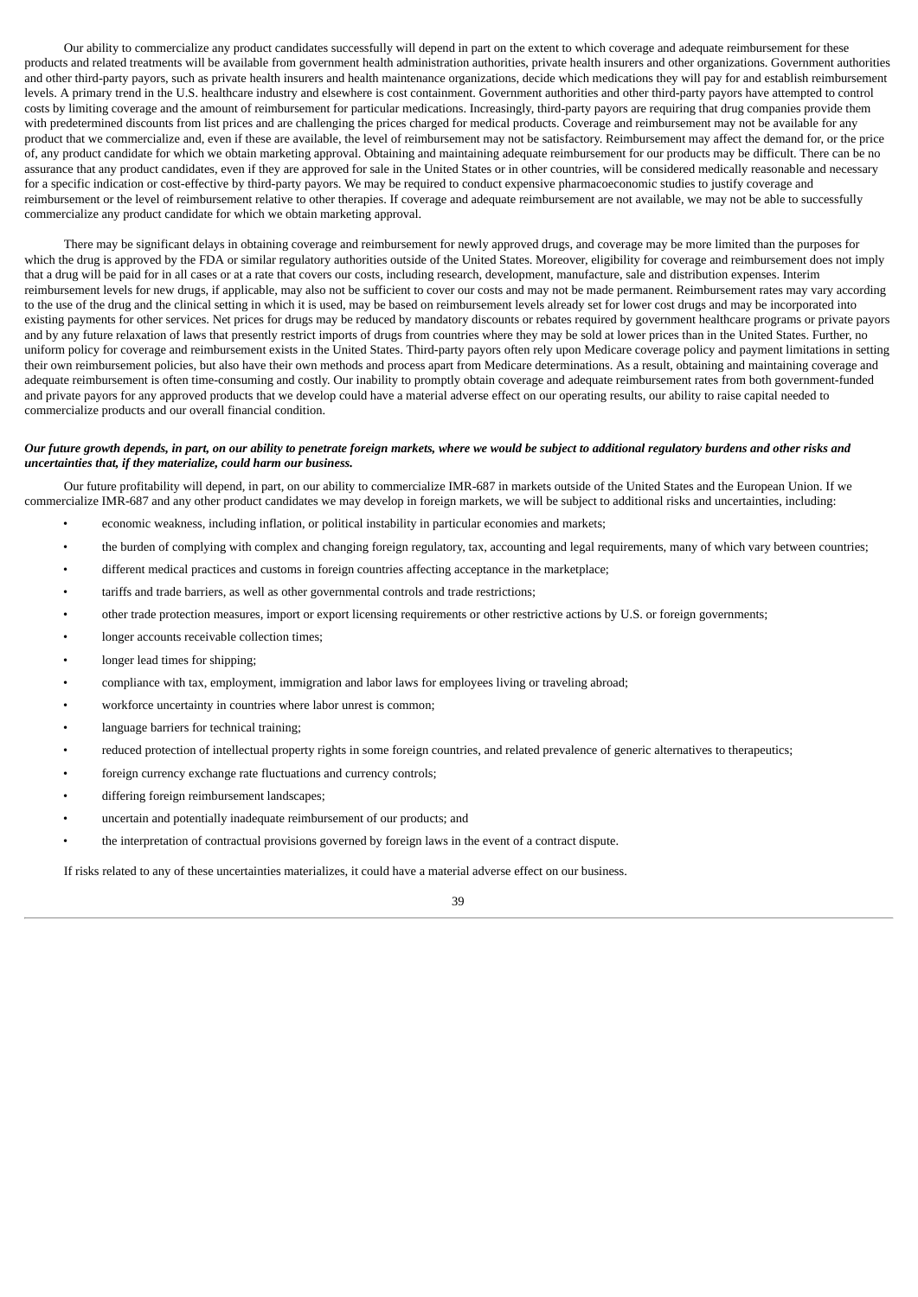Our ability to commercialize any product candidates successfully will depend in part on the extent to which coverage and adequate reimbursement for these products and related treatments will be available from government health administration authorities, private health insurers and other organizations. Government authorities and other third-party payors, such as private health insurers and health maintenance organizations, decide which medications they will pay for and establish reimbursement levels. A primary trend in the U.S. healthcare industry and elsewhere is cost containment. Government authorities and other third-party payors have attempted to control costs by limiting coverage and the amount of reimbursement for particular medications. Increasingly, third-party payors are requiring that drug companies provide them with predetermined discounts from list prices and are challenging the prices charged for medical products. Coverage and reimbursement may not be available for any product that we commercialize and, even if these are available, the level of reimbursement may not be satisfactory. Reimbursement may affect the demand for, or the price of, any product candidate for which we obtain marketing approval. Obtaining and maintaining adequate reimbursement for our products may be difficult. There can be no assurance that any product candidates, even if they are approved for sale in the United States or in other countries, will be considered medically reasonable and necessary for a specific indication or cost-effective by third-party payors. We may be required to conduct expensive pharmacoeconomic studies to justify coverage and reimbursement or the level of reimbursement relative to other therapies. If coverage and adequate reimbursement are not available, we may not be able to successfully commercialize any product candidate for which we obtain marketing approval.

There may be significant delays in obtaining coverage and reimbursement for newly approved drugs, and coverage may be more limited than the purposes for which the drug is approved by the FDA or similar regulatory authorities outside of the United States. Moreover, eligibility for coverage and reimbursement does not imply that a drug will be paid for in all cases or at a rate that covers our costs, including research, development, manufacture, sale and distribution expenses. Interim reimbursement levels for new drugs, if applicable, may also not be sufficient to cover our costs and may not be made permanent. Reimbursement rates may vary according to the use of the drug and the clinical setting in which it is used, may be based on reimbursement levels already set for lower cost drugs and may be incorporated into existing payments for other services. Net prices for drugs may be reduced by mandatory discounts or rebates required by government healthcare programs or private payors and by any future relaxation of laws that presently restrict imports of drugs from countries where they may be sold at lower prices than in the United States. Further, no uniform policy for coverage and reimbursement exists in the United States. Third-party payors often rely upon Medicare coverage policy and payment limitations in setting their own reimbursement policies, but also have their own methods and process apart from Medicare determinations. As a result, obtaining and maintaining coverage and adequate reimbursement is often time-consuming and costly. Our inability to promptly obtain coverage and adequate reimbursement rates from both government-funded and private payors for any approved products that we develop could have a material adverse effect on our operating results, our ability to raise capital needed to commercialize products and our overall financial condition.

#### Our future growth depends, in part, on our ability to penetrate foreign markets, where we would be subject to additional regulatory burdens and other risks and *uncertainties that, if they materialize, could harm our business.*

Our future profitability will depend, in part, on our ability to commercialize IMR-687 in markets outside of the United States and the European Union. If we commercialize IMR-687 and any other product candidates we may develop in foreign markets, we will be subject to additional risks and uncertainties, including:

- economic weakness, including inflation, or political instability in particular economies and markets;
- the burden of complying with complex and changing foreign regulatory, tax, accounting and legal requirements, many of which vary between countries;
- different medical practices and customs in foreign countries affecting acceptance in the marketplace;
- tariffs and trade barriers, as well as other governmental controls and trade restrictions;
- other trade protection measures, import or export licensing requirements or other restrictive actions by U.S. or foreign governments;
- longer accounts receivable collection times:
- longer lead times for shipping;
- compliance with tax, employment, immigration and labor laws for employees living or traveling abroad;
- workforce uncertainty in countries where labor unrest is common;
- language barriers for technical training;
- reduced protection of intellectual property rights in some foreign countries, and related prevalence of generic alternatives to therapeutics;
- foreign currency exchange rate fluctuations and currency controls;
- differing foreign reimbursement landscapes;
- uncertain and potentially inadequate reimbursement of our products; and
- the interpretation of contractual provisions governed by foreign laws in the event of a contract dispute.

If risks related to any of these uncertainties materializes, it could have a material adverse effect on our business.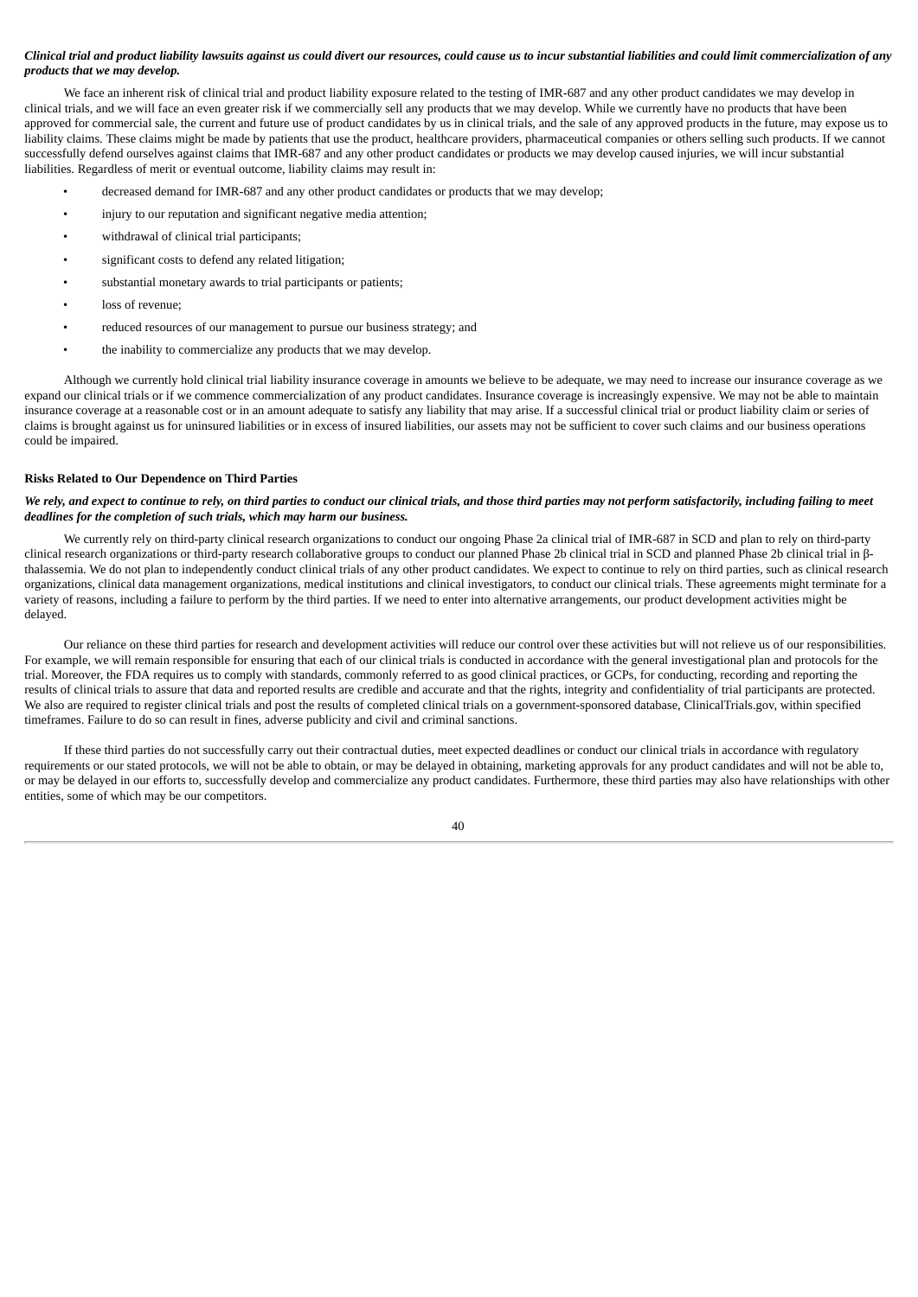## Clinical trial and product liability lawsuits against us could divert our resources, could cause us to incur substantial liabilities and could limit commercialization of any *products that we may develop.*

We face an inherent risk of clinical trial and product liability exposure related to the testing of IMR-687 and any other product candidates we may develop in clinical trials, and we will face an even greater risk if we commercially sell any products that we may develop. While we currently have no products that have been approved for commercial sale, the current and future use of product candidates by us in clinical trials, and the sale of any approved products in the future, may expose us to liability claims. These claims might be made by patients that use the product, healthcare providers, pharmaceutical companies or others selling such products. If we cannot successfully defend ourselves against claims that IMR-687 and any other product candidates or products we may develop caused injuries, we will incur substantial liabilities. Regardless of merit or eventual outcome, liability claims may result in:

- decreased demand for IMR-687 and any other product candidates or products that we may develop;
- injury to our reputation and significant negative media attention;
- withdrawal of clinical trial participants;
- significant costs to defend any related litigation;
- substantial monetary awards to trial participants or patients;
- loss of revenue:
- reduced resources of our management to pursue our business strategy; and
- the inability to commercialize any products that we may develop.

Although we currently hold clinical trial liability insurance coverage in amounts we believe to be adequate, we may need to increase our insurance coverage as we expand our clinical trials or if we commence commercialization of any product candidates. Insurance coverage is increasingly expensive. We may not be able to maintain insurance coverage at a reasonable cost or in an amount adequate to satisfy any liability that may arise. If a successful clinical trial or product liability claim or series of claims is brought against us for uninsured liabilities or in excess of insured liabilities, our assets may not be sufficient to cover such claims and our business operations could be impaired.

#### **Risks Related to Our Dependence on Third Parties**

## We rely, and expect to continue to rely, on third parties to conduct our clinical trials, and those third parties may not perform satisfactorily, including failing to meet *deadlines for the completion of such trials, which may harm our business.*

We currently rely on third-party clinical research organizations to conduct our ongoing Phase 2a clinical trial of IMR-687 in SCD and plan to rely on third-party clinical research organizations or third-party research collaborative groups to conduct our planned Phase 2b clinical trial in SCD and planned Phase 2b clinical trial in βthalassemia. We do not plan to independently conduct clinical trials of any other product candidates. We expect to continue to rely on third parties, such as clinical research organizations, clinical data management organizations, medical institutions and clinical investigators, to conduct our clinical trials. These agreements might terminate for a variety of reasons, including a failure to perform by the third parties. If we need to enter into alternative arrangements, our product development activities might be delayed.

Our reliance on these third parties for research and development activities will reduce our control over these activities but will not relieve us of our responsibilities. For example, we will remain responsible for ensuring that each of our clinical trials is conducted in accordance with the general investigational plan and protocols for the trial. Moreover, the FDA requires us to comply with standards, commonly referred to as good clinical practices, or GCPs, for conducting, recording and reporting the results of clinical trials to assure that data and reported results are credible and accurate and that the rights, integrity and confidentiality of trial participants are protected. We also are required to register clinical trials and post the results of completed clinical trials on a government-sponsored database, ClinicalTrials.gov, within specified timeframes. Failure to do so can result in fines, adverse publicity and civil and criminal sanctions.

If these third parties do not successfully carry out their contractual duties, meet expected deadlines or conduct our clinical trials in accordance with regulatory requirements or our stated protocols, we will not be able to obtain, or may be delayed in obtaining, marketing approvals for any product candidates and will not be able to, or may be delayed in our efforts to, successfully develop and commercialize any product candidates. Furthermore, these third parties may also have relationships with other entities, some of which may be our competitors.

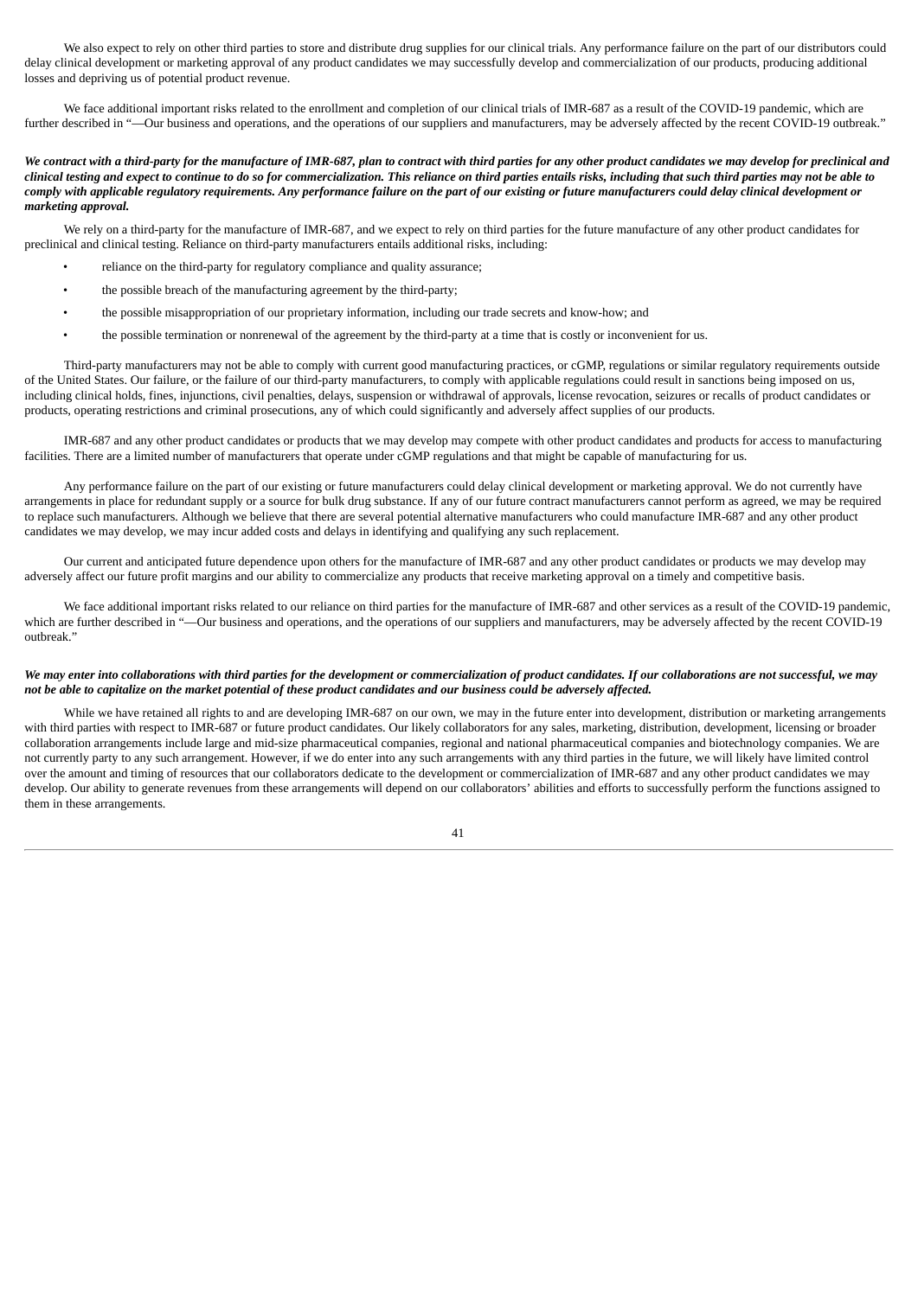We also expect to rely on other third parties to store and distribute drug supplies for our clinical trials. Any performance failure on the part of our distributors could delay clinical development or marketing approval of any product candidates we may successfully develop and commercialization of our products, producing additional losses and depriving us of potential product revenue.

We face additional important risks related to the enrollment and completion of our clinical trials of IMR-687 as a result of the COVID-19 pandemic, which are further described in "—Our business and operations, and the operations of our suppliers and manufacturers, may be adversely affected by the recent COVID-19 outbreak."

We contract with a third-party for the manufacture of IMR-687, plan to contract with third parties for any other product candidates we may develop for preclinical and clinical testing and expect to continue to do so for commercialization. This reliance on third parties entails risks, including that such third parties may not be able to comply with applicable regulatory requirements. Any performance failure on the part of our existing or future manufacturers could delay clinical development or *marketing approval.*

We rely on a third-party for the manufacture of IMR-687, and we expect to rely on third parties for the future manufacture of any other product candidates for preclinical and clinical testing. Reliance on third-party manufacturers entails additional risks, including:

- reliance on the third-party for regulatory compliance and quality assurance;
- the possible breach of the manufacturing agreement by the third-party;
- the possible misappropriation of our proprietary information, including our trade secrets and know-how; and
- the possible termination or nonrenewal of the agreement by the third-party at a time that is costly or inconvenient for us.

Third-party manufacturers may not be able to comply with current good manufacturing practices, or cGMP, regulations or similar regulatory requirements outside of the United States. Our failure, or the failure of our third-party manufacturers, to comply with applicable regulations could result in sanctions being imposed on us, including clinical holds, fines, injunctions, civil penalties, delays, suspension or withdrawal of approvals, license revocation, seizures or recalls of product candidates or products, operating restrictions and criminal prosecutions, any of which could significantly and adversely affect supplies of our products.

IMR-687 and any other product candidates or products that we may develop may compete with other product candidates and products for access to manufacturing facilities. There are a limited number of manufacturers that operate under cGMP regulations and that might be capable of manufacturing for us.

Any performance failure on the part of our existing or future manufacturers could delay clinical development or marketing approval. We do not currently have arrangements in place for redundant supply or a source for bulk drug substance. If any of our future contract manufacturers cannot perform as agreed, we may be required to replace such manufacturers. Although we believe that there are several potential alternative manufacturers who could manufacture IMR-687 and any other product candidates we may develop, we may incur added costs and delays in identifying and qualifying any such replacement.

Our current and anticipated future dependence upon others for the manufacture of IMR-687 and any other product candidates or products we may develop may adversely affect our future profit margins and our ability to commercialize any products that receive marketing approval on a timely and competitive basis.

We face additional important risks related to our reliance on third parties for the manufacture of IMR-687 and other services as a result of the COVID-19 pandemic. which are further described in "—Our business and operations, and the operations of our suppliers and manufacturers, may be adversely affected by the recent COVID-19 outbreak."

#### We may enter into collaborations with third parties for the development or commercialization of product candidates. If our collaborations are not successful, we may not be able to capitalize on the market potential of these product candidates and our business could be adversely affected.

While we have retained all rights to and are developing IMR-687 on our own, we may in the future enter into development, distribution or marketing arrangements with third parties with respect to IMR-687 or future product candidates. Our likely collaborators for any sales, marketing, distribution, development, licensing or broader collaboration arrangements include large and mid-size pharmaceutical companies, regional and national pharmaceutical companies and biotechnology companies. We are not currently party to any such arrangement. However, if we do enter into any such arrangements with any third parties in the future, we will likely have limited control over the amount and timing of resources that our collaborators dedicate to the development or commercialization of IMR-687 and any other product candidates we may develop. Our ability to generate revenues from these arrangements will depend on our collaborators' abilities and efforts to successfully perform the functions assigned to them in these arrangements.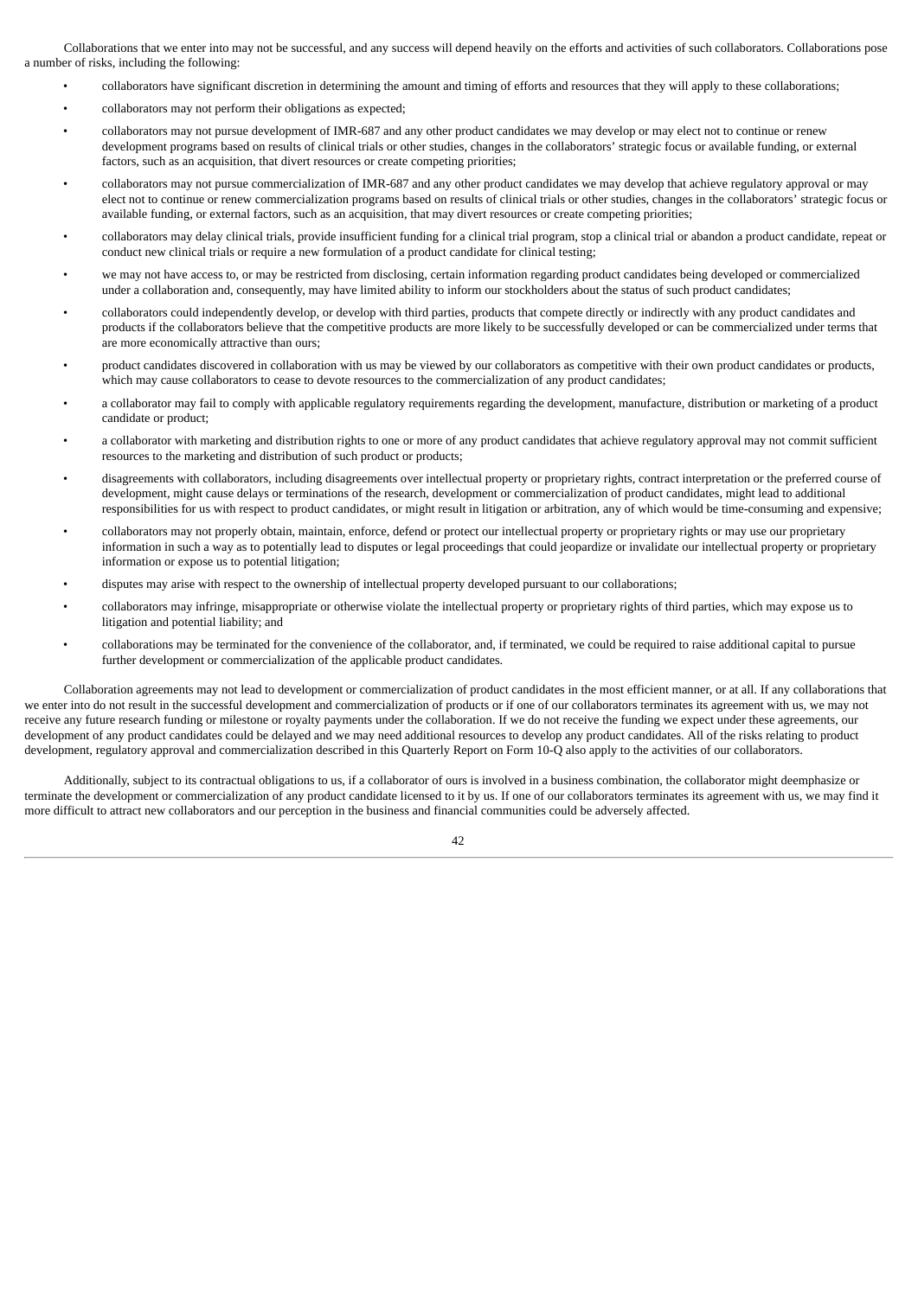Collaborations that we enter into may not be successful, and any success will depend heavily on the efforts and activities of such collaborators. Collaborations pose a number of risks, including the following:

- collaborators have significant discretion in determining the amount and timing of efforts and resources that they will apply to these collaborations;
- collaborators may not perform their obligations as expected;
- collaborators may not pursue development of IMR-687 and any other product candidates we may develop or may elect not to continue or renew development programs based on results of clinical trials or other studies, changes in the collaborators' strategic focus or available funding, or external factors, such as an acquisition, that divert resources or create competing priorities;
- collaborators may not pursue commercialization of IMR-687 and any other product candidates we may develop that achieve regulatory approval or may elect not to continue or renew commercialization programs based on results of clinical trials or other studies, changes in the collaborators' strategic focus or available funding, or external factors, such as an acquisition, that may divert resources or create competing priorities;
- collaborators may delay clinical trials, provide insufficient funding for a clinical trial program, stop a clinical trial or abandon a product candidate, repeat or conduct new clinical trials or require a new formulation of a product candidate for clinical testing;
- we may not have access to, or may be restricted from disclosing, certain information regarding product candidates being developed or commercialized under a collaboration and, consequently, may have limited ability to inform our stockholders about the status of such product candidates;
- collaborators could independently develop, or develop with third parties, products that compete directly or indirectly with any product candidates and products if the collaborators believe that the competitive products are more likely to be successfully developed or can be commercialized under terms that are more economically attractive than ours;
- product candidates discovered in collaboration with us may be viewed by our collaborators as competitive with their own product candidates or products, which may cause collaborators to cease to devote resources to the commercialization of any product candidates;
- a collaborator may fail to comply with applicable regulatory requirements regarding the development, manufacture, distribution or marketing of a product candidate or product;
- a collaborator with marketing and distribution rights to one or more of any product candidates that achieve regulatory approval may not commit sufficient resources to the marketing and distribution of such product or products;
- disagreements with collaborators, including disagreements over intellectual property or proprietary rights, contract interpretation or the preferred course of development, might cause delays or terminations of the research, development or commercialization of product candidates, might lead to additional responsibilities for us with respect to product candidates, or might result in litigation or arbitration, any of which would be time-consuming and expensive;
- collaborators may not properly obtain, maintain, enforce, defend or protect our intellectual property or proprietary rights or may use our proprietary information in such a way as to potentially lead to disputes or legal proceedings that could jeopardize or invalidate our intellectual property or proprietary information or expose us to potential litigation;
- disputes may arise with respect to the ownership of intellectual property developed pursuant to our collaborations;
- collaborators may infringe, misappropriate or otherwise violate the intellectual property or proprietary rights of third parties, which may expose us to litigation and potential liability; and
- collaborations may be terminated for the convenience of the collaborator, and, if terminated, we could be required to raise additional capital to pursue further development or commercialization of the applicable product candidates.

Collaboration agreements may not lead to development or commercialization of product candidates in the most efficient manner, or at all. If any collaborations that we enter into do not result in the successful development and commercialization of products or if one of our collaborators terminates its agreement with us, we may not receive any future research funding or milestone or royalty payments under the collaboration. If we do not receive the funding we expect under these agreements, our development of any product candidates could be delayed and we may need additional resources to develop any product candidates. All of the risks relating to product development, regulatory approval and commercialization described in this Quarterly Report on Form 10-Q also apply to the activities of our collaborators.

Additionally, subject to its contractual obligations to us, if a collaborator of ours is involved in a business combination, the collaborator might deemphasize or terminate the development or commercialization of any product candidate licensed to it by us. If one of our collaborators terminates its agreement with us, we may find it more difficult to attract new collaborators and our perception in the business and financial communities could be adversely affected.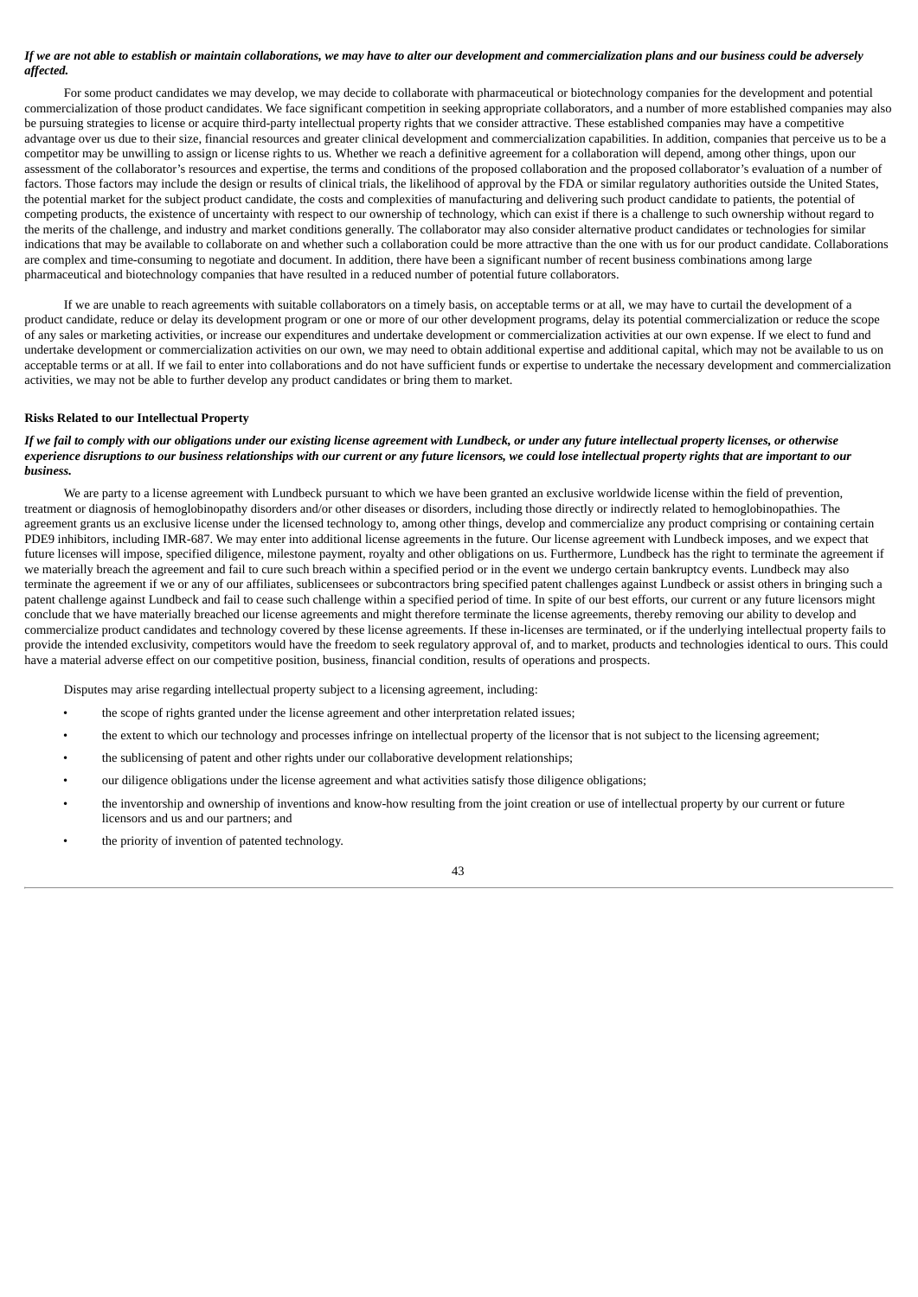#### If we are not able to establish or maintain collaborations, we may have to alter our development and commercialization plans and our business could be adversely *affected.*

For some product candidates we may develop, we may decide to collaborate with pharmaceutical or biotechnology companies for the development and potential commercialization of those product candidates. We face significant competition in seeking appropriate collaborators, and a number of more established companies may also be pursuing strategies to license or acquire third-party intellectual property rights that we consider attractive. These established companies may have a competitive advantage over us due to their size, financial resources and greater clinical development and commercialization capabilities. In addition, companies that perceive us to be a competitor may be unwilling to assign or license rights to us. Whether we reach a definitive agreement for a collaboration will depend, among other things, upon our assessment of the collaborator's resources and expertise, the terms and conditions of the proposed collaboration and the proposed collaborator's evaluation of a number of factors. Those factors may include the design or results of clinical trials, the likelihood of approval by the FDA or similar regulatory authorities outside the United States, the potential market for the subject product candidate, the costs and complexities of manufacturing and delivering such product candidate to patients, the potential of competing products, the existence of uncertainty with respect to our ownership of technology, which can exist if there is a challenge to such ownership without regard to the merits of the challenge, and industry and market conditions generally. The collaborator may also consider alternative product candidates or technologies for similar indications that may be available to collaborate on and whether such a collaboration could be more attractive than the one with us for our product candidate. Collaborations are complex and time-consuming to negotiate and document. In addition, there have been a significant number of recent business combinations among large pharmaceutical and biotechnology companies that have resulted in a reduced number of potential future collaborators.

If we are unable to reach agreements with suitable collaborators on a timely basis, on acceptable terms or at all, we may have to curtail the development of a product candidate, reduce or delay its development program or one or more of our other development programs, delay its potential commercialization or reduce the scope of any sales or marketing activities, or increase our expenditures and undertake development or commercialization activities at our own expense. If we elect to fund and undertake development or commercialization activities on our own, we may need to obtain additional expertise and additional capital, which may not be available to us on acceptable terms or at all. If we fail to enter into collaborations and do not have sufficient funds or expertise to undertake the necessary development and commercialization activities, we may not be able to further develop any product candidates or bring them to market.

#### **Risks Related to our Intellectual Property**

## If we fail to comply with our obligations under our existing license agreement with Lundbeck, or under any future intellectual property licenses, or otherwise experience disruptions to our business relationships with our current or any future licensors, we could lose intellectual property rights that are important to our *business.*

We are party to a license agreement with Lundbeck pursuant to which we have been granted an exclusive worldwide license within the field of prevention, treatment or diagnosis of hemoglobinopathy disorders and/or other diseases or disorders, including those directly or indirectly related to hemoglobinopathies. The agreement grants us an exclusive license under the licensed technology to, among other things, develop and commercialize any product comprising or containing certain PDE9 inhibitors, including IMR-687. We may enter into additional license agreements in the future. Our license agreement with Lundbeck imposes, and we expect that future licenses will impose, specified diligence, milestone payment, royalty and other obligations on us. Furthermore, Lundbeck has the right to terminate the agreement if we materially breach the agreement and fail to cure such breach within a specified period or in the event we undergo certain bankruptcy events. Lundbeck may also terminate the agreement if we or any of our affiliates, sublicensees or subcontractors bring specified patent challenges against Lundbeck or assist others in bringing such a patent challenge against Lundbeck and fail to cease such challenge within a specified period of time. In spite of our best efforts, our current or any future licensors might conclude that we have materially breached our license agreements and might therefore terminate the license agreements, thereby removing our ability to develop and commercialize product candidates and technology covered by these license agreements. If these in-licenses are terminated, or if the underlying intellectual property fails to provide the intended exclusivity, competitors would have the freedom to seek regulatory approval of, and to market, products and technologies identical to ours. This could have a material adverse effect on our competitive position, business, financial condition, results of operations and prospects.

Disputes may arise regarding intellectual property subject to a licensing agreement, including:

- the scope of rights granted under the license agreement and other interpretation related issues;
- the extent to which our technology and processes infringe on intellectual property of the licensor that is not subject to the licensing agreement;
- the sublicensing of patent and other rights under our collaborative development relationships;
- our diligence obligations under the license agreement and what activities satisfy those diligence obligations;
- the inventorship and ownership of inventions and know-how resulting from the joint creation or use of intellectual property by our current or future licensors and us and our partners; and
- the priority of invention of patented technology.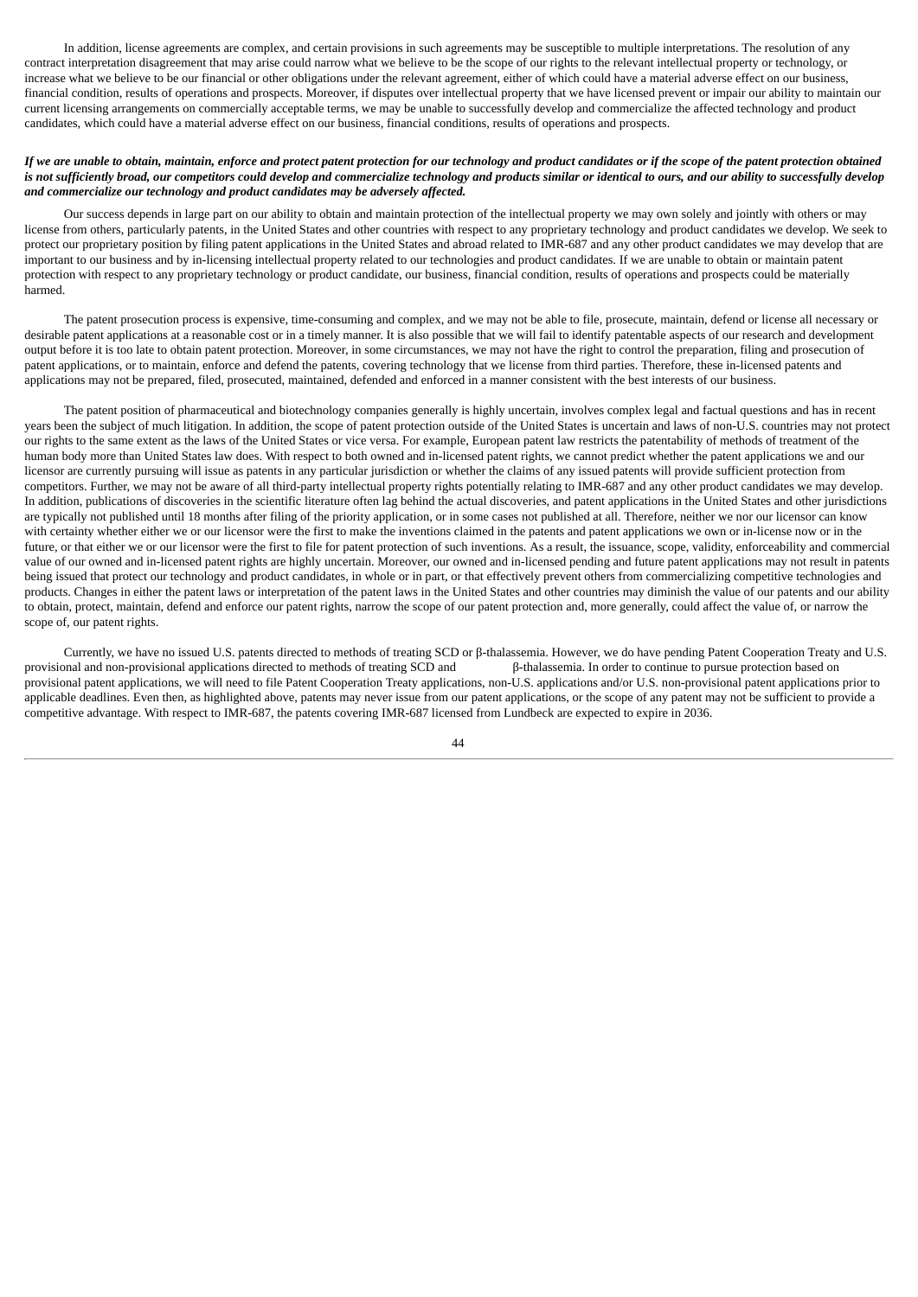In addition, license agreements are complex, and certain provisions in such agreements may be susceptible to multiple interpretations. The resolution of any contract interpretation disagreement that may arise could narrow what we believe to be the scope of our rights to the relevant intellectual property or technology, or increase what we believe to be our financial or other obligations under the relevant agreement, either of which could have a material adverse effect on our business, financial condition, results of operations and prospects. Moreover, if disputes over intellectual property that we have licensed prevent or impair our ability to maintain our current licensing arrangements on commercially acceptable terms, we may be unable to successfully develop and commercialize the affected technology and product candidates, which could have a material adverse effect on our business, financial conditions, results of operations and prospects.

## If we are unable to obtain, maintain, enforce and protect patent protection for our technology and product candidates or if the scope of the patent protection obtained is not sufficiently broad, our competitors could develop and commercialize technology and products similar or identical to ours, and our ability to successfully develop *and commercialize our technology and product candidates may be adversely affected.*

Our success depends in large part on our ability to obtain and maintain protection of the intellectual property we may own solely and jointly with others or may license from others, particularly patents, in the United States and other countries with respect to any proprietary technology and product candidates we develop. We seek to protect our proprietary position by filing patent applications in the United States and abroad related to IMR-687 and any other product candidates we may develop that are important to our business and by in-licensing intellectual property related to our technologies and product candidates. If we are unable to obtain or maintain patent protection with respect to any proprietary technology or product candidate, our business, financial condition, results of operations and prospects could be materially harmed.

The patent prosecution process is expensive, time-consuming and complex, and we may not be able to file, prosecute, maintain, defend or license all necessary or desirable patent applications at a reasonable cost or in a timely manner. It is also possible that we will fail to identify patentable aspects of our research and development output before it is too late to obtain patent protection. Moreover, in some circumstances, we may not have the right to control the preparation, filing and prosecution of patent applications, or to maintain, enforce and defend the patents, covering technology that we license from third parties. Therefore, these in-licensed patents and applications may not be prepared, filed, prosecuted, maintained, defended and enforced in a manner consistent with the best interests of our business.

The patent position of pharmaceutical and biotechnology companies generally is highly uncertain, involves complex legal and factual questions and has in recent years been the subject of much litigation. In addition, the scope of patent protection outside of the United States is uncertain and laws of non-U.S. countries may not protect our rights to the same extent as the laws of the United States or vice versa. For example, European patent law restricts the patentability of methods of treatment of the human body more than United States law does. With respect to both owned and in-licensed patent rights, we cannot predict whether the patent applications we and our licensor are currently pursuing will issue as patents in any particular jurisdiction or whether the claims of any issued patents will provide sufficient protection from competitors. Further, we may not be aware of all third-party intellectual property rights potentially relating to IMR-687 and any other product candidates we may develop. In addition, publications of discoveries in the scientific literature often lag behind the actual discoveries, and patent applications in the United States and other jurisdictions are typically not published until 18 months after filing of the priority application, or in some cases not published at all. Therefore, neither we nor our licensor can know with certainty whether either we or our licensor were the first to make the inventions claimed in the patents and patent applications we own or in-license now or in the future, or that either we or our licensor were the first to file for patent protection of such inventions. As a result, the issuance, scope, validity, enforceability and commercial value of our owned and in-licensed patent rights are highly uncertain. Moreover, our owned and in-licensed pending and future patent applications may not result in patents being issued that protect our technology and product candidates, in whole or in part, or that effectively prevent others from commercializing competitive technologies and products. Changes in either the patent laws or interpretation of the patent laws in the United States and other countries may diminish the value of our patents and our ability to obtain, protect, maintain, defend and enforce our patent rights, narrow the scope of our patent protection and, more generally, could affect the value of, or narrow the scope of, our patent rights.

Currently, we have no issued U.S. patents directed to methods of treating SCD or β-thalassemia. However, we do have pending Patent Cooperation Treaty and U.S. provisional and non-provisional applications directed to methods of treating SCD and β-thalassemia. In order to continue to pursue protection based on provisional patent applications, we will need to file Patent Cooperation Treaty applications, non-U.S. applications and/or U.S. non-provisional patent applications prior to applicable deadlines. Even then, as highlighted above, patents may never issue from our patent applications, or the scope of any patent may not be sufficient to provide a competitive advantage. With respect to IMR-687, the patents covering IMR-687 licensed from Lundbeck are expected to expire in 2036.

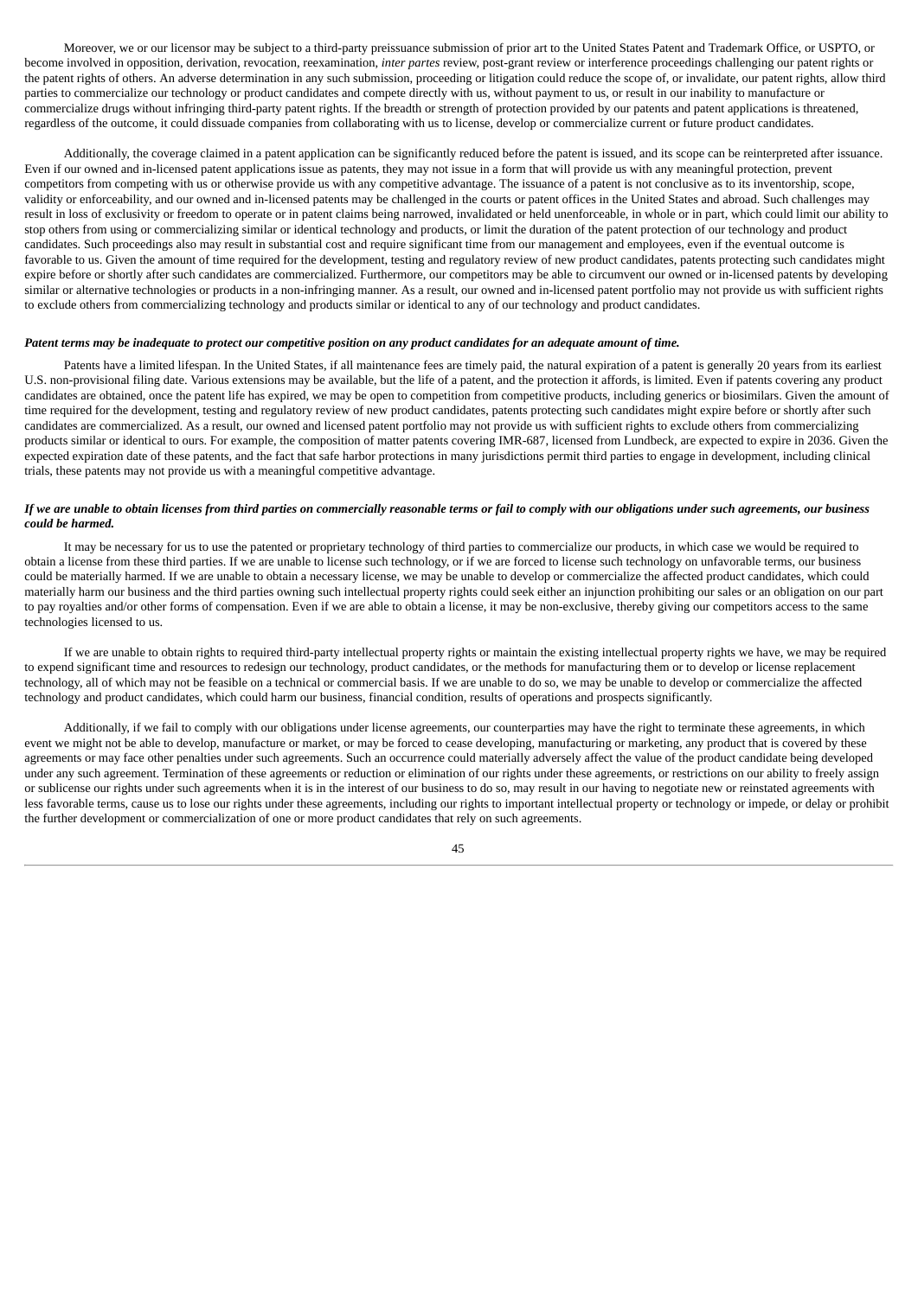Moreover, we or our licensor may be subject to a third-party preissuance submission of prior art to the United States Patent and Trademark Office, or USPTO, or become involved in opposition, derivation, revocation, reexamination, *inter partes* review, post-grant review or interference proceedings challenging our patent rights or the patent rights of others. An adverse determination in any such submission, proceeding or litigation could reduce the scope of, or invalidate, our patent rights, allow third parties to commercialize our technology or product candidates and compete directly with us, without payment to us, or result in our inability to manufacture or commercialize drugs without infringing third-party patent rights. If the breadth or strength of protection provided by our patents and patent applications is threatened, regardless of the outcome, it could dissuade companies from collaborating with us to license, develop or commercialize current or future product candidates.

Additionally, the coverage claimed in a patent application can be significantly reduced before the patent is issued, and its scope can be reinterpreted after issuance. Even if our owned and in-licensed patent applications issue as patents, they may not issue in a form that will provide us with any meaningful protection, prevent competitors from competing with us or otherwise provide us with any competitive advantage. The issuance of a patent is not conclusive as to its inventorship, scope, validity or enforceability, and our owned and in-licensed patents may be challenged in the courts or patent offices in the United States and abroad. Such challenges may result in loss of exclusivity or freedom to operate or in patent claims being narrowed, invalidated or held unenforceable, in whole or in part, which could limit our ability to stop others from using or commercializing similar or identical technology and products, or limit the duration of the patent protection of our technology and product candidates. Such proceedings also may result in substantial cost and require significant time from our management and employees, even if the eventual outcome is favorable to us. Given the amount of time required for the development, testing and regulatory review of new product candidates, patents protecting such candidates might expire before or shortly after such candidates are commercialized. Furthermore, our competitors may be able to circumvent our owned or in-licensed patents by developing similar or alternative technologies or products in a non-infringing manner. As a result, our owned and in-licensed patent portfolio may not provide us with sufficient rights to exclude others from commercializing technology and products similar or identical to any of our technology and product candidates.

#### Patent terms may be inadequate to protect our competitive position on any product candidates for an adequate amount of time.

Patents have a limited lifespan. In the United States, if all maintenance fees are timely paid, the natural expiration of a patent is generally 20 years from its earliest U.S. non-provisional filing date. Various extensions may be available, but the life of a patent, and the protection it affords, is limited. Even if patents covering any product candidates are obtained, once the patent life has expired, we may be open to competition from competitive products, including generics or biosimilars. Given the amount of time required for the development, testing and regulatory review of new product candidates, patents protecting such candidates might expire before or shortly after such candidates are commercialized. As a result, our owned and licensed patent portfolio may not provide us with sufficient rights to exclude others from commercializing products similar or identical to ours. For example, the composition of matter patents covering IMR-687, licensed from Lundbeck, are expected to expire in 2036. Given the expected expiration date of these patents, and the fact that safe harbor protections in many jurisdictions permit third parties to engage in development, including clinical trials, these patents may not provide us with a meaningful competitive advantage.

#### If we are unable to obtain licenses from third parties on commercially reasonable terms or fail to comply with our obligations under such agreements, our business *could be harmed.*

It may be necessary for us to use the patented or proprietary technology of third parties to commercialize our products, in which case we would be required to obtain a license from these third parties. If we are unable to license such technology, or if we are forced to license such technology on unfavorable terms, our business could be materially harmed. If we are unable to obtain a necessary license, we may be unable to develop or commercialize the affected product candidates, which could materially harm our business and the third parties owning such intellectual property rights could seek either an injunction prohibiting our sales or an obligation on our part to pay royalties and/or other forms of compensation. Even if we are able to obtain a license, it may be non-exclusive, thereby giving our competitors access to the same technologies licensed to us.

If we are unable to obtain rights to required third-party intellectual property rights or maintain the existing intellectual property rights we have, we may be required to expend significant time and resources to redesign our technology, product candidates, or the methods for manufacturing them or to develop or license replacement technology, all of which may not be feasible on a technical or commercial basis. If we are unable to do so, we may be unable to develop or commercialize the affected technology and product candidates, which could harm our business, financial condition, results of operations and prospects significantly.

Additionally, if we fail to comply with our obligations under license agreements, our counterparties may have the right to terminate these agreements, in which event we might not be able to develop, manufacture or market, or may be forced to cease developing, manufacturing or marketing, any product that is covered by these agreements or may face other penalties under such agreements. Such an occurrence could materially adversely affect the value of the product candidate being developed under any such agreement. Termination of these agreements or reduction or elimination of our rights under these agreements, or restrictions on our ability to freely assign or sublicense our rights under such agreements when it is in the interest of our business to do so, may result in our having to negotiate new or reinstated agreements with less favorable terms, cause us to lose our rights under these agreements, including our rights to important intellectual property or technology or impede, or delay or prohibit the further development or commercialization of one or more product candidates that rely on such agreements.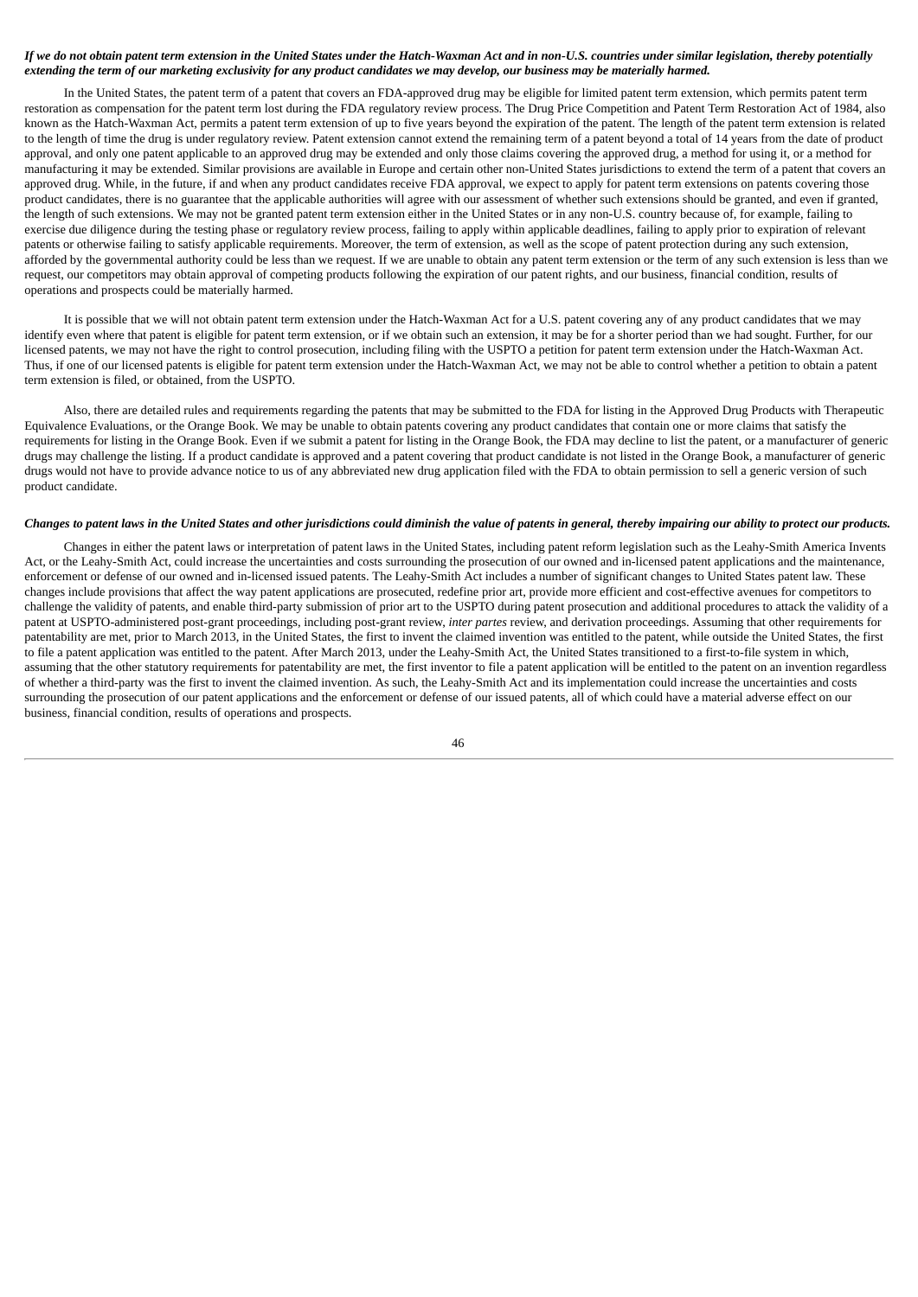## If we do not obtain patent term extension in the United States under the Hatch-Waxman Act and in non-U.S. countries under similar legislation, thereby potentially extending the term of our marketing exclusivity for any product candidates we may develop, our business may be materially harmed.

In the United States, the patent term of a patent that covers an FDA-approved drug may be eligible for limited patent term extension, which permits patent term restoration as compensation for the patent term lost during the FDA regulatory review process. The Drug Price Competition and Patent Term Restoration Act of 1984, also known as the Hatch-Waxman Act, permits a patent term extension of up to five years beyond the expiration of the patent. The length of the patent term extension is related to the length of time the drug is under regulatory review. Patent extension cannot extend the remaining term of a patent beyond a total of 14 years from the date of product approval, and only one patent applicable to an approved drug may be extended and only those claims covering the approved drug, a method for using it, or a method for manufacturing it may be extended. Similar provisions are available in Europe and certain other non-United States jurisdictions to extend the term of a patent that covers an approved drug. While, in the future, if and when any product candidates receive FDA approval, we expect to apply for patent term extensions on patents covering those product candidates, there is no guarantee that the applicable authorities will agree with our assessment of whether such extensions should be granted, and even if granted, the length of such extensions. We may not be granted patent term extension either in the United States or in any non-U.S. country because of, for example, failing to exercise due diligence during the testing phase or regulatory review process, failing to apply within applicable deadlines, failing to apply prior to expiration of relevant patents or otherwise failing to satisfy applicable requirements. Moreover, the term of extension, as well as the scope of patent protection during any such extension, afforded by the governmental authority could be less than we request. If we are unable to obtain any patent term extension or the term of any such extension is less than we request, our competitors may obtain approval of competing products following the expiration of our patent rights, and our business, financial condition, results of operations and prospects could be materially harmed.

It is possible that we will not obtain patent term extension under the Hatch-Waxman Act for a U.S. patent covering any of any product candidates that we may identify even where that patent is eligible for patent term extension, or if we obtain such an extension, it may be for a shorter period than we had sought. Further, for our licensed patents, we may not have the right to control prosecution, including filing with the USPTO a petition for patent term extension under the Hatch-Waxman Act. Thus, if one of our licensed patents is eligible for patent term extension under the Hatch-Waxman Act, we may not be able to control whether a petition to obtain a patent term extension is filed, or obtained, from the USPTO.

Also, there are detailed rules and requirements regarding the patents that may be submitted to the FDA for listing in the Approved Drug Products with Therapeutic Equivalence Evaluations, or the Orange Book. We may be unable to obtain patents covering any product candidates that contain one or more claims that satisfy the requirements for listing in the Orange Book. Even if we submit a patent for listing in the Orange Book, the FDA may decline to list the patent, or a manufacturer of generic drugs may challenge the listing. If a product candidate is approved and a patent covering that product candidate is not listed in the Orange Book, a manufacturer of generic drugs would not have to provide advance notice to us of any abbreviated new drug application filed with the FDA to obtain permission to sell a generic version of such product candidate.

#### Changes to patent laws in the United States and other jurisdictions could diminish the value of patents in general, thereby impairing our ability to protect our products.

Changes in either the patent laws or interpretation of patent laws in the United States, including patent reform legislation such as the Leahy-Smith America Invents Act, or the Leahy-Smith Act, could increase the uncertainties and costs surrounding the prosecution of our owned and in-licensed patent applications and the maintenance, enforcement or defense of our owned and in-licensed issued patents. The Leahy-Smith Act includes a number of significant changes to United States patent law. These changes include provisions that affect the way patent applications are prosecuted, redefine prior art, provide more efficient and cost-effective avenues for competitors to challenge the validity of patents, and enable third-party submission of prior art to the USPTO during patent prosecution and additional procedures to attack the validity of a patent at USPTO-administered post-grant proceedings, including post-grant review, *inter partes* review, and derivation proceedings. Assuming that other requirements for patentability are met, prior to March 2013, in the United States, the first to invent the claimed invention was entitled to the patent, while outside the United States, the first to file a patent application was entitled to the patent. After March 2013, under the Leahy-Smith Act, the United States transitioned to a first-to-file system in which, assuming that the other statutory requirements for patentability are met, the first inventor to file a patent application will be entitled to the patent on an invention regardless of whether a third-party was the first to invent the claimed invention. As such, the Leahy-Smith Act and its implementation could increase the uncertainties and costs surrounding the prosecution of our patent applications and the enforcement or defense of our issued patents, all of which could have a material adverse effect on our business, financial condition, results of operations and prospects.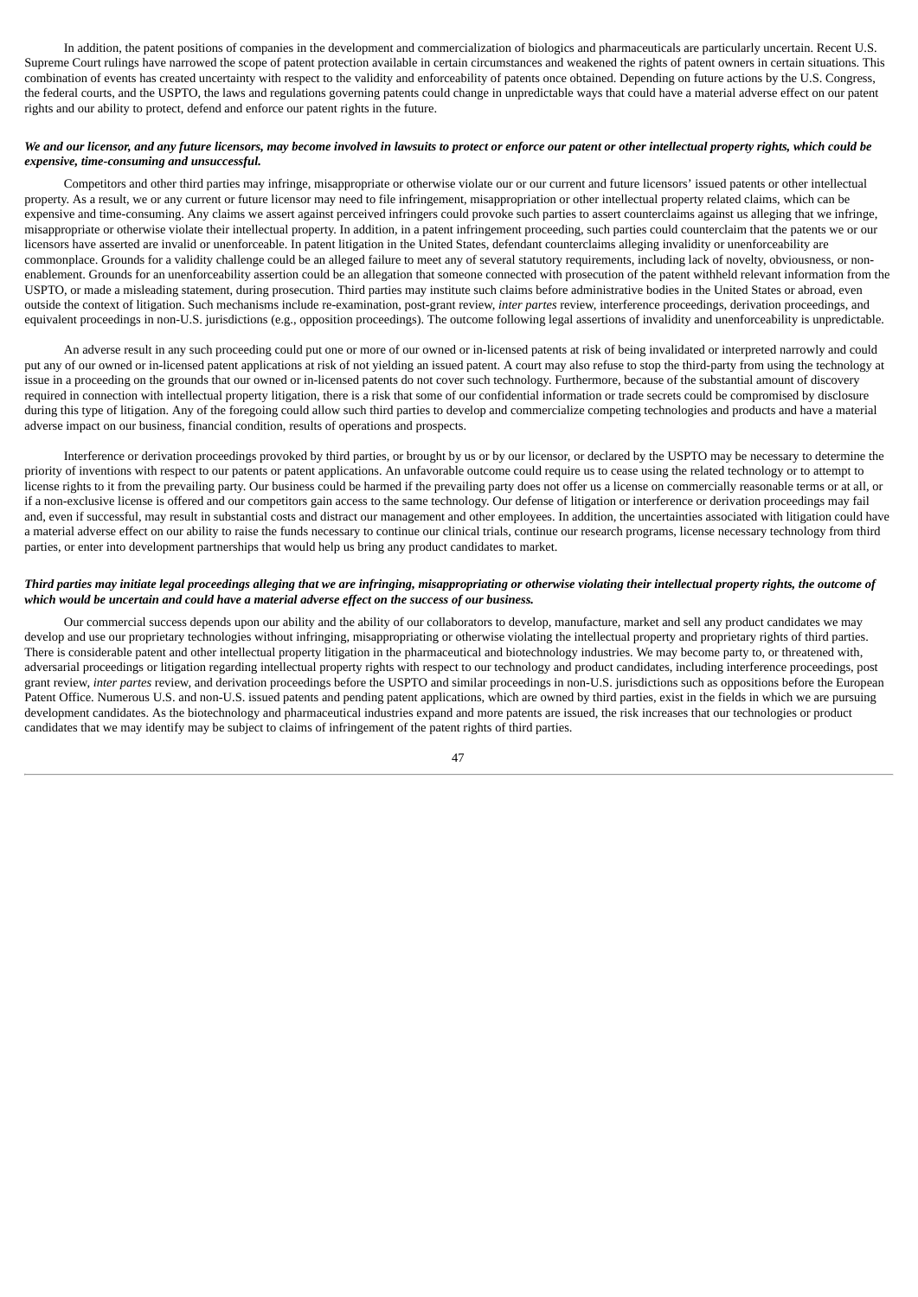In addition, the patent positions of companies in the development and commercialization of biologics and pharmaceuticals are particularly uncertain. Recent U.S. Supreme Court rulings have narrowed the scope of patent protection available in certain circumstances and weakened the rights of patent owners in certain situations. This combination of events has created uncertainty with respect to the validity and enforceability of patents once obtained. Depending on future actions by the U.S. Congress, the federal courts, and the USPTO, the laws and regulations governing patents could change in unpredictable ways that could have a material adverse effect on our patent rights and our ability to protect, defend and enforce our patent rights in the future.

## We and our licensor, and any future licensors, may become involved in lawsuits to protect or enforce our patent or other intellectual property rights, which could be *expensive, time-consuming and unsuccessful.*

Competitors and other third parties may infringe, misappropriate or otherwise violate our or our current and future licensors' issued patents or other intellectual property. As a result, we or any current or future licensor may need to file infringement, misappropriation or other intellectual property related claims, which can be expensive and time-consuming. Any claims we assert against perceived infringers could provoke such parties to assert counterclaims against us alleging that we infringe, misappropriate or otherwise violate their intellectual property. In addition, in a patent infringement proceeding, such parties could counterclaim that the patents we or our licensors have asserted are invalid or unenforceable. In patent litigation in the United States, defendant counterclaims alleging invalidity or unenforceability are commonplace. Grounds for a validity challenge could be an alleged failure to meet any of several statutory requirements, including lack of novelty, obviousness, or nonenablement. Grounds for an unenforceability assertion could be an allegation that someone connected with prosecution of the patent withheld relevant information from the USPTO, or made a misleading statement, during prosecution. Third parties may institute such claims before administrative bodies in the United States or abroad, even outside the context of litigation. Such mechanisms include re-examination, post-grant review, *inter partes* review, interference proceedings, derivation proceedings, and equivalent proceedings in non-U.S. jurisdictions (e.g., opposition proceedings). The outcome following legal assertions of invalidity and unenforceability is unpredictable.

An adverse result in any such proceeding could put one or more of our owned or in-licensed patents at risk of being invalidated or interpreted narrowly and could put any of our owned or in-licensed patent applications at risk of not yielding an issued patent. A court may also refuse to stop the third-party from using the technology at issue in a proceeding on the grounds that our owned or in-licensed patents do not cover such technology. Furthermore, because of the substantial amount of discovery required in connection with intellectual property litigation, there is a risk that some of our confidential information or trade secrets could be compromised by disclosure during this type of litigation. Any of the foregoing could allow such third parties to develop and commercialize competing technologies and products and have a material adverse impact on our business, financial condition, results of operations and prospects.

Interference or derivation proceedings provoked by third parties, or brought by us or by our licensor, or declared by the USPTO may be necessary to determine the priority of inventions with respect to our patents or patent applications. An unfavorable outcome could require us to cease using the related technology or to attempt to license rights to it from the prevailing party. Our business could be harmed if the prevailing party does not offer us a license on commercially reasonable terms or at all, or if a non-exclusive license is offered and our competitors gain access to the same technology. Our defense of litigation or interference or derivation proceedings may fail and, even if successful, may result in substantial costs and distract our management and other employees. In addition, the uncertainties associated with litigation could have a material adverse effect on our ability to raise the funds necessary to continue our clinical trials, continue our research programs, license necessary technology from third parties, or enter into development partnerships that would help us bring any product candidates to market.

# Third parties may initiate legal proceedings alleging that we are infringing, misappropriating or otherwise violating their intellectual property rights, the outcome of *which would be uncertain and could have a material adverse effect on the success of our business.*

Our commercial success depends upon our ability and the ability of our collaborators to develop, manufacture, market and sell any product candidates we may develop and use our proprietary technologies without infringing, misappropriating or otherwise violating the intellectual property and proprietary rights of third parties. There is considerable patent and other intellectual property litigation in the pharmaceutical and biotechnology industries. We may become party to, or threatened with, adversarial proceedings or litigation regarding intellectual property rights with respect to our technology and product candidates, including interference proceedings, post grant review, *inter partes* review, and derivation proceedings before the USPTO and similar proceedings in non-U.S. jurisdictions such as oppositions before the European Patent Office. Numerous U.S. and non-U.S. issued patents and pending patent applications, which are owned by third parties, exist in the fields in which we are pursuing development candidates. As the biotechnology and pharmaceutical industries expand and more patents are issued, the risk increases that our technologies or product candidates that we may identify may be subject to claims of infringement of the patent rights of third parties.

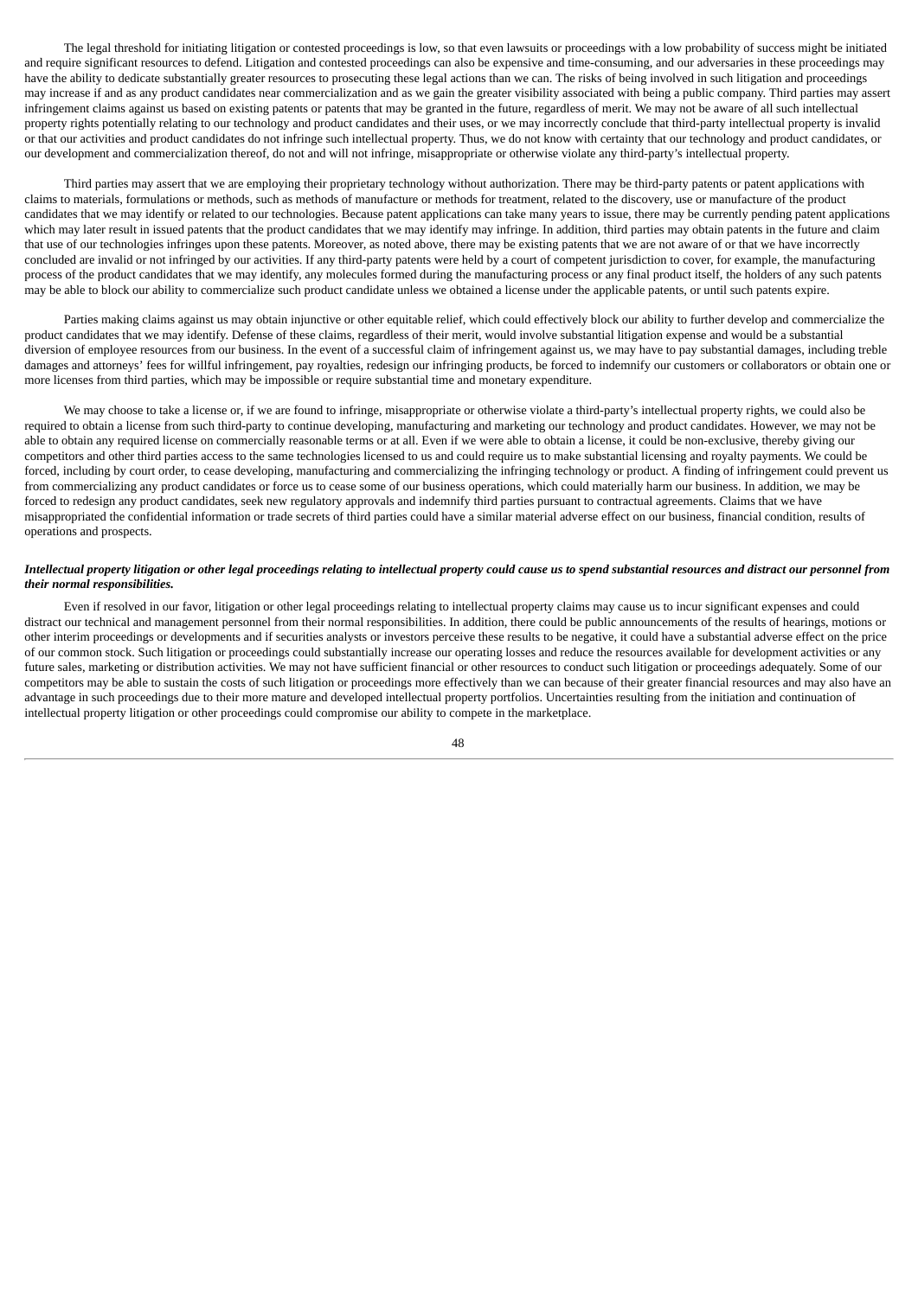The legal threshold for initiating litigation or contested proceedings is low, so that even lawsuits or proceedings with a low probability of success might be initiated and require significant resources to defend. Litigation and contested proceedings can also be expensive and time-consuming, and our adversaries in these proceedings may have the ability to dedicate substantially greater resources to prosecuting these legal actions than we can. The risks of being involved in such litigation and proceedings may increase if and as any product candidates near commercialization and as we gain the greater visibility associated with being a public company. Third parties may assert infringement claims against us based on existing patents or patents that may be granted in the future, regardless of merit. We may not be aware of all such intellectual property rights potentially relating to our technology and product candidates and their uses, or we may incorrectly conclude that third-party intellectual property is invalid or that our activities and product candidates do not infringe such intellectual property. Thus, we do not know with certainty that our technology and product candidates, or our development and commercialization thereof, do not and will not infringe, misappropriate or otherwise violate any third-party's intellectual property.

Third parties may assert that we are employing their proprietary technology without authorization. There may be third-party patents or patent applications with claims to materials, formulations or methods, such as methods of manufacture or methods for treatment, related to the discovery, use or manufacture of the product candidates that we may identify or related to our technologies. Because patent applications can take many years to issue, there may be currently pending patent applications which may later result in issued patents that the product candidates that we may identify may infringe. In addition, third parties may obtain patents in the future and claim that use of our technologies infringes upon these patents. Moreover, as noted above, there may be existing patents that we are not aware of or that we have incorrectly concluded are invalid or not infringed by our activities. If any third-party patents were held by a court of competent jurisdiction to cover, for example, the manufacturing process of the product candidates that we may identify, any molecules formed during the manufacturing process or any final product itself, the holders of any such patents may be able to block our ability to commercialize such product candidate unless we obtained a license under the applicable patents, or until such patents expire.

Parties making claims against us may obtain injunctive or other equitable relief, which could effectively block our ability to further develop and commercialize the product candidates that we may identify. Defense of these claims, regardless of their merit, would involve substantial litigation expense and would be a substantial diversion of employee resources from our business. In the event of a successful claim of infringement against us, we may have to pay substantial damages, including treble damages and attorneys' fees for willful infringement, pay royalties, redesign our infringing products, be forced to indemnify our customers or collaborators or obtain one or more licenses from third parties, which may be impossible or require substantial time and monetary expenditure.

We may choose to take a license or, if we are found to infringe, misappropriate or otherwise violate a third-party's intellectual property rights, we could also be required to obtain a license from such third-party to continue developing, manufacturing and marketing our technology and product candidates. However, we may not be able to obtain any required license on commercially reasonable terms or at all. Even if we were able to obtain a license, it could be non-exclusive, thereby giving our competitors and other third parties access to the same technologies licensed to us and could require us to make substantial licensing and royalty payments. We could be forced, including by court order, to cease developing, manufacturing and commercializing the infringing technology or product. A finding of infringement could prevent us from commercializing any product candidates or force us to cease some of our business operations, which could materially harm our business. In addition, we may be forced to redesign any product candidates, seek new regulatory approvals and indemnify third parties pursuant to contractual agreements. Claims that we have misappropriated the confidential information or trade secrets of third parties could have a similar material adverse effect on our business, financial condition, results of operations and prospects.

## Intellectual property litigation or other legal proceedings relating to intellectual property could cause us to spend substantial resources and distract our personnel from *their normal responsibilities.*

Even if resolved in our favor, litigation or other legal proceedings relating to intellectual property claims may cause us to incur significant expenses and could distract our technical and management personnel from their normal responsibilities. In addition, there could be public announcements of the results of hearings, motions or other interim proceedings or developments and if securities analysts or investors perceive these results to be negative, it could have a substantial adverse effect on the price of our common stock. Such litigation or proceedings could substantially increase our operating losses and reduce the resources available for development activities or any future sales, marketing or distribution activities. We may not have sufficient financial or other resources to conduct such litigation or proceedings adequately. Some of our competitors may be able to sustain the costs of such litigation or proceedings more effectively than we can because of their greater financial resources and may also have an advantage in such proceedings due to their more mature and developed intellectual property portfolios. Uncertainties resulting from the initiation and continuation of intellectual property litigation or other proceedings could compromise our ability to compete in the marketplace.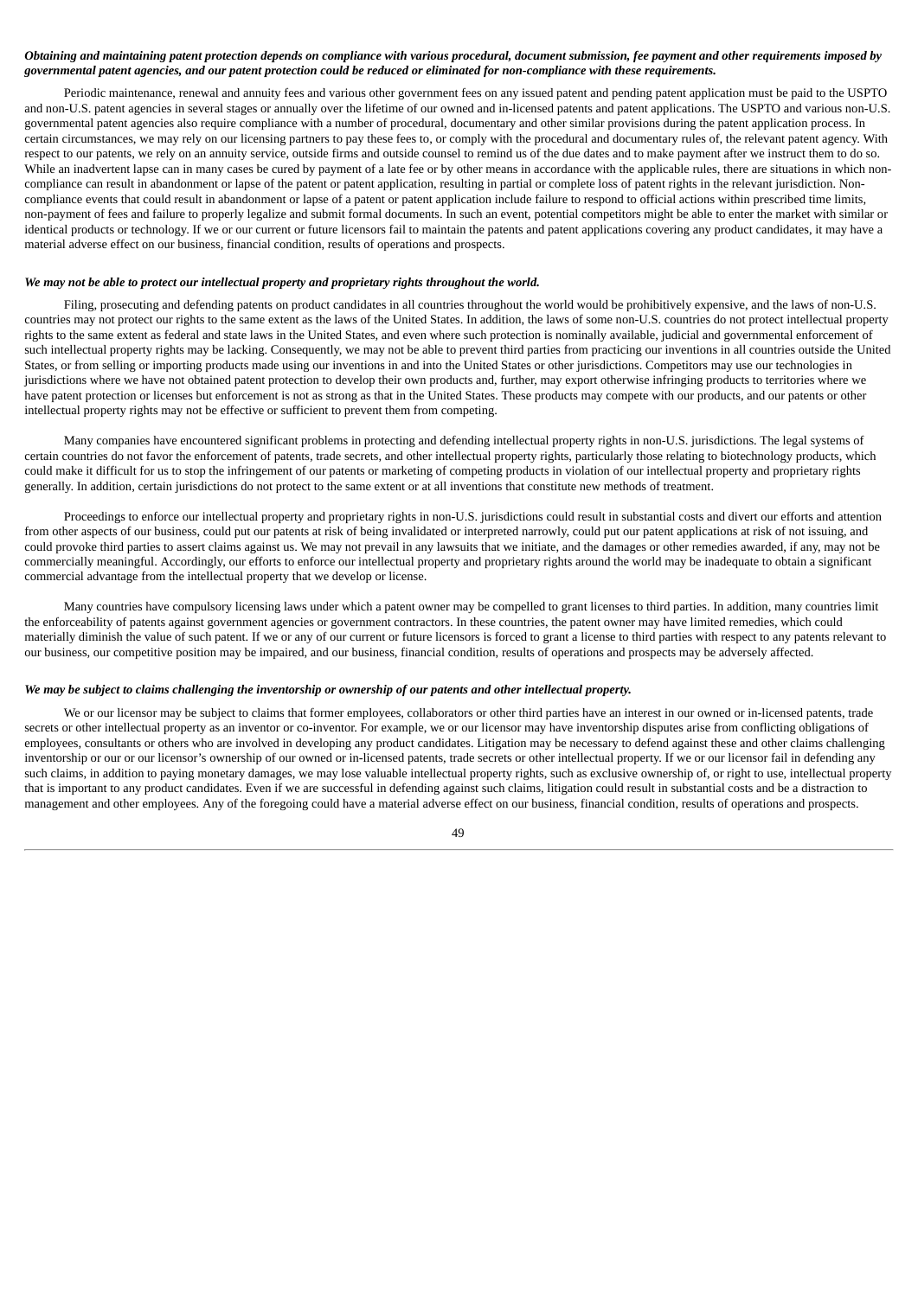## Obtaining and maintaining patent protection depends on compliance with various procedural, document submission, fee payment and other requirements imposed by governmental patent agencies, and our patent protection could be reduced or eliminated for non-compliance with these requirements.

Periodic maintenance, renewal and annuity fees and various other government fees on any issued patent and pending patent application must be paid to the USPTO and non-U.S. patent agencies in several stages or annually over the lifetime of our owned and in-licensed patents and patent applications. The USPTO and various non-U.S. governmental patent agencies also require compliance with a number of procedural, documentary and other similar provisions during the patent application process. In certain circumstances, we may rely on our licensing partners to pay these fees to, or comply with the procedural and documentary rules of, the relevant patent agency. With respect to our patents, we rely on an annuity service, outside firms and outside counsel to remind us of the due dates and to make payment after we instruct them to do so. While an inadvertent lapse can in many cases be cured by payment of a late fee or by other means in accordance with the applicable rules, there are situations in which noncompliance can result in abandonment or lapse of the patent or patent application, resulting in partial or complete loss of patent rights in the relevant jurisdiction. Noncompliance events that could result in abandonment or lapse of a patent or patent application include failure to respond to official actions within prescribed time limits, non-payment of fees and failure to properly legalize and submit formal documents. In such an event, potential competitors might be able to enter the market with similar or identical products or technology. If we or our current or future licensors fail to maintain the patents and patent applications covering any product candidates, it may have a material adverse effect on our business, financial condition, results of operations and prospects.

# *We may not be able to protect our intellectual property and proprietary rights throughout the world.*

Filing, prosecuting and defending patents on product candidates in all countries throughout the world would be prohibitively expensive, and the laws of non-U.S. countries may not protect our rights to the same extent as the laws of the United States. In addition, the laws of some non-U.S. countries do not protect intellectual property rights to the same extent as federal and state laws in the United States, and even where such protection is nominally available, judicial and governmental enforcement of such intellectual property rights may be lacking. Consequently, we may not be able to prevent third parties from practicing our inventions in all countries outside the United States, or from selling or importing products made using our inventions in and into the United States or other jurisdictions. Competitors may use our technologies in jurisdictions where we have not obtained patent protection to develop their own products and, further, may export otherwise infringing products to territories where we have patent protection or licenses but enforcement is not as strong as that in the United States. These products may compete with our products, and our patents or other intellectual property rights may not be effective or sufficient to prevent them from competing.

Many companies have encountered significant problems in protecting and defending intellectual property rights in non-U.S. jurisdictions. The legal systems of certain countries do not favor the enforcement of patents, trade secrets, and other intellectual property rights, particularly those relating to biotechnology products, which could make it difficult for us to stop the infringement of our patents or marketing of competing products in violation of our intellectual property and proprietary rights generally. In addition, certain jurisdictions do not protect to the same extent or at all inventions that constitute new methods of treatment.

Proceedings to enforce our intellectual property and proprietary rights in non-U.S. jurisdictions could result in substantial costs and divert our efforts and attention from other aspects of our business, could put our patents at risk of being invalidated or interpreted narrowly, could put our patent applications at risk of not issuing, and could provoke third parties to assert claims against us. We may not prevail in any lawsuits that we initiate, and the damages or other remedies awarded, if any, may not be commercially meaningful. Accordingly, our efforts to enforce our intellectual property and proprietary rights around the world may be inadequate to obtain a significant commercial advantage from the intellectual property that we develop or license.

Many countries have compulsory licensing laws under which a patent owner may be compelled to grant licenses to third parties. In addition, many countries limit the enforceability of patents against government agencies or government contractors. In these countries, the patent owner may have limited remedies, which could materially diminish the value of such patent. If we or any of our current or future licensors is forced to grant a license to third parties with respect to any patents relevant to our business, our competitive position may be impaired, and our business, financial condition, results of operations and prospects may be adversely affected.

#### We may be subject to claims challenging the inventorship or ownership of our patents and other intellectual property.

We or our licensor may be subject to claims that former employees, collaborators or other third parties have an interest in our owned or in-licensed patents, trade secrets or other intellectual property as an inventor or co-inventor. For example, we or our licensor may have inventorship disputes arise from conflicting obligations of employees, consultants or others who are involved in developing any product candidates. Litigation may be necessary to defend against these and other claims challenging inventorship or our or our licensor's ownership of our owned or in-licensed patents, trade secrets or other intellectual property. If we or our licensor fail in defending any such claims, in addition to paying monetary damages, we may lose valuable intellectual property rights, such as exclusive ownership of, or right to use, intellectual property that is important to any product candidates. Even if we are successful in defending against such claims, litigation could result in substantial costs and be a distraction to management and other employees. Any of the foregoing could have a material adverse effect on our business, financial condition, results of operations and prospects.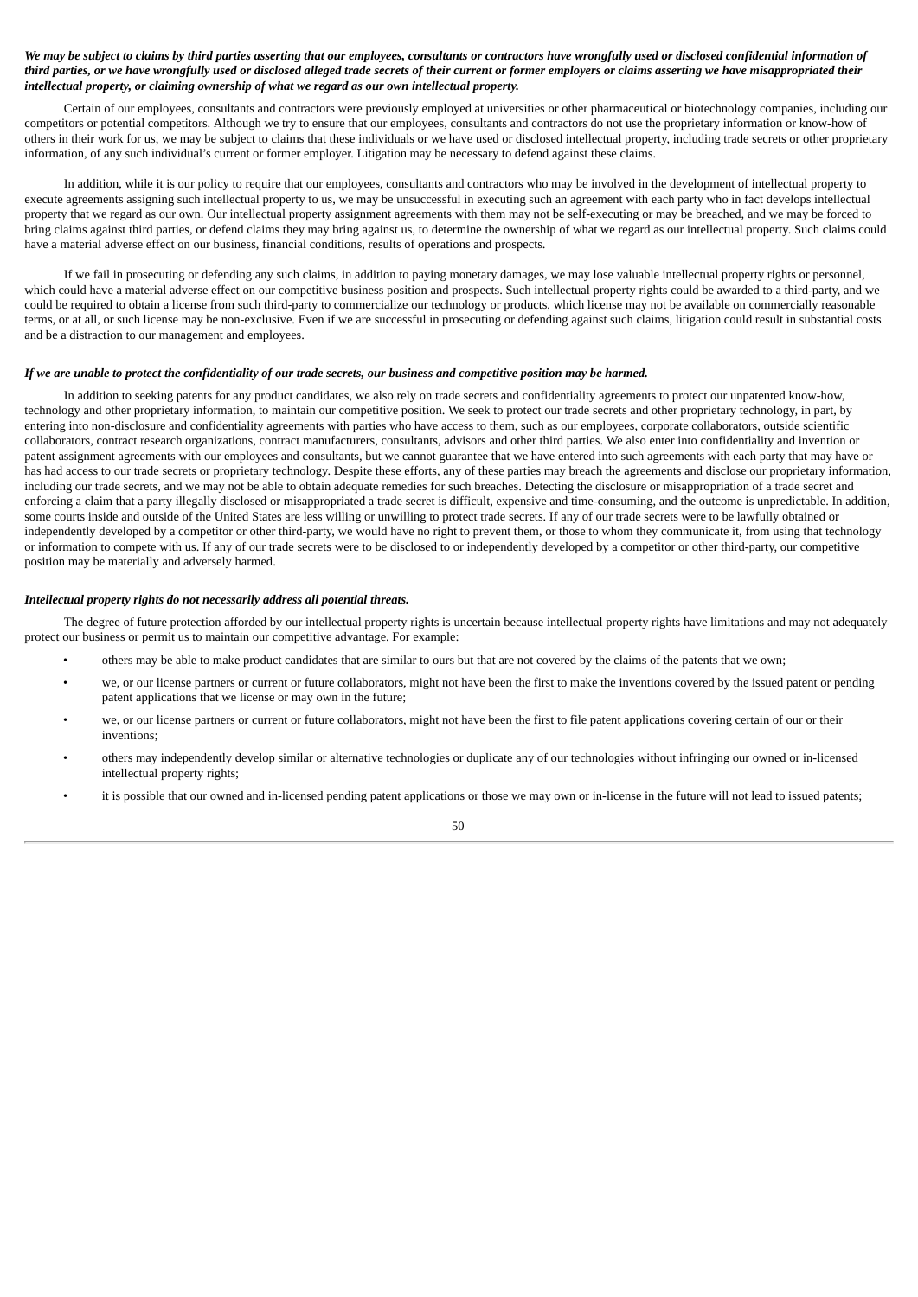## We may be subject to claims by third parties asserting that our employees, consultants or contractors have wrongfully used or disclosed confidential information of third parties, or we have wrongfully used or disclosed alleged trade secrets of their current or former employers or claims asserting we have misappropriated their *intellectual property, or claiming ownership of what we regard as our own intellectual property.*

Certain of our employees, consultants and contractors were previously employed at universities or other pharmaceutical or biotechnology companies, including our competitors or potential competitors. Although we try to ensure that our employees, consultants and contractors do not use the proprietary information or know-how of others in their work for us, we may be subject to claims that these individuals or we have used or disclosed intellectual property, including trade secrets or other proprietary information, of any such individual's current or former employer. Litigation may be necessary to defend against these claims.

In addition, while it is our policy to require that our employees, consultants and contractors who may be involved in the development of intellectual property to execute agreements assigning such intellectual property to us, we may be unsuccessful in executing such an agreement with each party who in fact develops intellectual property that we regard as our own. Our intellectual property assignment agreements with them may not be self-executing or may be breached, and we may be forced to bring claims against third parties, or defend claims they may bring against us, to determine the ownership of what we regard as our intellectual property. Such claims could have a material adverse effect on our business, financial conditions, results of operations and prospects.

If we fail in prosecuting or defending any such claims, in addition to paying monetary damages, we may lose valuable intellectual property rights or personnel, which could have a material adverse effect on our competitive business position and prospects. Such intellectual property rights could be awarded to a third-party, and we could be required to obtain a license from such third-party to commercialize our technology or products, which license may not be available on commercially reasonable terms, or at all, or such license may be non-exclusive. Even if we are successful in prosecuting or defending against such claims, litigation could result in substantial costs and be a distraction to our management and employees.

#### If we are unable to protect the confidentiality of our trade secrets, our business and competitive position may be harmed.

In addition to seeking patents for any product candidates, we also rely on trade secrets and confidentiality agreements to protect our unpatented know-how, technology and other proprietary information, to maintain our competitive position. We seek to protect our trade secrets and other proprietary technology, in part, by entering into non-disclosure and confidentiality agreements with parties who have access to them, such as our employees, corporate collaborators, outside scientific collaborators, contract research organizations, contract manufacturers, consultants, advisors and other third parties. We also enter into confidentiality and invention or patent assignment agreements with our employees and consultants, but we cannot guarantee that we have entered into such agreements with each party that may have or has had access to our trade secrets or proprietary technology. Despite these efforts, any of these parties may breach the agreements and disclose our proprietary information, including our trade secrets, and we may not be able to obtain adequate remedies for such breaches. Detecting the disclosure or misappropriation of a trade secret and enforcing a claim that a party illegally disclosed or misappropriated a trade secret is difficult, expensive and time-consuming, and the outcome is unpredictable. In addition, some courts inside and outside of the United States are less willing or unwilling to protect trade secrets. If any of our trade secrets were to be lawfully obtained or independently developed by a competitor or other third-party, we would have no right to prevent them, or those to whom they communicate it, from using that technology or information to compete with us. If any of our trade secrets were to be disclosed to or independently developed by a competitor or other third-party, our competitive position may be materially and adversely harmed.

#### *Intellectual property rights do not necessarily address all potential threats.*

The degree of future protection afforded by our intellectual property rights is uncertain because intellectual property rights have limitations and may not adequately protect our business or permit us to maintain our competitive advantage. For example:

- others may be able to make product candidates that are similar to ours but that are not covered by the claims of the patents that we own;
- we, or our license partners or current or future collaborators, might not have been the first to make the inventions covered by the issued patent or pending patent applications that we license or may own in the future;
- we, or our license partners or current or future collaborators, might not have been the first to file patent applications covering certain of our or their inventions;
- others may independently develop similar or alternative technologies or duplicate any of our technologies without infringing our owned or in-licensed intellectual property rights;
- it is possible that our owned and in-licensed pending patent applications or those we may own or in-license in the future will not lead to issued patents;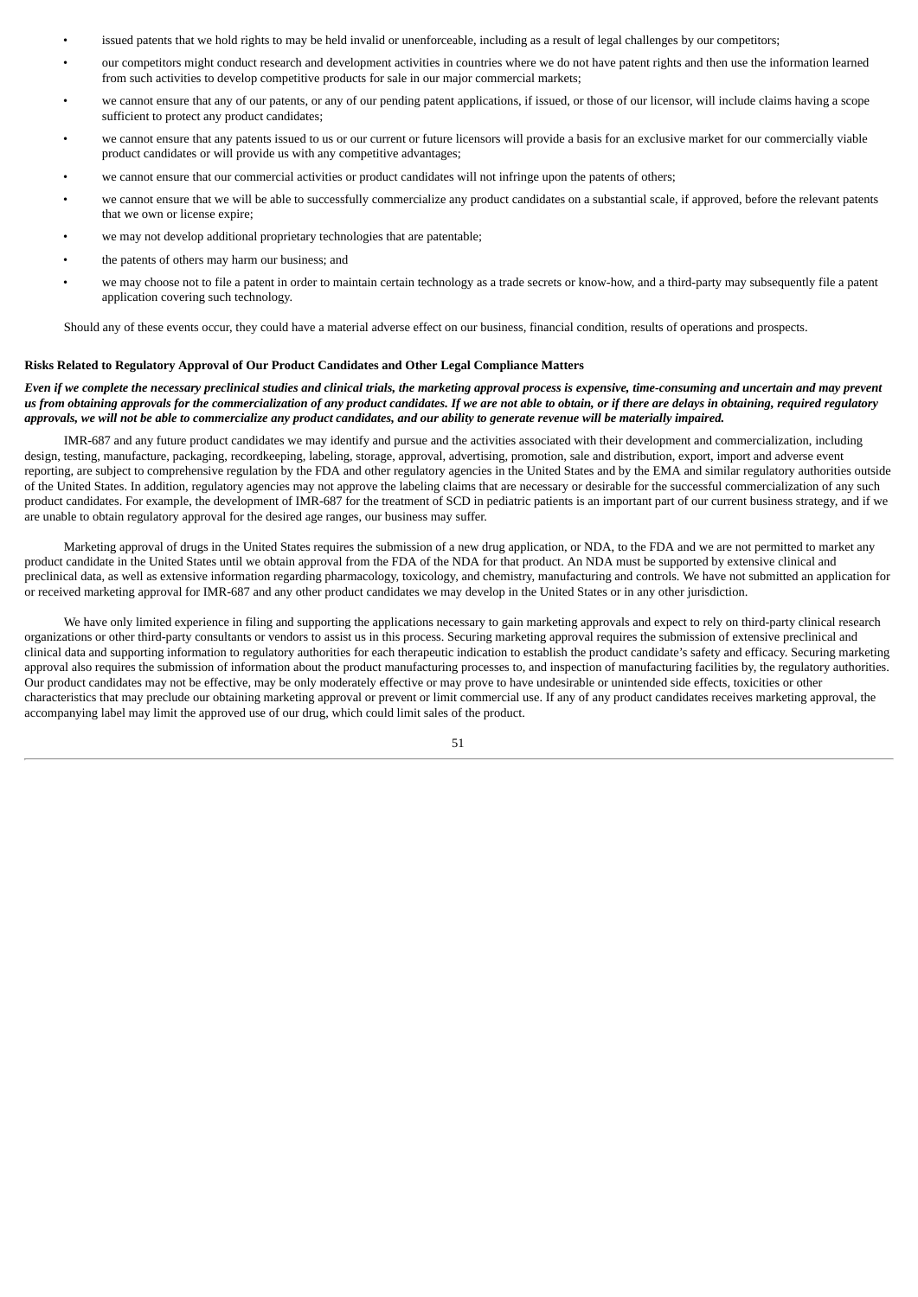- issued patents that we hold rights to may be held invalid or unenforceable, including as a result of legal challenges by our competitors;
- our competitors might conduct research and development activities in countries where we do not have patent rights and then use the information learned from such activities to develop competitive products for sale in our major commercial markets;
- we cannot ensure that any of our patents, or any of our pending patent applications, if issued, or those of our licensor, will include claims having a scope sufficient to protect any product candidates;
- we cannot ensure that any patents issued to us or our current or future licensors will provide a basis for an exclusive market for our commercially viable product candidates or will provide us with any competitive advantages;
- we cannot ensure that our commercial activities or product candidates will not infringe upon the patents of others;
- we cannot ensure that we will be able to successfully commercialize any product candidates on a substantial scale, if approved, before the relevant patents that we own or license expire;
- we may not develop additional proprietary technologies that are patentable;
- the patents of others may harm our business; and
- we may choose not to file a patent in order to maintain certain technology as a trade secrets or know-how, and a third-party may subsequently file a patent application covering such technology.

Should any of these events occur, they could have a material adverse effect on our business, financial condition, results of operations and prospects.

#### **Risks Related to Regulatory Approval of Our Product Candidates and Other Legal Compliance Matters**

## Even if we complete the necessary preclinical studies and clinical trials, the marketing approval process is expensive, time-consuming and uncertain and may prevent us from obtaining approvals for the commercialization of any product candidates. If we are not able to obtain, or if there are delays in obtaining, required regulatory approvals, we will not be able to commercialize any product candidates, and our ability to generate revenue will be materially impaired.

IMR-687 and any future product candidates we may identify and pursue and the activities associated with their development and commercialization, including design, testing, manufacture, packaging, recordkeeping, labeling, storage, approval, advertising, promotion, sale and distribution, export, import and adverse event reporting, are subject to comprehensive regulation by the FDA and other regulatory agencies in the United States and by the EMA and similar regulatory authorities outside of the United States. In addition, regulatory agencies may not approve the labeling claims that are necessary or desirable for the successful commercialization of any such product candidates. For example, the development of IMR-687 for the treatment of SCD in pediatric patients is an important part of our current business strategy, and if we are unable to obtain regulatory approval for the desired age ranges, our business may suffer.

Marketing approval of drugs in the United States requires the submission of a new drug application, or NDA, to the FDA and we are not permitted to market any product candidate in the United States until we obtain approval from the FDA of the NDA for that product. An NDA must be supported by extensive clinical and preclinical data, as well as extensive information regarding pharmacology, toxicology, and chemistry, manufacturing and controls. We have not submitted an application for or received marketing approval for IMR-687 and any other product candidates we may develop in the United States or in any other jurisdiction.

We have only limited experience in filing and supporting the applications necessary to gain marketing approvals and expect to rely on third-party clinical research organizations or other third-party consultants or vendors to assist us in this process. Securing marketing approval requires the submission of extensive preclinical and clinical data and supporting information to regulatory authorities for each therapeutic indication to establish the product candidate's safety and efficacy. Securing marketing approval also requires the submission of information about the product manufacturing processes to, and inspection of manufacturing facilities by, the regulatory authorities. Our product candidates may not be effective, may be only moderately effective or may prove to have undesirable or unintended side effects, toxicities or other characteristics that may preclude our obtaining marketing approval or prevent or limit commercial use. If any of any product candidates receives marketing approval, the accompanying label may limit the approved use of our drug, which could limit sales of the product.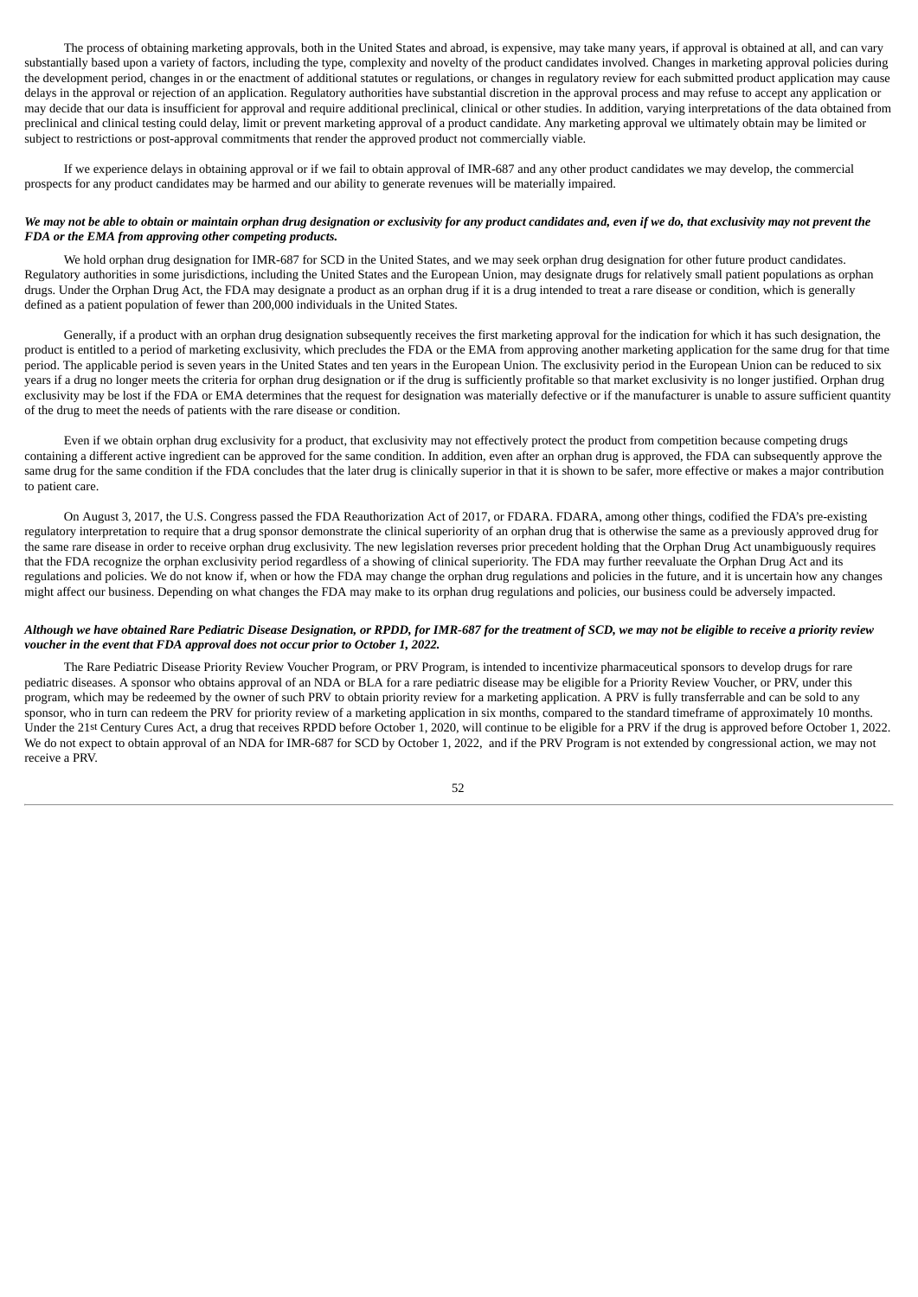The process of obtaining marketing approvals, both in the United States and abroad, is expensive, may take many years, if approval is obtained at all, and can vary substantially based upon a variety of factors, including the type, complexity and novelty of the product candidates involved. Changes in marketing approval policies during the development period, changes in or the enactment of additional statutes or regulations, or changes in regulatory review for each submitted product application may cause delays in the approval or rejection of an application. Regulatory authorities have substantial discretion in the approval process and may refuse to accept any application or may decide that our data is insufficient for approval and require additional preclinical, clinical or other studies. In addition, varying interpretations of the data obtained from preclinical and clinical testing could delay, limit or prevent marketing approval of a product candidate. Any marketing approval we ultimately obtain may be limited or subject to restrictions or post-approval commitments that render the approved product not commercially viable.

If we experience delays in obtaining approval or if we fail to obtain approval of IMR-687 and any other product candidates we may develop, the commercial prospects for any product candidates may be harmed and our ability to generate revenues will be materially impaired.

## We may not be able to obtain or maintain orphan drug designation or exclusivity for any product candidates and, even if we do, that exclusivity may not prevent the *FDA or the EMA from approving other competing products.*

We hold orphan drug designation for IMR-687 for SCD in the United States, and we may seek orphan drug designation for other future product candidates. Regulatory authorities in some jurisdictions, including the United States and the European Union, may designate drugs for relatively small patient populations as orphan drugs. Under the Orphan Drug Act, the FDA may designate a product as an orphan drug if it is a drug intended to treat a rare disease or condition, which is generally defined as a patient population of fewer than 200,000 individuals in the United States.

Generally, if a product with an orphan drug designation subsequently receives the first marketing approval for the indication for which it has such designation, the product is entitled to a period of marketing exclusivity, which precludes the FDA or the EMA from approving another marketing application for the same drug for that time period. The applicable period is seven years in the United States and ten years in the European Union. The exclusivity period in the European Union can be reduced to six years if a drug no longer meets the criteria for orphan drug designation or if the drug is sufficiently profitable so that market exclusivity is no longer justified. Orphan drug exclusivity may be lost if the FDA or EMA determines that the request for designation was materially defective or if the manufacturer is unable to assure sufficient quantity of the drug to meet the needs of patients with the rare disease or condition.

Even if we obtain orphan drug exclusivity for a product, that exclusivity may not effectively protect the product from competition because competing drugs containing a different active ingredient can be approved for the same condition. In addition, even after an orphan drug is approved, the FDA can subsequently approve the same drug for the same condition if the FDA concludes that the later drug is clinically superior in that it is shown to be safer, more effective or makes a major contribution to patient care.

On August 3, 2017, the U.S. Congress passed the FDA Reauthorization Act of 2017, or FDARA. FDARA, among other things, codified the FDA's pre-existing regulatory interpretation to require that a drug sponsor demonstrate the clinical superiority of an orphan drug that is otherwise the same as a previously approved drug for the same rare disease in order to receive orphan drug exclusivity. The new legislation reverses prior precedent holding that the Orphan Drug Act unambiguously requires that the FDA recognize the orphan exclusivity period regardless of a showing of clinical superiority. The FDA may further reevaluate the Orphan Drug Act and its regulations and policies. We do not know if, when or how the FDA may change the orphan drug regulations and policies in the future, and it is uncertain how any changes might affect our business. Depending on what changes the FDA may make to its orphan drug regulations and policies, our business could be adversely impacted.

## Although we have obtained Rare Pediatric Disease Designation, or RPDD, for IMR-687 for the treatment of SCD, we may not be eligible to receive a priority review *voucher in the event that FDA approval does not occur prior to October 1, 2022.*

The Rare Pediatric Disease Priority Review Voucher Program, or PRV Program, is intended to incentivize pharmaceutical sponsors to develop drugs for rare pediatric diseases. A sponsor who obtains approval of an NDA or BLA for a rare pediatric disease may be eligible for a Priority Review Voucher, or PRV, under this program, which may be redeemed by the owner of such PRV to obtain priority review for a marketing application. A PRV is fully transferrable and can be sold to any sponsor, who in turn can redeem the PRV for priority review of a marketing application in six months, compared to the standard timeframe of approximately 10 months. Under the 21st Century Cures Act, a drug that receives RPDD before October 1, 2020, will continue to be eligible for a PRV if the drug is approved before October 1, 2022. We do not expect to obtain approval of an NDA for IMR-687 for SCD by October 1, 2022, and if the PRV Program is not extended by congressional action, we may not receive a PRV.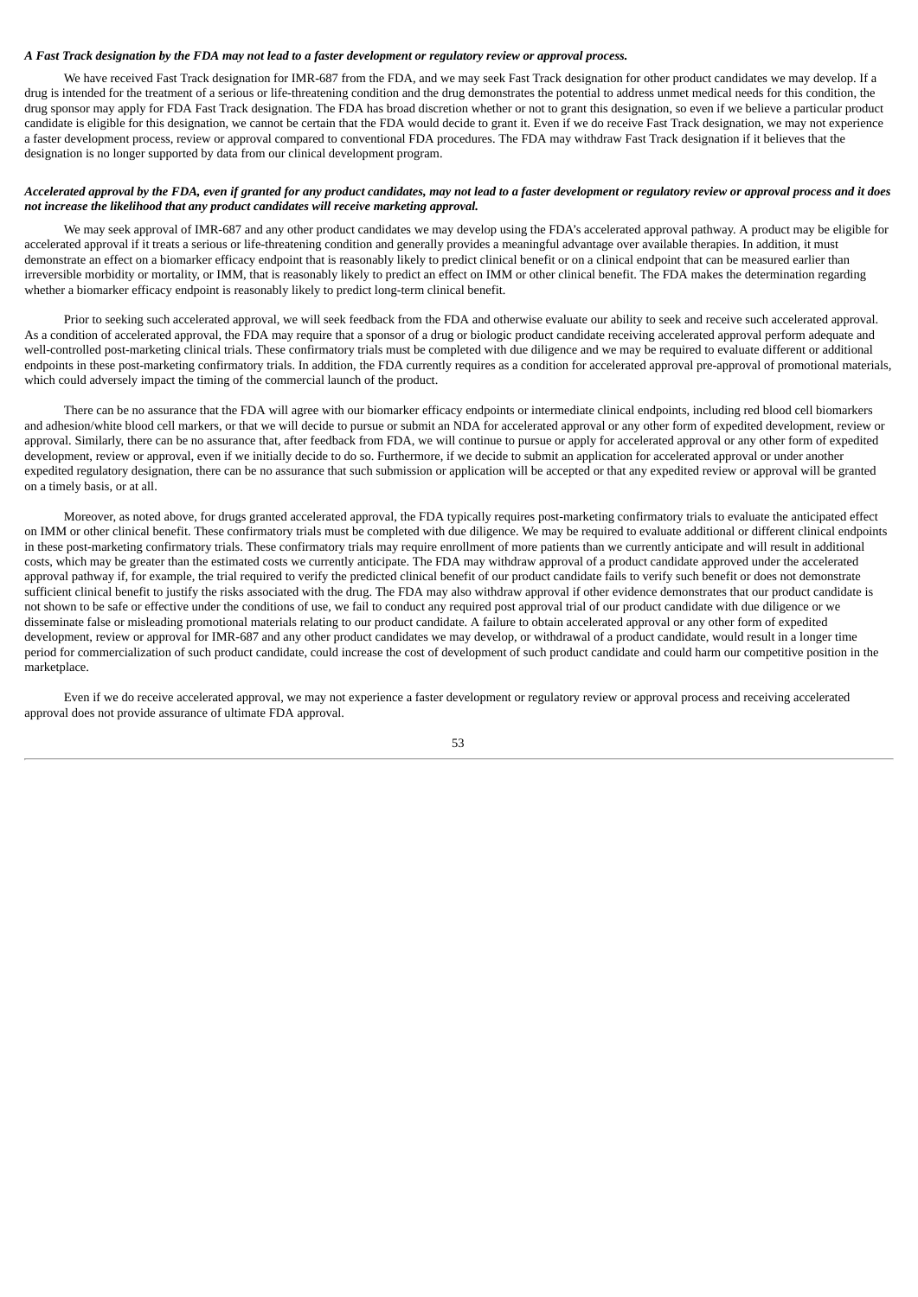## A Fast Track designation by the FDA may not lead to a faster development or regulatory review or approval process.

We have received Fast Track designation for IMR-687 from the FDA, and we may seek Fast Track designation for other product candidates we may develop. If a drug is intended for the treatment of a serious or life-threatening condition and the drug demonstrates the potential to address unmet medical needs for this condition, the drug sponsor may apply for FDA Fast Track designation. The FDA has broad discretion whether or not to grant this designation, so even if we believe a particular product candidate is eligible for this designation, we cannot be certain that the FDA would decide to grant it. Even if we do receive Fast Track designation, we may not experience a faster development process, review or approval compared to conventional FDA procedures. The FDA may withdraw Fast Track designation if it believes that the designation is no longer supported by data from our clinical development program.

## Accelerated approval by the FDA, even if granted for any product candidates, may not lead to a faster development or regulatory review or approval process and it does *not increase the likelihood that any product candidates will receive marketing approval.*

We may seek approval of IMR-687 and any other product candidates we may develop using the FDA's accelerated approval pathway. A product may be eligible for accelerated approval if it treats a serious or life-threatening condition and generally provides a meaningful advantage over available therapies. In addition, it must demonstrate an effect on a biomarker efficacy endpoint that is reasonably likely to predict clinical benefit or on a clinical endpoint that can be measured earlier than irreversible morbidity or mortality, or IMM, that is reasonably likely to predict an effect on IMM or other clinical benefit. The FDA makes the determination regarding whether a biomarker efficacy endpoint is reasonably likely to predict long-term clinical benefit.

Prior to seeking such accelerated approval, we will seek feedback from the FDA and otherwise evaluate our ability to seek and receive such accelerated approval. As a condition of accelerated approval, the FDA may require that a sponsor of a drug or biologic product candidate receiving accelerated approval perform adequate and well-controlled post-marketing clinical trials. These confirmatory trials must be completed with due diligence and we may be required to evaluate different or additional endpoints in these post-marketing confirmatory trials. In addition, the FDA currently requires as a condition for accelerated approval pre-approval of promotional materials, which could adversely impact the timing of the commercial launch of the product.

There can be no assurance that the FDA will agree with our biomarker efficacy endpoints or intermediate clinical endpoints, including red blood cell biomarkers and adhesion/white blood cell markers, or that we will decide to pursue or submit an NDA for accelerated approval or any other form of expedited development, review or approval. Similarly, there can be no assurance that, after feedback from FDA, we will continue to pursue or apply for accelerated approval or any other form of expedited development, review or approval, even if we initially decide to do so. Furthermore, if we decide to submit an application for accelerated approval or under another expedited regulatory designation, there can be no assurance that such submission or application will be accepted or that any expedited review or approval will be granted on a timely basis, or at all.

Moreover, as noted above, for drugs granted accelerated approval, the FDA typically requires post-marketing confirmatory trials to evaluate the anticipated effect on IMM or other clinical benefit. These confirmatory trials must be completed with due diligence. We may be required to evaluate additional or different clinical endpoints in these post-marketing confirmatory trials. These confirmatory trials may require enrollment of more patients than we currently anticipate and will result in additional costs, which may be greater than the estimated costs we currently anticipate. The FDA may withdraw approval of a product candidate approved under the accelerated approval pathway if, for example, the trial required to verify the predicted clinical benefit of our product candidate fails to verify such benefit or does not demonstrate sufficient clinical benefit to justify the risks associated with the drug. The FDA may also withdraw approval if other evidence demonstrates that our product candidate is not shown to be safe or effective under the conditions of use, we fail to conduct any required post approval trial of our product candidate with due diligence or we disseminate false or misleading promotional materials relating to our product candidate. A failure to obtain accelerated approval or any other form of expedited development, review or approval for IMR-687 and any other product candidates we may develop, or withdrawal of a product candidate, would result in a longer time period for commercialization of such product candidate, could increase the cost of development of such product candidate and could harm our competitive position in the marketplace.

Even if we do receive accelerated approval, we may not experience a faster development or regulatory review or approval process and receiving accelerated approval does not provide assurance of ultimate FDA approval.

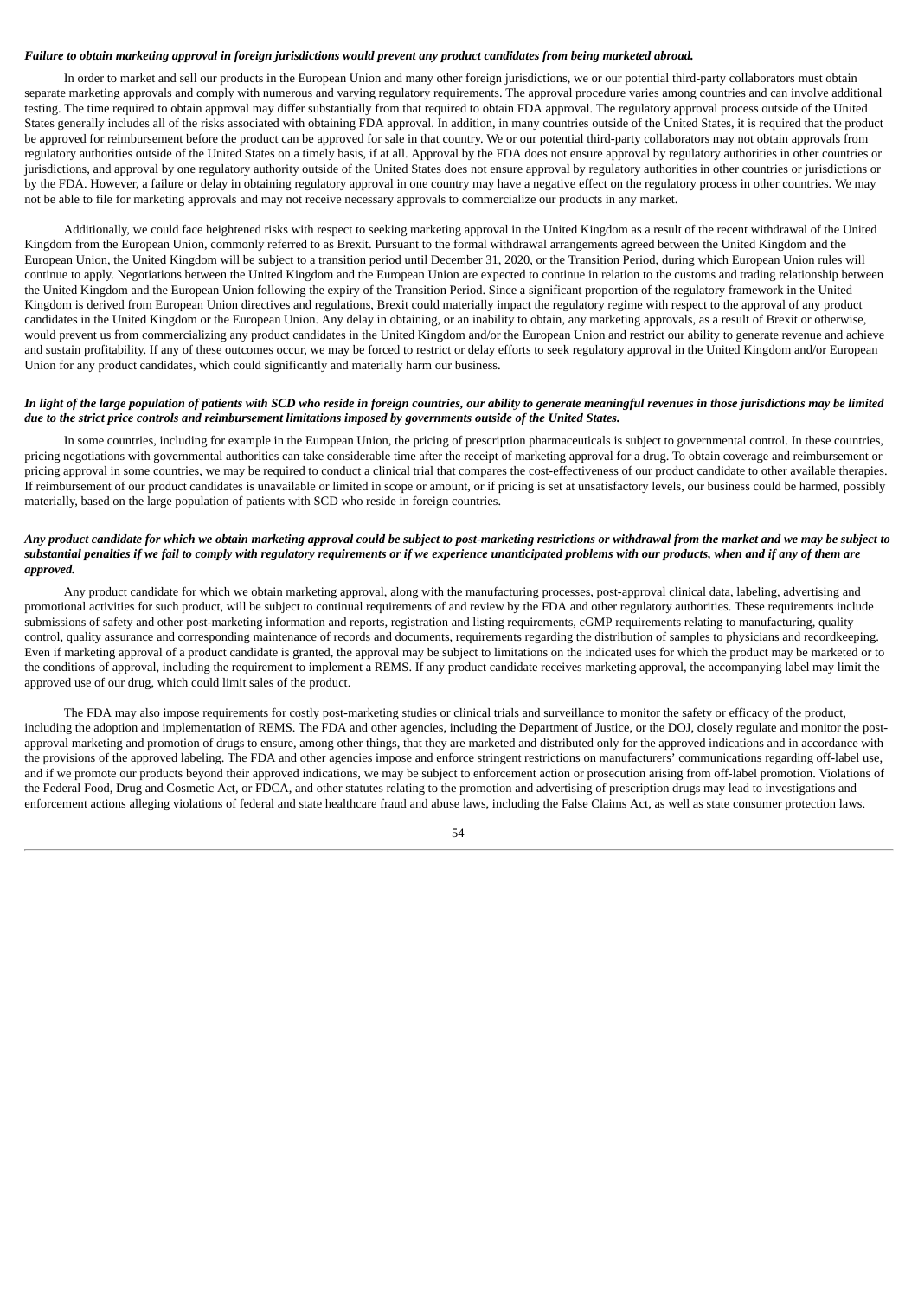#### Failure to obtain marketing approval in foreign jurisdictions would prevent any product candidates from being marketed abroad.

In order to market and sell our products in the European Union and many other foreign jurisdictions, we or our potential third-party collaborators must obtain separate marketing approvals and comply with numerous and varying regulatory requirements. The approval procedure varies among countries and can involve additional testing. The time required to obtain approval may differ substantially from that required to obtain FDA approval. The regulatory approval process outside of the United States generally includes all of the risks associated with obtaining FDA approval. In addition, in many countries outside of the United States, it is required that the product be approved for reimbursement before the product can be approved for sale in that country. We or our potential third-party collaborators may not obtain approvals from regulatory authorities outside of the United States on a timely basis, if at all. Approval by the FDA does not ensure approval by regulatory authorities in other countries or jurisdictions, and approval by one regulatory authority outside of the United States does not ensure approval by regulatory authorities in other countries or jurisdictions or by the FDA. However, a failure or delay in obtaining regulatory approval in one country may have a negative effect on the regulatory process in other countries. We may not be able to file for marketing approvals and may not receive necessary approvals to commercialize our products in any market.

Additionally, we could face heightened risks with respect to seeking marketing approval in the United Kingdom as a result of the recent withdrawal of the United Kingdom from the European Union, commonly referred to as Brexit. Pursuant to the formal withdrawal arrangements agreed between the United Kingdom and the European Union, the United Kingdom will be subject to a transition period until December 31, 2020, or the Transition Period, during which European Union rules will continue to apply. Negotiations between the United Kingdom and the European Union are expected to continue in relation to the customs and trading relationship between the United Kingdom and the European Union following the expiry of the Transition Period. Since a significant proportion of the regulatory framework in the United Kingdom is derived from European Union directives and regulations, Brexit could materially impact the regulatory regime with respect to the approval of any product candidates in the United Kingdom or the European Union. Any delay in obtaining, or an inability to obtain, any marketing approvals, as a result of Brexit or otherwise, would prevent us from commercializing any product candidates in the United Kingdom and/or the European Union and restrict our ability to generate revenue and achieve and sustain profitability. If any of these outcomes occur, we may be forced to restrict or delay efforts to seek regulatory approval in the United Kingdom and/or European Union for any product candidates, which could significantly and materially harm our business.

# In light of the large population of patients with SCD who reside in foreign countries, our ability to generate meaningful revenues in those jurisdictions may be limited due to the strict price controls and reimbursement limitations imposed by governments outside of the United States.

In some countries, including for example in the European Union, the pricing of prescription pharmaceuticals is subject to governmental control. In these countries, pricing negotiations with governmental authorities can take considerable time after the receipt of marketing approval for a drug. To obtain coverage and reimbursement or pricing approval in some countries, we may be required to conduct a clinical trial that compares the cost-effectiveness of our product candidate to other available therapies. If reimbursement of our product candidates is unavailable or limited in scope or amount, or if pricing is set at unsatisfactory levels, our business could be harmed, possibly materially, based on the large population of patients with SCD who reside in foreign countries.

# Any product candidate for which we obtain marketing approval could be subject to post-marketing restrictions or withdrawal from the market and we may be subject to substantial penalties if we fail to comply with reaulatory reauirements or if we experience unanticipated problems with our products, when and if any of them are *approved.*

Any product candidate for which we obtain marketing approval, along with the manufacturing processes, post-approval clinical data, labeling, advertising and promotional activities for such product, will be subject to continual requirements of and review by the FDA and other regulatory authorities. These requirements include submissions of safety and other post-marketing information and reports, registration and listing requirements, cGMP requirements relating to manufacturing, quality control, quality assurance and corresponding maintenance of records and documents, requirements regarding the distribution of samples to physicians and recordkeeping. Even if marketing approval of a product candidate is granted, the approval may be subject to limitations on the indicated uses for which the product may be marketed or to the conditions of approval, including the requirement to implement a REMS. If any product candidate receives marketing approval, the accompanying label may limit the approved use of our drug, which could limit sales of the product.

The FDA may also impose requirements for costly post-marketing studies or clinical trials and surveillance to monitor the safety or efficacy of the product, including the adoption and implementation of REMS. The FDA and other agencies, including the Department of Justice, or the DOJ, closely regulate and monitor the postapproval marketing and promotion of drugs to ensure, among other things, that they are marketed and distributed only for the approved indications and in accordance with the provisions of the approved labeling. The FDA and other agencies impose and enforce stringent restrictions on manufacturers' communications regarding off-label use, and if we promote our products beyond their approved indications, we may be subject to enforcement action or prosecution arising from off-label promotion. Violations of the Federal Food, Drug and Cosmetic Act, or FDCA, and other statutes relating to the promotion and advertising of prescription drugs may lead to investigations and enforcement actions alleging violations of federal and state healthcare fraud and abuse laws, including the False Claims Act, as well as state consumer protection laws.

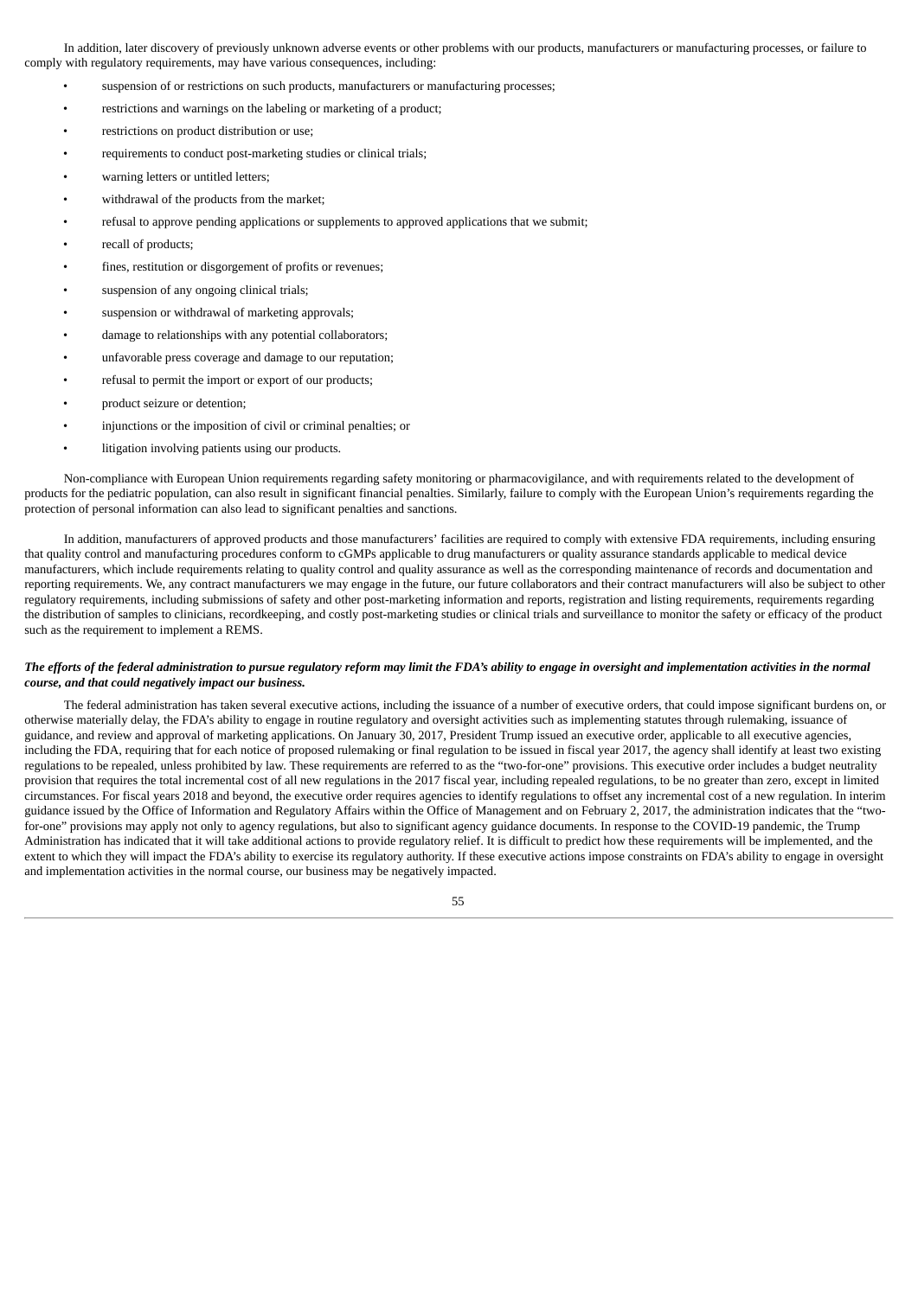In addition, later discovery of previously unknown adverse events or other problems with our products, manufacturers or manufacturing processes, or failure to comply with regulatory requirements, may have various consequences, including:

- suspension of or restrictions on such products, manufacturers or manufacturing processes;
- restrictions and warnings on the labeling or marketing of a product;
- restrictions on product distribution or use;
- requirements to conduct post-marketing studies or clinical trials;
- warning letters or untitled letters;
- withdrawal of the products from the market;
- refusal to approve pending applications or supplements to approved applications that we submit;
- recall of products;
- fines, restitution or disgorgement of profits or revenues;
- suspension of any ongoing clinical trials;
- suspension or withdrawal of marketing approvals;
- damage to relationships with any potential collaborators;
- unfavorable press coverage and damage to our reputation;
- refusal to permit the import or export of our products;
- product seizure or detention;
- injunctions or the imposition of civil or criminal penalties; or
- litigation involving patients using our products.

Non-compliance with European Union requirements regarding safety monitoring or pharmacovigilance, and with requirements related to the development of products for the pediatric population, can also result in significant financial penalties. Similarly, failure to comply with the European Union's requirements regarding the protection of personal information can also lead to significant penalties and sanctions.

In addition, manufacturers of approved products and those manufacturers' facilities are required to comply with extensive FDA requirements, including ensuring that quality control and manufacturing procedures conform to cGMPs applicable to drug manufacturers or quality assurance standards applicable to medical device manufacturers, which include requirements relating to quality control and quality assurance as well as the corresponding maintenance of records and documentation and reporting requirements. We, any contract manufacturers we may engage in the future, our future collaborators and their contract manufacturers will also be subject to other regulatory requirements, including submissions of safety and other post-marketing information and reports, registration and listing requirements, requirements regarding the distribution of samples to clinicians, recordkeeping, and costly post-marketing studies or clinical trials and surveillance to monitor the safety or efficacy of the product such as the requirement to implement a REMS.

#### The efforts of the federal administration to pursue regulatory reform may limit the FDA's ability to engage in oversight and implementation activities in the normal *course, and that could negatively impact our business.*

The federal administration has taken several executive actions, including the issuance of a number of executive orders, that could impose significant burdens on, or otherwise materially delay, the FDA's ability to engage in routine regulatory and oversight activities such as implementing statutes through rulemaking, issuance of guidance, and review and approval of marketing applications. On January 30, 2017, President Trump issued an executive order, applicable to all executive agencies, including the FDA, requiring that for each notice of proposed rulemaking or final regulation to be issued in fiscal year 2017, the agency shall identify at least two existing regulations to be repealed, unless prohibited by law. These requirements are referred to as the "two-for-one" provisions. This executive order includes a budget neutrality provision that requires the total incremental cost of all new regulations in the 2017 fiscal year, including repealed regulations, to be no greater than zero, except in limited circumstances. For fiscal years 2018 and beyond, the executive order requires agencies to identify regulations to offset any incremental cost of a new regulation. In interim guidance issued by the Office of Information and Regulatory Affairs within the Office of Management and on February 2, 2017, the administration indicates that the "twofor-one" provisions may apply not only to agency regulations, but also to significant agency guidance documents. In response to the COVID-19 pandemic, the Trump Administration has indicated that it will take additional actions to provide regulatory relief. It is difficult to predict how these requirements will be implemented, and the extent to which they will impact the FDA's ability to exercise its regulatory authority. If these executive actions impose constraints on FDA's ability to engage in oversight and implementation activities in the normal course, our business may be negatively impacted.

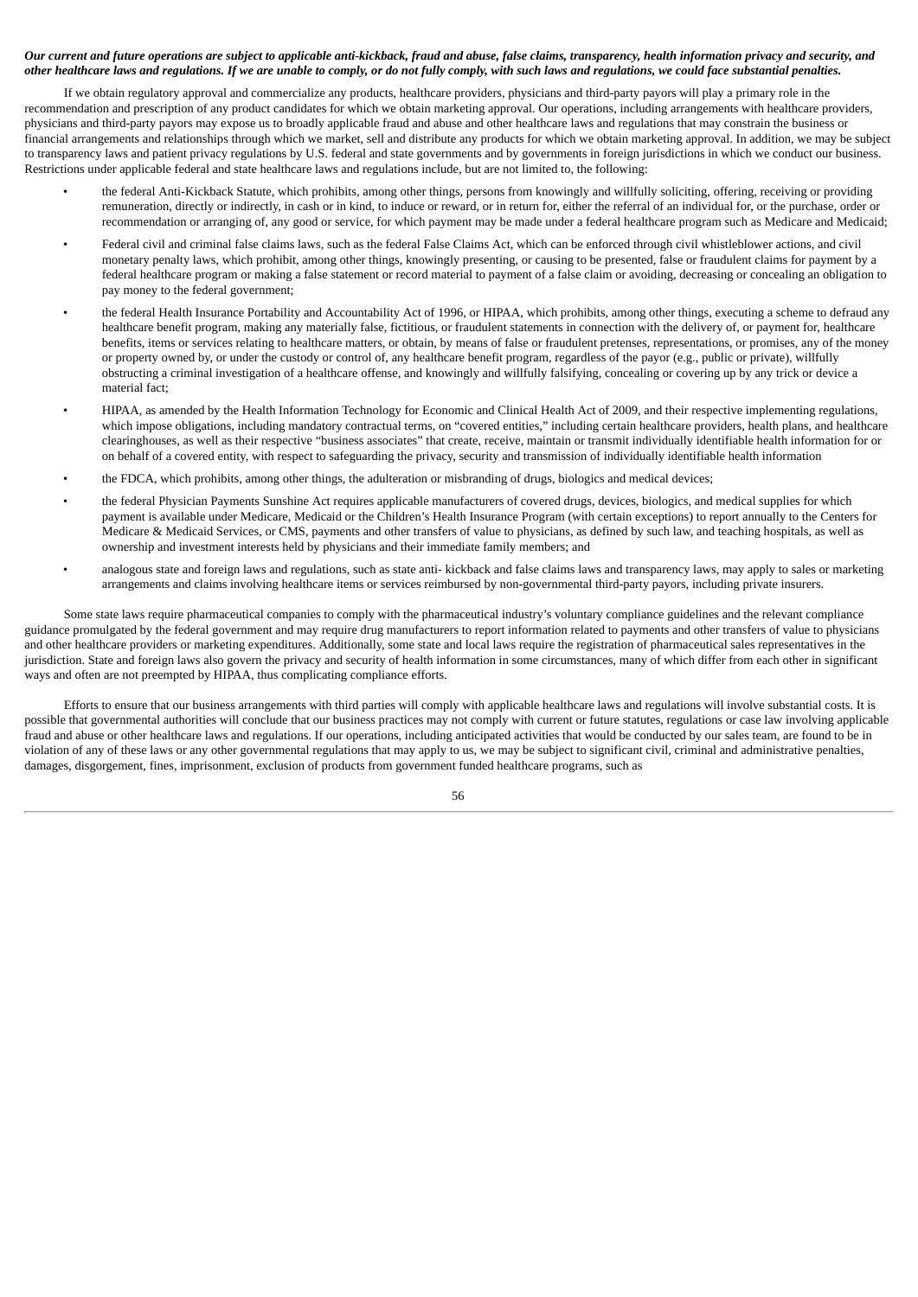# Our current and future operations are subject to applicable anti-kickback, fraud and abuse, false claims, transparency, health information privacy and security, and other healthcare laws and regulations. If we are unable to comply, or do not fully comply, with such laws and regulations, we could face substantial penalties.

If we obtain regulatory approval and commercialize any products, healthcare providers, physicians and third-party payors will play a primary role in the recommendation and prescription of any product candidates for which we obtain marketing approval. Our operations, including arrangements with healthcare providers, physicians and third-party payors may expose us to broadly applicable fraud and abuse and other healthcare laws and regulations that may constrain the business or financial arrangements and relationships through which we market, sell and distribute any products for which we obtain marketing approval. In addition, we may be subject to transparency laws and patient privacy regulations by U.S. federal and state governments and by governments in foreign jurisdictions in which we conduct our business. Restrictions under applicable federal and state healthcare laws and regulations include, but are not limited to, the following:

- the federal Anti-Kickback Statute, which prohibits, among other things, persons from knowingly and willfully soliciting, offering, receiving or providing remuneration, directly or indirectly, in cash or in kind, to induce or reward, or in return for, either the referral of an individual for, or the purchase, order or recommendation or arranging of, any good or service, for which payment may be made under a federal healthcare program such as Medicare and Medicaid;
- Federal civil and criminal false claims laws, such as the federal False Claims Act, which can be enforced through civil whistleblower actions, and civil monetary penalty laws, which prohibit, among other things, knowingly presenting, or causing to be presented, false or fraudulent claims for payment by a federal healthcare program or making a false statement or record material to payment of a false claim or avoiding, decreasing or concealing an obligation to pay money to the federal government;
- the federal Health Insurance Portability and Accountability Act of 1996, or HIPAA, which prohibits, among other things, executing a scheme to defraud any healthcare benefit program, making any materially false, fictitious, or fraudulent statements in connection with the delivery of, or payment for, healthcare benefits, items or services relating to healthcare matters, or obtain, by means of false or fraudulent pretenses, representations, or promises, any of the money or property owned by, or under the custody or control of, any healthcare benefit program, regardless of the payor (e.g., public or private), willfully obstructing a criminal investigation of a healthcare offense, and knowingly and willfully falsifying, concealing or covering up by any trick or device a material fact;
- HIPAA, as amended by the Health Information Technology for Economic and Clinical Health Act of 2009, and their respective implementing regulations, which impose obligations, including mandatory contractual terms, on "covered entities," including certain healthcare providers, health plans, and healthcare clearinghouses, as well as their respective "business associates" that create, receive, maintain or transmit individually identifiable health information for or on behalf of a covered entity, with respect to safeguarding the privacy, security and transmission of individually identifiable health information
- the FDCA, which prohibits, among other things, the adulteration or misbranding of drugs, biologics and medical devices;
- the federal Physician Payments Sunshine Act requires applicable manufacturers of covered drugs, devices, biologics, and medical supplies for which payment is available under Medicare, Medicaid or the Children's Health Insurance Program (with certain exceptions) to report annually to the Centers for Medicare & Medicaid Services, or CMS, payments and other transfers of value to physicians, as defined by such law, and teaching hospitals, as well as ownership and investment interests held by physicians and their immediate family members; and
- analogous state and foreign laws and regulations, such as state anti- kickback and false claims laws and transparency laws, may apply to sales or marketing arrangements and claims involving healthcare items or services reimbursed by non-governmental third-party payors, including private insurers.

Some state laws require pharmaceutical companies to comply with the pharmaceutical industry's voluntary compliance guidelines and the relevant compliance guidance promulgated by the federal government and may require drug manufacturers to report information related to payments and other transfers of value to physicians and other healthcare providers or marketing expenditures. Additionally, some state and local laws require the registration of pharmaceutical sales representatives in the jurisdiction. State and foreign laws also govern the privacy and security of health information in some circumstances, many of which differ from each other in significant ways and often are not preempted by HIPAA, thus complicating compliance efforts.

Efforts to ensure that our business arrangements with third parties will comply with applicable healthcare laws and regulations will involve substantial costs. It is possible that governmental authorities will conclude that our business practices may not comply with current or future statutes, regulations or case law involving applicable fraud and abuse or other healthcare laws and regulations. If our operations, including anticipated activities that would be conducted by our sales team, are found to be in violation of any of these laws or any other governmental regulations that may apply to us, we may be subject to significant civil, criminal and administrative penalties, damages, disgorgement, fines, imprisonment, exclusion of products from government funded healthcare programs, such as

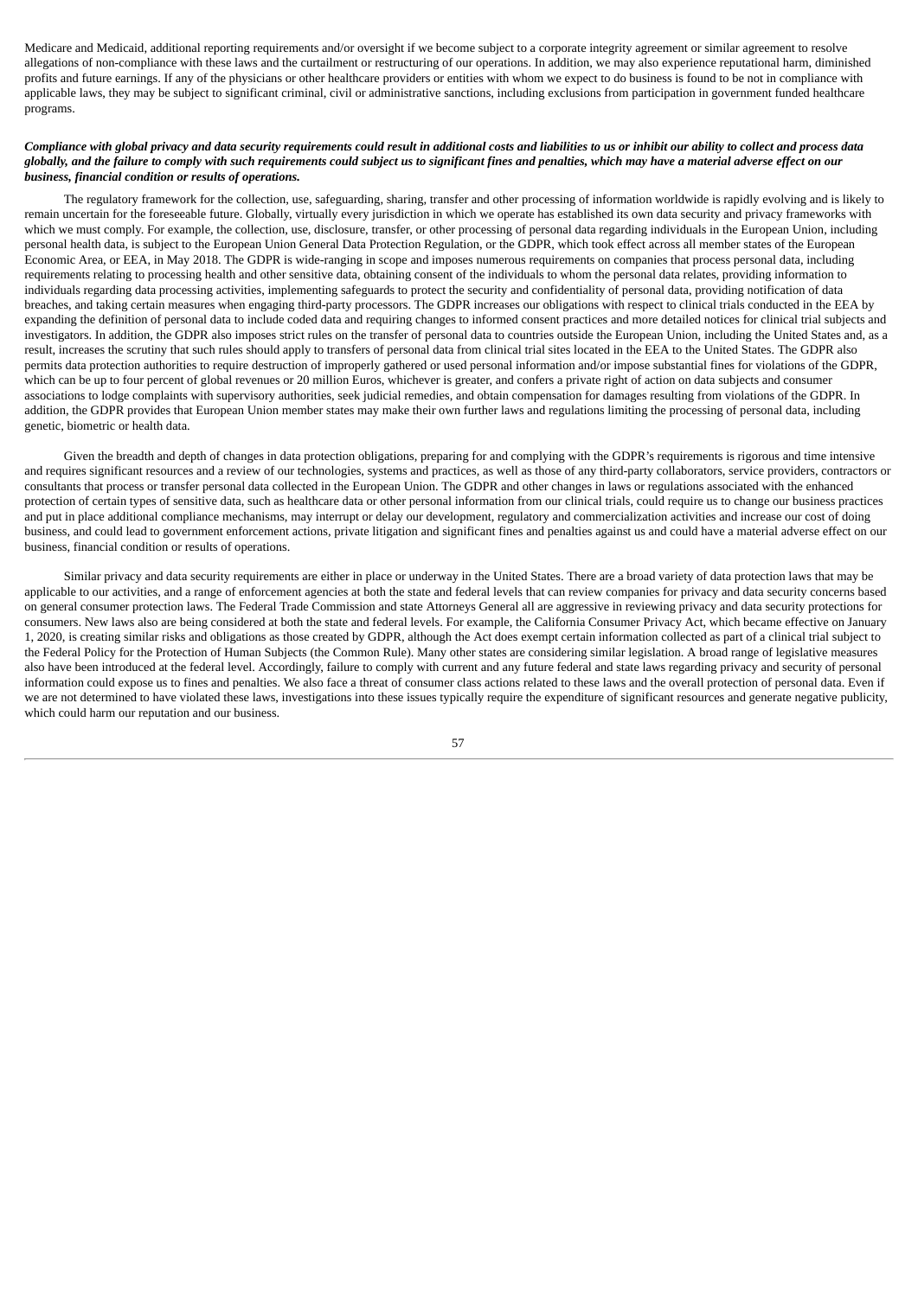Medicare and Medicaid, additional reporting requirements and/or oversight if we become subject to a corporate integrity agreement or similar agreement to resolve allegations of non-compliance with these laws and the curtailment or restructuring of our operations. In addition, we may also experience reputational harm, diminished profits and future earnings. If any of the physicians or other healthcare providers or entities with whom we expect to do business is found to be not in compliance with applicable laws, they may be subject to significant criminal, civil or administrative sanctions, including exclusions from participation in government funded healthcare programs.

## Compliance with global privacy and data security requirements could result in additional costs and liabilities to us or inhibit our ability to collect and process data globally, and the failure to comply with such requirements could subject us to significant fines and penalties, which may have a material adverse effect on our *business, financial condition or results of operations.*

The regulatory framework for the collection, use, safeguarding, sharing, transfer and other processing of information worldwide is rapidly evolving and is likely to remain uncertain for the foreseeable future. Globally, virtually every jurisdiction in which we operate has established its own data security and privacy frameworks with which we must comply. For example, the collection, use, disclosure, transfer, or other processing of personal data regarding individuals in the European Union, including personal health data, is subject to the European Union General Data Protection Regulation, or the GDPR, which took effect across all member states of the European Economic Area, or EEA, in May 2018. The GDPR is wide-ranging in scope and imposes numerous requirements on companies that process personal data, including requirements relating to processing health and other sensitive data, obtaining consent of the individuals to whom the personal data relates, providing information to individuals regarding data processing activities, implementing safeguards to protect the security and confidentiality of personal data, providing notification of data breaches, and taking certain measures when engaging third-party processors. The GDPR increases our obligations with respect to clinical trials conducted in the EEA by expanding the definition of personal data to include coded data and requiring changes to informed consent practices and more detailed notices for clinical trial subjects and investigators. In addition, the GDPR also imposes strict rules on the transfer of personal data to countries outside the European Union, including the United States and, as a result, increases the scrutiny that such rules should apply to transfers of personal data from clinical trial sites located in the EEA to the United States. The GDPR also permits data protection authorities to require destruction of improperly gathered or used personal information and/or impose substantial fines for violations of the GDPR, which can be up to four percent of global revenues or 20 million Euros, whichever is greater, and confers a private right of action on data subjects and consumer associations to lodge complaints with supervisory authorities, seek judicial remedies, and obtain compensation for damages resulting from violations of the GDPR. In addition, the GDPR provides that European Union member states may make their own further laws and regulations limiting the processing of personal data, including genetic, biometric or health data.

Given the breadth and depth of changes in data protection obligations, preparing for and complying with the GDPR's requirements is rigorous and time intensive and requires significant resources and a review of our technologies, systems and practices, as well as those of any third-party collaborators, service providers, contractors or consultants that process or transfer personal data collected in the European Union. The GDPR and other changes in laws or regulations associated with the enhanced protection of certain types of sensitive data, such as healthcare data or other personal information from our clinical trials, could require us to change our business practices and put in place additional compliance mechanisms, may interrupt or delay our development, regulatory and commercialization activities and increase our cost of doing business, and could lead to government enforcement actions, private litigation and significant fines and penalties against us and could have a material adverse effect on our business, financial condition or results of operations.

Similar privacy and data security requirements are either in place or underway in the United States. There are a broad variety of data protection laws that may be applicable to our activities, and a range of enforcement agencies at both the state and federal levels that can review companies for privacy and data security concerns based on general consumer protection laws. The Federal Trade Commission and state Attorneys General all are aggressive in reviewing privacy and data security protections for consumers. New laws also are being considered at both the state and federal levels. For example, the California Consumer Privacy Act, which became effective on January 1, 2020, is creating similar risks and obligations as those created by GDPR, although the Act does exempt certain information collected as part of a clinical trial subject to the Federal Policy for the Protection of Human Subjects (the Common Rule). Many other states are considering similar legislation. A broad range of legislative measures also have been introduced at the federal level. Accordingly, failure to comply with current and any future federal and state laws regarding privacy and security of personal information could expose us to fines and penalties. We also face a threat of consumer class actions related to these laws and the overall protection of personal data. Even if we are not determined to have violated these laws, investigations into these issues typically require the expenditure of significant resources and generate negative publicity, which could harm our reputation and our business.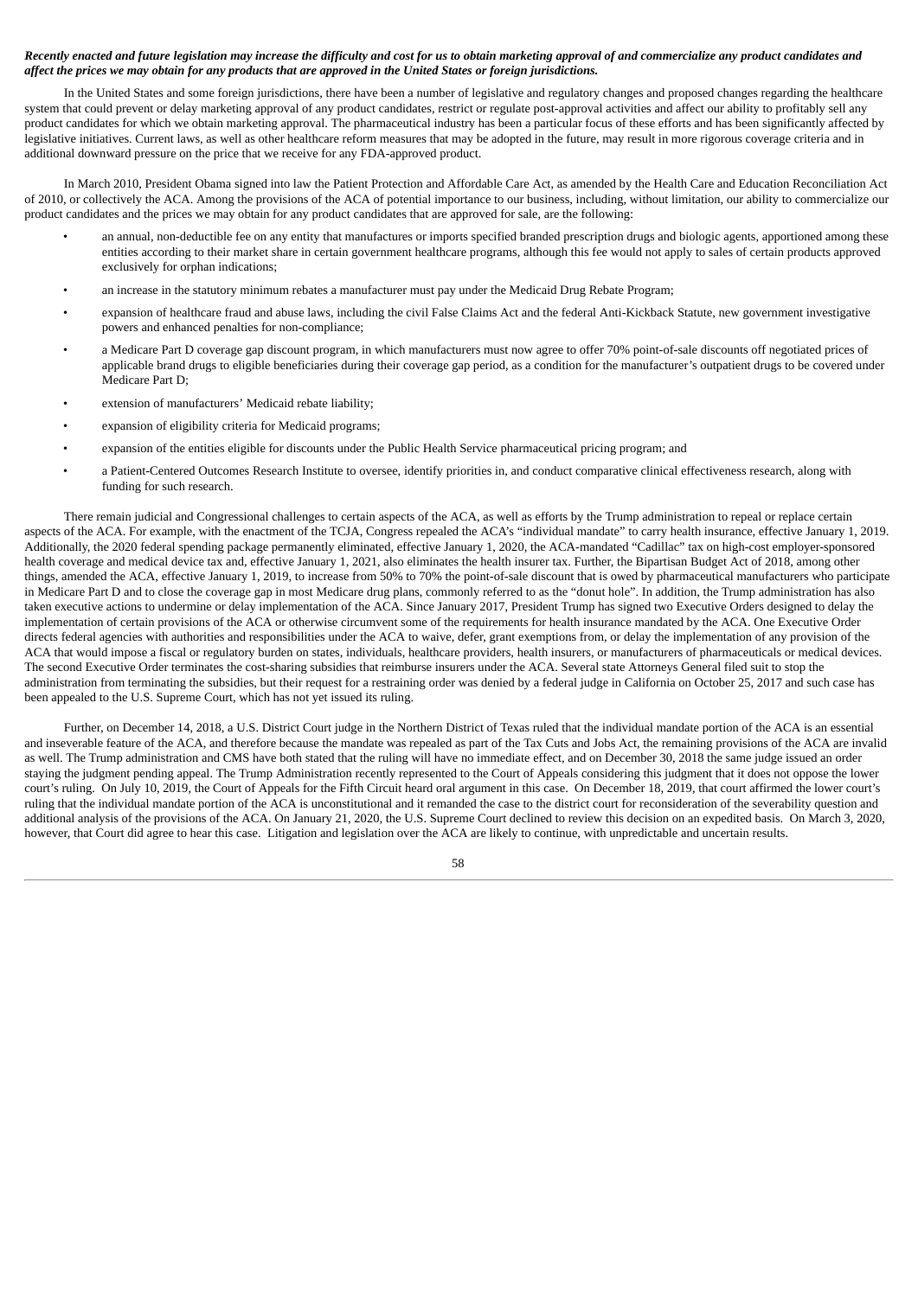## Recently enacted and future legislation may increase the difficulty and cost for us to obtain marketing approval of and commercialize any product candidates and affect the prices we may obtain for any products that are approved in the United States or foreign jurisdictions.

In the United States and some foreign jurisdictions, there have been a number of legislative and regulatory changes and proposed changes regarding the healthcare system that could prevent or delay marketing approval of any product candidates, restrict or regulate post-approval activities and affect our ability to profitably sell any product candidates for which we obtain marketing approval. The pharmaceutical industry has been a particular focus of these efforts and has been significantly affected by legislative initiatives. Current laws, as well as other healthcare reform measures that may be adopted in the future, may result in more rigorous coverage criteria and in additional downward pressure on the price that we receive for any FDA-approved product.

In March 2010, President Obama signed into law the Patient Protection and Affordable Care Act, as amended by the Health Care and Education Reconciliation Act of 2010, or collectively the ACA. Among the provisions of the ACA of potential importance to our business, including, without limitation, our ability to commercialize our product candidates and the prices we may obtain for any product candidates that are approved for sale, are the following:

- an annual, non-deductible fee on any entity that manufactures or imports specified branded prescription drugs and biologic agents, apportioned among these entities according to their market share in certain government healthcare programs, although this fee would not apply to sales of certain products approved exclusively for orphan indications;
- an increase in the statutory minimum rebates a manufacturer must pay under the Medicaid Drug Rebate Program;
- expansion of healthcare fraud and abuse laws, including the civil False Claims Act and the federal Anti-Kickback Statute, new government investigative powers and enhanced penalties for non-compliance;
- a Medicare Part D coverage gap discount program, in which manufacturers must now agree to offer 70% point-of-sale discounts off negotiated prices of applicable brand drugs to eligible beneficiaries during their coverage gap period, as a condition for the manufacturer's outpatient drugs to be covered under Medicare Part D;
- extension of manufacturers' Medicaid rebate liability;
- expansion of eligibility criteria for Medicaid programs;
- expansion of the entities eligible for discounts under the Public Health Service pharmaceutical pricing program; and
- a Patient-Centered Outcomes Research Institute to oversee, identify priorities in, and conduct comparative clinical effectiveness research, along with funding for such research.

There remain judicial and Congressional challenges to certain aspects of the ACA, as well as efforts by the Trump administration to repeal or replace certain aspects of the ACA. For example, with the enactment of the TCJA, Congress repealed the ACA's "individual mandate" to carry health insurance, effective January 1, 2019. Additionally, the 2020 federal spending package permanently eliminated, effective January 1, 2020, the ACA-mandated "Cadillac" tax on high-cost employer-sponsored health coverage and medical device tax and, effective January 1, 2021, also eliminates the health insurer tax. Further, the Bipartisan Budget Act of 2018, among other things, amended the ACA, effective January 1, 2019, to increase from 50% to 70% the point-of-sale discount that is owed by pharmaceutical manufacturers who participate in Medicare Part D and to close the coverage gap in most Medicare drug plans, commonly referred to as the "donut hole". In addition, the Trump administration has also taken executive actions to undermine or delay implementation of the ACA. Since January 2017, President Trump has signed two Executive Orders designed to delay the implementation of certain provisions of the ACA or otherwise circumvent some of the requirements for health insurance mandated by the ACA. One Executive Order directs federal agencies with authorities and responsibilities under the ACA to waive, defer, grant exemptions from, or delay the implementation of any provision of the ACA that would impose a fiscal or regulatory burden on states, individuals, healthcare providers, health insurers, or manufacturers of pharmaceuticals or medical devices. The second Executive Order terminates the cost-sharing subsidies that reimburse insurers under the ACA. Several state Attorneys General filed suit to stop the administration from terminating the subsidies, but their request for a restraining order was denied by a federal judge in California on October 25, 2017 and such case has been appealed to the U.S. Supreme Court, which has not yet issued its ruling.

Further, on December 14, 2018, a U.S. District Court judge in the Northern District of Texas ruled that the individual mandate portion of the ACA is an essential and inseverable feature of the ACA, and therefore because the mandate was repealed as part of the Tax Cuts and Jobs Act, the remaining provisions of the ACA are invalid as well. The Trump administration and CMS have both stated that the ruling will have no immediate effect, and on December 30, 2018 the same judge issued an order staying the judgment pending appeal. The Trump Administration recently represented to the Court of Appeals considering this judgment that it does not oppose the lower court's ruling. On July 10, 2019, the Court of Appeals for the Fifth Circuit heard oral argument in this case. On December 18, 2019, that court affirmed the lower court's ruling that the individual mandate portion of the ACA is unconstitutional and it remanded the case to the district court for reconsideration of the severability question and additional analysis of the provisions of the ACA. On January 21, 2020, the U.S. Supreme Court declined to review this decision on an expedited basis. On March 3, 2020, however, that Court did agree to hear this case. Litigation and legislation over the ACA are likely to continue, with unpredictable and uncertain results.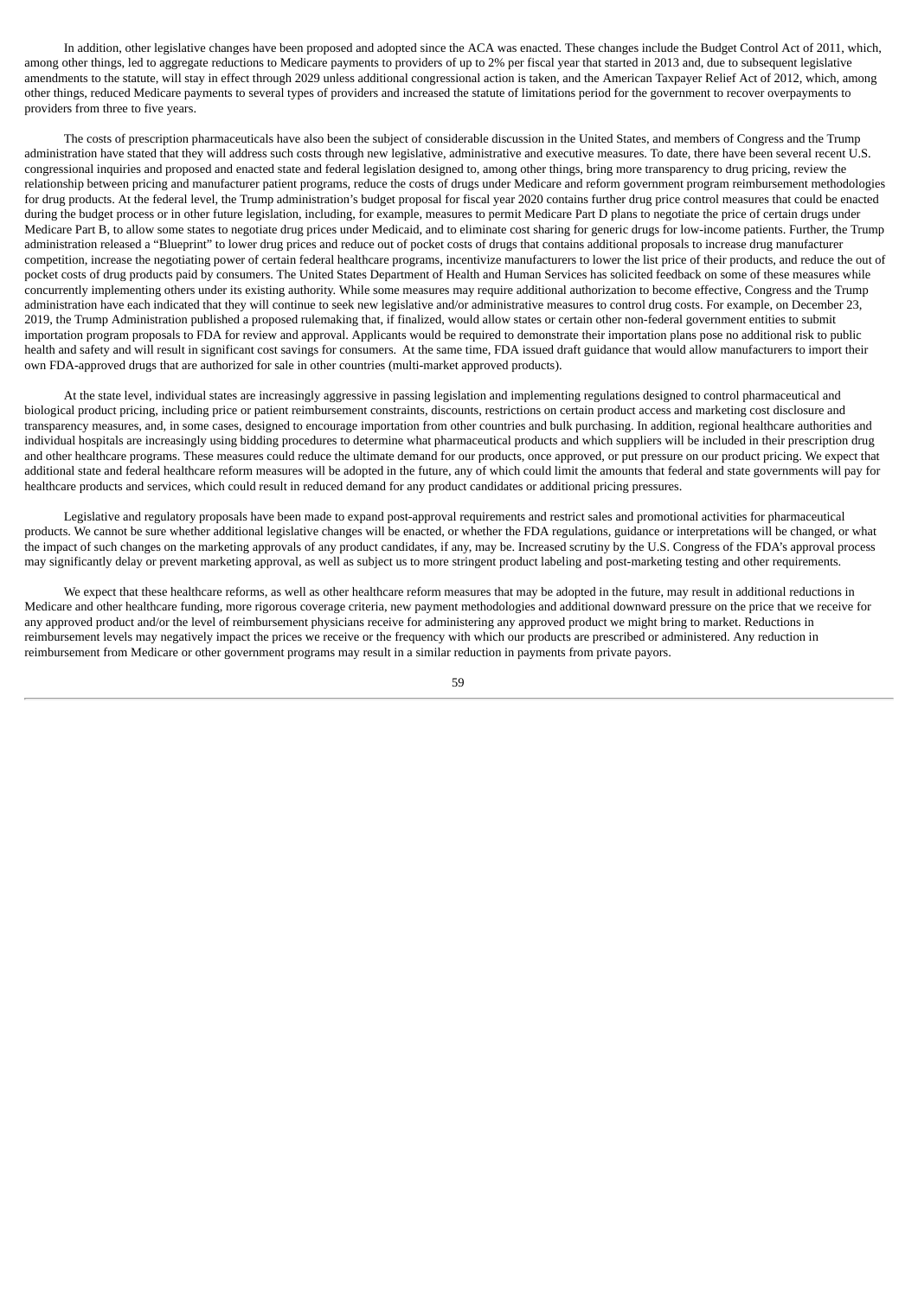In addition, other legislative changes have been proposed and adopted since the ACA was enacted. These changes include the Budget Control Act of 2011, which, among other things, led to aggregate reductions to Medicare payments to providers of up to 2% per fiscal year that started in 2013 and, due to subsequent legislative amendments to the statute, will stay in effect through 2029 unless additional congressional action is taken, and the American Taxpayer Relief Act of 2012, which, among other things, reduced Medicare payments to several types of providers and increased the statute of limitations period for the government to recover overpayments to providers from three to five years.

The costs of prescription pharmaceuticals have also been the subject of considerable discussion in the United States, and members of Congress and the Trump administration have stated that they will address such costs through new legislative, administrative and executive measures. To date, there have been several recent U.S. congressional inquiries and proposed and enacted state and federal legislation designed to, among other things, bring more transparency to drug pricing, review the relationship between pricing and manufacturer patient programs, reduce the costs of drugs under Medicare and reform government program reimbursement methodologies for drug products. At the federal level, the Trump administration's budget proposal for fiscal year 2020 contains further drug price control measures that could be enacted during the budget process or in other future legislation, including, for example, measures to permit Medicare Part D plans to negotiate the price of certain drugs under Medicare Part B, to allow some states to negotiate drug prices under Medicaid, and to eliminate cost sharing for generic drugs for low-income patients. Further, the Trump administration released a "Blueprint" to lower drug prices and reduce out of pocket costs of drugs that contains additional proposals to increase drug manufacturer competition, increase the negotiating power of certain federal healthcare programs, incentivize manufacturers to lower the list price of their products, and reduce the out of pocket costs of drug products paid by consumers. The United States Department of Health and Human Services has solicited feedback on some of these measures while concurrently implementing others under its existing authority. While some measures may require additional authorization to become effective, Congress and the Trump administration have each indicated that they will continue to seek new legislative and/or administrative measures to control drug costs. For example, on December 23, 2019, the Trump Administration published a proposed rulemaking that, if finalized, would allow states or certain other non-federal government entities to submit importation program proposals to FDA for review and approval. Applicants would be required to demonstrate their importation plans pose no additional risk to public health and safety and will result in significant cost savings for consumers. At the same time, FDA issued draft guidance that would allow manufacturers to import their own FDA-approved drugs that are authorized for sale in other countries (multi-market approved products).

At the state level, individual states are increasingly aggressive in passing legislation and implementing regulations designed to control pharmaceutical and biological product pricing, including price or patient reimbursement constraints, discounts, restrictions on certain product access and marketing cost disclosure and transparency measures, and, in some cases, designed to encourage importation from other countries and bulk purchasing. In addition, regional healthcare authorities and individual hospitals are increasingly using bidding procedures to determine what pharmaceutical products and which suppliers will be included in their prescription drug and other healthcare programs. These measures could reduce the ultimate demand for our products, once approved, or put pressure on our product pricing. We expect that additional state and federal healthcare reform measures will be adopted in the future, any of which could limit the amounts that federal and state governments will pay for healthcare products and services, which could result in reduced demand for any product candidates or additional pricing pressures.

Legislative and regulatory proposals have been made to expand post-approval requirements and restrict sales and promotional activities for pharmaceutical products. We cannot be sure whether additional legislative changes will be enacted, or whether the FDA regulations, guidance or interpretations will be changed, or what the impact of such changes on the marketing approvals of any product candidates, if any, may be. Increased scrutiny by the U.S. Congress of the FDA's approval process may significantly delay or prevent marketing approval, as well as subject us to more stringent product labeling and post-marketing testing and other requirements.

We expect that these healthcare reforms, as well as other healthcare reform measures that may be adopted in the future, may result in additional reductions in Medicare and other healthcare funding, more rigorous coverage criteria, new payment methodologies and additional downward pressure on the price that we receive for any approved product and/or the level of reimbursement physicians receive for administering any approved product we might bring to market. Reductions in reimbursement levels may negatively impact the prices we receive or the frequency with which our products are prescribed or administered. Any reduction in reimbursement from Medicare or other government programs may result in a similar reduction in payments from private payors.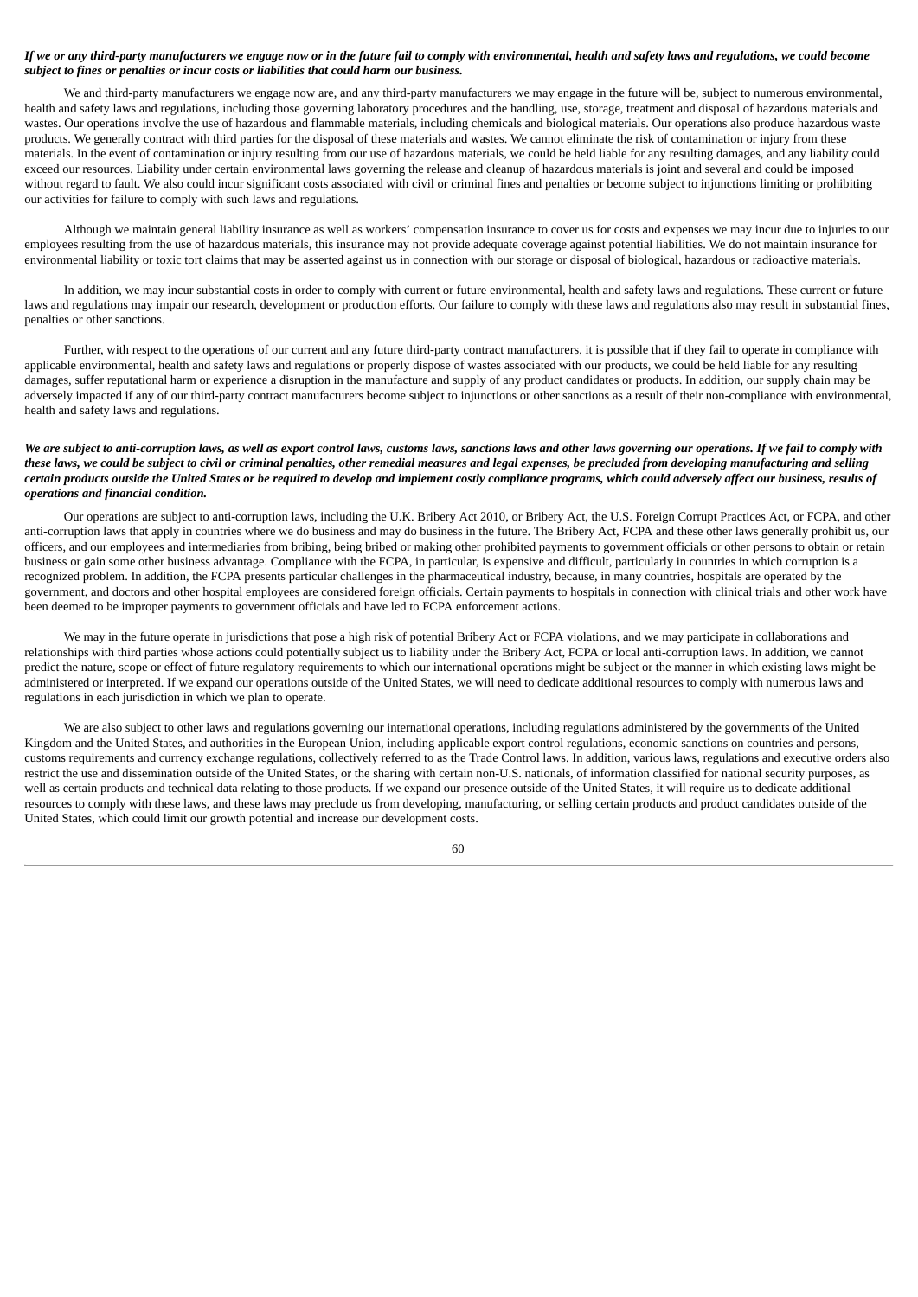## If we or any third-party manufacturers we engage now or in the future fail to comply with environmental, health and safety laws and regulations, we could become *subject to fines or penalties or incur costs or liabilities that could harm our business.*

We and third-party manufacturers we engage now are, and any third-party manufacturers we may engage in the future will be, subject to numerous environmental, health and safety laws and regulations, including those governing laboratory procedures and the handling, use, storage, treatment and disposal of hazardous materials and wastes. Our operations involve the use of hazardous and flammable materials, including chemicals and biological materials. Our operations also produce hazardous waste products. We generally contract with third parties for the disposal of these materials and wastes. We cannot eliminate the risk of contamination or injury from these materials. In the event of contamination or injury resulting from our use of hazardous materials, we could be held liable for any resulting damages, and any liability could exceed our resources. Liability under certain environmental laws governing the release and cleanup of hazardous materials is joint and several and could be imposed without regard to fault. We also could incur significant costs associated with civil or criminal fines and penalties or become subject to injunctions limiting or prohibiting our activities for failure to comply with such laws and regulations.

Although we maintain general liability insurance as well as workers' compensation insurance to cover us for costs and expenses we may incur due to injuries to our employees resulting from the use of hazardous materials, this insurance may not provide adequate coverage against potential liabilities. We do not maintain insurance for environmental liability or toxic tort claims that may be asserted against us in connection with our storage or disposal of biological, hazardous or radioactive materials.

In addition, we may incur substantial costs in order to comply with current or future environmental, health and safety laws and regulations. These current or future laws and regulations may impair our research, development or production efforts. Our failure to comply with these laws and regulations also may result in substantial fines, penalties or other sanctions.

Further, with respect to the operations of our current and any future third-party contract manufacturers, it is possible that if they fail to operate in compliance with applicable environmental, health and safety laws and regulations or properly dispose of wastes associated with our products, we could be held liable for any resulting damages, suffer reputational harm or experience a disruption in the manufacture and supply of any product candidates or products. In addition, our supply chain may be adversely impacted if any of our third-party contract manufacturers become subject to injunctions or other sanctions as a result of their non-compliance with environmental, health and safety laws and regulations.

## We are subject to anti-corruption laws, as well as export control laws, customs laws, sanctions laws and other laws governing our operations. If we fail to comply with these laws, we could be subject to civil or criminal penalties, other remedial measures and legal expenses, be precluded from developing manufacturing and selling certain products outside the United States or be required to develop and implement costly compliance programs, which could adversely affect our business, results of *operations and financial condition.*

Our operations are subject to anti-corruption laws, including the U.K. Bribery Act 2010, or Bribery Act, the U.S. Foreign Corrupt Practices Act, or FCPA, and other anti-corruption laws that apply in countries where we do business and may do business in the future. The Bribery Act, FCPA and these other laws generally prohibit us, our officers, and our employees and intermediaries from bribing, being bribed or making other prohibited payments to government officials or other persons to obtain or retain business or gain some other business advantage. Compliance with the FCPA, in particular, is expensive and difficult, particularly in countries in which corruption is a recognized problem. In addition, the FCPA presents particular challenges in the pharmaceutical industry, because, in many countries, hospitals are operated by the government, and doctors and other hospital employees are considered foreign officials. Certain payments to hospitals in connection with clinical trials and other work have been deemed to be improper payments to government officials and have led to FCPA enforcement actions.

We may in the future operate in jurisdictions that pose a high risk of potential Bribery Act or FCPA violations, and we may participate in collaborations and relationships with third parties whose actions could potentially subject us to liability under the Bribery Act, FCPA or local anti-corruption laws. In addition, we cannot predict the nature, scope or effect of future regulatory requirements to which our international operations might be subject or the manner in which existing laws might be administered or interpreted. If we expand our operations outside of the United States, we will need to dedicate additional resources to comply with numerous laws and regulations in each jurisdiction in which we plan to operate.

We are also subject to other laws and regulations governing our international operations, including regulations administered by the governments of the United Kingdom and the United States, and authorities in the European Union, including applicable export control regulations, economic sanctions on countries and persons, customs requirements and currency exchange regulations, collectively referred to as the Trade Control laws. In addition, various laws, regulations and executive orders also restrict the use and dissemination outside of the United States, or the sharing with certain non-U.S. nationals, of information classified for national security purposes, as well as certain products and technical data relating to those products. If we expand our presence outside of the United States, it will require us to dedicate additional resources to comply with these laws, and these laws may preclude us from developing, manufacturing, or selling certain products and product candidates outside of the United States, which could limit our growth potential and increase our development costs.

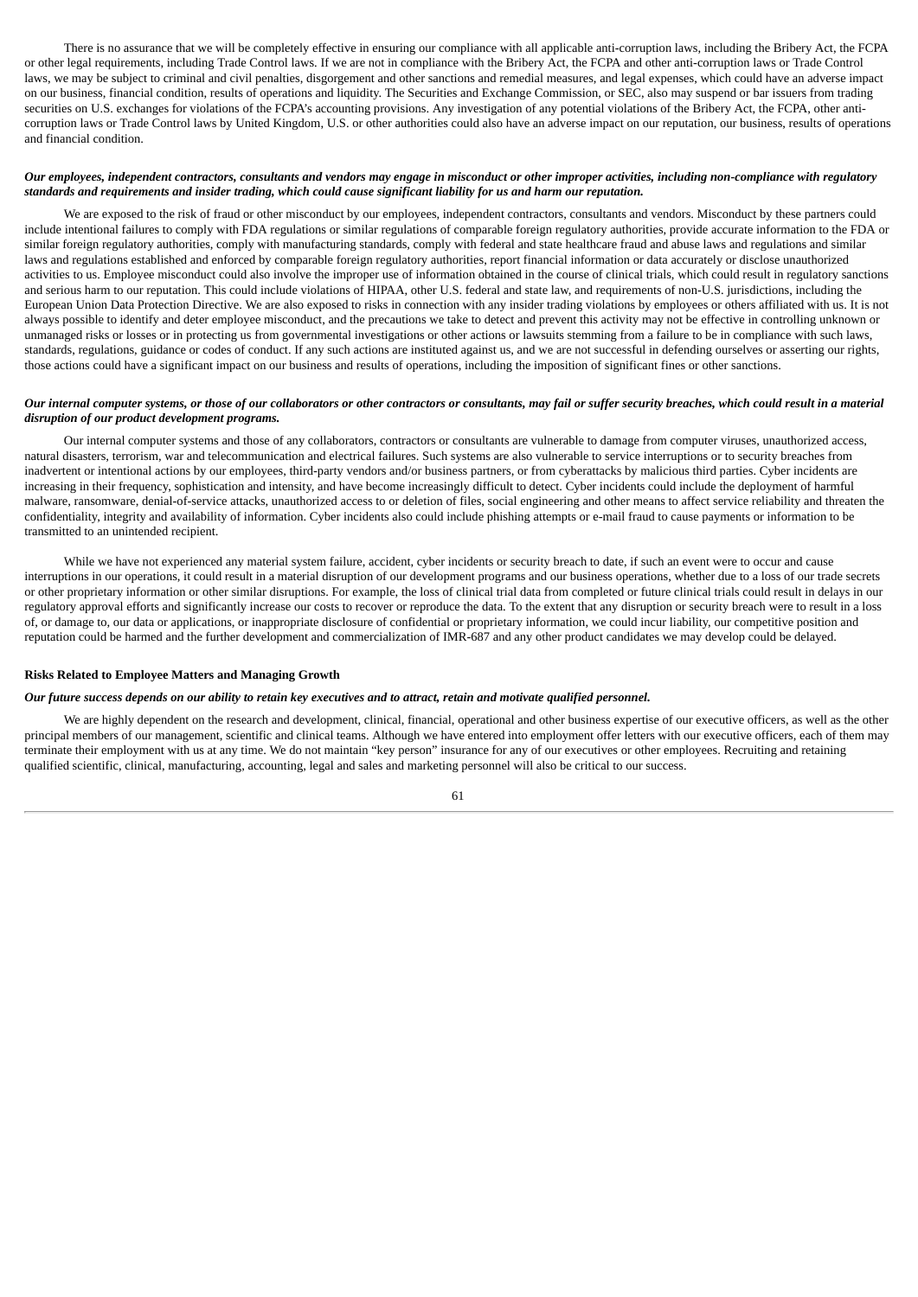There is no assurance that we will be completely effective in ensuring our compliance with all applicable anti-corruption laws, including the Bribery Act, the FCPA or other legal requirements, including Trade Control laws. If we are not in compliance with the Bribery Act, the FCPA and other anti-corruption laws or Trade Control laws, we may be subject to criminal and civil penalties, disgorgement and other sanctions and remedial measures, and legal expenses, which could have an adverse impact on our business, financial condition, results of operations and liquidity. The Securities and Exchange Commission, or SEC, also may suspend or bar issuers from trading securities on U.S. exchanges for violations of the FCPA's accounting provisions. Any investigation of any potential violations of the Bribery Act, the FCPA, other anticorruption laws or Trade Control laws by United Kingdom, U.S. or other authorities could also have an adverse impact on our reputation, our business, results of operations and financial condition.

## Our employees, independent contractors, consultants and vendors may engage in misconduct or other improper activities, including non-compliance with regulatory standards and requirements and insider trading, which could cause significant liability for us and harm our reputation.

We are exposed to the risk of fraud or other misconduct by our employees, independent contractors, consultants and vendors. Misconduct by these partners could include intentional failures to comply with FDA regulations or similar regulations of comparable foreign regulatory authorities, provide accurate information to the FDA or similar foreign regulatory authorities, comply with manufacturing standards, comply with federal and state healthcare fraud and abuse laws and regulations and similar laws and regulations established and enforced by comparable foreign regulatory authorities, report financial information or data accurately or disclose unauthorized activities to us. Employee misconduct could also involve the improper use of information obtained in the course of clinical trials, which could result in regulatory sanctions and serious harm to our reputation. This could include violations of HIPAA, other U.S. federal and state law, and requirements of non-U.S. jurisdictions, including the European Union Data Protection Directive. We are also exposed to risks in connection with any insider trading violations by employees or others affiliated with us. It is not always possible to identify and deter employee misconduct, and the precautions we take to detect and prevent this activity may not be effective in controlling unknown or unmanaged risks or losses or in protecting us from governmental investigations or other actions or lawsuits stemming from a failure to be in compliance with such laws, standards, regulations, guidance or codes of conduct. If any such actions are instituted against us, and we are not successful in defending ourselves or asserting our rights, those actions could have a significant impact on our business and results of operations, including the imposition of significant fines or other sanctions.

## Our internal computer systems, or those of our collaborators or other contractors or consultants, may fail or suffer security breaches, which could result in a material *disruption of our product development programs.*

Our internal computer systems and those of any collaborators, contractors or consultants are vulnerable to damage from computer viruses, unauthorized access, natural disasters, terrorism, war and telecommunication and electrical failures. Such systems are also vulnerable to service interruptions or to security breaches from inadvertent or intentional actions by our employees, third-party vendors and/or business partners, or from cyberattacks by malicious third parties. Cyber incidents are increasing in their frequency, sophistication and intensity, and have become increasingly difficult to detect. Cyber incidents could include the deployment of harmful malware, ransomware, denial-of-service attacks, unauthorized access to or deletion of files, social engineering and other means to affect service reliability and threaten the confidentiality, integrity and availability of information. Cyber incidents also could include phishing attempts or e-mail fraud to cause payments or information to be transmitted to an unintended recipient.

While we have not experienced any material system failure, accident, cyber incidents or security breach to date, if such an event were to occur and cause interruptions in our operations, it could result in a material disruption of our development programs and our business operations, whether due to a loss of our trade secrets or other proprietary information or other similar disruptions. For example, the loss of clinical trial data from completed or future clinical trials could result in delays in our regulatory approval efforts and significantly increase our costs to recover or reproduce the data. To the extent that any disruption or security breach were to result in a loss of, or damage to, our data or applications, or inappropriate disclosure of confidential or proprietary information, we could incur liability, our competitive position and reputation could be harmed and the further development and commercialization of IMR-687 and any other product candidates we may develop could be delayed.

## **Risks Related to Employee Matters and Managing Growth**

#### Our future success depends on our ability to retain key executives and to attract, retain and motivate qualified personnel.

We are highly dependent on the research and development, clinical, financial, operational and other business expertise of our executive officers, as well as the other principal members of our management, scientific and clinical teams. Although we have entered into employment offer letters with our executive officers, each of them may terminate their employment with us at any time. We do not maintain "key person" insurance for any of our executives or other employees. Recruiting and retaining qualified scientific, clinical, manufacturing, accounting, legal and sales and marketing personnel will also be critical to our success.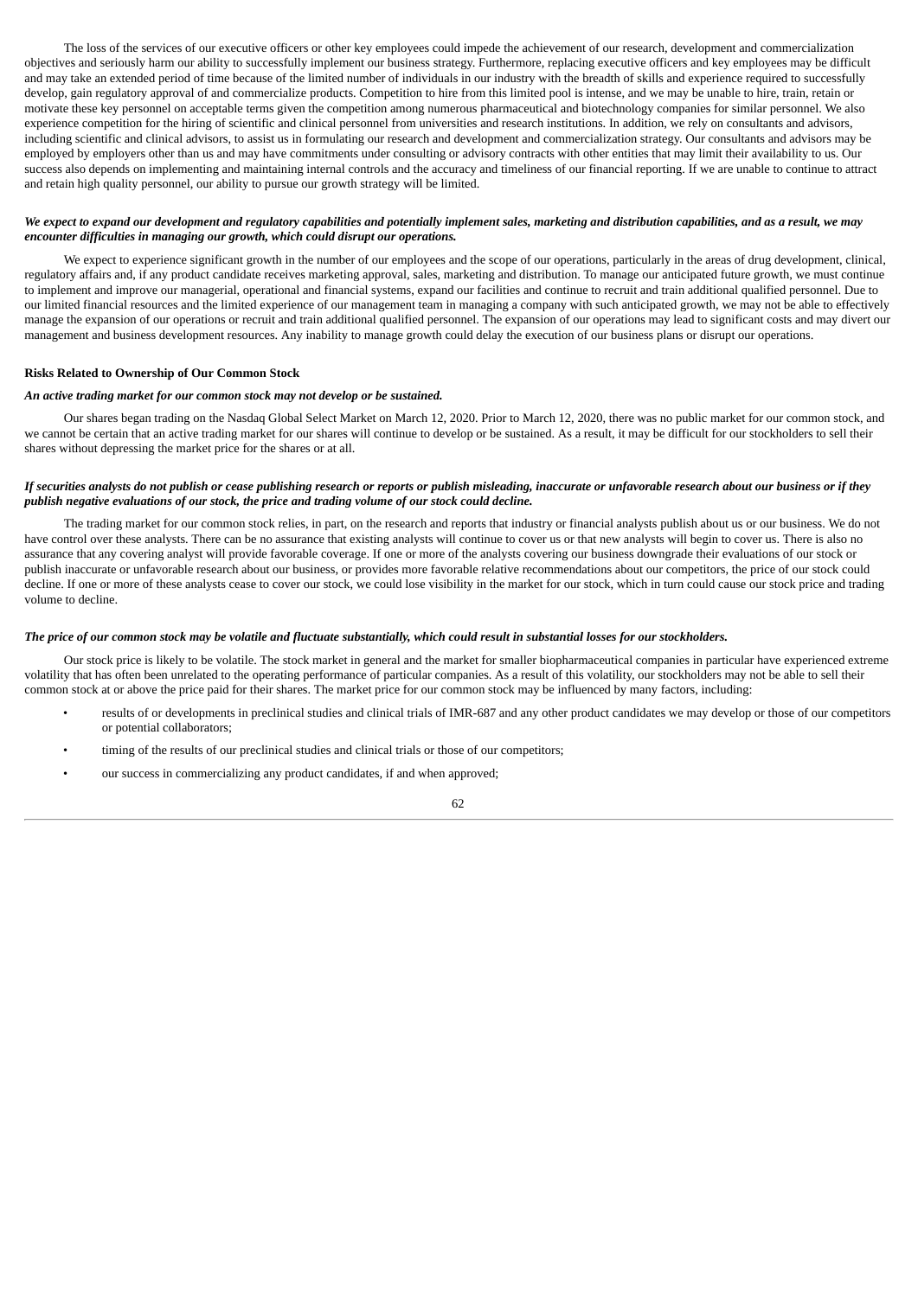The loss of the services of our executive officers or other key employees could impede the achievement of our research, development and commercialization objectives and seriously harm our ability to successfully implement our business strategy. Furthermore, replacing executive officers and key employees may be difficult and may take an extended period of time because of the limited number of individuals in our industry with the breadth of skills and experience required to successfully develop, gain regulatory approval of and commercialize products. Competition to hire from this limited pool is intense, and we may be unable to hire, train, retain or motivate these key personnel on acceptable terms given the competition among numerous pharmaceutical and biotechnology companies for similar personnel. We also experience competition for the hiring of scientific and clinical personnel from universities and research institutions. In addition, we rely on consultants and advisors, including scientific and clinical advisors, to assist us in formulating our research and development and commercialization strategy. Our consultants and advisors may be employed by employers other than us and may have commitments under consulting or advisory contracts with other entities that may limit their availability to us. Our success also depends on implementing and maintaining internal controls and the accuracy and timeliness of our financial reporting. If we are unable to continue to attract and retain high quality personnel, our ability to pursue our growth strategy will be limited.

#### We expect to expand our development and regulatory capabilities and potentially implement sales, marketing and distribution capabilities, and as a result, we may *encounter difficulties in managing our growth, which could disrupt our operations.*

We expect to experience significant growth in the number of our employees and the scope of our operations, particularly in the areas of drug development, clinical, regulatory affairs and, if any product candidate receives marketing approval, sales, marketing and distribution. To manage our anticipated future growth, we must continue to implement and improve our managerial, operational and financial systems, expand our facilities and continue to recruit and train additional qualified personnel. Due to our limited financial resources and the limited experience of our management team in managing a company with such anticipated growth, we may not be able to effectively manage the expansion of our operations or recruit and train additional qualified personnel. The expansion of our operations may lead to significant costs and may divert our management and business development resources. Any inability to manage growth could delay the execution of our business plans or disrupt our operations.

## **Risks Related to Ownership of Our Common Stock**

#### *An active trading market for our common stock may not develop or be sustained.*

Our shares began trading on the Nasdaq Global Select Market on March 12, 2020. Prior to March 12, 2020, there was no public market for our common stock, and we cannot be certain that an active trading market for our shares will continue to develop or be sustained. As a result, it may be difficult for our stockholders to sell their shares without depressing the market price for the shares or at all.

## If securities analysts do not publish or cease publishing research or reports or publish misleading, inaccurate or unfavorable research about our business or if they *publish negative evaluations of our stock, the price and trading volume of our stock could decline.*

The trading market for our common stock relies, in part, on the research and reports that industry or financial analysts publish about us or our business. We do not have control over these analysts. There can be no assurance that existing analysts will continue to cover us or that new analysts will begin to cover us. There is also no assurance that any covering analyst will provide favorable coverage. If one or more of the analysts covering our business downgrade their evaluations of our stock or publish inaccurate or unfavorable research about our business, or provides more favorable relative recommendations about our competitors, the price of our stock could decline. If one or more of these analysts cease to cover our stock, we could lose visibility in the market for our stock, which in turn could cause our stock price and trading volume to decline.

# The price of our common stock may be volatile and fluctuate substantially, which could result in substantial losses for our stockholders.

Our stock price is likely to be volatile. The stock market in general and the market for smaller biopharmaceutical companies in particular have experienced extreme volatility that has often been unrelated to the operating performance of particular companies. As a result of this volatility, our stockholders may not be able to sell their common stock at or above the price paid for their shares. The market price for our common stock may be influenced by many factors, including:

- results of or developments in preclinical studies and clinical trials of IMR-687 and any other product candidates we may develop or those of our competitors or potential collaborators;
- timing of the results of our preclinical studies and clinical trials or those of our competitors;
- our success in commercializing any product candidates, if and when approved;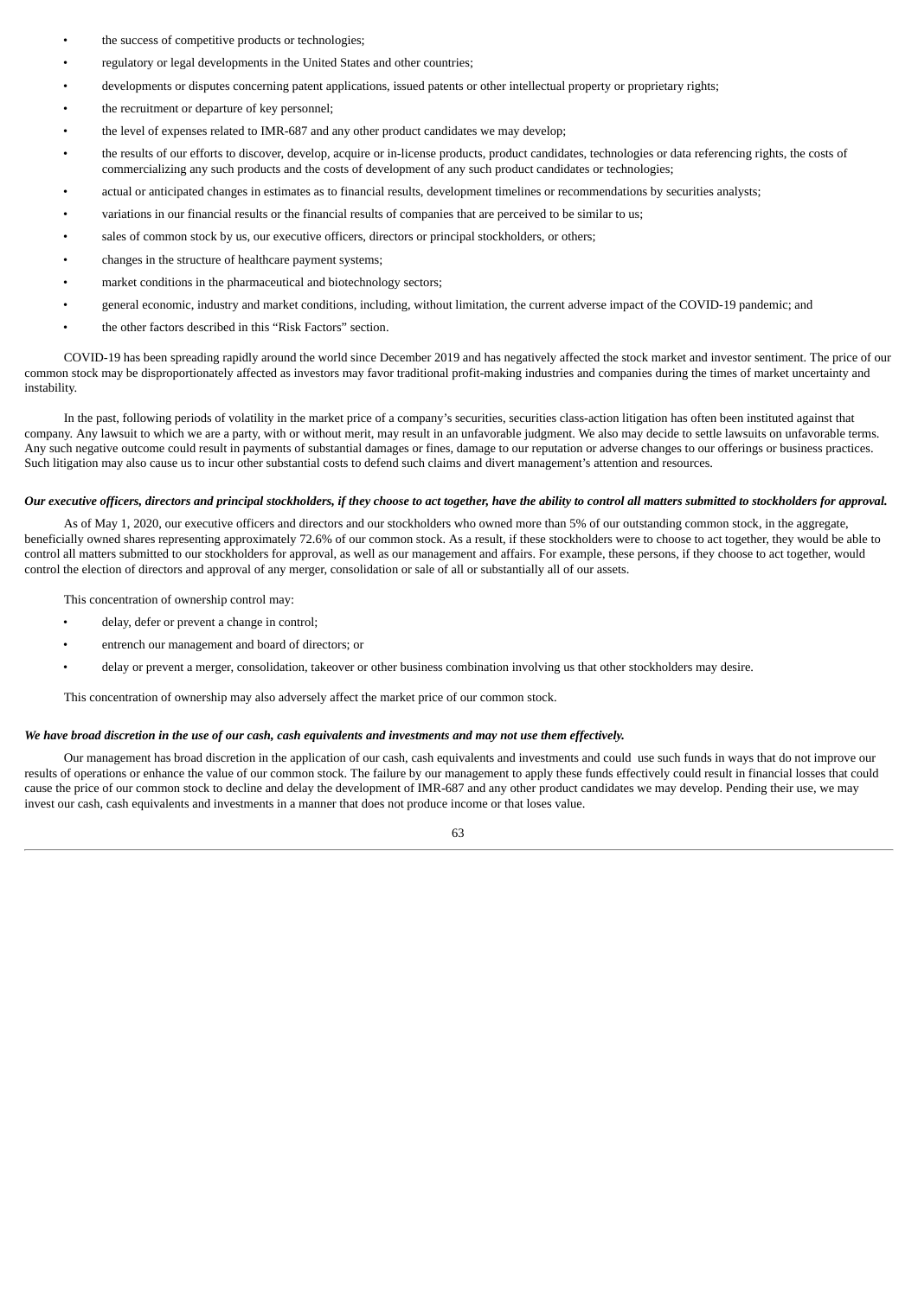- the success of competitive products or technologies;
- regulatory or legal developments in the United States and other countries;
- developments or disputes concerning patent applications, issued patents or other intellectual property or proprietary rights;
- the recruitment or departure of key personnel;
- the level of expenses related to IMR-687 and any other product candidates we may develop;
- the results of our efforts to discover, develop, acquire or in-license products, product candidates, technologies or data referencing rights, the costs of commercializing any such products and the costs of development of any such product candidates or technologies;
- actual or anticipated changes in estimates as to financial results, development timelines or recommendations by securities analysts;
- variations in our financial results or the financial results of companies that are perceived to be similar to us;
- sales of common stock by us, our executive officers, directors or principal stockholders, or others;
- changes in the structure of healthcare payment systems;
- market conditions in the pharmaceutical and biotechnology sectors;
- general economic, industry and market conditions, including, without limitation, the current adverse impact of the COVID-19 pandemic; and
- the other factors described in this "Risk Factors" section.

COVID-19 has been spreading rapidly around the world since December 2019 and has negatively affected the stock market and investor sentiment. The price of our common stock may be disproportionately affected as investors may favor traditional profit-making industries and companies during the times of market uncertainty and instability.

In the past, following periods of volatility in the market price of a company's securities, securities class-action litigation has often been instituted against that company. Any lawsuit to which we are a party, with or without merit, may result in an unfavorable judgment. We also may decide to settle lawsuits on unfavorable terms. Any such negative outcome could result in payments of substantial damages or fines, damage to our reputation or adverse changes to our offerings or business practices. Such litigation may also cause us to incur other substantial costs to defend such claims and divert management's attention and resources.

# Our executive officers, directors and principal stockholders, if they choose to act together, have the ability to control all matters submitted to stockholders for approval.

As of May 1, 2020, our executive officers and directors and our stockholders who owned more than 5% of our outstanding common stock, in the aggregate, beneficially owned shares representing approximately 72.6% of our common stock. As a result, if these stockholders were to choose to act together, they would be able to control all matters submitted to our stockholders for approval, as well as our management and affairs. For example, these persons, if they choose to act together, would control the election of directors and approval of any merger, consolidation or sale of all or substantially all of our assets.

This concentration of ownership control may:

- delay, defer or prevent a change in control;
- entrench our management and board of directors; or
- delay or prevent a merger, consolidation, takeover or other business combination involving us that other stockholders may desire.

This concentration of ownership may also adversely affect the market price of our common stock.

# We have broad discretion in the use of our cash, cash equivalents and investments and may not use them effectively.

Our management has broad discretion in the application of our cash, cash equivalents and investments and could use such funds in ways that do not improve our results of operations or enhance the value of our common stock. The failure by our management to apply these funds effectively could result in financial losses that could cause the price of our common stock to decline and delay the development of IMR-687 and any other product candidates we may develop. Pending their use, we may invest our cash, cash equivalents and investments in a manner that does not produce income or that loses value.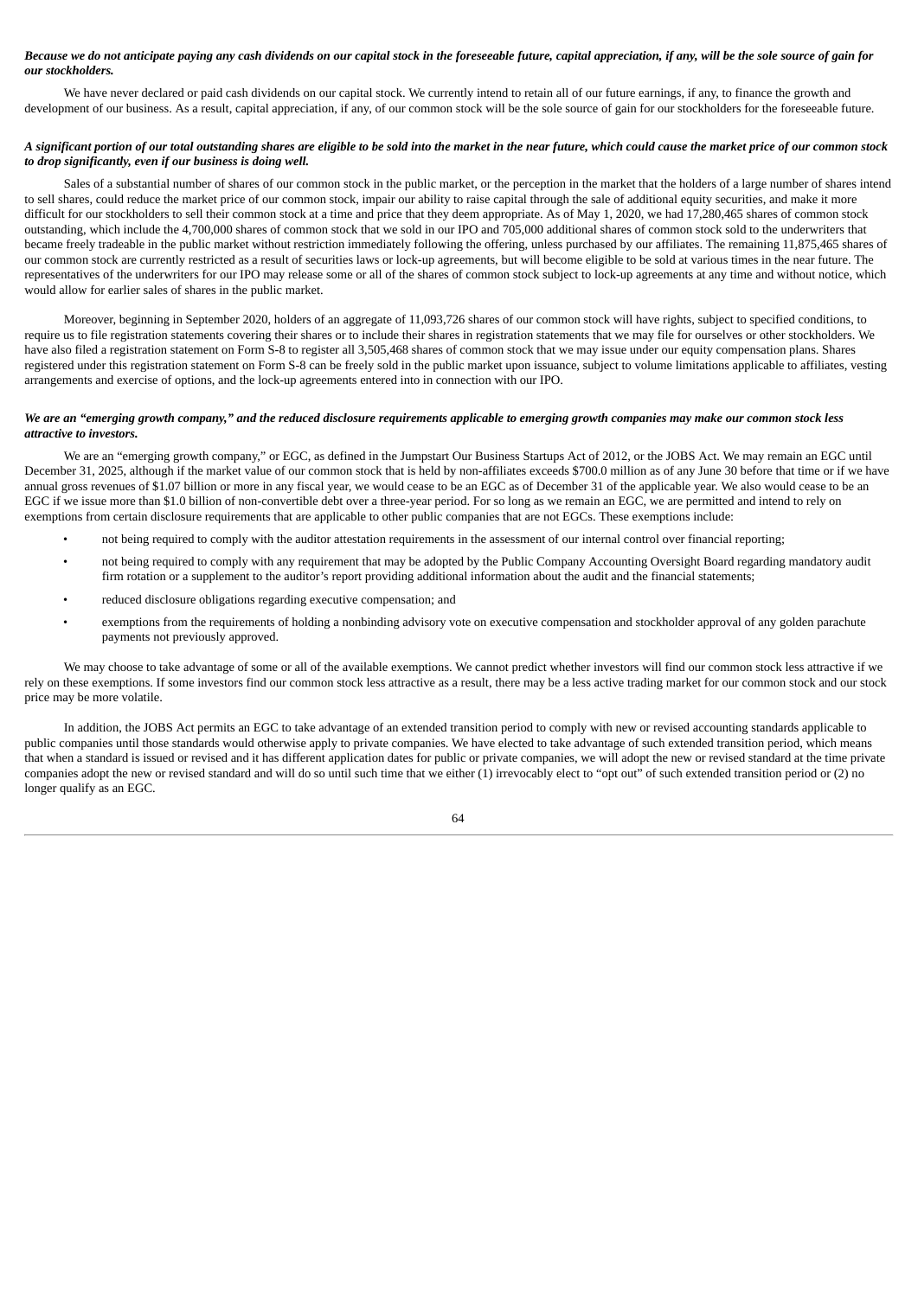## Because we do not anticipate paying any cash dividends on our capital stock in the foreseeable future, capital appreciation, if any, will be the sole source of gain for *our stockholders.*

We have never declared or paid cash dividends on our capital stock. We currently intend to retain all of our future earnings, if any, to finance the growth and development of our business. As a result, capital appreciation, if any, of our common stock will be the sole source of gain for our stockholders for the foreseeable future.

## A significant portion of our total outstanding shares are eligible to be sold into the market in the near future, which could cause the market price of our common stock *to drop significantly, even if our business is doing well.*

Sales of a substantial number of shares of our common stock in the public market, or the perception in the market that the holders of a large number of shares intend to sell shares, could reduce the market price of our common stock, impair our ability to raise capital through the sale of additional equity securities, and make it more difficult for our stockholders to sell their common stock at a time and price that they deem appropriate. As of May 1, 2020, we had 17,280,465 shares of common stock outstanding, which include the 4,700,000 shares of common stock that we sold in our IPO and 705,000 additional shares of common stock sold to the underwriters that became freely tradeable in the public market without restriction immediately following the offering, unless purchased by our affiliates. The remaining 11,875,465 shares of our common stock are currently restricted as a result of securities laws or lock-up agreements, but will become eligible to be sold at various times in the near future. The representatives of the underwriters for our IPO may release some or all of the shares of common stock subject to lock-up agreements at any time and without notice, which would allow for earlier sales of shares in the public market.

Moreover, beginning in September 2020, holders of an aggregate of 11,093,726 shares of our common stock will have rights, subject to specified conditions, to require us to file registration statements covering their shares or to include their shares in registration statements that we may file for ourselves or other stockholders. We have also filed a registration statement on Form S-8 to register all 3,505,468 shares of common stock that we may issue under our equity compensation plans. Shares registered under this registration statement on Form S-8 can be freely sold in the public market upon issuance, subject to volume limitations applicable to affiliates, vesting arrangements and exercise of options, and the lock-up agreements entered into in connection with our IPO.

## We are an "emerging growth company," and the reduced disclosure requirements applicable to emerging growth companies may make our common stock less *attractive to investors.*

We are an "emerging growth company," or EGC, as defined in the Jumpstart Our Business Startups Act of 2012, or the JOBS Act. We may remain an EGC until December 31, 2025, although if the market value of our common stock that is held by non-affiliates exceeds \$700.0 million as of any June 30 before that time or if we have annual gross revenues of \$1.07 billion or more in any fiscal year, we would cease to be an EGC as of December 31 of the applicable year. We also would cease to be an EGC if we issue more than \$1.0 billion of non-convertible debt over a three-year period. For so long as we remain an EGC, we are permitted and intend to rely on exemptions from certain disclosure requirements that are applicable to other public companies that are not EGCs. These exemptions include:

- not being required to comply with the auditor attestation requirements in the assessment of our internal control over financial reporting;
- not being required to comply with any requirement that may be adopted by the Public Company Accounting Oversight Board regarding mandatory audit firm rotation or a supplement to the auditor's report providing additional information about the audit and the financial statements;
- reduced disclosure obligations regarding executive compensation; and
- exemptions from the requirements of holding a nonbinding advisory vote on executive compensation and stockholder approval of any golden parachute payments not previously approved.

We may choose to take advantage of some or all of the available exemptions. We cannot predict whether investors will find our common stock less attractive if we rely on these exemptions. If some investors find our common stock less attractive as a result, there may be a less active trading market for our common stock and our stock price may be more volatile.

In addition, the JOBS Act permits an EGC to take advantage of an extended transition period to comply with new or revised accounting standards applicable to public companies until those standards would otherwise apply to private companies. We have elected to take advantage of such extended transition period, which means that when a standard is issued or revised and it has different application dates for public or private companies, we will adopt the new or revised standard at the time private companies adopt the new or revised standard and will do so until such time that we either (1) irrevocably elect to "opt out" of such extended transition period or (2) no longer qualify as an EGC.

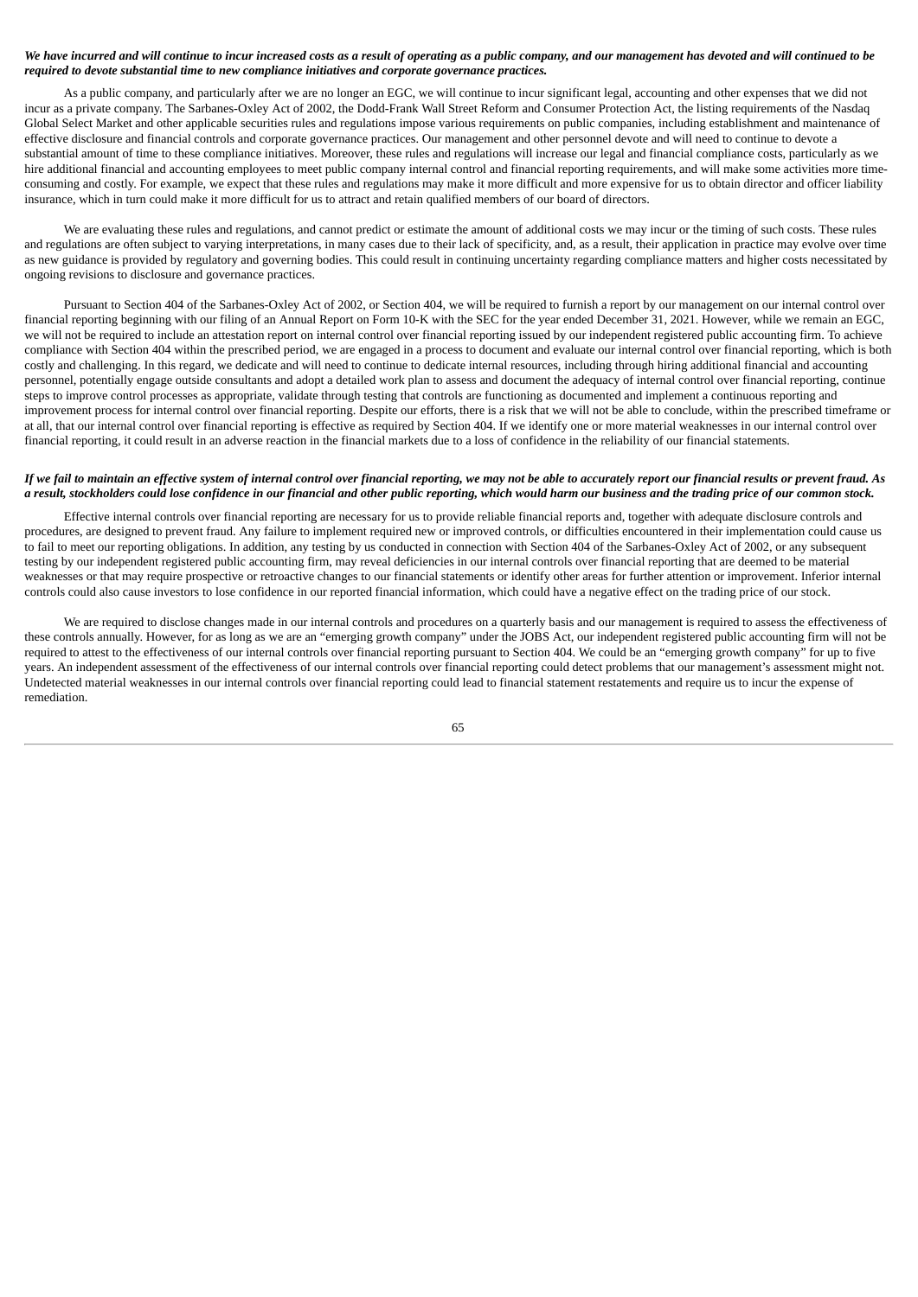## We have incurred and will continue to incur increased costs as a result of operating as a public company, and our management has devoted and will continued to be *required to devote substantial time to new compliance initiatives and corporate governance practices.*

As a public company, and particularly after we are no longer an EGC, we will continue to incur significant legal, accounting and other expenses that we did not incur as a private company. The Sarbanes-Oxley Act of 2002, the Dodd-Frank Wall Street Reform and Consumer Protection Act, the listing requirements of the Nasdaq Global Select Market and other applicable securities rules and regulations impose various requirements on public companies, including establishment and maintenance of effective disclosure and financial controls and corporate governance practices. Our management and other personnel devote and will need to continue to devote a substantial amount of time to these compliance initiatives. Moreover, these rules and regulations will increase our legal and financial compliance costs, particularly as we hire additional financial and accounting employees to meet public company internal control and financial reporting requirements, and will make some activities more timeconsuming and costly. For example, we expect that these rules and regulations may make it more difficult and more expensive for us to obtain director and officer liability insurance, which in turn could make it more difficult for us to attract and retain qualified members of our board of directors.

We are evaluating these rules and regulations, and cannot predict or estimate the amount of additional costs we may incur or the timing of such costs. These rules and regulations are often subject to varying interpretations, in many cases due to their lack of specificity, and, as a result, their application in practice may evolve over time as new guidance is provided by regulatory and governing bodies. This could result in continuing uncertainty regarding compliance matters and higher costs necessitated by ongoing revisions to disclosure and governance practices.

Pursuant to Section 404 of the Sarbanes-Oxley Act of 2002, or Section 404, we will be required to furnish a report by our management on our internal control over financial reporting beginning with our filing of an Annual Report on Form 10-K with the SEC for the year ended December 31, 2021. However, while we remain an EGC, we will not be required to include an attestation report on internal control over financial reporting issued by our independent registered public accounting firm. To achieve compliance with Section 404 within the prescribed period, we are engaged in a process to document and evaluate our internal control over financial reporting, which is both costly and challenging. In this regard, we dedicate and will need to continue to dedicate internal resources, including through hiring additional financial and accounting personnel, potentially engage outside consultants and adopt a detailed work plan to assess and document the adequacy of internal control over financial reporting, continue steps to improve control processes as appropriate, validate through testing that controls are functioning as documented and implement a continuous reporting and improvement process for internal control over financial reporting. Despite our efforts, there is a risk that we will not be able to conclude, within the prescribed timeframe or at all, that our internal control over financial reporting is effective as required by Section 404. If we identify one or more material weaknesses in our internal control over financial reporting, it could result in an adverse reaction in the financial markets due to a loss of confidence in the reliability of our financial statements.

## If we fail to maintain an effective system of internal control over financial reporting, we may not be able to accurately report our financial results or prevent fraud. As a result, stockholders could lose confidence in our financial and other public reporting, which would harm our business and the trading price of our common stock.

Effective internal controls over financial reporting are necessary for us to provide reliable financial reports and, together with adequate disclosure controls and procedures, are designed to prevent fraud. Any failure to implement required new or improved controls, or difficulties encountered in their implementation could cause us to fail to meet our reporting obligations. In addition, any testing by us conducted in connection with Section 404 of the Sarbanes-Oxley Act of 2002, or any subsequent testing by our independent registered public accounting firm, may reveal deficiencies in our internal controls over financial reporting that are deemed to be material weaknesses or that may require prospective or retroactive changes to our financial statements or identify other areas for further attention or improvement. Inferior internal controls could also cause investors to lose confidence in our reported financial information, which could have a negative effect on the trading price of our stock.

We are required to disclose changes made in our internal controls and procedures on a quarterly basis and our management is required to assess the effectiveness of these controls annually. However, for as long as we are an "emerging growth company" under the JOBS Act, our independent registered public accounting firm will not be required to attest to the effectiveness of our internal controls over financial reporting pursuant to Section 404. We could be an "emerging growth company" for up to five years. An independent assessment of the effectiveness of our internal controls over financial reporting could detect problems that our management's assessment might not. Undetected material weaknesses in our internal controls over financial reporting could lead to financial statement restatements and require us to incur the expense of remediation.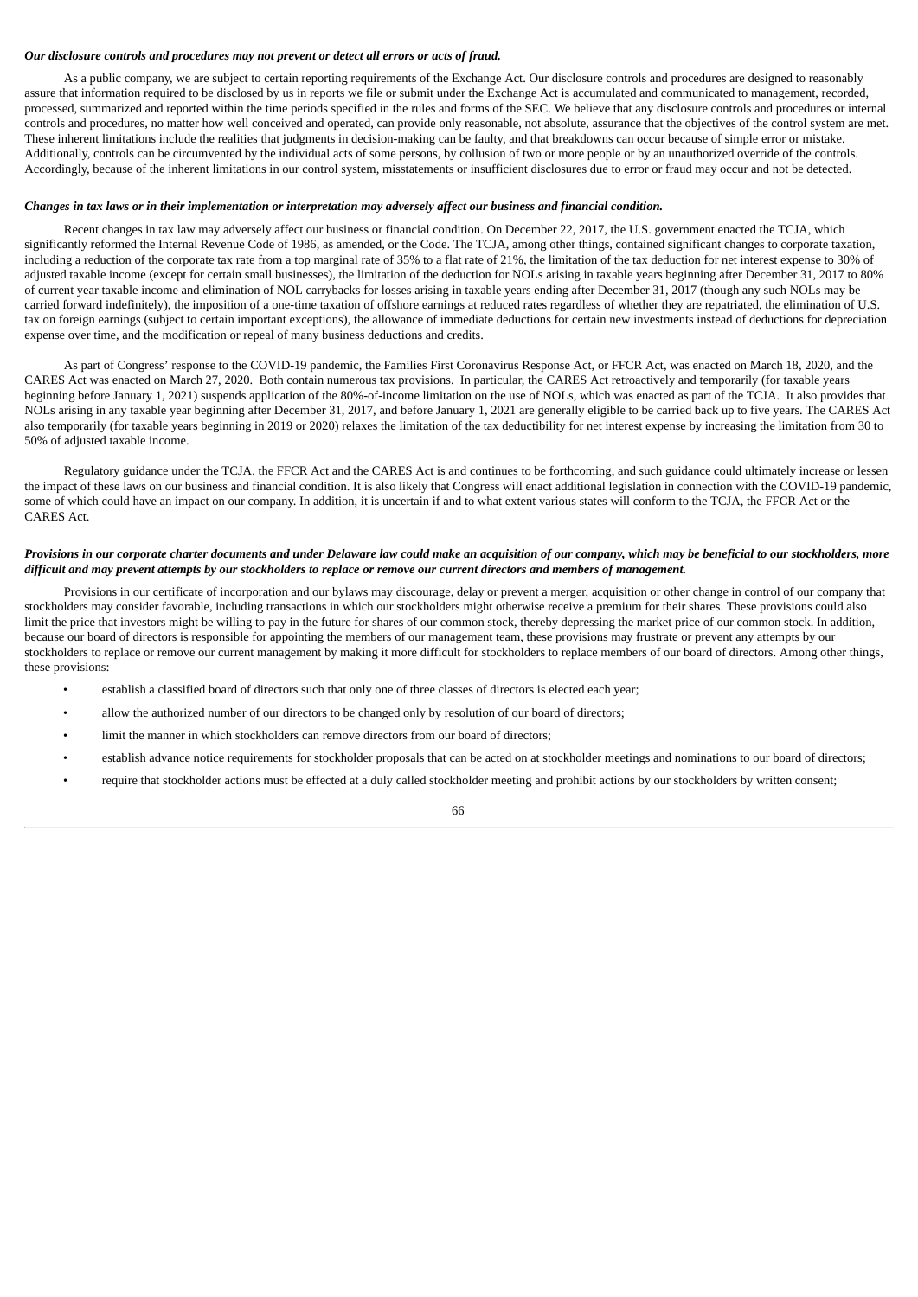## *Our disclosure controls and procedures may not prevent or detect all errors or acts of fraud.*

As a public company, we are subject to certain reporting requirements of the Exchange Act. Our disclosure controls and procedures are designed to reasonably assure that information required to be disclosed by us in reports we file or submit under the Exchange Act is accumulated and communicated to management, recorded, processed, summarized and reported within the time periods specified in the rules and forms of the SEC. We believe that any disclosure controls and procedures or internal controls and procedures, no matter how well conceived and operated, can provide only reasonable, not absolute, assurance that the objectives of the control system are met. These inherent limitations include the realities that judgments in decision-making can be faulty, and that breakdowns can occur because of simple error or mistake. Additionally, controls can be circumvented by the individual acts of some persons, by collusion of two or more people or by an unauthorized override of the controls. Accordingly, because of the inherent limitations in our control system, misstatements or insufficient disclosures due to error or fraud may occur and not be detected.

#### Changes in tax laws or in their implementation or interpretation may adversely affect our business and financial condition.

Recent changes in tax law may adversely affect our business or financial condition. On December 22, 2017, the U.S. government enacted the TCJA, which significantly reformed the Internal Revenue Code of 1986, as amended, or the Code. The TCJA, among other things, contained significant changes to corporate taxation, including a reduction of the corporate tax rate from a top marginal rate of 35% to a flat rate of 21%, the limitation of the tax deduction for net interest expense to 30% of adjusted taxable income (except for certain small businesses), the limitation of the deduction for NOLs arising in taxable years beginning after December 31, 2017 to 80% of current year taxable income and elimination of NOL carrybacks for losses arising in taxable years ending after December 31, 2017 (though any such NOLs may be carried forward indefinitely), the imposition of a one-time taxation of offshore earnings at reduced rates regardless of whether they are repatriated, the elimination of U.S. tax on foreign earnings (subject to certain important exceptions), the allowance of immediate deductions for certain new investments instead of deductions for depreciation expense over time, and the modification or repeal of many business deductions and credits.

As part of Congress' response to the COVID-19 pandemic, the Families First Coronavirus Response Act, or FFCR Act, was enacted on March 18, 2020, and the CARES Act was enacted on March 27, 2020. Both contain numerous tax provisions. In particular, the CARES Act retroactively and temporarily (for taxable years beginning before January 1, 2021) suspends application of the 80%-of-income limitation on the use of NOLs, which was enacted as part of the TCJA. It also provides that NOLs arising in any taxable year beginning after December 31, 2017, and before January 1, 2021 are generally eligible to be carried back up to five years. The CARES Act also temporarily (for taxable years beginning in 2019 or 2020) relaxes the limitation of the tax deductibility for net interest expense by increasing the limitation from 30 to 50% of adjusted taxable income.

Regulatory guidance under the TCJA, the FFCR Act and the CARES Act is and continues to be forthcoming, and such guidance could ultimately increase or lessen the impact of these laws on our business and financial condition. It is also likely that Congress will enact additional legislation in connection with the COVID-19 pandemic, some of which could have an impact on our company. In addition, it is uncertain if and to what extent various states will conform to the TCJA, the FFCR Act or the CARES Act.

## Provisions in our corporate charter documents and under Delaware law could make an acauisition of our company, which may be beneficial to our stockholders, more difficult and may prevent attempts by our stockholders to replace or remove our current directors and members of management.

Provisions in our certificate of incorporation and our bylaws may discourage, delay or prevent a merger, acquisition or other change in control of our company that stockholders may consider favorable, including transactions in which our stockholders might otherwise receive a premium for their shares. These provisions could also limit the price that investors might be willing to pay in the future for shares of our common stock, thereby depressing the market price of our common stock. In addition, because our board of directors is responsible for appointing the members of our management team, these provisions may frustrate or prevent any attempts by our stockholders to replace or remove our current management by making it more difficult for stockholders to replace members of our board of directors. Among other things, these provisions:

- establish a classified board of directors such that only one of three classes of directors is elected each year;
- allow the authorized number of our directors to be changed only by resolution of our board of directors;
- limit the manner in which stockholders can remove directors from our board of directors:
- establish advance notice requirements for stockholder proposals that can be acted on at stockholder meetings and nominations to our board of directors;
- require that stockholder actions must be effected at a duly called stockholder meeting and prohibit actions by our stockholders by written consent;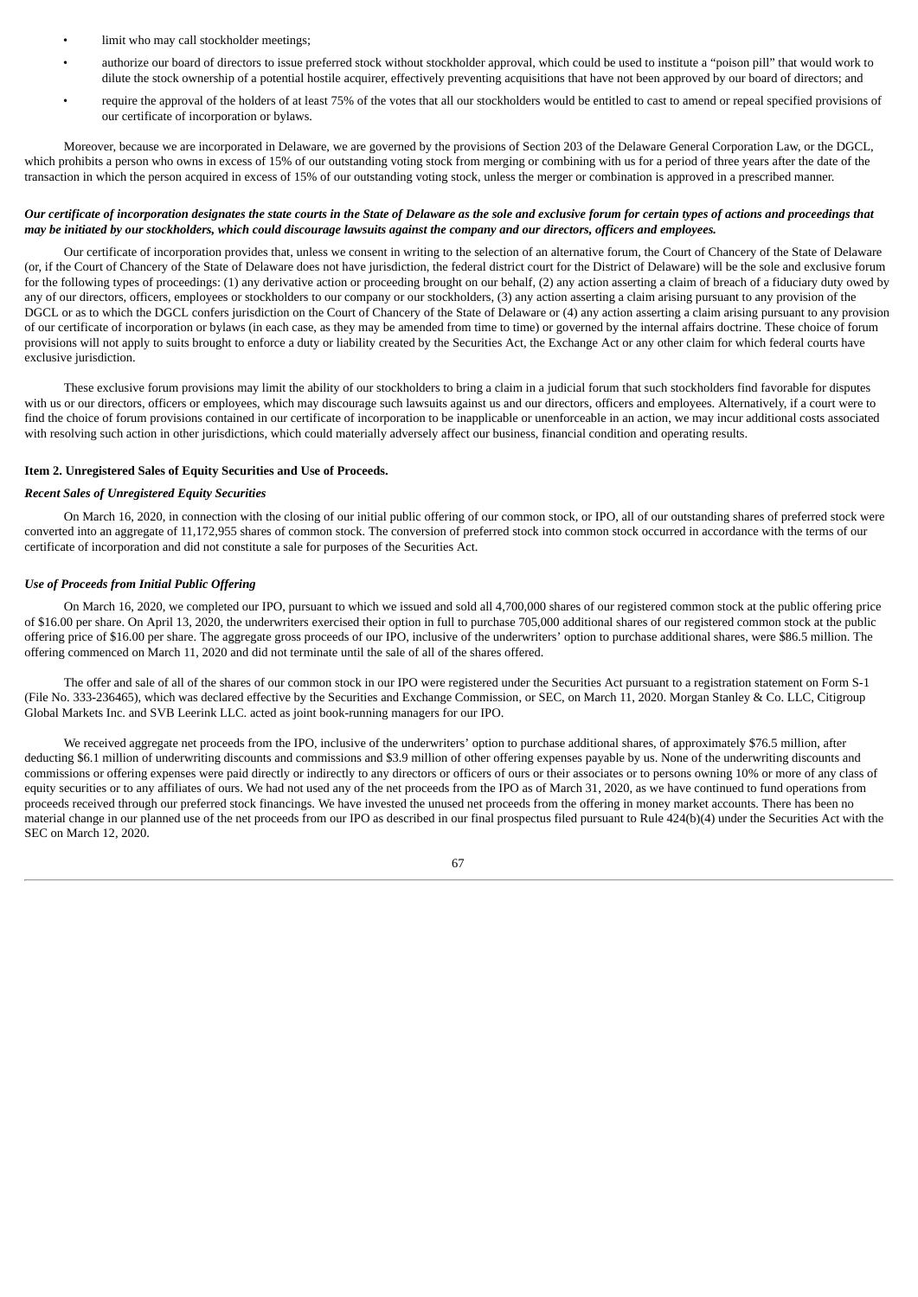- limit who may call stockholder meetings;
- authorize our board of directors to issue preferred stock without stockholder approval, which could be used to institute a "poison pill" that would work to dilute the stock ownership of a potential hostile acquirer, effectively preventing acquisitions that have not been approved by our board of directors; and
- require the approval of the holders of at least 75% of the votes that all our stockholders would be entitled to cast to amend or repeal specified provisions of our certificate of incorporation or bylaws.

Moreover, because we are incorporated in Delaware, we are governed by the provisions of Section 203 of the Delaware General Corporation Law, or the DGCL, which prohibits a person who owns in excess of 15% of our outstanding voting stock from merging or combining with us for a period of three years after the date of the transaction in which the person acquired in excess of 15% of our outstanding voting stock, unless the merger or combination is approved in a prescribed manner.

#### Our certificate of incorporation designates the state courts in the State of Delaware as the sole and exclusive forum for certain types of actions and proceedings that may be initiated by our stockholders, which could discourage lawsuits against the company and our directors, officers and employees.

Our certificate of incorporation provides that, unless we consent in writing to the selection of an alternative forum, the Court of Chancery of the State of Delaware (or, if the Court of Chancery of the State of Delaware does not have jurisdiction, the federal district court for the District of Delaware) will be the sole and exclusive forum for the following types of proceedings: (1) any derivative action or proceeding brought on our behalf, (2) any action asserting a claim of breach of a fiduciary duty owed by any of our directors, officers, employees or stockholders to our company or our stockholders, (3) any action asserting a claim arising pursuant to any provision of the DGCL or as to which the DGCL confers jurisdiction on the Court of Chancery of the State of Delaware or (4) any action asserting a claim arising pursuant to any provision of our certificate of incorporation or bylaws (in each case, as they may be amended from time to time) or governed by the internal affairs doctrine. These choice of forum provisions will not apply to suits brought to enforce a duty or liability created by the Securities Act, the Exchange Act or any other claim for which federal courts have exclusive jurisdiction.

These exclusive forum provisions may limit the ability of our stockholders to bring a claim in a judicial forum that such stockholders find favorable for disputes with us or our directors, officers or employees, which may discourage such lawsuits against us and our directors, officers and employees. Alternatively, if a court were to find the choice of forum provisions contained in our certificate of incorporation to be inapplicable or unenforceable in an action, we may incur additional costs associated with resolving such action in other jurisdictions, which could materially adversely affect our business, financial condition and operating results.

## **Item 2. Unregistered Sales of Equity Securities and Use of Proceeds.**

## *Recent Sales of Unregistered Equity Securities*

On March 16, 2020, in connection with the closing of our initial public offering of our common stock, or IPO, all of our outstanding shares of preferred stock were converted into an aggregate of 11,172,955 shares of common stock. The conversion of preferred stock into common stock occurred in accordance with the terms of our certificate of incorporation and did not constitute a sale for purposes of the Securities Act.

# *Use of Proceeds from Initial Public Offering*

On March 16, 2020, we completed our IPO, pursuant to which we issued and sold all 4,700,000 shares of our registered common stock at the public offering price of \$16.00 per share. On April 13, 2020, the underwriters exercised their option in full to purchase 705,000 additional shares of our registered common stock at the public offering price of \$16.00 per share. The aggregate gross proceeds of our IPO, inclusive of the underwriters' option to purchase additional shares, were \$86.5 million. The offering commenced on March 11, 2020 and did not terminate until the sale of all of the shares offered.

The offer and sale of all of the shares of our common stock in our IPO were registered under the Securities Act pursuant to a registration statement on Form S-1 (File No. 333-236465), which was declared effective by the Securities and Exchange Commission, or SEC, on March 11, 2020. Morgan Stanley & Co. LLC, Citigroup Global Markets Inc. and SVB Leerink LLC. acted as joint book-running managers for our IPO.

We received aggregate net proceeds from the IPO, inclusive of the underwriters' option to purchase additional shares, of approximately \$76.5 million, after deducting \$6.1 million of underwriting discounts and commissions and \$3.9 million of other offering expenses payable by us. None of the underwriting discounts and commissions or offering expenses were paid directly or indirectly to any directors or officers of ours or their associates or to persons owning 10% or more of any class of equity securities or to any affiliates of ours. We had not used any of the net proceeds from the IPO as of March 31, 2020, as we have continued to fund operations from proceeds received through our preferred stock financings. We have invested the unused net proceeds from the offering in money market accounts. There has been no material change in our planned use of the net proceeds from our IPO as described in our final prospectus filed pursuant to Rule 424(b)(4) under the Securities Act with the SEC on March 12, 2020.

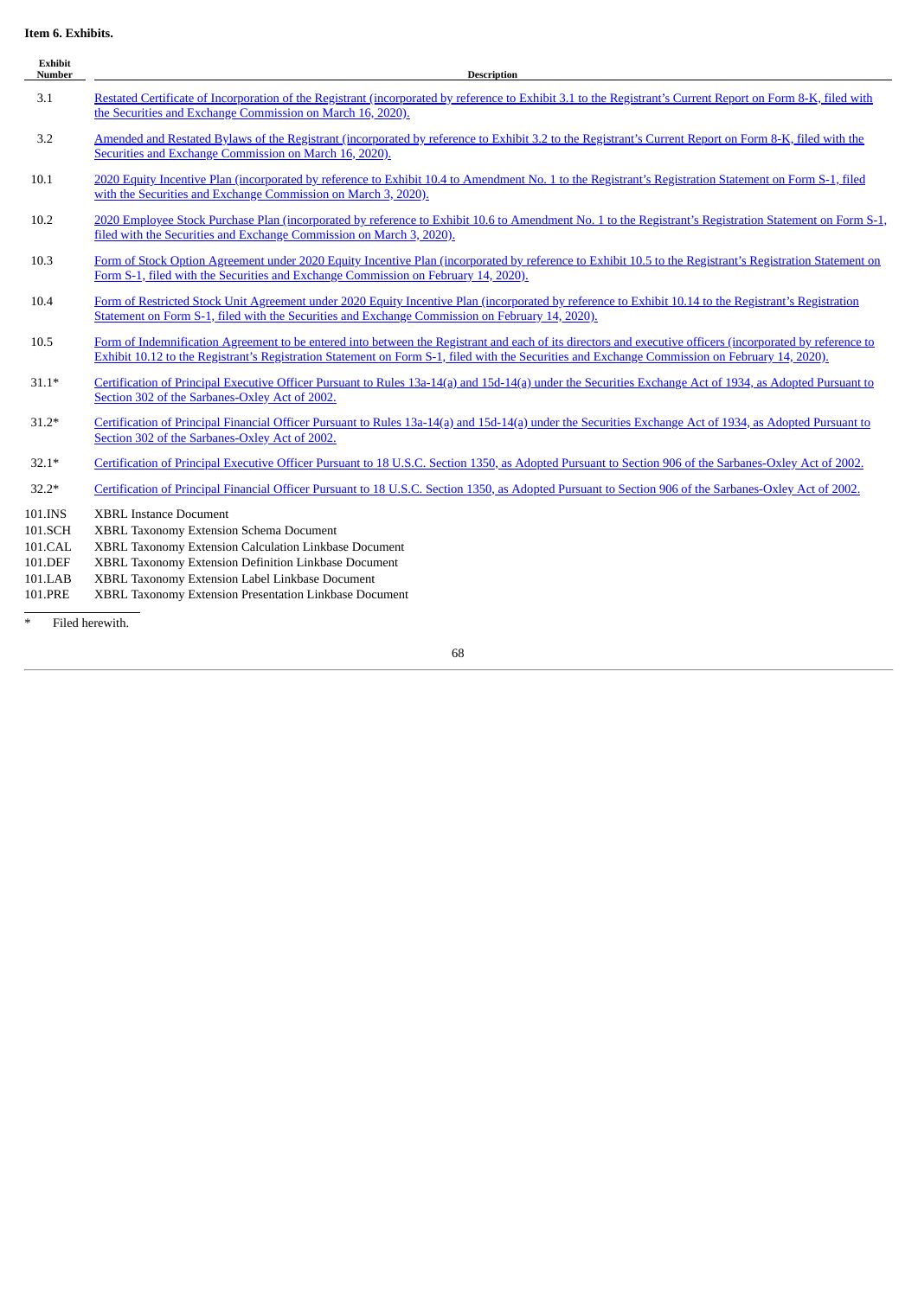**Item 6. Exhibits.**

| <b>Exhibit</b><br>Number  | Description                                                                                                                                                                                                                                                                                                  |
|---------------------------|--------------------------------------------------------------------------------------------------------------------------------------------------------------------------------------------------------------------------------------------------------------------------------------------------------------|
| 3.1                       | Restated Certificate of Incorporation of the Registrant (incorporated by reference to Exhibit 3.1 to the Registrant's Current Report on Form 8-K, filed with<br>the Securities and Exchange Commission on March 16, 2020).                                                                                   |
| 3.2                       | Amended and Restated Bylaws of the Registrant (incorporated by reference to Exhibit 3.2 to the Registrant's Current Report on Form 8-K, filed with the<br>Securities and Exchange Commission on March 16, 2020).                                                                                             |
| 10.1                      | 2020 Equity Incentive Plan (incorporated by reference to Exhibit 10.4 to Amendment No. 1 to the Registrant's Registration Statement on Form S-1, filed<br>with the Securities and Exchange Commission on March 3, 2020).                                                                                     |
| 10.2                      | 2020 Employee Stock Purchase Plan (incorporated by reference to Exhibit 10.6 to Amendment No. 1 to the Registrant's Registration Statement on Form S-1,<br>filed with the Securities and Exchange Commission on March 3, 2020).                                                                              |
| 10.3                      | Form of Stock Option Agreement under 2020 Equity Incentive Plan (incorporated by reference to Exhibit 10.5 to the Registrant's Registration Statement on<br>Form S-1, filed with the Securities and Exchange Commission on February 14, 2020).                                                               |
| 10.4                      | Form of Restricted Stock Unit Agreement under 2020 Equity Incentive Plan (incorporated by reference to Exhibit 10.14 to the Registrant's Registration<br>Statement on Form S-1, filed with the Securities and Exchange Commission on February 14, 2020).                                                     |
| 10.5                      | Form of Indemnification Agreement to be entered into between the Registrant and each of its directors and executive officers (incorporated by reference to<br>Exhibit 10.12 to the Registrant's Registration Statement on Form S-1, filed with the Securities and Exchange Commission on February 14, 2020). |
| $31.1*$                   | Certification of Principal Executive Officer Pursuant to Rules 13a-14(a) and 15d-14(a) under the Securities Exchange Act of 1934, as Adopted Pursuant to<br>Section 302 of the Sarbanes-Oxley Act of 2002.                                                                                                   |
| $31.2*$                   | Certification of Principal Financial Officer Pursuant to Rules 13a-14(a) and 15d-14(a) under the Securities Exchange Act of 1934, as Adopted Pursuant to<br>Section 302 of the Sarbanes-Oxley Act of 2002.                                                                                                   |
| $32.1*$                   | Certification of Principal Executive Officer Pursuant to 18 U.S.C. Section 1350, as Adopted Pursuant to Section 906 of the Sarbanes-Oxley Act of 2002.                                                                                                                                                       |
| $32.2*$                   | Certification of Principal Financial Officer Pursuant to 18 U.S.C. Section 1350, as Adopted Pursuant to Section 906 of the Sarbanes-Oxley Act of 2002.                                                                                                                                                       |
| 101.INS                   | <b>XBRL Instance Document</b>                                                                                                                                                                                                                                                                                |
| 101.SCH                   | XBRL Taxonomy Extension Schema Document                                                                                                                                                                                                                                                                      |
| 101.CAL                   | XBRL Taxonomy Extension Calculation Linkbase Document                                                                                                                                                                                                                                                        |
| 101.DEF                   | XBRL Taxonomy Extension Definition Linkbase Document                                                                                                                                                                                                                                                         |
| 101.LAB                   | XBRL Taxonomy Extension Label Linkbase Document                                                                                                                                                                                                                                                              |
| 101.PRE                   | XBRL Taxonomy Extension Presentation Linkbase Document                                                                                                                                                                                                                                                       |
| $\ast$<br>Filed herewith. |                                                                                                                                                                                                                                                                                                              |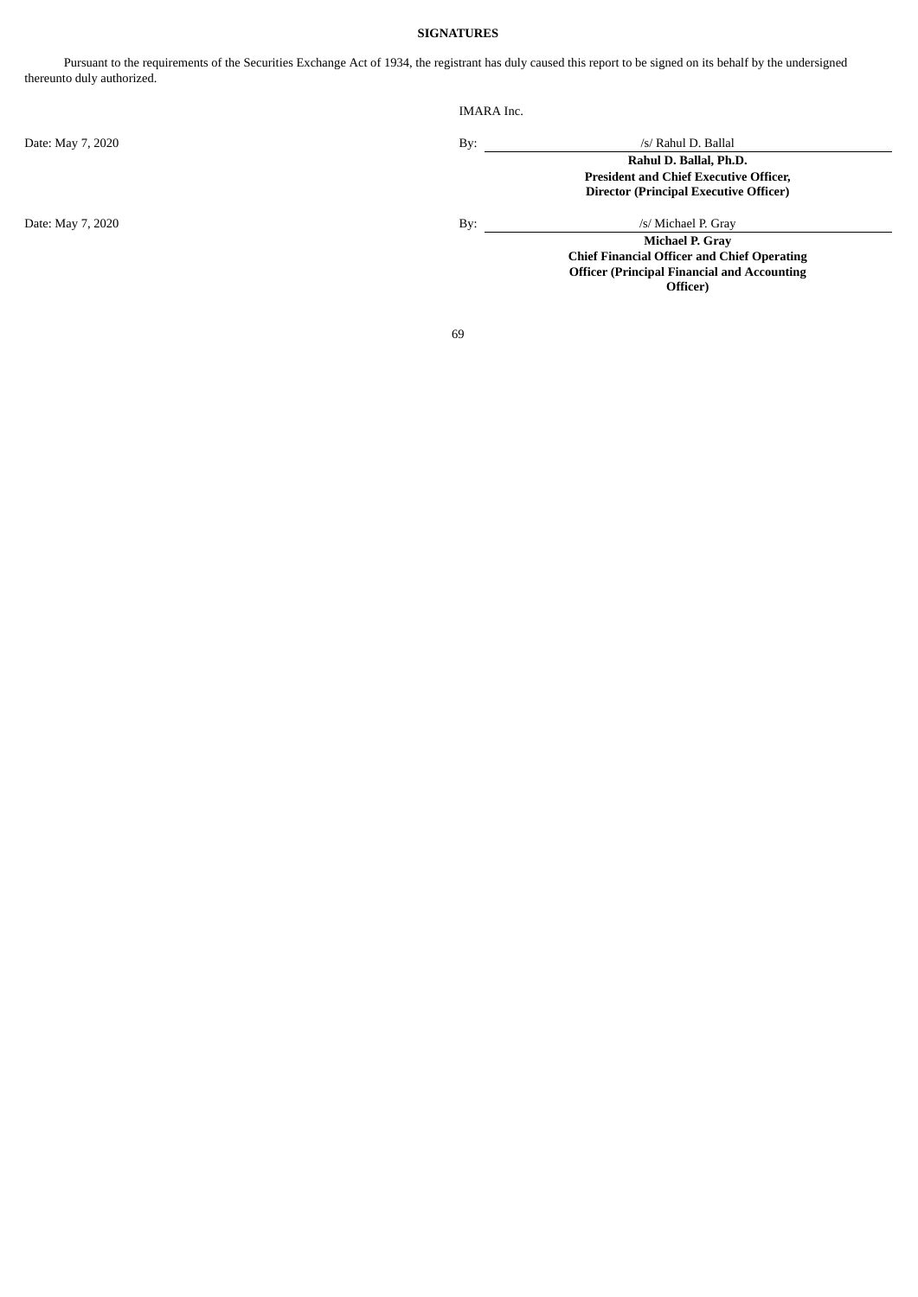# **SIGNATURES**

Pursuant to the requirements of the Securities Exchange Act of 1934, the registrant has duly caused this report to be signed on its behalf by the undersigned thereunto duly authorized.

IMARA Inc.

Date: May 7, 2020 /s/ Rahul D. Ballal **Rahul D. Ballal, Ph.D. President and Chief Executive Officer, Director (Principal Executive Officer)**

Date: May 7, 2020 <br>By: /s/ Michael P. Gray

**Michael P. Gray Chief Financial Officer and Chief Operating Officer (Principal Financial and Accounting Officer)**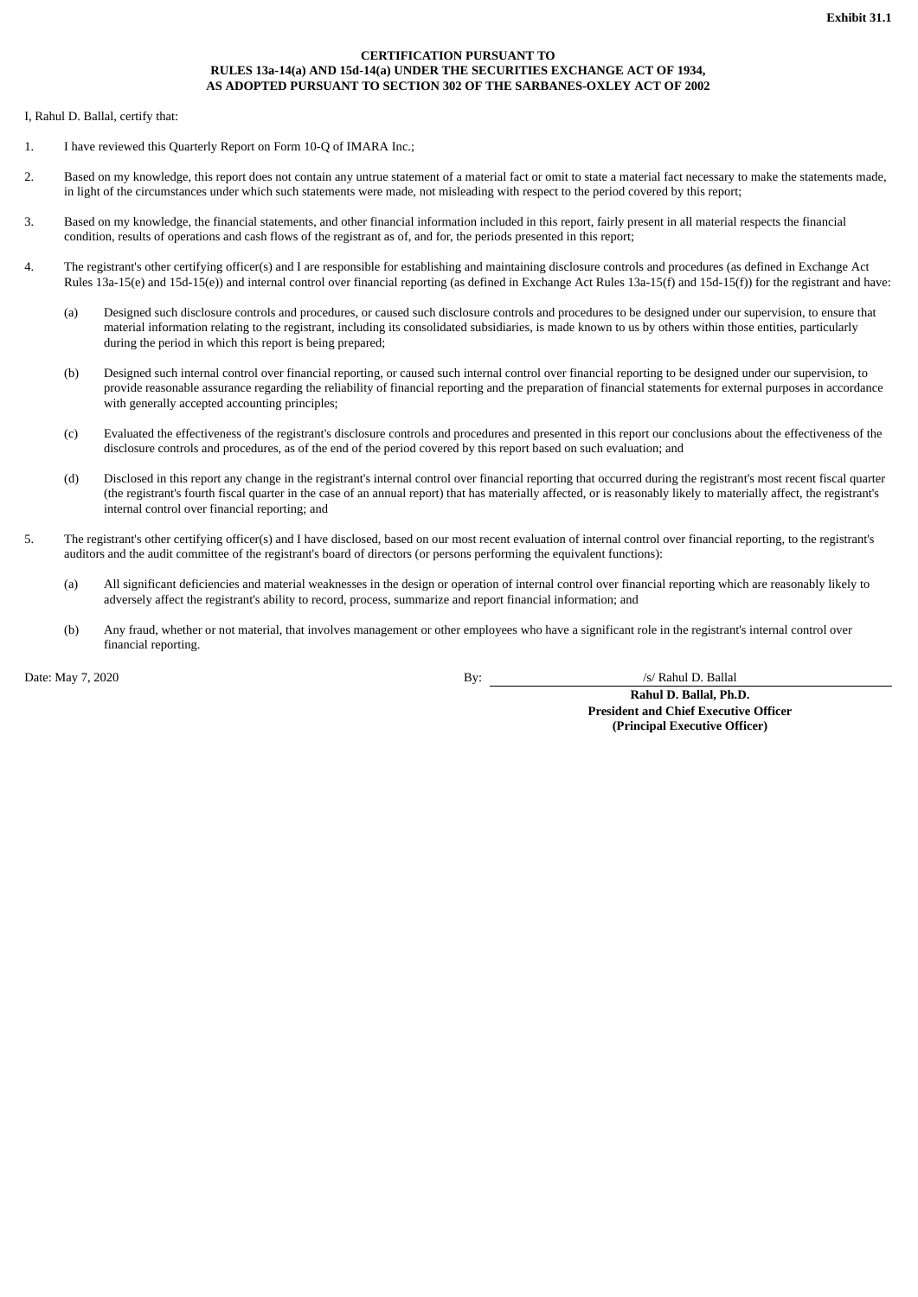## **CERTIFICATION PURSUANT TO RULES 13a-14(a) AND 15d-14(a) UNDER THE SECURITIES EXCHANGE ACT OF 1934, AS ADOPTED PURSUANT TO SECTION 302 OF THE SARBANES-OXLEY ACT OF 2002**

I, Rahul D. Ballal, certify that:

- 1. I have reviewed this Quarterly Report on Form 10-Q of IMARA Inc.;
- 2. Based on my knowledge, this report does not contain any untrue statement of a material fact or omit to state a material fact necessary to make the statements made, in light of the circumstances under which such statements were made, not misleading with respect to the period covered by this report;
- 3. Based on my knowledge, the financial statements, and other financial information included in this report, fairly present in all material respects the financial condition, results of operations and cash flows of the registrant as of, and for, the periods presented in this report;
- 4. The registrant's other certifying officer(s) and I are responsible for establishing and maintaining disclosure controls and procedures (as defined in Exchange Act Rules 13a-15(e) and 15d-15(e)) and internal control over financial reporting (as defined in Exchange Act Rules 13a-15(f) and 15d-15(f)) for the registrant and have:
	- (a) Designed such disclosure controls and procedures, or caused such disclosure controls and procedures to be designed under our supervision, to ensure that material information relating to the registrant, including its consolidated subsidiaries, is made known to us by others within those entities, particularly during the period in which this report is being prepared;
	- (b) Designed such internal control over financial reporting, or caused such internal control over financial reporting to be designed under our supervision, to provide reasonable assurance regarding the reliability of financial reporting and the preparation of financial statements for external purposes in accordance with generally accepted accounting principles;
	- (c) Evaluated the effectiveness of the registrant's disclosure controls and procedures and presented in this report our conclusions about the effectiveness of the disclosure controls and procedures, as of the end of the period covered by this report based on such evaluation; and
	- (d) Disclosed in this report any change in the registrant's internal control over financial reporting that occurred during the registrant's most recent fiscal quarter (the registrant's fourth fiscal quarter in the case of an annual report) that has materially affected, or is reasonably likely to materially affect, the registrant's internal control over financial reporting; and
- 5. The registrant's other certifying officer(s) and I have disclosed, based on our most recent evaluation of internal control over financial reporting, to the registrant's auditors and the audit committee of the registrant's board of directors (or persons performing the equivalent functions):
	- (a) All significant deficiencies and material weaknesses in the design or operation of internal control over financial reporting which are reasonably likely to adversely affect the registrant's ability to record, process, summarize and report financial information; and
	- (b) Any fraud, whether or not material, that involves management or other employees who have a significant role in the registrant's internal control over financial reporting.

Date: May 7, 2020 /s/ Rahul D. Ballal

**Rahul D. Ballal, Ph.D. President and Chief Executive Officer (Principal Executive Officer)**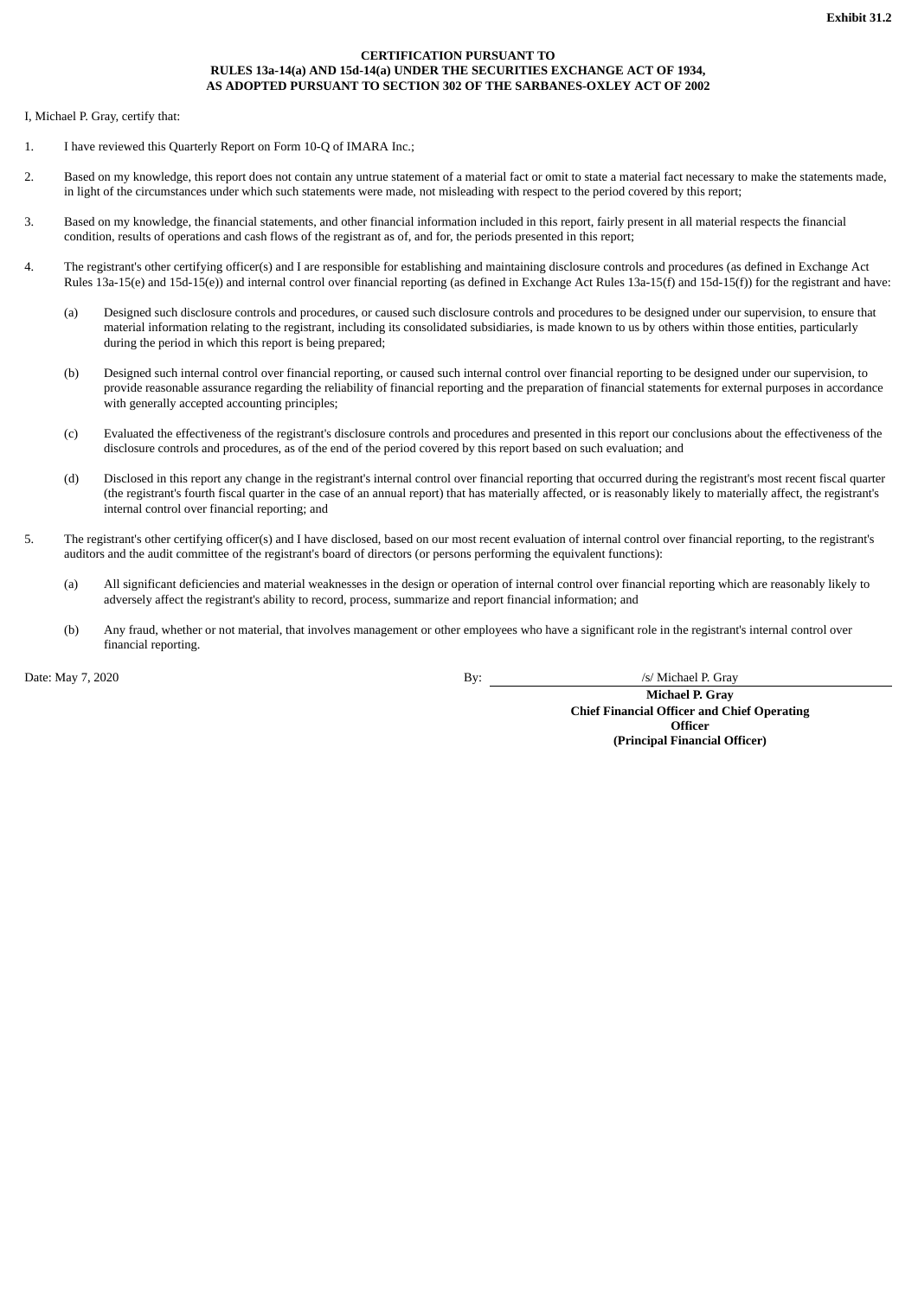## **CERTIFICATION PURSUANT TO RULES 13a-14(a) AND 15d-14(a) UNDER THE SECURITIES EXCHANGE ACT OF 1934, AS ADOPTED PURSUANT TO SECTION 302 OF THE SARBANES-OXLEY ACT OF 2002**

I, Michael P. Gray, certify that:

- 1. I have reviewed this Quarterly Report on Form 10-Q of IMARA Inc.;
- 2. Based on my knowledge, this report does not contain any untrue statement of a material fact or omit to state a material fact necessary to make the statements made, in light of the circumstances under which such statements were made, not misleading with respect to the period covered by this report;
- 3. Based on my knowledge, the financial statements, and other financial information included in this report, fairly present in all material respects the financial condition, results of operations and cash flows of the registrant as of, and for, the periods presented in this report;
- 4. The registrant's other certifying officer(s) and I are responsible for establishing and maintaining disclosure controls and procedures (as defined in Exchange Act Rules 13a-15(e) and 15d-15(e)) and internal control over financial reporting (as defined in Exchange Act Rules 13a-15(f) and 15d-15(f)) for the registrant and have:
	- (a) Designed such disclosure controls and procedures, or caused such disclosure controls and procedures to be designed under our supervision, to ensure that material information relating to the registrant, including its consolidated subsidiaries, is made known to us by others within those entities, particularly during the period in which this report is being prepared;
	- (b) Designed such internal control over financial reporting, or caused such internal control over financial reporting to be designed under our supervision, to provide reasonable assurance regarding the reliability of financial reporting and the preparation of financial statements for external purposes in accordance with generally accepted accounting principles;
	- (c) Evaluated the effectiveness of the registrant's disclosure controls and procedures and presented in this report our conclusions about the effectiveness of the disclosure controls and procedures, as of the end of the period covered by this report based on such evaluation; and
	- (d) Disclosed in this report any change in the registrant's internal control over financial reporting that occurred during the registrant's most recent fiscal quarter (the registrant's fourth fiscal quarter in the case of an annual report) that has materially affected, or is reasonably likely to materially affect, the registrant's internal control over financial reporting; and
- 5. The registrant's other certifying officer(s) and I have disclosed, based on our most recent evaluation of internal control over financial reporting, to the registrant's auditors and the audit committee of the registrant's board of directors (or persons performing the equivalent functions):
	- (a) All significant deficiencies and material weaknesses in the design or operation of internal control over financial reporting which are reasonably likely to adversely affect the registrant's ability to record, process, summarize and report financial information; and
	- (b) Any fraud, whether or not material, that involves management or other employees who have a significant role in the registrant's internal control over financial reporting.

Date: May 7, 2020 /s/ Michael P. Gray

**Michael P. Gray Chief Financial Officer and Chief Operating Officer (Principal Financial Officer)**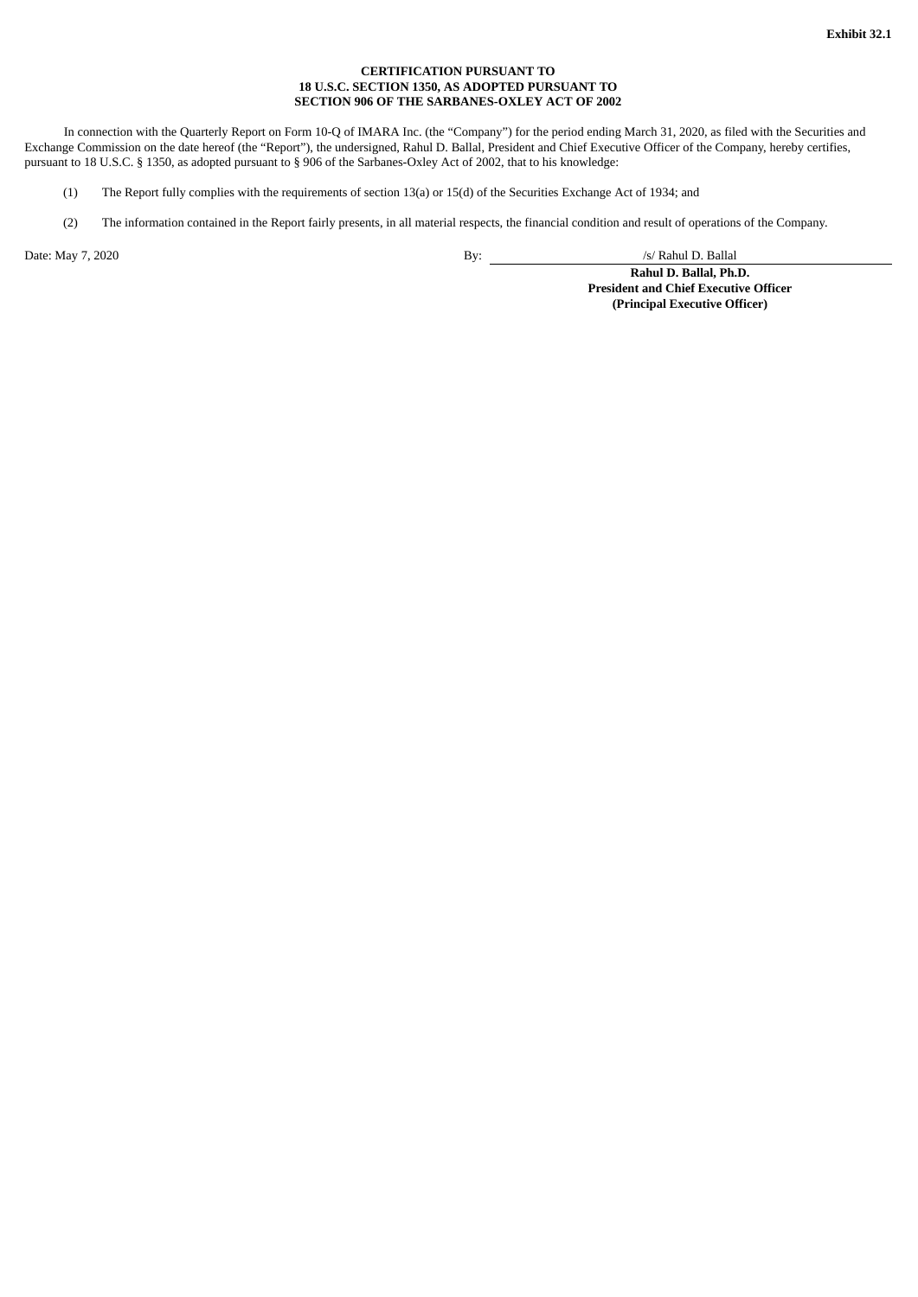## **CERTIFICATION PURSUANT TO 18 U.S.C. SECTION 1350, AS ADOPTED PURSUANT TO SECTION 906 OF THE SARBANES-OXLEY ACT OF 2002**

In connection with the Quarterly Report on Form 10-Q of IMARA Inc. (the "Company") for the period ending March 31, 2020, as filed with the Securities and Exchange Commission on the date hereof (the "Report"), the undersigned, Rahul D. Ballal, President and Chief Executive Officer of the Company, hereby certifies, pursuant to 18 U.S.C. § 1350, as adopted pursuant to § 906 of the Sarbanes-Oxley Act of 2002, that to his knowledge:

- (1) The Report fully complies with the requirements of section 13(a) or 15(d) of the Securities Exchange Act of 1934; and
- (2) The information contained in the Report fairly presents, in all material respects, the financial condition and result of operations of the Company.

Date: May 7, 2020 /s/ Rahul D. Ballal

**Rahul D. Ballal, Ph.D. President and Chief Executive Officer (Principal Executive Officer)**